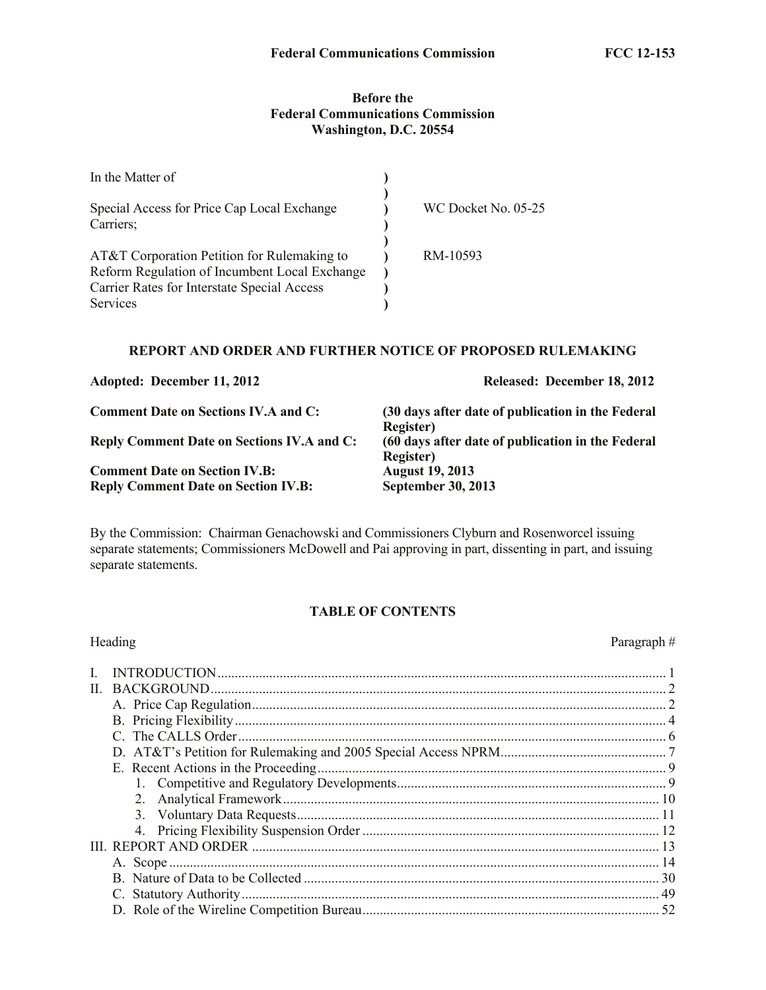## **Before the Federal Communications Commission Washington, D.C. 20554**

| In the Matter of                                                                             |                     |
|----------------------------------------------------------------------------------------------|---------------------|
| Special Access for Price Cap Local Exchange                                                  | WC Docket No. 05-25 |
| Carriers:                                                                                    |                     |
| AT&T Corporation Petition for Rulemaking to<br>Reform Regulation of Incumbent Local Exchange | RM-10593            |
| Carrier Rates for Interstate Special Access                                                  |                     |
| Services                                                                                     |                     |

# **REPORT AND ORDER AND FURTHER NOTICE OF PROPOSED RULEMAKING**

| Adopted: December 11, 2012                                                         | Released: December 18, 2012                                                                 |
|------------------------------------------------------------------------------------|---------------------------------------------------------------------------------------------|
| <b>Comment Date on Sections IV.A and C:</b>                                        | (30 days after date of publication in the Federal                                           |
| <b>Reply Comment Date on Sections IV.A and C:</b>                                  | <b>Register</b> )<br>(60 days after date of publication in the Federal<br><b>Register</b> ) |
| <b>Comment Date on Section IV.B:</b><br><b>Reply Comment Date on Section IV.B:</b> | <b>August 19, 2013</b><br><b>September 30, 2013</b>                                         |

By the Commission: Chairman Genachowski and Commissioners Clyburn and Rosenworcel issuing separate statements; Commissioners McDowell and Pai approving in part, dissenting in part, and issuing separate statements.

# **TABLE OF CONTENTS**

| Heading | Paragraph# |
|---------|------------|
|         |            |
|         |            |
|         |            |
|         |            |
|         |            |
|         |            |
|         |            |
|         |            |
|         |            |
|         |            |
|         |            |
|         |            |
|         |            |
|         |            |
|         |            |
|         |            |
|         |            |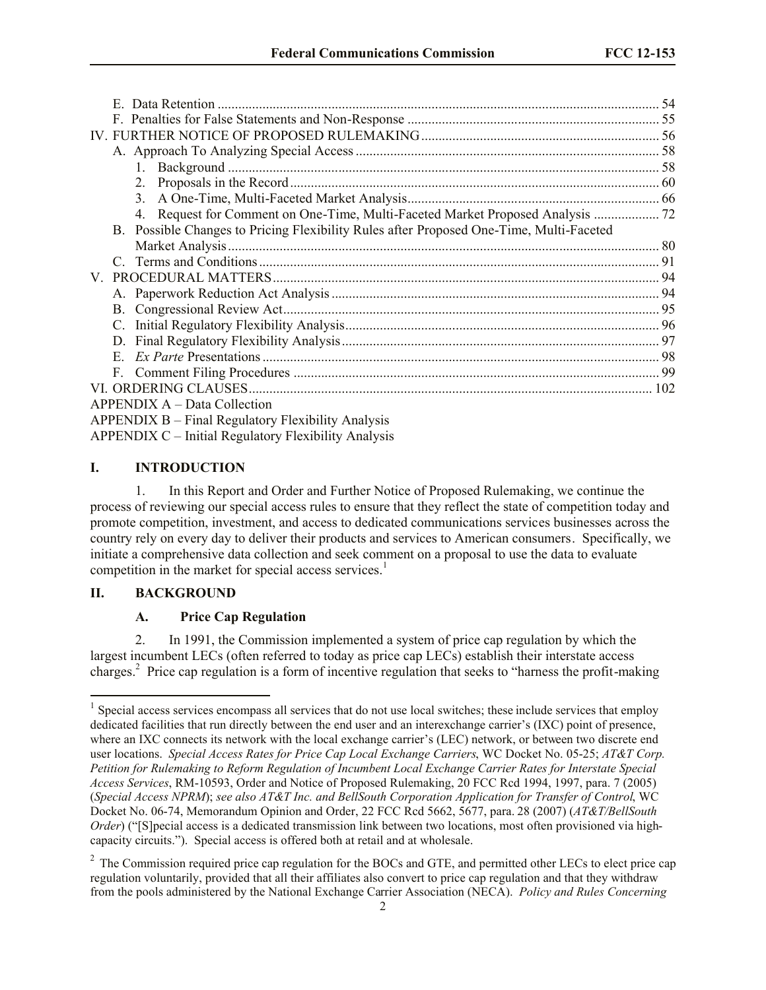| Possible Changes to Pricing Flexibility Rules after Proposed One-Time, Multi-Faceted<br>B. |  |
|--------------------------------------------------------------------------------------------|--|
|                                                                                            |  |
|                                                                                            |  |
|                                                                                            |  |
|                                                                                            |  |
|                                                                                            |  |
|                                                                                            |  |
| D.                                                                                         |  |
| $E_{\perp}$                                                                                |  |
| $F_{\perp}$                                                                                |  |
|                                                                                            |  |
| APPENDIX A – Data Collection                                                               |  |
| APPENDIX B – Final Regulatory Flexibility Analysis                                         |  |
| APPENDIX C – Initial Regulatory Flexibility Analysis                                       |  |

# **I. INTRODUCTION**

1. In this Report and Order and Further Notice of Proposed Rulemaking, we continue the process of reviewing our special access rules to ensure that they reflect the state of competition today and promote competition, investment, and access to dedicated communications services businesses across the country rely on every day to deliver their products and services to American consumers. Specifically, we initiate a comprehensive data collection and seek comment on a proposal to use the data to evaluate competition in the market for special access services.<sup>1</sup>

## **II. BACKGROUND**

l

## **A. Price Cap Regulation**

2. In 1991, the Commission implemented a system of price cap regulation by which the largest incumbent LECs (often referred to today as price cap LECs) establish their interstate access charges.<sup>2</sup> Price cap regulation is a form of incentive regulation that seeks to "harness the profit-making

<sup>&</sup>lt;sup>1</sup> Special access services encompass all services that do not use local switches; these include services that employ dedicated facilities that run directly between the end user and an interexchange carrier's (IXC) point of presence, where an IXC connects its network with the local exchange carrier's (LEC) network, or between two discrete end user locations. *Special Access Rates for Price Cap Local Exchange Carriers*, WC Docket No. 05-25; *AT&T Corp. Petition for Rulemaking to Reform Regulation of Incumbent Local Exchange Carrier Rates for Interstate Special Access Services*, RM-10593, Order and Notice of Proposed Rulemaking, 20 FCC Rcd 1994, 1997, para. 7 (2005) (*Special Access NPRM*); *see also AT&T Inc. and BellSouth Corporation Application for Transfer of Control*, WC Docket No. 06-74, Memorandum Opinion and Order, 22 FCC Rcd 5662, 5677, para. 28 (2007) (*AT&T/BellSouth Order*) ("[S]pecial access is a dedicated transmission link between two locations, most often provisioned via highcapacity circuits."). Special access is offered both at retail and at wholesale.

 $2$  The Commission required price cap regulation for the BOCs and GTE, and permitted other LECs to elect price cap regulation voluntarily, provided that all their affiliates also convert to price cap regulation and that they withdraw from the pools administered by the National Exchange Carrier Association (NECA). *Policy and Rules Concerning*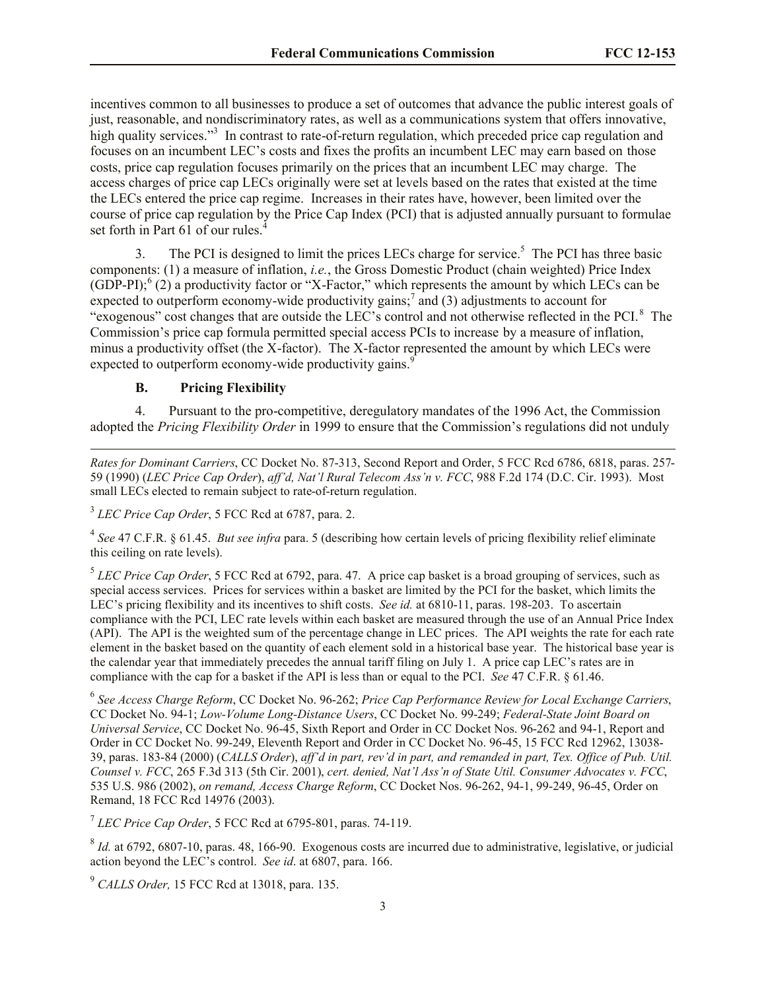incentives common to all businesses to produce a set of outcomes that advance the public interest goals of just, reasonable, and nondiscriminatory rates, as well as a communications system that offers innovative, high quality services."<sup>3</sup> In contrast to rate-of-return regulation, which preceded price cap regulation and focuses on an incumbent LEC's costs and fixes the profits an incumbent LEC may earn based on those costs, price cap regulation focuses primarily on the prices that an incumbent LEC may charge. The access charges of price cap LECs originally were set at levels based on the rates that existed at the time the LECs entered the price cap regime. Increases in their rates have, however, been limited over the course of price cap regulation by the Price Cap Index (PCI) that is adjusted annually pursuant to formulae set forth in Part  $61$  of our rules.<sup>4</sup>

3. The PCI is designed to limit the prices LECs charge for service.<sup>5</sup> The PCI has three basic components: (1) a measure of inflation, *i.e.*, the Gross Domestic Product (chain weighted) Price Index  $(GDP-PI)$ ;  $(2)$  a productivity factor or "X-Factor," which represents the amount by which LECs can be expected to outperform economy-wide productivity gains;  $\frac{7}{2}$  and (3) adjustments to account for "exogenous" cost changes that are outside the LEC's control and not otherwise reflected in the PCI.<sup>8</sup> The Commission's price cap formula permitted special access PCIs to increase by a measure of inflation, minus a productivity offset (the X-factor). The X-factor represented the amount by which LECs were expected to outperform economy-wide productivity gains. $\frac{9}{5}$ 

#### **B. Pricing Flexibility**

l

4. Pursuant to the pro-competitive, deregulatory mandates of the 1996 Act, the Commission adopted the *Pricing Flexibility Order* in 1999 to ensure that the Commission's regulations did not unduly

*Rates for Dominant Carriers*, CC Docket No. 87-313, Second Report and Order, 5 FCC Rcd 6786, 6818, paras. 257- 59 (1990) (*LEC Price Cap Order*), *aff'd, Nat'l Rural Telecom Ass'n v. FCC*, 988 F.2d 174 (D.C. Cir. 1993). Most small LECs elected to remain subject to rate-of-return regulation.

3 *LEC Price Cap Order*, 5 FCC Rcd at 6787, para. 2.

4 *See* 47 C.F.R. § 61.45. *But see infra* para. 5 (describing how certain levels of pricing flexibility relief eliminate this ceiling on rate levels).

<sup>5</sup> LEC Price Cap Order, 5 FCC Rcd at 6792, para. 47. A price cap basket is a broad grouping of services, such as special access services. Prices for services within a basket are limited by the PCI for the basket, which limits the LEC's pricing flexibility and its incentives to shift costs. *See id.* at 6810-11, paras. 198-203. To ascertain compliance with the PCI, LEC rate levels within each basket are measured through the use of an Annual Price Index (API). The API is the weighted sum of the percentage change in LEC prices. The API weights the rate for each rate element in the basket based on the quantity of each element sold in a historical base year. The historical base year is the calendar year that immediately precedes the annual tariff filing on July 1. A price cap LEC's rates are in compliance with the cap for a basket if the API is less than or equal to the PCI. *See* 47 C.F.R. § 61.46.

6 *See Access Charge Reform*, CC Docket No. 96-262; *Price Cap Performance Review for Local Exchange Carriers*, CC Docket No. 94-1; *Low-Volume Long-Distance Users*, CC Docket No. 99-249; *Federal-State Joint Board on Universal Service*, CC Docket No. 96-45, Sixth Report and Order in CC Docket Nos. 96-262 and 94-1, Report and Order in CC Docket No. 99-249, Eleventh Report and Order in CC Docket No. 96-45, 15 FCC Rcd 12962, 13038- 39, paras. 183-84 (2000) (*CALLS Order*), *aff'd in part, rev'd in part, and remanded in part, Tex. Office of Pub. Util. Counsel v. FCC*, 265 F.3d 313 (5th Cir. 2001), *cert. denied, Nat'l Ass'n of State Util. Consumer Advocates v. FCC*, 535 U.S. 986 (2002), *on remand, Access Charge Reform*, CC Docket Nos. 96-262, 94-1, 99-249, 96-45, Order on Remand, 18 FCC Rcd 14976 (2003).

7 *LEC Price Cap Order*, 5 FCC Rcd at 6795-801, paras. 74-119.

 $8$  *Id.* at 6792, 6807-10, paras. 48, 166-90. Exogenous costs are incurred due to administrative, legislative, or judicial action beyond the LEC's control. *See id*. at 6807, para. 166.

9 *CALLS Order,* 15 FCC Rcd at 13018, para. 135.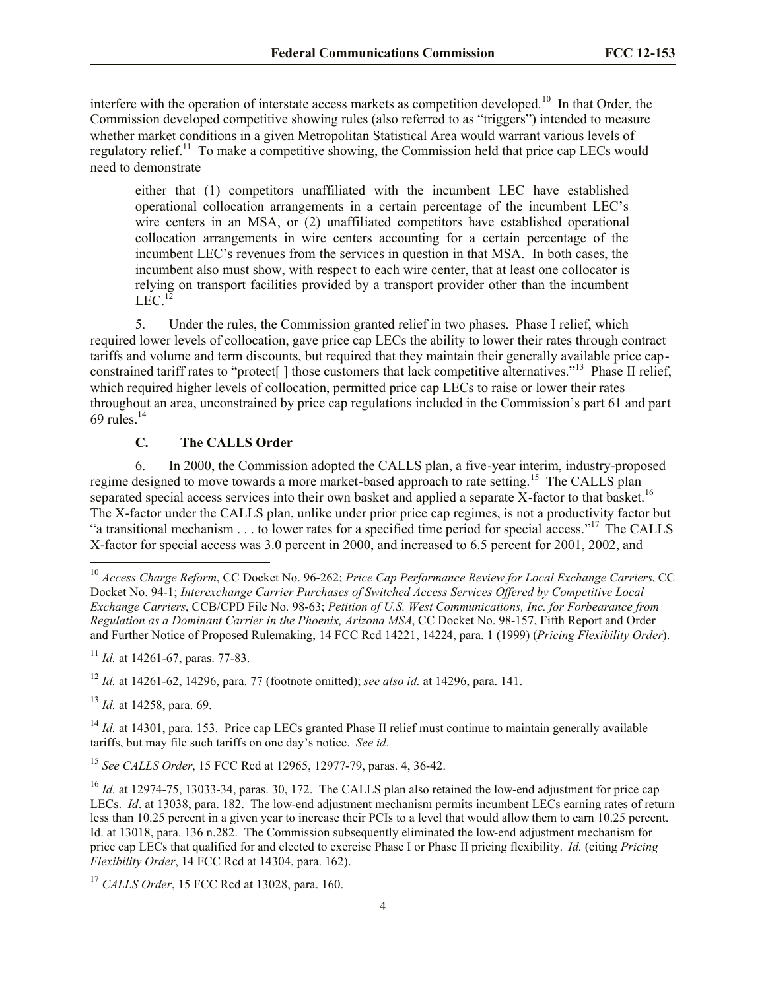interfere with the operation of interstate access markets as competition developed.<sup>10</sup> In that Order, the Commission developed competitive showing rules (also referred to as "triggers") intended to measure whether market conditions in a given Metropolitan Statistical Area would warrant various levels of regulatory relief.<sup>11</sup> To make a competitive showing, the Commission held that price cap LECs would need to demonstrate

either that (1) competitors unaffiliated with the incumbent LEC have established operational collocation arrangements in a certain percentage of the incumbent LEC's wire centers in an MSA, or (2) unaffiliated competitors have established operational collocation arrangements in wire centers accounting for a certain percentage of the incumbent LEC's revenues from the services in question in that MSA. In both cases, the incumbent also must show, with respect to each wire center, that at least one collocator is relying on transport facilities provided by a transport provider other than the incumbent  $LEC.<sup>12</sup>$ 

5. Under the rules, the Commission granted relief in two phases. Phase I relief, which required lower levels of collocation, gave price cap LECs the ability to lower their rates through contract tariffs and volume and term discounts, but required that they maintain their generally available price capconstrained tariff rates to "protect<sup>[</sup>] those customers that lack competitive alternatives."<sup>13</sup> Phase II relief, which required higher levels of collocation, permitted price cap LECs to raise or lower their rates throughout an area, unconstrained by price cap regulations included in the Commission's part 61 and part 69 rules. $14$ 

# **C. The CALLS Order**

6. In 2000, the Commission adopted the CALLS plan, a five-year interim, industry-proposed regime designed to move towards a more market-based approach to rate setting.<sup>15</sup> The CALLS plan separated special access services into their own basket and applied a separate X-factor to that basket.<sup>16</sup> The X-factor under the CALLS plan, unlike under prior price cap regimes, is not a productivity factor but "a transitional mechanism . . . to lower rates for a specified time period for special access."<sup>17</sup> The CALLS X-factor for special access was 3.0 percent in 2000, and increased to 6.5 percent for 2001, 2002, and

<sup>11</sup> *Id.* at 14261-67, paras. 77-83.

<sup>12</sup> *Id.* at 14261-62, 14296, para. 77 (footnote omitted); *see also id.* at 14296, para. 141.

<sup>13</sup> *Id.* at 14258, para. 69.

l

<sup>14</sup> *Id.* at 14301, para. 153. Price cap LECs granted Phase II relief must continue to maintain generally available tariffs, but may file such tariffs on one day's notice. *See id*.

<sup>15</sup> *See CALLS Order*, 15 FCC Rcd at 12965, 12977-79, paras. 4, 36-42.

<sup>10</sup> *Access Charge Reform*, CC Docket No. 96-262; *Price Cap Performance Review for Local Exchange Carriers*, CC Docket No. 94-1; *Interexchange Carrier Purchases of Switched Access Services Offered by Competitive Local Exchange Carriers*, CCB/CPD File No. 98-63; *Petition of U.S. West Communications, Inc. for Forbearance from Regulation as a Dominant Carrier in the Phoenix, Arizona MSA*, CC Docket No. 98-157, Fifth Report and Order and Further Notice of Proposed Rulemaking, 14 FCC Rcd 14221, 14224, para. 1 (1999) (*Pricing Flexibility Order*).

<sup>&</sup>lt;sup>16</sup> *Id.* at 12974-75, 13033-34, paras. 30, 172. The CALLS plan also retained the low-end adjustment for price cap LECs. *Id*. at 13038, para. 182. The low-end adjustment mechanism permits incumbent LECs earning rates of return less than 10.25 percent in a given year to increase their PCIs to a level that would allow them to earn 10.25 percent. Id. at 13018, para. 136 n.282. The Commission subsequently eliminated the low-end adjustment mechanism for price cap LECs that qualified for and elected to exercise Phase I or Phase II pricing flexibility. *Id.* (citing *Pricing Flexibility Order*, 14 FCC Rcd at 14304, para. 162).

<sup>17</sup> *CALLS Order*, 15 FCC Rcd at 13028, para. 160.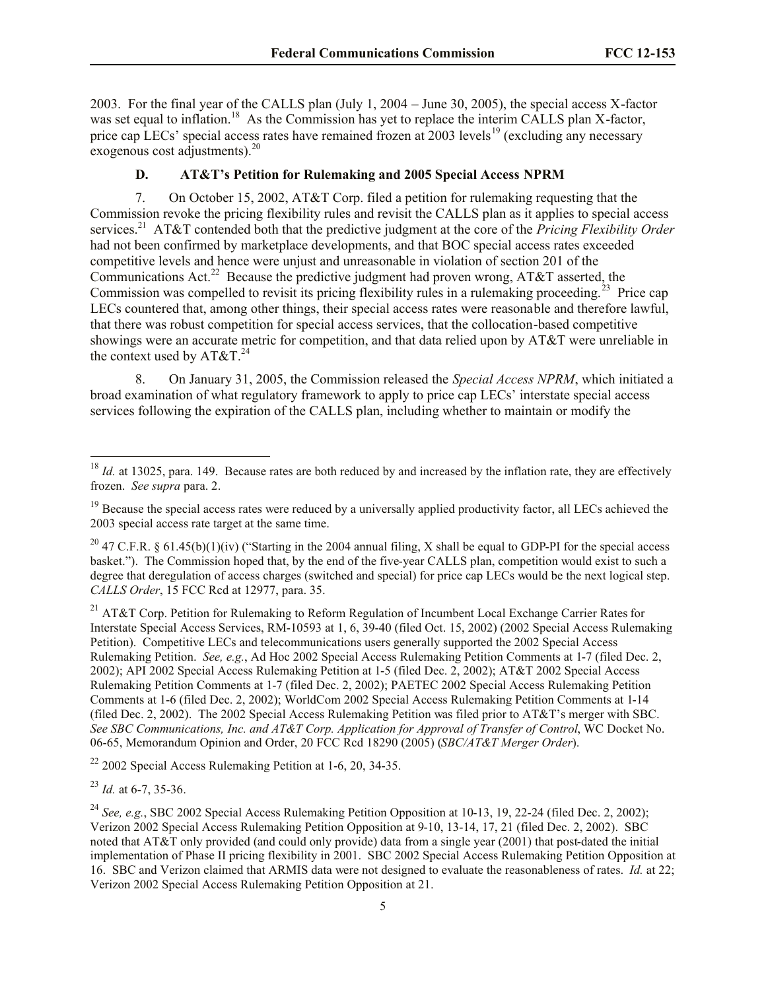2003. For the final year of the CALLS plan (July 1, 2004 – June 30, 2005), the special access X-factor was set equal to inflation.<sup>18</sup> As the Commission has yet to replace the interim CALLS plan X-factor, price cap LECs' special access rates have remained frozen at 2003 levels<sup>19</sup> (excluding any necessary exogenous cost adjustments).<sup>20</sup>

# **D. AT&T's Petition for Rulemaking and 2005 Special Access NPRM**

7. On October 15, 2002, AT&T Corp. filed a petition for rulemaking requesting that the Commission revoke the pricing flexibility rules and revisit the CALLS plan as it applies to special access services.<sup>21</sup> AT&T contended both that the predictive judgment at the core of the *Pricing Flexibility Order* had not been confirmed by marketplace developments, and that BOC special access rates exceeded competitive levels and hence were unjust and unreasonable in violation of section 201 of the Communications Act.<sup>22</sup> Because the predictive judgment had proven wrong, AT&T asserted, the Commission was compelled to revisit its pricing flexibility rules in a rulemaking proceeding.<sup>23</sup> Price cap LECs countered that, among other things, their special access rates were reasonable and therefore lawful, that there was robust competition for special access services, that the collocation-based competitive showings were an accurate metric for competition, and that data relied upon by AT&T were unreliable in the context used by  $AT&T.^{24}$ 

8. On January 31, 2005, the Commission released the *Special Access NPRM*, which initiated a broad examination of what regulatory framework to apply to price cap LECs' interstate special access services following the expiration of the CALLS plan, including whether to maintain or modify the

<sup>21</sup> AT&T Corp. Petition for Rulemaking to Reform Regulation of Incumbent Local Exchange Carrier Rates for Interstate Special Access Services, RM-10593 at 1, 6, 39-40 (filed Oct. 15, 2002) (2002 Special Access Rulemaking Petition). Competitive LECs and telecommunications users generally supported the 2002 Special Access Rulemaking Petition. *See, e.g.*, Ad Hoc 2002 Special Access Rulemaking Petition Comments at 1-7 (filed Dec. 2, 2002); API 2002 Special Access Rulemaking Petition at 1-5 (filed Dec. 2, 2002); AT&T 2002 Special Access Rulemaking Petition Comments at 1-7 (filed Dec. 2, 2002); PAETEC 2002 Special Access Rulemaking Petition Comments at 1-6 (filed Dec. 2, 2002); WorldCom 2002 Special Access Rulemaking Petition Comments at 1-14 (filed Dec. 2, 2002). The 2002 Special Access Rulemaking Petition was filed prior to AT&T's merger with SBC. *See SBC Communications, Inc. and AT&T Corp. Application for Approval of Transfer of Control*, WC Docket No. 06-65, Memorandum Opinion and Order, 20 FCC Rcd 18290 (2005) (*SBC/AT&T Merger Order*).

 $22$  2002 Special Access Rulemaking Petition at 1-6, 20, 34-35.

<sup>&</sup>lt;sup>18</sup> *Id.* at 13025, para. 149. Because rates are both reduced by and increased by the inflation rate, they are effectively frozen. *See supra* para. 2.

<sup>&</sup>lt;sup>19</sup> Because the special access rates were reduced by a universally applied productivity factor, all LECs achieved the 2003 special access rate target at the same time.

<sup>&</sup>lt;sup>20</sup> 47 C.F.R. § 61.45(b)(1)(iv) ("Starting in the 2004 annual filing, X shall be equal to GDP-PI for the special access basket."). The Commission hoped that, by the end of the five-year CALLS plan, competition would exist to such a degree that deregulation of access charges (switched and special) for price cap LECs would be the next logical step. *CALLS Order*, 15 FCC Rcd at 12977, para. 35.

<sup>23</sup> *Id.* at 6-7, 35-36.

<sup>&</sup>lt;sup>24</sup> *See, e.g.*, SBC 2002 Special Access Rulemaking Petition Opposition at 10-13, 19, 22-24 (filed Dec. 2, 2002); Verizon 2002 Special Access Rulemaking Petition Opposition at 9-10, 13-14, 17, 21 (filed Dec. 2, 2002). SBC noted that AT&T only provided (and could only provide) data from a single year (2001) that post-dated the initial implementation of Phase II pricing flexibility in 2001. SBC 2002 Special Access Rulemaking Petition Opposition at 16. SBC and Verizon claimed that ARMIS data were not designed to evaluate the reasonableness of rates. *Id.* at 22; Verizon 2002 Special Access Rulemaking Petition Opposition at 21.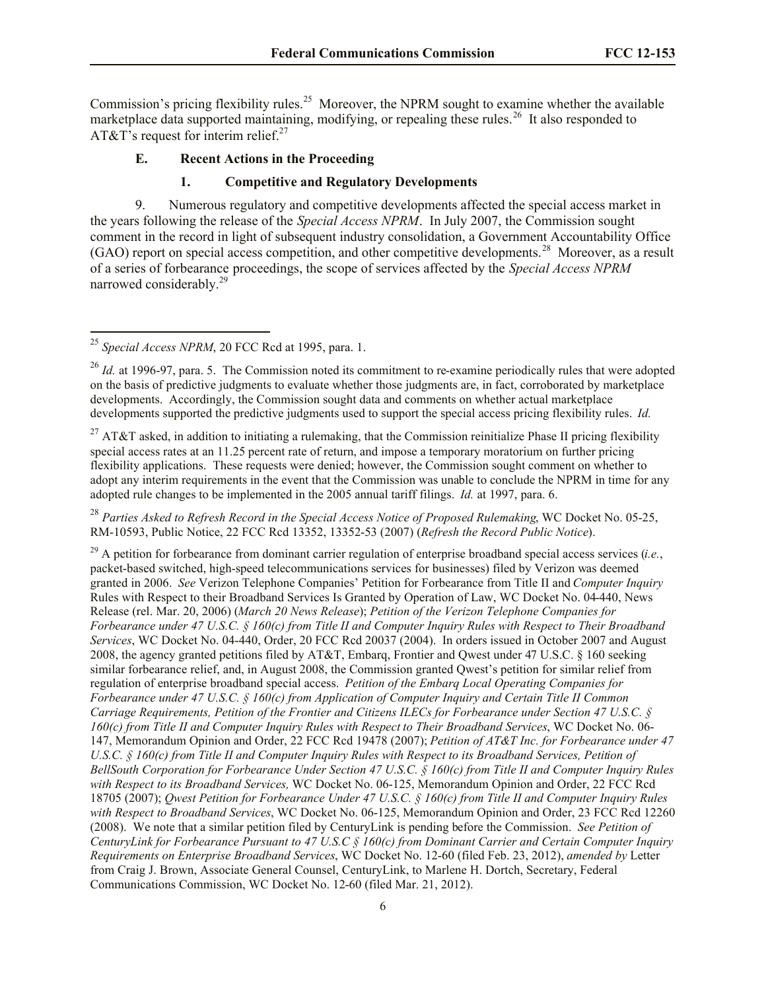Commission's pricing flexibility rules.<sup>25</sup> Moreover, the NPRM sought to examine whether the available marketplace data supported maintaining, modifying, or repealing these rules.<sup>26</sup> It also responded to AT&T's request for interim relief.<sup>27</sup>

#### **E. Recent Actions in the Proceeding**

## **1. Competitive and Regulatory Developments**

9. Numerous regulatory and competitive developments affected the special access market in the years following the release of the *Special Access NPRM*. In July 2007, the Commission sought comment in the record in light of subsequent industry consolidation, a Government Accountability Office (GAO) report on special access competition, and other competitive developments.<sup>28</sup> Moreover, as a result of a series of forbearance proceedings, the scope of services affected by the *Special Access NPRM*  narrowed considerably.<sup>29</sup>

l

<sup>28</sup> *Parties Asked to Refresh Record in the Special Access Notice of Proposed Rulemaking*, WC Docket No. 05-25, RM-10593, Public Notice, 22 FCC Rcd 13352, 13352-53 (2007) (*Refresh the Record Public Notice*).

<sup>29</sup> A petition for forbearance from dominant carrier regulation of enterprise broadband special access services (*i.e.*, packet-based switched, high-speed telecommunications services for businesses) filed by Verizon was deemed granted in 2006. *See* Verizon Telephone Companies' Petition for Forbearance from Title II and *Computer Inquiry* Rules with Respect to their Broadband Services Is Granted by Operation of Law, WC Docket No. 04-440, News Release (rel. Mar. 20, 2006) (*March 20 News Release*); *Petition of the Verizon Telephone Companies for Forbearance under 47 U.S.C. § 160(c) from Title II and Computer Inquiry Rules with Respect to Their Broadband Services*, WC Docket No. 04-440, Order, 20 FCC Rcd 20037 (2004). In orders issued in October 2007 and August 2008, the agency granted petitions filed by AT&T, Embarq, Frontier and Qwest under 47 U.S.C. § 160 seeking similar forbearance relief, and, in August 2008, the Commission granted Qwest's petition for similar relief from regulation of enterprise broadband special access. *Petition of the Embarq Local Operating Companies for Forbearance under 47 U.S.C. § 160(c) from Application of Computer Inquiry and Certain Title II Common Carriage Requirements, Petition of the Frontier and Citizens ILECs for Forbearance under Section 47 U.S.C. § 160(c) from Title II and Computer Inquiry Rules with Respect to Their Broadband Services*, WC Docket No. 06- 147, Memorandum Opinion and Order, 22 FCC Rcd 19478 (2007); *Petition of AT&T Inc. for Forbearance under 47 U.S.C. § 160(c) from Title II and Computer Inquiry Rules with Respect to its Broadband Services, Petition of BellSouth Corporation for Forbearance Under Section 47 U.S.C. § 160(c) from Title II and Computer Inquiry Rules with Respect to its Broadband Services,* WC Docket No. 06-125, Memorandum Opinion and Order, 22 FCC Rcd 18705 (2007); *Qwest Petition for Forbearance Under 47 U.S.C. § 160(c) from Title II and Computer Inquiry Rules with Respect to Broadband Services*, WC Docket No. 06-125, Memorandum Opinion and Order, 23 FCC Rcd 12260 (2008). We note that a similar petition filed by CenturyLink is pending before the Commission. *See Petition of CenturyLink for Forbearance Pursuant to 47 U.S.C § 160(c) from Dominant Carrier and Certain Computer Inquiry Requirements on Enterprise Broadband Services*, WC Docket No. 12-60 (filed Feb. 23, 2012), *amended by* Letter from Craig J. Brown, Associate General Counsel, CenturyLink, to Marlene H. Dortch, Secretary, Federal Communications Commission, WC Docket No. 12-60 (filed Mar. 21, 2012).

<sup>25</sup> *Special Access NPRM*, 20 FCC Rcd at 1995, para. 1.

<sup>&</sup>lt;sup>26</sup> *Id.* at 1996-97, para. 5. The Commission noted its commitment to re-examine periodically rules that were adopted on the basis of predictive judgments to evaluate whether those judgments are, in fact, corroborated by marketplace developments. Accordingly, the Commission sought data and comments on whether actual marketplace developments supported the predictive judgments used to support the special access pricing flexibility rules. *Id.*

<sup>&</sup>lt;sup>27</sup> AT&T asked, in addition to initiating a rulemaking, that the Commission reinitialize Phase II pricing flexibility special access rates at an 11.25 percent rate of return, and impose a temporary moratorium on further pricing flexibility applications. These requests were denied; however, the Commission sought comment on whether to adopt any interim requirements in the event that the Commission was unable to conclude the NPRM in time for any adopted rule changes to be implemented in the 2005 annual tariff filings. *Id.* at 1997, para. 6.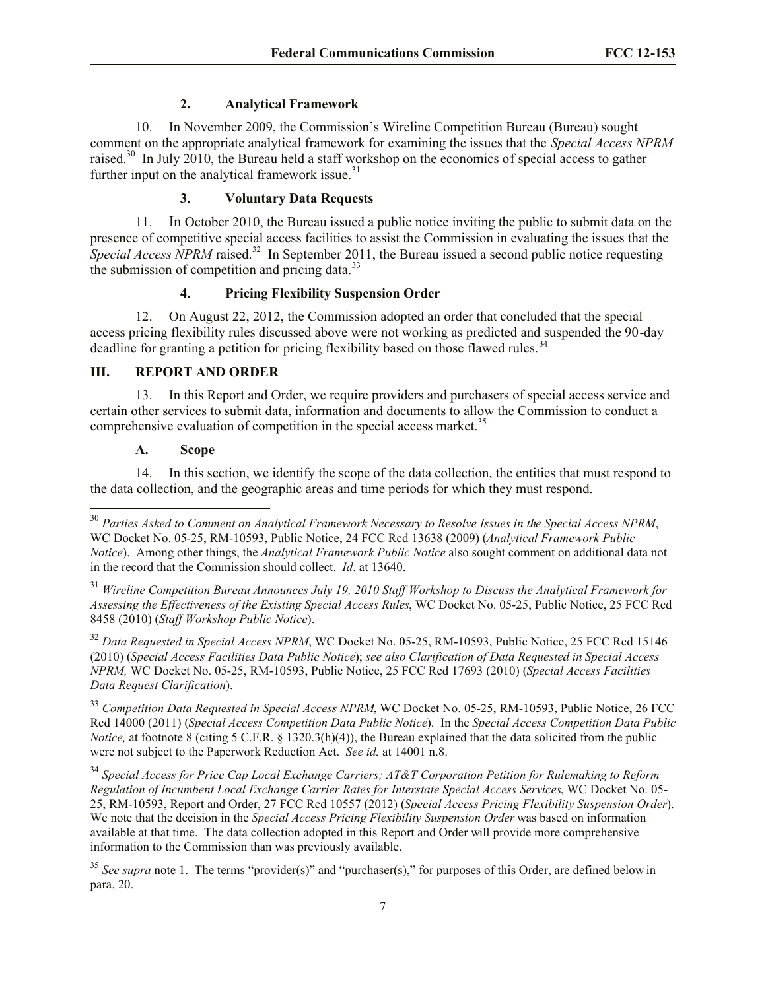#### **2. Analytical Framework**

10. In November 2009, the Commission's Wireline Competition Bureau (Bureau) sought comment on the appropriate analytical framework for examining the issues that the *Special Access NPRM*  raised.<sup>30</sup> In July 2010, the Bureau held a staff workshop on the economics of special access to gather further input on the analytical framework issue. $31$ 

#### **3. Voluntary Data Requests**

11. In October 2010, the Bureau issued a public notice inviting the public to submit data on the presence of competitive special access facilities to assist the Commission in evaluating the issues that the Special Access NPRM raised.<sup>32</sup> In September 2011, the Bureau issued a second public notice requesting the submission of competition and pricing data.<sup>33</sup>

# **4. Pricing Flexibility Suspension Order**

12. On August 22, 2012, the Commission adopted an order that concluded that the special access pricing flexibility rules discussed above were not working as predicted and suspended the 90-day deadline for granting a petition for pricing flexibility based on those flawed rules.<sup>34</sup>

# **III. REPORT AND ORDER**

13. In this Report and Order, we require providers and purchasers of special access service and certain other services to submit data, information and documents to allow the Commission to conduct a comprehensive evaluation of competition in the special access market.<sup>35</sup>

#### **A. Scope**

l

14. In this section, we identify the scope of the data collection, the entities that must respond to the data collection, and the geographic areas and time periods for which they must respond.

<sup>32</sup> Data Requested in Special Access NPRM, WC Docket No. 05-25, RM-10593, Public Notice, 25 FCC Rcd 15146 (2010) (*Special Access Facilities Data Public Notice*); *see also Clarification of Data Requested in Special Access NPRM,* WC Docket No. 05-25, RM-10593, Public Notice, 25 FCC Rcd 17693 (2010) (*Special Access Facilities Data Request Clarification*).

<sup>33</sup> Competition Data Requested in Special Access NPRM, WC Docket No. 05-25, RM-10593, Public Notice, 26 FCC Rcd 14000 (2011) (*Special Access Competition Data Public Notice*). In the *Special Access Competition Data Public Notice*, at footnote 8 (citing 5 C.F.R. § 1320.3(h)(4)), the Bureau explained that the data solicited from the public were not subject to the Paperwork Reduction Act. *See id.* at 14001 n.8.

<sup>34</sup> *Special Access for Price Cap Local Exchange Carriers; AT&T Corporation Petition for Rulemaking to Reform Regulation of Incumbent Local Exchange Carrier Rates for Interstate Special Access Services*, WC Docket No. 05- 25, RM-10593, Report and Order, 27 FCC Rcd 10557 (2012) (*Special Access Pricing Flexibility Suspension Order*). We note that the decision in the *Special Access Pricing Flexibility Suspension Order* was based on information available at that time. The data collection adopted in this Report and Order will provide more comprehensive information to the Commission than was previously available.

<sup>35</sup> See supra note 1. The terms "provider(s)" and "purchaser(s)," for purposes of this Order, are defined below in para. 20.

<sup>30</sup> *Parties Asked to Comment on Analytical Framework Necessary to Resolve Issues in the Special Access NPRM*, WC Docket No. 05-25, RM-10593, Public Notice, 24 FCC Rcd 13638 (2009) (*Analytical Framework Public Notice*). Among other things, the *Analytical Framework Public Notice* also sought comment on additional data not in the record that the Commission should collect. *Id*. at 13640.

<sup>31</sup> *Wireline Competition Bureau Announces July 19, 2010 Staff Workshop to Discuss the Analytical Framework for Assessing the Effectiveness of the Existing Special Access Rules*, WC Docket No. 05-25, Public Notice, 25 FCC Rcd 8458 (2010) (*Staff Workshop Public Notice*).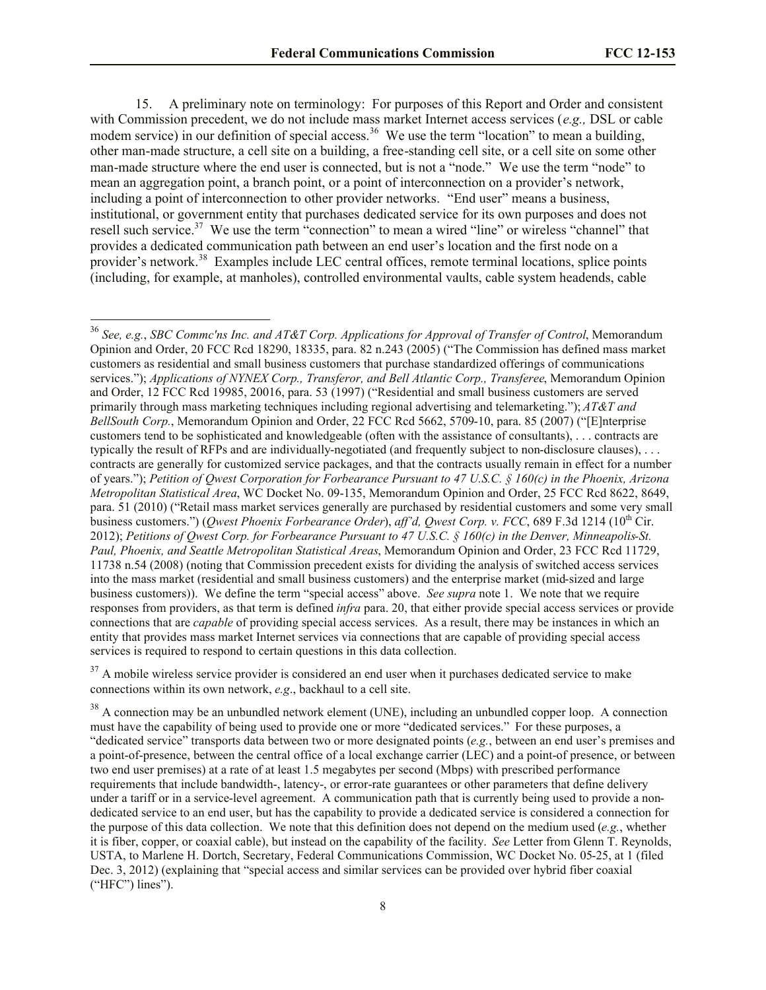15. A preliminary note on terminology: For purposes of this Report and Order and consistent with Commission precedent, we do not include mass market Internet access services (*e.g.,* DSL or cable modem service) in our definition of special access.<sup>36</sup> We use the term "location" to mean a building, other man-made structure, a cell site on a building, a free-standing cell site, or a cell site on some other man-made structure where the end user is connected, but is not a "node." We use the term "node" to mean an aggregation point, a branch point, or a point of interconnection on a provider's network, including a point of interconnection to other provider networks. "End user" means a business, institutional, or government entity that purchases dedicated service for its own purposes and does not resell such service.<sup>37</sup> We use the term "connection" to mean a wired "line" or wireless "channel" that provides a dedicated communication path between an end user's location and the first node on a provider's network.<sup>38</sup> Examples include LEC central offices, remote terminal locations, splice points (including, for example, at manholes), controlled environmental vaults, cable system headends, cable

l

 $37$  A mobile wireless service provider is considered an end user when it purchases dedicated service to make connections within its own network, *e.g*., backhaul to a cell site.

<sup>38</sup> A connection may be an unbundled network element (UNE), including an unbundled copper loop. A connection must have the capability of being used to provide one or more "dedicated services." For these purposes, a "dedicated service" transports data between two or more designated points (*e.g.*, between an end user's premises and a point-of-presence, between the central office of a local exchange carrier (LEC) and a point-of presence, or between two end user premises) at a rate of at least 1.5 megabytes per second (Mbps) with prescribed performance requirements that include bandwidth-, latency-, or error-rate guarantees or other parameters that define delivery under a tariff or in a service-level agreement. A communication path that is currently being used to provide a nondedicated service to an end user, but has the capability to provide a dedicated service is considered a connection for the purpose of this data collection. We note that this definition does not depend on the medium used (*e.g.*, whether it is fiber, copper, or coaxial cable), but instead on the capability of the facility. *See* Letter from Glenn T. Reynolds, USTA, to Marlene H. Dortch, Secretary, Federal Communications Commission, WC Docket No. 05-25, at 1 (filed Dec. 3, 2012) (explaining that "special access and similar services can be provided over hybrid fiber coaxial ("HFC") lines").

<sup>36</sup> *See, e.g.*, *SBC Commc'ns Inc. and AT&T Corp. Applications for Approval of Transfer of Control*, Memorandum Opinion and Order, 20 FCC Rcd 18290, 18335, para. 82 n.243 (2005) ("The Commission has defined mass market customers as residential and small business customers that purchase standardized offerings of communications services."); *Applications of NYNEX Corp., Transferor, and Bell Atlantic Corp., Transferee*, Memorandum Opinion and Order, 12 FCC Rcd 19985, 20016, para. 53 (1997) ("Residential and small business customers are served primarily through mass marketing techniques including regional advertising and telemarketing."); *AT&T and BellSouth Corp.*, Memorandum Opinion and Order, 22 FCC Rcd 5662, 5709-10, para. 85 (2007) ("[E]nterprise customers tend to be sophisticated and knowledgeable (often with the assistance of consultants), . . . contracts are typically the result of RFPs and are individually-negotiated (and frequently subject to non-disclosure clauses), . . . contracts are generally for customized service packages, and that the contracts usually remain in effect for a number of years."); *Petition of Qwest Corporation for Forbearance Pursuant to 47 U.S.C. § 160(c) in the Phoenix, Arizona Metropolitan Statistical Area*, WC Docket No. 09-135, Memorandum Opinion and Order, 25 FCC Rcd 8622, 8649, para. 51 (2010) ("Retail mass market services generally are purchased by residential customers and some very small business customers.") (*Owest Phoenix Forbearance Order*), *aff'd, Owest Corp. v. FCC*, 689 F.3d 1214 (10<sup>th</sup> Cir. 2012); *Petitions of Qwest Corp. for Forbearance Pursuant to 47 U.S.C. § 160(c) in the Denver, Minneapolis-St. Paul, Phoenix, and Seattle Metropolitan Statistical Areas*, Memorandum Opinion and Order, 23 FCC Rcd 11729, 11738 n.54 (2008) (noting that Commission precedent exists for dividing the analysis of switched access services into the mass market (residential and small business customers) and the enterprise market (mid-sized and large business customers)). We define the term "special access" above. *See supra* note 1. We note that we require responses from providers, as that term is defined *infra* para. 20, that either provide special access services or provide connections that are *capable* of providing special access services. As a result, there may be instances in which an entity that provides mass market Internet services via connections that are capable of providing special access services is required to respond to certain questions in this data collection.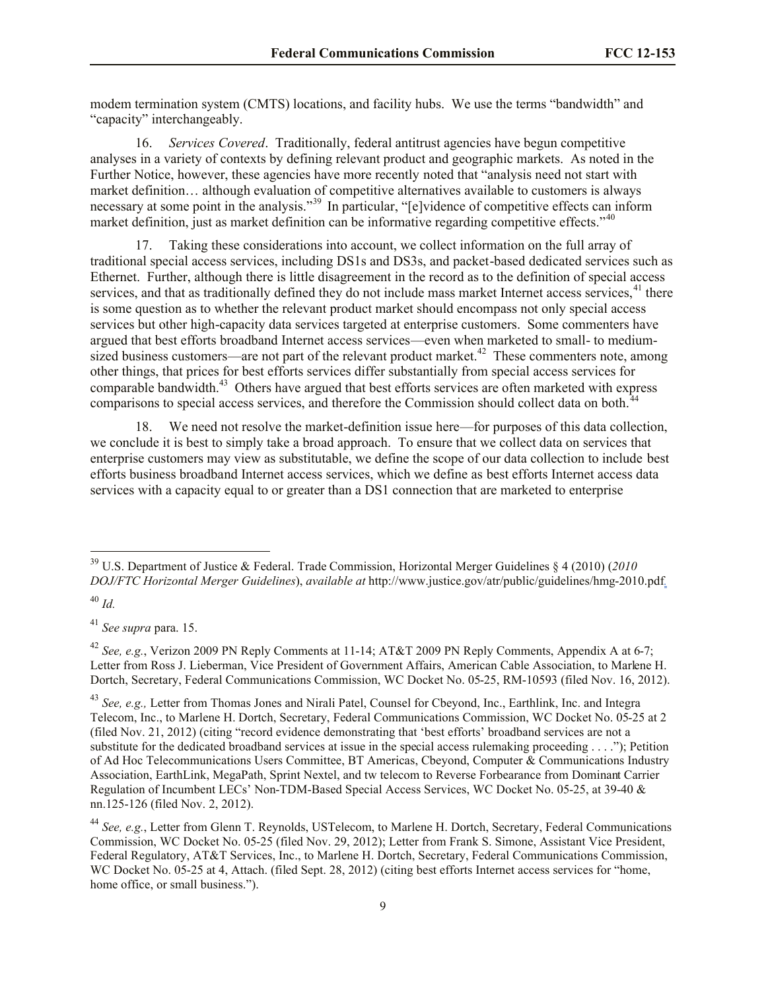modem termination system (CMTS) locations, and facility hubs. We use the terms "bandwidth" and "capacity" interchangeably.

16. *Services Covered*. Traditionally, federal antitrust agencies have begun competitive analyses in a variety of contexts by defining relevant product and geographic markets. As noted in the Further Notice, however, these agencies have more recently noted that "analysis need not start with market definition… although evaluation of competitive alternatives available to customers is always numeted commutation. The analysis.<sup>39</sup> In particular, "[e]vidence of competitive effects can inform market definition, just as market definition can be informative regarding competitive effects."<sup>40</sup>

17. Taking these considerations into account, we collect information on the full array of traditional special access services, including DS1s and DS3s, and packet-based dedicated services such as Ethernet. Further, although there is little disagreement in the record as to the definition of special access services, and that as traditionally defined they do not include mass market Internet access services,<sup>41</sup> there is some question as to whether the relevant product market should encompass not only special access services but other high-capacity data services targeted at enterprise customers. Some commenters have argued that best efforts broadband Internet access services—even when marketed to small- to mediumsized business customers—are not part of the relevant product market. $42$  These commenters note, among other things, that prices for best efforts services differ substantially from special access services for comparable bandwidth.<sup>43</sup> Others have argued that best efforts services are often marketed with express comparisons to special access services, and therefore the Commission should collect data on both.<sup>44</sup>

18. We need not resolve the market-definition issue here—for purposes of this data collection, we conclude it is best to simply take a broad approach. To ensure that we collect data on services that enterprise customers may view as substitutable, we define the scope of our data collection to include best efforts business broadband Internet access services, which we define as best efforts Internet access data services with a capacity equal to or greater than a DS1 connection that are marketed to enterprise

<sup>39</sup> U.S. Department of Justice & Federal. Trade Commission, Horizontal Merger Guidelines § 4 (2010) (*2010 DOJ/FTC Horizontal Merger Guidelines*), *available at* http://www.justice.gov/atr/public/guidelines/hmg-2010.pdf*.*

<sup>40</sup> *Id.*

<sup>41</sup> *See supra* para. 15.

<sup>42</sup> *See, e.g.*, Verizon 2009 PN Reply Comments at 11-14; AT&T 2009 PN Reply Comments, Appendix A at 6-7; Letter from Ross J. Lieberman, Vice President of Government Affairs, American Cable Association, to Marlene H. Dortch, Secretary, Federal Communications Commission, WC Docket No. 05-25, RM-10593 (filed Nov. 16, 2012).

<sup>43</sup> *See, e.g.,* Letter from Thomas Jones and Nirali Patel, Counsel for Cbeyond, Inc., Earthlink, Inc. and Integra Telecom, Inc., to Marlene H. Dortch, Secretary, Federal Communications Commission, WC Docket No. 05-25 at 2 (filed Nov. 21, 2012) (citing "record evidence demonstrating that 'best efforts' broadband services are not a substitute for the dedicated broadband services at issue in the special access rulemaking proceeding . . . ."); Petition of Ad Hoc Telecommunications Users Committee, BT Americas, Cbeyond, Computer & Communications Industry Association, EarthLink, MegaPath, Sprint Nextel, and tw telecom to Reverse Forbearance from Dominant Carrier Regulation of Incumbent LECs' Non-TDM-Based Special Access Services, WC Docket No. 05-25, at 39-40 & nn.125-126 (filed Nov. 2, 2012).

<sup>44</sup> *See, e.g.*, Letter from Glenn T. Reynolds, USTelecom, to Marlene H. Dortch, Secretary, Federal Communications Commission, WC Docket No. 05-25 (filed Nov. 29, 2012); Letter from Frank S. Simone, Assistant Vice President, Federal Regulatory, AT&T Services, Inc., to Marlene H. Dortch, Secretary, Federal Communications Commission, WC Docket No. 05-25 at 4, Attach. (filed Sept. 28, 2012) (citing best efforts Internet access services for "home, home office, or small business.").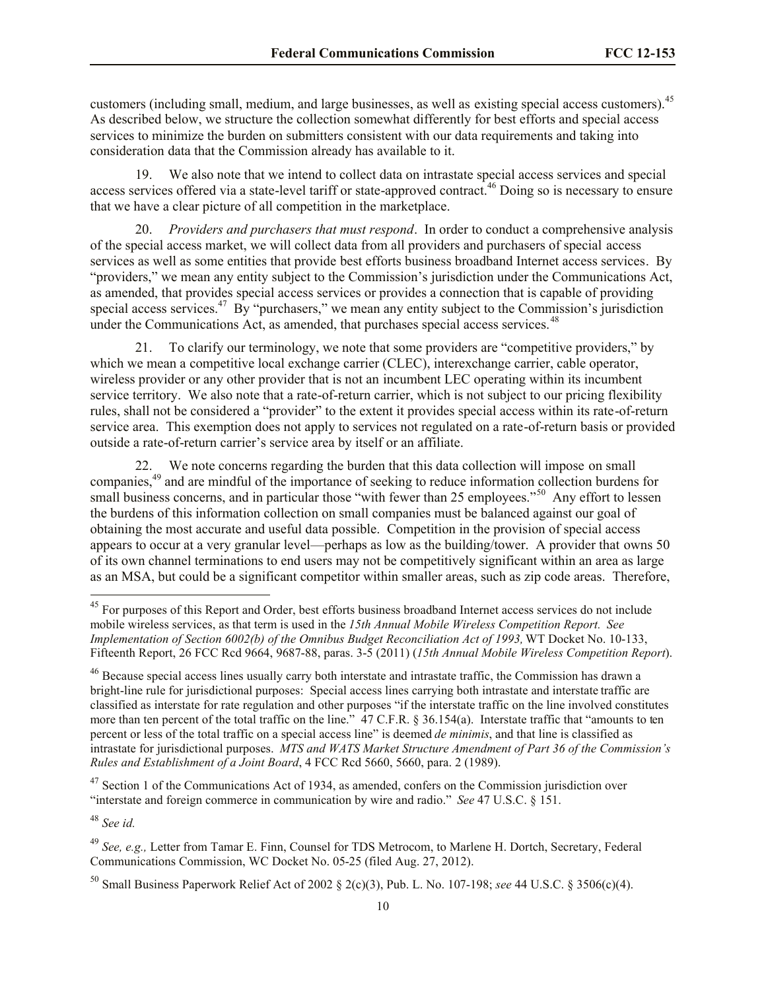customers (including small, medium, and large businesses, as well as existing special access customers).<sup>45</sup> As described below, we structure the collection somewhat differently for best efforts and special access services to minimize the burden on submitters consistent with our data requirements and taking into consideration data that the Commission already has available to it.

19. We also note that we intend to collect data on intrastate special access services and special access services offered via a state-level tariff or state-approved contract.<sup>46</sup> Doing so is necessary to ensure that we have a clear picture of all competition in the marketplace.

20. *Providers and purchasers that must respond*.In order to conduct a comprehensive analysis of the special access market, we will collect data from all providers and purchasers of special access services as well as some entities that provide best efforts business broadband Internet access services. By "providers," we mean any entity subject to the Commission's jurisdiction under the Communications Act, as amended, that provides special access services or provides a connection that is capable of providing special access services.<sup>47</sup> By "purchasers," we mean any entity subject to the Commission's jurisdiction under the Communications Act, as amended, that purchases special access services.<sup>48</sup>

21. To clarify our terminology, we note that some providers are "competitive providers," by which we mean a competitive local exchange carrier (CLEC), interexchange carrier, cable operator, wireless provider or any other provider that is not an incumbent LEC operating within its incumbent service territory. We also note that a rate-of-return carrier, which is not subject to our pricing flexibility rules, shall not be considered a "provider" to the extent it provides special access within its rate-of-return service area. This exemption does not apply to services not regulated on a rate-of-return basis or provided outside a rate-of-return carrier's service area by itself or an affiliate.

22. We note concerns regarding the burden that this data collection will impose on small companies,<sup>49</sup> and are mindful of the importance of seeking to reduce information collection burdens for small business concerns, and in particular those "with fewer than 25 employees."<sup>50</sup> Any effort to lessen the burdens of this information collection on small companies must be balanced against our goal of obtaining the most accurate and useful data possible. Competition in the provision of special access appears to occur at a very granular level—perhaps as low as the building/tower. A provider that owns 50 of its own channel terminations to end users may not be competitively significant within an area as large as an MSA, but could be a significant competitor within smaller areas, such as zip code areas. Therefore,

 $47$  Section 1 of the Communications Act of 1934, as amended, confers on the Commission jurisdiction over "interstate and foreign commerce in communication by wire and radio." *See* 47 U.S.C. § 151.

<sup>48</sup> *See id.*

<sup>&</sup>lt;sup>45</sup> For purposes of this Report and Order, best efforts business broadband Internet access services do not include mobile wireless services, as that term is used in the *15th Annual Mobile Wireless Competition Report. See Implementation of Section 6002(b) of the Omnibus Budget Reconciliation Act of 1993,* WT Docket No. 10-133, Fifteenth Report, 26 FCC Rcd 9664, 9687-88, paras. 3-5 (2011) (*15th Annual Mobile Wireless Competition Report*).

<sup>&</sup>lt;sup>46</sup> Because special access lines usually carry both interstate and intrastate traffic, the Commission has drawn a bright-line rule for jurisdictional purposes: Special access lines carrying both intrastate and interstate traffic are classified as interstate for rate regulation and other purposes "if the interstate traffic on the line involved constitutes more than ten percent of the total traffic on the line." 47 C.F.R. § 36.154(a). Interstate traffic that "amounts to ten percent or less of the total traffic on a special access line" is deemed *de minimis*, and that line is classified as intrastate for jurisdictional purposes. *MTS and WATS Market Structure Amendment of Part 36 of the Commission's Rules and Establishment of a Joint Board*, 4 FCC Rcd 5660, 5660, para. 2 (1989).

<sup>49</sup> *See, e.g.,* Letter from Tamar E. Finn, Counsel for TDS Metrocom, to Marlene H. Dortch, Secretary, Federal Communications Commission, WC Docket No. 05-25 (filed Aug. 27, 2012).

<sup>50</sup> Small Business Paperwork Relief Act of 2002 § 2(c)(3), Pub. L. No. 107-198; *see* 44 U.S.C. § 3506(c)(4).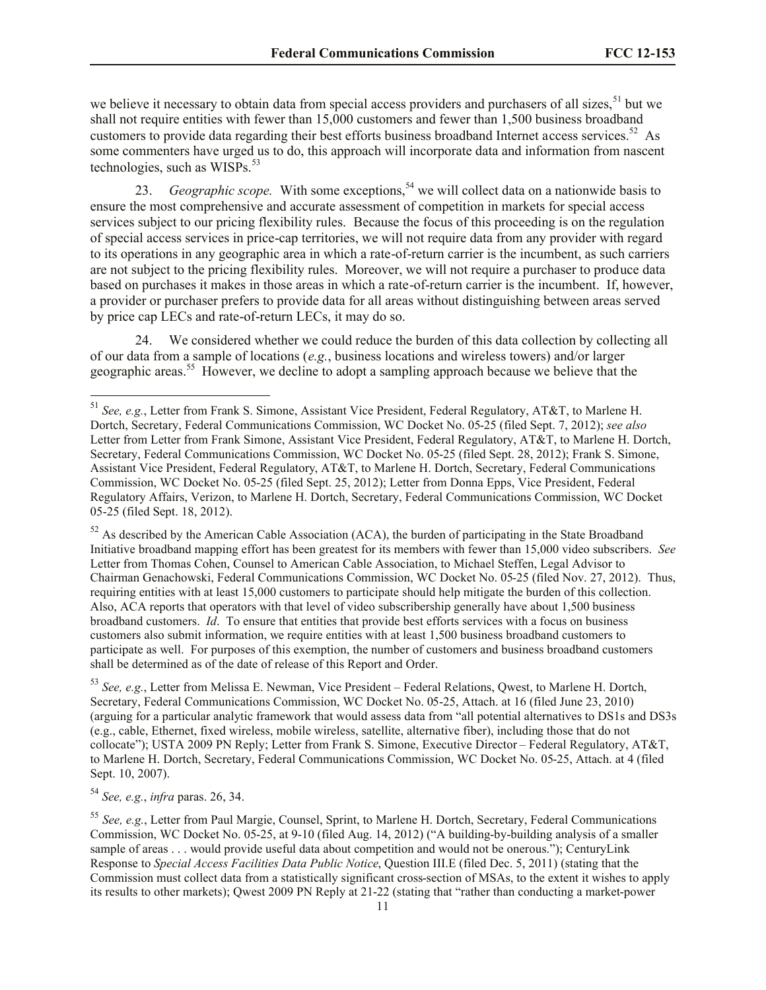we believe it necessary to obtain data from special access providers and purchasers of all sizes,<sup>51</sup> but we shall not require entities with fewer than 15,000 customers and fewer than 1,500 business broadband customers to provide data regarding their best efforts business broadband Internet access services.<sup>52</sup> As some commenters have urged us to do, this approach will incorporate data and information from nascent technologies, such as WISPs. $53$ 

23. *Geographic scope*. With some exceptions,<sup>54</sup> we will collect data on a nationwide basis to ensure the most comprehensive and accurate assessment of competition in markets for special access services subject to our pricing flexibility rules. Because the focus of this proceeding is on the regulation of special access services in price-cap territories, we will not require data from any provider with regard to its operations in any geographic area in which a rate-of-return carrier is the incumbent, as such carriers are not subject to the pricing flexibility rules. Moreover, we will not require a purchaser to produce data based on purchases it makes in those areas in which a rate-of-return carrier is the incumbent. If, however, a provider or purchaser prefers to provide data for all areas without distinguishing between areas served by price cap LECs and rate-of-return LECs, it may do so.

We considered whether we could reduce the burden of this data collection by collecting all of our data from a sample of locations (*e.g.*, business locations and wireless towers) and/or larger geographic areas.<sup>55</sup> However, we decline to adopt a sampling approach because we believe that the

 $52$  As described by the American Cable Association (ACA), the burden of participating in the State Broadband Initiative broadband mapping effort has been greatest for its members with fewer than 15,000 video subscribers. *See* Letter from Thomas Cohen, Counsel to American Cable Association, to Michael Steffen, Legal Advisor to Chairman Genachowski, Federal Communications Commission, WC Docket No. 05-25 (filed Nov. 27, 2012). Thus, requiring entities with at least 15,000 customers to participate should help mitigate the burden of this collection. Also, ACA reports that operators with that level of video subscribership generally have about 1,500 business broadband customers. *Id*. To ensure that entities that provide best efforts services with a focus on business customers also submit information, we require entities with at least 1,500 business broadband customers to participate as well. For purposes of this exemption, the number of customers and business broadband customers shall be determined as of the date of release of this Report and Order.

<sup>53</sup> *See, e.g.*, Letter from Melissa E. Newman, Vice President – Federal Relations, Qwest, to Marlene H. Dortch, Secretary, Federal Communications Commission, WC Docket No. 05-25, Attach. at 16 (filed June 23, 2010) (arguing for a particular analytic framework that would assess data from "all potential alternatives to DS1s and DS3s (e.g., cable, Ethernet, fixed wireless, mobile wireless, satellite, alternative fiber), including those that do not collocate"); USTA 2009 PN Reply; Letter from Frank S. Simone, Executive Director – Federal Regulatory, AT&T, to Marlene H. Dortch, Secretary, Federal Communications Commission, WC Docket No. 05-25, Attach. at 4 (filed Sept. 10, 2007).

<sup>54</sup> *See, e.g.*, *infra* paras. 26, 34.

<sup>51</sup> *See, e.g.*, Letter from Frank S. Simone, Assistant Vice President, Federal Regulatory, AT&T, to Marlene H. Dortch, Secretary, Federal Communications Commission, WC Docket No. 05-25 (filed Sept. 7, 2012); *see also*  Letter from Letter from Frank Simone, Assistant Vice President, Federal Regulatory, AT&T, to Marlene H. Dortch, Secretary, Federal Communications Commission, WC Docket No. 05-25 (filed Sept. 28, 2012); Frank S. Simone, Assistant Vice President, Federal Regulatory, AT&T, to Marlene H. Dortch, Secretary, Federal Communications Commission, WC Docket No. 05-25 (filed Sept. 25, 2012); Letter from Donna Epps, Vice President, Federal Regulatory Affairs, Verizon, to Marlene H. Dortch, Secretary, Federal Communications Commission, WC Docket 05-25 (filed Sept. 18, 2012).

<sup>55</sup> *See, e.g.*, Letter from Paul Margie, Counsel, Sprint, to Marlene H. Dortch, Secretary, Federal Communications Commission, WC Docket No. 05-25, at 9-10 (filed Aug. 14, 2012) ("A building-by-building analysis of a smaller sample of areas . . . would provide useful data about competition and would not be onerous."); CenturyLink Response to *Special Access Facilities Data Public Notice*, Question III.E (filed Dec. 5, 2011) (stating that the Commission must collect data from a statistically significant cross-section of MSAs, to the extent it wishes to apply its results to other markets); Qwest 2009 PN Reply at 21-22 (stating that "rather than conducting a market-power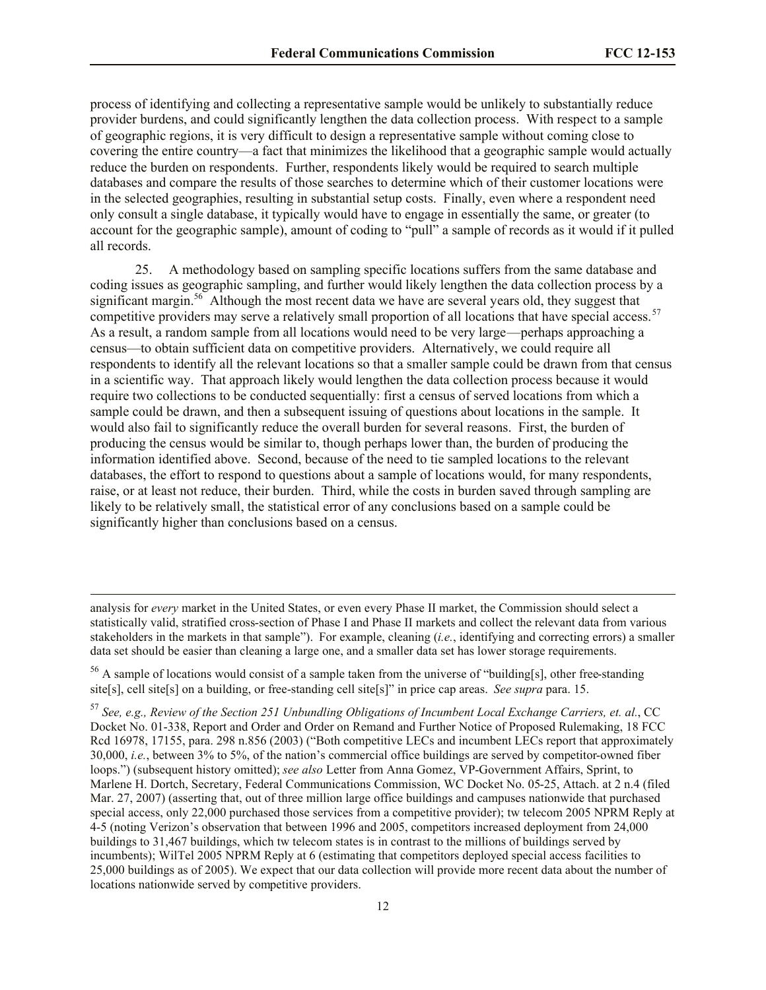process of identifying and collecting a representative sample would be unlikely to substantially reduce provider burdens, and could significantly lengthen the data collection process. With respect to a sample of geographic regions, it is very difficult to design a representative sample without coming close to covering the entire country—a fact that minimizes the likelihood that a geographic sample would actually reduce the burden on respondents. Further, respondents likely would be required to search multiple databases and compare the results of those searches to determine which of their customer locations were in the selected geographies, resulting in substantial setup costs. Finally, even where a respondent need only consult a single database, it typically would have to engage in essentially the same, or greater (to account for the geographic sample), amount of coding to "pull" a sample of records as it would if it pulled all records.

25. A methodology based on sampling specific locations suffers from the same database and coding issues as geographic sampling, and further would likely lengthen the data collection process by a significant margin.<sup>56</sup> Although the most recent data we have are several years old, they suggest that competitive providers may serve a relatively small proportion of all locations that have special access.<sup>57</sup> As a result, a random sample from all locations would need to be very large—perhaps approaching a census—to obtain sufficient data on competitive providers. Alternatively, we could require all respondents to identify all the relevant locations so that a smaller sample could be drawn from that census in a scientific way. That approach likely would lengthen the data collection process because it would require two collections to be conducted sequentially: first a census of served locations from which a sample could be drawn, and then a subsequent issuing of questions about locations in the sample. It would also fail to significantly reduce the overall burden for several reasons. First, the burden of producing the census would be similar to, though perhaps lower than, the burden of producing the information identified above. Second, because of the need to tie sampled locations to the relevant databases, the effort to respond to questions about a sample of locations would, for many respondents, raise, or at least not reduce, their burden. Third, while the costs in burden saved through sampling are likely to be relatively small, the statistical error of any conclusions based on a sample could be significantly higher than conclusions based on a census.

analysis for *every* market in the United States, or even every Phase II market, the Commission should select a statistically valid, stratified cross-section of Phase I and Phase II markets and collect the relevant data from various stakeholders in the markets in that sample"). For example, cleaning (*i.e.*, identifying and correcting errors) a smaller data set should be easier than cleaning a large one, and a smaller data set has lower storage requirements.

<sup>&</sup>lt;sup>56</sup> A sample of locations would consist of a sample taken from the universe of "building[s], other free-standing site[s], cell site[s] on a building, or free-standing cell site[s]" in price cap areas. *See supra* para. 15.

<sup>57</sup> *See, e.g., Review of the Section 251 Unbundling Obligations of Incumbent Local Exchange Carriers, et. al.*, CC Docket No. 01-338, Report and Order and Order on Remand and Further Notice of Proposed Rulemaking, 18 FCC Rcd 16978, 17155, para. 298 n.856 (2003) ("Both competitive LECs and incumbent LECs report that approximately 30,000, *i.e.*, between 3% to 5%, of the nation's commercial office buildings are served by competitor-owned fiber loops.") (subsequent history omitted); *see also* Letter from Anna Gomez, VP-Government Affairs, Sprint, to Marlene H. Dortch, Secretary, Federal Communications Commission, WC Docket No. 05-25, Attach. at 2 n.4 (filed Mar. 27, 2007) (asserting that, out of three million large office buildings and campuses nationwide that purchased special access, only 22,000 purchased those services from a competitive provider); tw telecom 2005 NPRM Reply at 4-5 (noting Verizon's observation that between 1996 and 2005, competitors increased deployment from 24,000 buildings to 31,467 buildings, which tw telecom states is in contrast to the millions of buildings served by incumbents); WilTel 2005 NPRM Reply at 6 (estimating that competitors deployed special access facilities to 25,000 buildings as of 2005). We expect that our data collection will provide more recent data about the number of locations nationwide served by competitive providers.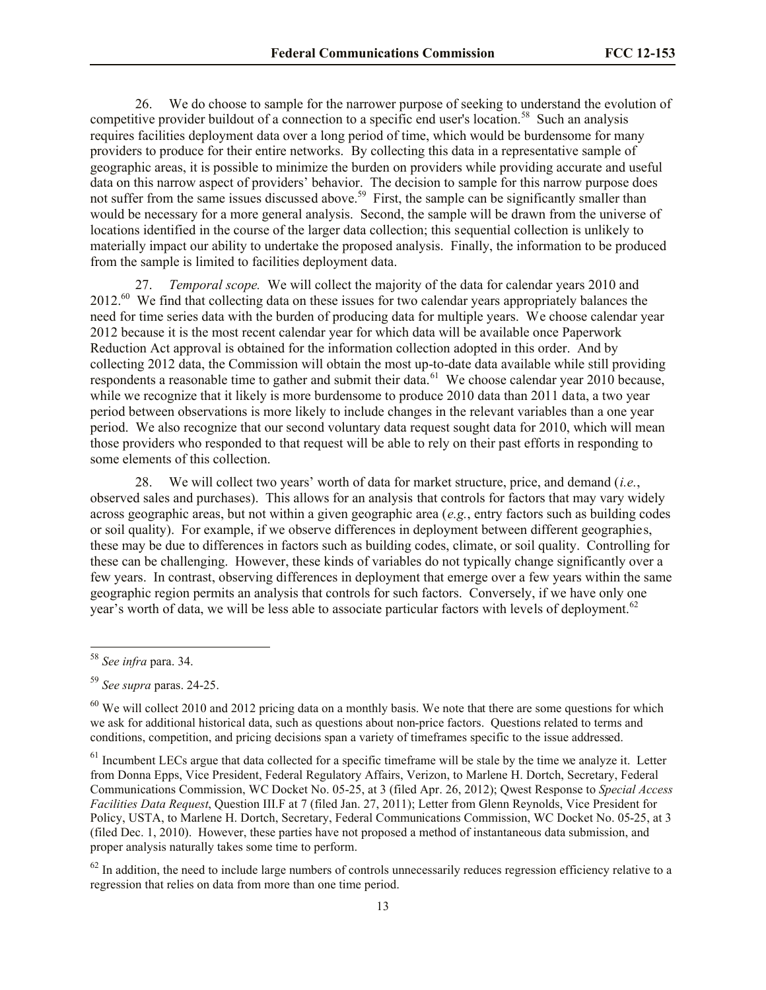26. We do choose to sample for the narrower purpose of seeking to understand the evolution of competitive provider buildout of a connection to a specific end user's location.<sup>58</sup> Such an analysis requires facilities deployment data over a long period of time, which would be burdensome for many providers to produce for their entire networks. By collecting this data in a representative sample of geographic areas, it is possible to minimize the burden on providers while providing accurate and useful data on this narrow aspect of providers' behavior. The decision to sample for this narrow purpose does not suffer from the same issues discussed above.<sup>59</sup> First, the sample can be significantly smaller than would be necessary for a more general analysis. Second, the sample will be drawn from the universe of locations identified in the course of the larger data collection; this sequential collection is unlikely to materially impact our ability to undertake the proposed analysis. Finally, the information to be produced from the sample is limited to facilities deployment data.

27. *Temporal scope.* We will collect the majority of the data for calendar years 2010 and 2012.<sup>60</sup> We find that collecting data on these issues for two calendar years appropriately balances the need for time series data with the burden of producing data for multiple years. We choose calendar year 2012 because it is the most recent calendar year for which data will be available once Paperwork Reduction Act approval is obtained for the information collection adopted in this order. And by collecting 2012 data, the Commission will obtain the most up-to-date data available while still providing respondents a reasonable time to gather and submit their data. <sup>61</sup> We choose calendar year 2010 because, while we recognize that it likely is more burdensome to produce 2010 data than 2011 data, a two year period between observations is more likely to include changes in the relevant variables than a one year period. We also recognize that our second voluntary data request sought data for 2010, which will mean those providers who responded to that request will be able to rely on their past efforts in responding to some elements of this collection.

28. We will collect two years' worth of data for market structure, price, and demand (*i.e.*, observed sales and purchases). This allows for an analysis that controls for factors that may vary widely across geographic areas, but not within a given geographic area (*e.g.*, entry factors such as building codes or soil quality). For example, if we observe differences in deployment between different geographies, these may be due to differences in factors such as building codes, climate, or soil quality. Controlling for these can be challenging. However, these kinds of variables do not typically change significantly over a few years. In contrast, observing differences in deployment that emerge over a few years within the same geographic region permits an analysis that controls for such factors. Conversely, if we have only one year's worth of data, we will be less able to associate particular factors with levels of deployment.<sup>62</sup>

l

 $62$  In addition, the need to include large numbers of controls unnecessarily reduces regression efficiency relative to a regression that relies on data from more than one time period.

<sup>58</sup> *See infra* para. 34.

<sup>59</sup> *See supra* paras. 24-25.

 $60$  We will collect 2010 and 2012 pricing data on a monthly basis. We note that there are some questions for which we ask for additional historical data, such as questions about non-price factors. Questions related to terms and conditions, competition, and pricing decisions span a variety of timeframes specific to the issue addressed.

 $61$  Incumbent LECs argue that data collected for a specific timeframe will be stale by the time we analyze it. Letter from Donna Epps, Vice President, Federal Regulatory Affairs, Verizon, to Marlene H. Dortch, Secretary, Federal Communications Commission, WC Docket No. 05-25, at 3 (filed Apr. 26, 2012); Qwest Response to *Special Access Facilities Data Request*, Question III.F at 7 (filed Jan. 27, 2011); Letter from Glenn Reynolds, Vice President for Policy, USTA, to Marlene H. Dortch, Secretary, Federal Communications Commission, WC Docket No. 05-25, at 3 (filed Dec. 1, 2010). However, these parties have not proposed a method of instantaneous data submission, and proper analysis naturally takes some time to perform.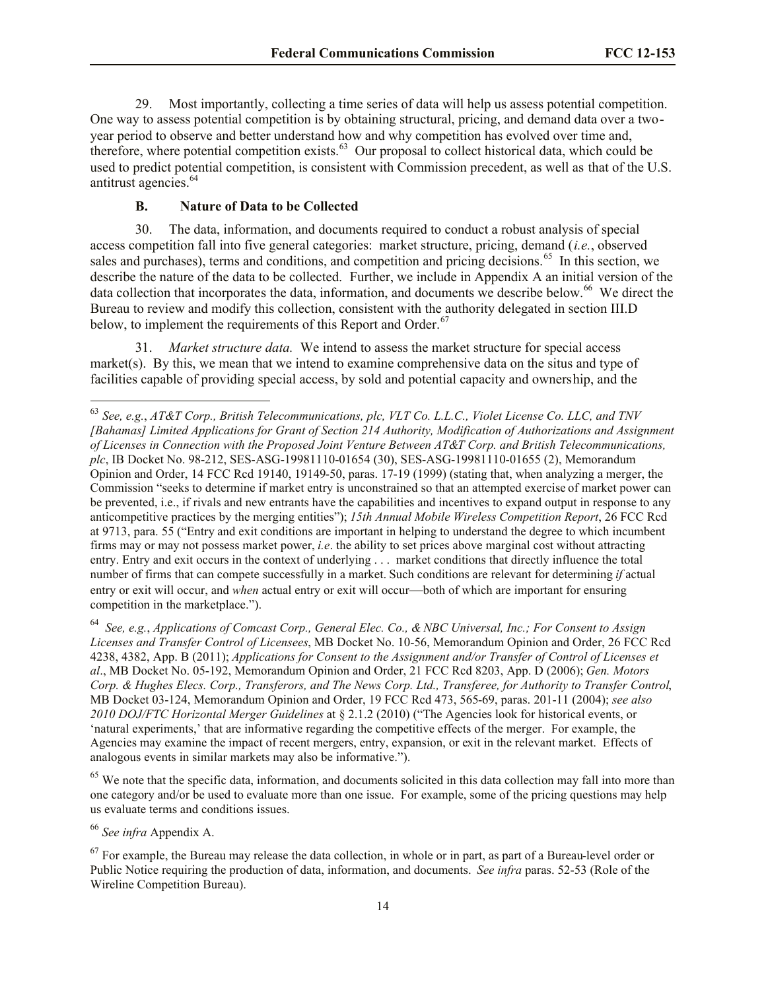29. Most importantly, collecting a time series of data will help us assess potential competition. One way to assess potential competition is by obtaining structural, pricing, and demand data over a twoyear period to observe and better understand how and why competition has evolved over time and, therefore, where potential competition exists. $63$  Our proposal to collect historical data, which could be used to predict potential competition, is consistent with Commission precedent, as well as that of the U.S. antitrust agencies.<sup>64</sup>

# **B. Nature of Data to be Collected**

30. The data, information, and documents required to conduct a robust analysis of special access competition fall into five general categories: market structure, pricing, demand (*i.e.*, observed sales and purchases), terms and conditions, and competition and pricing decisions.<sup>65</sup> In this section, we describe the nature of the data to be collected. Further, we include in Appendix A an initial version of the data collection that incorporates the data, information, and documents we describe below.<sup>66</sup> We direct the Bureau to review and modify this collection, consistent with the authority delegated in section III.D below, to implement the requirements of this Report and Order.<sup>67</sup>

31. *Market structure data.* We intend to assess the market structure for special access market(s). By this, we mean that we intend to examine comprehensive data on the situs and type of facilities capable of providing special access, by sold and potential capacity and ownership, and the

<sup>64</sup> *See, e.g.*, *Applications of Comcast Corp., General Elec. Co., & NBC Universal, Inc.; For Consent to Assign Licenses and Transfer Control of Licensees*, MB Docket No. 10-56, Memorandum Opinion and Order, 26 FCC Rcd 4238, 4382, App. B (2011); *Applications for Consent to the Assignment and/or Transfer of Control of Licenses et al*., MB Docket No. 05-192, Memorandum Opinion and Order, 21 FCC Rcd 8203, App. D (2006); *Gen. Motors Corp. & Hughes Elecs. Corp., Transferors, and The News Corp. Ltd., Transferee, for Authority to Transfer Control*, MB Docket 03-124, Memorandum Opinion and Order, 19 FCC Rcd 473, 565-69, paras. 201-11 (2004); *see also 2010 DOJ/FTC Horizontal Merger Guidelines* at § 2.1.2 (2010) ("The Agencies look for historical events, or 'natural experiments,' that are informative regarding the competitive effects of the merger. For example, the Agencies may examine the impact of recent mergers, entry, expansion, or exit in the relevant market. Effects of analogous events in similar markets may also be informative.").

<sup>65</sup> We note that the specific data, information, and documents solicited in this data collection may fall into more than one category and/or be used to evaluate more than one issue. For example, some of the pricing questions may help us evaluate terms and conditions issues.

<sup>63</sup> *See, e.g.*, *AT&T Corp., British Telecommunications, plc, VLT Co. L.L.C., Violet License Co. LLC, and TNV [Bahamas] Limited Applications for Grant of Section 214 Authority, Modification of Authorizations and Assignment of Licenses in Connection with the Proposed Joint Venture Between AT&T Corp. and British Telecommunications, plc*, IB Docket No. 98-212, SES-ASG-19981110-01654 (30), SES-ASG-19981110-01655 (2), Memorandum Opinion and Order, 14 FCC Rcd 19140, 19149-50, paras. 17-19 (1999) (stating that, when analyzing a merger, the Commission "seeks to determine if market entry is unconstrained so that an attempted exercise of market power can be prevented, i.e., if rivals and new entrants have the capabilities and incentives to expand output in response to any anticompetitive practices by the merging entities"); *15th Annual Mobile Wireless Competition Report*, 26 FCC Rcd at 9713, para. 55 ("Entry and exit conditions are important in helping to understand the degree to which incumbent firms may or may not possess market power, *i.e*. the ability to set prices above marginal cost without attracting entry. Entry and exit occurs in the context of underlying . . . market conditions that directly influence the total number of firms that can compete successfully in a market. Such conditions are relevant for determining *if* actual entry or exit will occur, and *when* actual entry or exit will occur—both of which are important for ensuring competition in the marketplace.").

<sup>66</sup> *See infra* Appendix A.

 $67$  For example, the Bureau may release the data collection, in whole or in part, as part of a Bureau-level order or Public Notice requiring the production of data, information, and documents. *See infra* paras. 52-53 (Role of the Wireline Competition Bureau).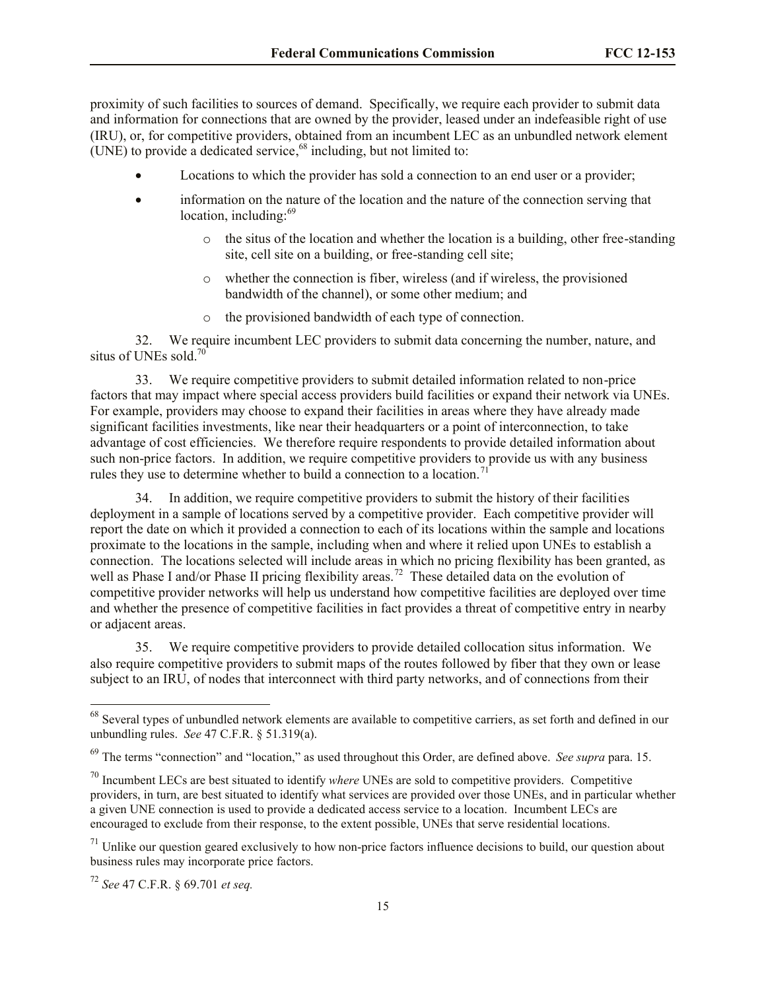proximity of such facilities to sources of demand. Specifically, we require each provider to submit data and information for connections that are owned by the provider, leased under an indefeasible right of use (IRU), or, for competitive providers, obtained from an incumbent LEC as an unbundled network element (UNE) to provide a dedicated service, <sup>68</sup> including, but not limited to:

- Locations to which the provider has sold a connection to an end user or a provider;
- information on the nature of the location and the nature of the connection serving that location, including:<sup>69</sup>
	- o the situs of the location and whether the location is a building, other free-standing site, cell site on a building, or free-standing cell site;
	- o whether the connection is fiber, wireless (and if wireless, the provisioned bandwidth of the channel), or some other medium; and
	- o the provisioned bandwidth of each type of connection.

32. We require incumbent LEC providers to submit data concerning the number, nature, and situs of UNEs sold. $70$ 

33. We require competitive providers to submit detailed information related to non-price factors that may impact where special access providers build facilities or expand their network via UNEs. For example, providers may choose to expand their facilities in areas where they have already made significant facilities investments, like near their headquarters or a point of interconnection, to take advantage of cost efficiencies. We therefore require respondents to provide detailed information about such non-price factors. In addition, we require competitive providers to provide us with any business rules they use to determine whether to build a connection to a location.<sup>7</sup>

34. In addition, we require competitive providers to submit the history of their facilities deployment in a sample of locations served by a competitive provider. Each competitive provider will report the date on which it provided a connection to each of its locations within the sample and locations proximate to the locations in the sample, including when and where it relied upon UNEs to establish a connection. The locations selected will include areas in which no pricing flexibility has been granted, as well as Phase I and/or Phase II pricing flexibility areas.<sup>72</sup> These detailed data on the evolution of competitive provider networks will help us understand how competitive facilities are deployed over time and whether the presence of competitive facilities in fact provides a threat of competitive entry in nearby or adjacent areas.

35. We require competitive providers to provide detailed collocation situs information. We also require competitive providers to submit maps of the routes followed by fiber that they own or lease subject to an IRU, of nodes that interconnect with third party networks, and of connections from their

 $68$  Several types of unbundled network elements are available to competitive carriers, as set forth and defined in our unbundling rules. *See* 47 C.F.R. § 51.319(a).

<sup>69</sup> The terms "connection" and "location," as used throughout this Order, are defined above. *See supra* para. 15.

<sup>70</sup> Incumbent LECs are best situated to identify *where* UNEs are sold to competitive providers. Competitive providers, in turn, are best situated to identify what services are provided over those UNEs, and in particular whether a given UNE connection is used to provide a dedicated access service to a location. Incumbent LECs are encouraged to exclude from their response, to the extent possible, UNEs that serve residential locations.

 $71$  Unlike our question geared exclusively to how non-price factors influence decisions to build, our question about business rules may incorporate price factors.

<sup>72</sup> *See* 47 C.F.R. § 69.701 *et seq.*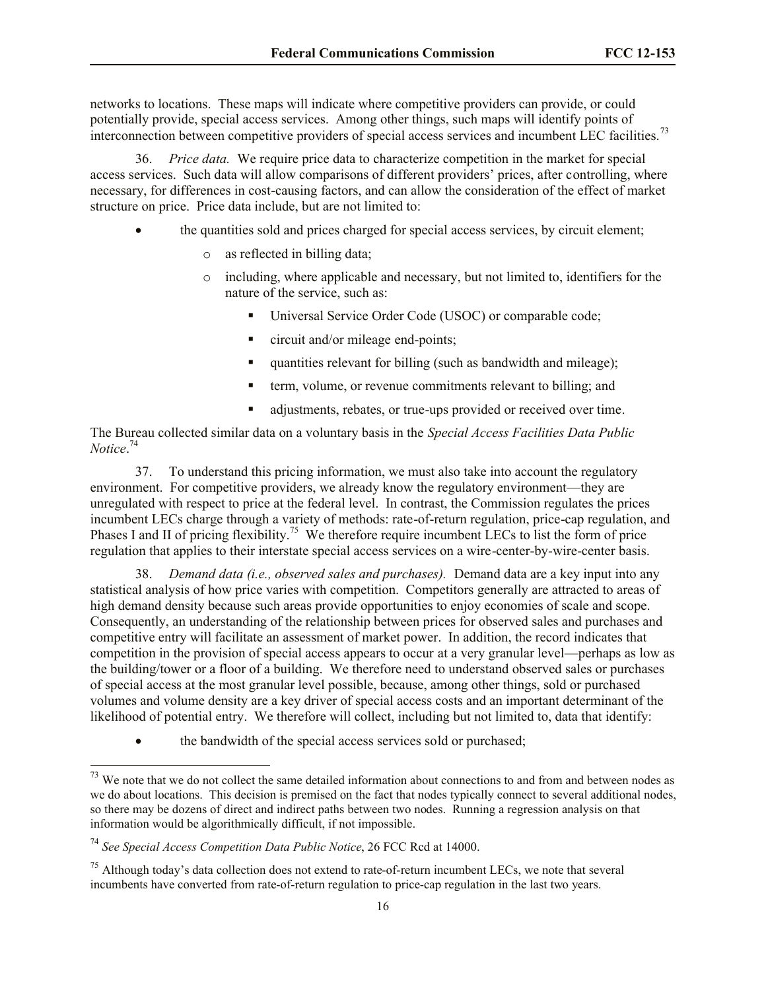networks to locations. These maps will indicate where competitive providers can provide, or could potentially provide, special access services. Among other things, such maps will identify points of interconnection between competitive providers of special access services and incumbent LEC facilities.<sup>73</sup>

36. *Price data.* We require price data to characterize competition in the market for special access services. Such data will allow comparisons of different providers' prices, after controlling, where necessary, for differences in cost-causing factors, and can allow the consideration of the effect of market structure on price. Price data include, but are not limited to:

- the quantities sold and prices charged for special access services, by circuit element;
	- as reflected in billing data;
	- o including, where applicable and necessary, but not limited to, identifiers for the nature of the service, such as:
		- Universal Service Order Code (USOC) or comparable code;
		- circuit and/or mileage end-points;
		- quantities relevant for billing (such as bandwidth and mileage);
		- **term, volume, or revenue commitments relevant to billing; and**
		- adjustments, rebates, or true-ups provided or received over time.

The Bureau collected similar data on a voluntary basis in the *Special Access Facilities Data Public Notice*. 74

37. To understand this pricing information, we must also take into account the regulatory environment. For competitive providers, we already know the regulatory environment—they are unregulated with respect to price at the federal level. In contrast, the Commission regulates the prices incumbent LECs charge through a variety of methods: rate-of-return regulation, price-cap regulation, and Phases I and II of pricing flexibility.<sup>75</sup> We therefore require incumbent LECs to list the form of price regulation that applies to their interstate special access services on a wire-center-by-wire-center basis.

38. *Demand data (i.e., observed sales and purchases).* Demand data are a key input into any statistical analysis of how price varies with competition. Competitors generally are attracted to areas of high demand density because such areas provide opportunities to enjoy economies of scale and scope. Consequently, an understanding of the relationship between prices for observed sales and purchases and competitive entry will facilitate an assessment of market power. In addition, the record indicates that competition in the provision of special access appears to occur at a very granular level—perhaps as low as the building/tower or a floor of a building. We therefore need to understand observed sales or purchases of special access at the most granular level possible, because, among other things, sold or purchased volumes and volume density are a key driver of special access costs and an important determinant of the likelihood of potential entry. We therefore will collect, including but not limited to, data that identify:

• the bandwidth of the special access services sold or purchased;

 $73$  We note that we do not collect the same detailed information about connections to and from and between nodes as we do about locations. This decision is premised on the fact that nodes typically connect to several additional nodes, so there may be dozens of direct and indirect paths between two nodes. Running a regression analysis on that information would be algorithmically difficult, if not impossible.

<sup>74</sup> *See Special Access Competition Data Public Notice*, 26 FCC Rcd at 14000.

 $^{75}$  Although today's data collection does not extend to rate-of-return incumbent LECs, we note that several incumbents have converted from rate-of-return regulation to price-cap regulation in the last two years.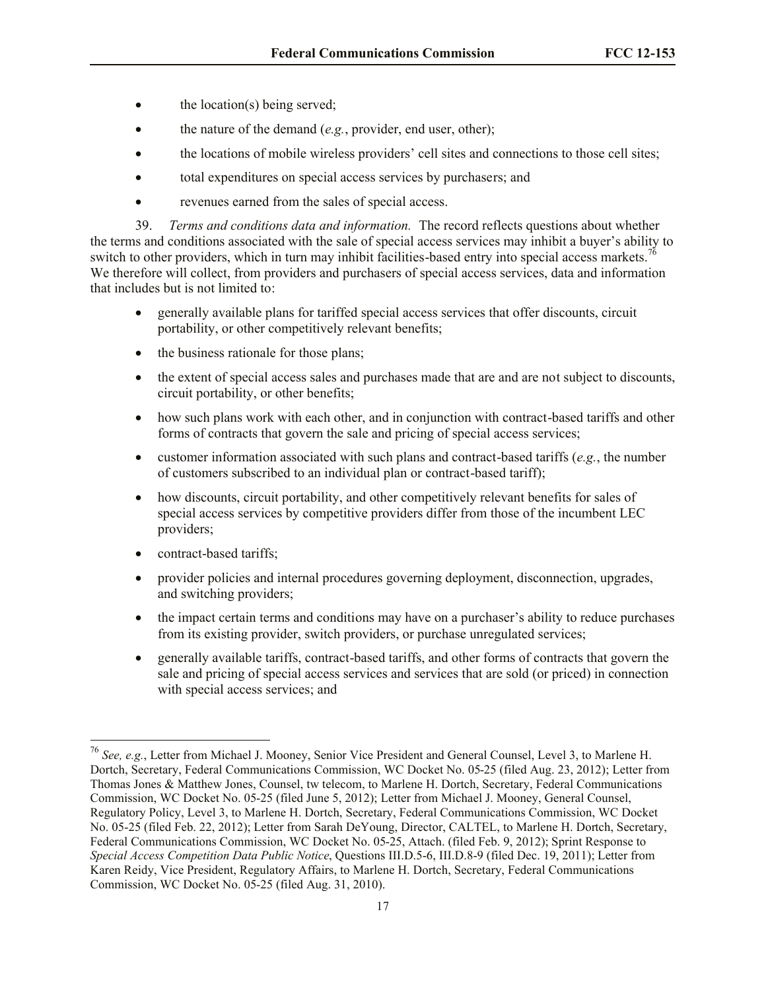- $\bullet$  the location(s) being served;
- the nature of the demand (*e.g.*, provider, end user, other);
- the locations of mobile wireless providers' cell sites and connections to those cell sites;
- total expenditures on special access services by purchasers; and
- revenues earned from the sales of special access.

39. *Terms and conditions data and information.* The record reflects questions about whether the terms and conditions associated with the sale of special access services may inhibit a buyer's ability to switch to other providers, which in turn may inhibit facilities-based entry into special access markets.<sup>76</sup> We therefore will collect, from providers and purchasers of special access services, data and information that includes but is not limited to:

- generally available plans for tariffed special access services that offer discounts, circuit portability, or other competitively relevant benefits;
- the business rationale for those plans:
- the extent of special access sales and purchases made that are and are not subject to discounts, circuit portability, or other benefits;
- how such plans work with each other, and in conjunction with contract-based tariffs and other forms of contracts that govern the sale and pricing of special access services;
- customer information associated with such plans and contract-based tariffs  $(e.g., the number$ of customers subscribed to an individual plan or contract-based tariff);
- how discounts, circuit portability, and other competitively relevant benefits for sales of special access services by competitive providers differ from those of the incumbent LEC providers;
- contract-based tariffs:

- provider policies and internal procedures governing deployment, disconnection, upgrades, and switching providers;
- the impact certain terms and conditions may have on a purchaser's ability to reduce purchases from its existing provider, switch providers, or purchase unregulated services;
- generally available tariffs, contract-based tariffs, and other forms of contracts that govern the sale and pricing of special access services and services that are sold (or priced) in connection with special access services; and

<sup>76</sup> *See, e.g.*, Letter from Michael J. Mooney, Senior Vice President and General Counsel, Level 3, to Marlene H. Dortch, Secretary, Federal Communications Commission, WC Docket No. 05-25 (filed Aug. 23, 2012); Letter from Thomas Jones & Matthew Jones, Counsel, tw telecom, to Marlene H. Dortch, Secretary, Federal Communications Commission, WC Docket No. 05-25 (filed June 5, 2012); Letter from Michael J. Mooney, General Counsel, Regulatory Policy, Level 3, to Marlene H. Dortch, Secretary, Federal Communications Commission, WC Docket No. 05-25 (filed Feb. 22, 2012); Letter from Sarah DeYoung, Director, CALTEL, to Marlene H. Dortch, Secretary, Federal Communications Commission, WC Docket No. 05-25, Attach. (filed Feb. 9, 2012); Sprint Response to *Special Access Competition Data Public Notice*, Questions III.D.5-6, III.D.8-9 (filed Dec. 19, 2011); Letter from Karen Reidy, Vice President, Regulatory Affairs, to Marlene H. Dortch, Secretary, Federal Communications Commission, WC Docket No. 05-25 (filed Aug. 31, 2010).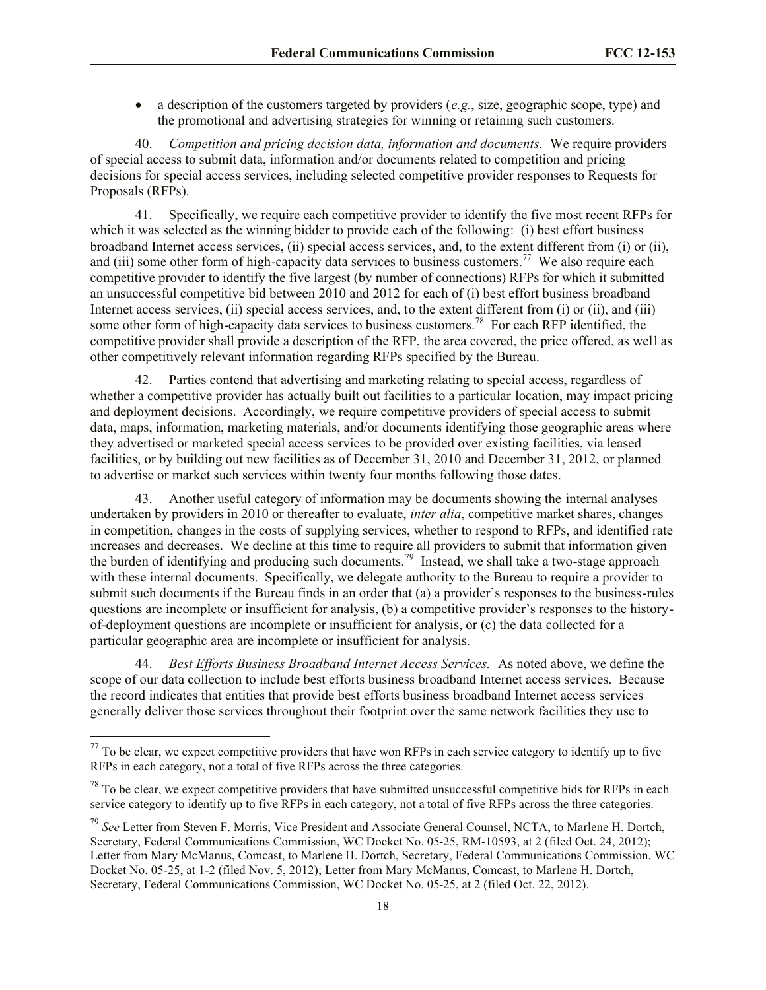a description of the customers targeted by providers (*e.g.*, size, geographic scope, type) and the promotional and advertising strategies for winning or retaining such customers.

40. *Competition and pricing decision data, information and documents.* We require providers of special access to submit data, information and/or documents related to competition and pricing decisions for special access services, including selected competitive provider responses to Requests for Proposals (RFPs).

41. Specifically, we require each competitive provider to identify the five most recent RFPs for which it was selected as the winning bidder to provide each of the following: (i) best effort business broadband Internet access services, (ii) special access services, and, to the extent different from (i) or (ii), and (iii) some other form of high-capacity data services to business customers.<sup>77</sup> We also require each competitive provider to identify the five largest (by number of connections) RFPs for which it submitted an unsuccessful competitive bid between 2010 and 2012 for each of (i) best effort business broadband Internet access services, (ii) special access services, and, to the extent different from (i) or (ii), and (iii) some other form of high-capacity data services to business customers.<sup>78</sup> For each RFP identified, the competitive provider shall provide a description of the RFP, the area covered, the price offered, as well as other competitively relevant information regarding RFPs specified by the Bureau.

42. Parties contend that advertising and marketing relating to special access, regardless of whether a competitive provider has actually built out facilities to a particular location, may impact pricing and deployment decisions. Accordingly, we require competitive providers of special access to submit data, maps, information, marketing materials, and/or documents identifying those geographic areas where they advertised or marketed special access services to be provided over existing facilities, via leased facilities, or by building out new facilities as of December 31, 2010 and December 31, 2012, or planned to advertise or market such services within twenty four months following those dates.

43. Another useful category of information may be documents showing the internal analyses undertaken by providers in 2010 or thereafter to evaluate, *inter alia*, competitive market shares, changes in competition, changes in the costs of supplying services, whether to respond to RFPs, and identified rate increases and decreases. We decline at this time to require all providers to submit that information given the burden of identifying and producing such documents.<sup>79</sup> Instead, we shall take a two-stage approach with these internal documents. Specifically, we delegate authority to the Bureau to require a provider to submit such documents if the Bureau finds in an order that (a) a provider's responses to the business-rules questions are incomplete or insufficient for analysis, (b) a competitive provider's responses to the historyof-deployment questions are incomplete or insufficient for analysis, or (c) the data collected for a particular geographic area are incomplete or insufficient for analysis.

44. *Best Efforts Business Broadband Internet Access Services.* As noted above, we define the scope of our data collection to include best efforts business broadband Internet access services. Because the record indicates that entities that provide best efforts business broadband Internet access services generally deliver those services throughout their footprint over the same network facilities they use to

 $77$  To be clear, we expect competitive providers that have won RFPs in each service category to identify up to five RFPs in each category, not a total of five RFPs across the three categories.

 $^{78}$  To be clear, we expect competitive providers that have submitted unsuccessful competitive bids for RFPs in each service category to identify up to five RFPs in each category, not a total of five RFPs across the three categories.

<sup>79</sup> *See* Letter from Steven F. Morris, Vice President and Associate General Counsel, NCTA, to Marlene H. Dortch, Secretary, Federal Communications Commission, WC Docket No. 05-25, RM-10593, at 2 (filed Oct. 24, 2012); Letter from Mary McManus, Comcast, to Marlene H. Dortch, Secretary, Federal Communications Commission, WC Docket No. 05-25, at 1-2 (filed Nov. 5, 2012); Letter from Mary McManus, Comcast, to Marlene H. Dortch, Secretary, Federal Communications Commission, WC Docket No. 05-25, at 2 (filed Oct. 22, 2012).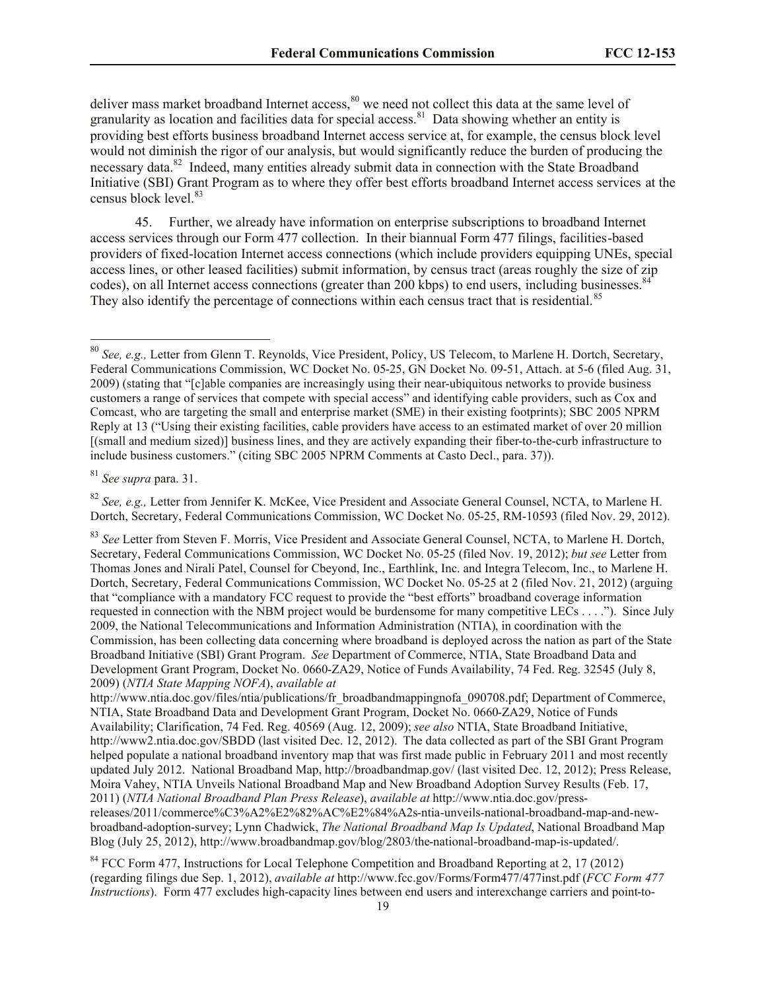deliver mass market broadband Internet access,<sup>80</sup> we need not collect this data at the same level of granularity as location and facilities data for special access.<sup>81</sup> Data showing whether an entity is providing best efforts business broadband Internet access service at, for example, the census block level would not diminish the rigor of our analysis, but would significantly reduce the burden of producing the necessary data.<sup>82</sup> Indeed, many entities already submit data in connection with the State Broadband Initiative (SBI) Grant Program as to where they offer best efforts broadband Internet access services at the census block level.<sup>83</sup>

45. Further, we already have information on enterprise subscriptions to broadband Internet access services through our Form 477 collection. In their biannual Form 477 filings, facilities-based providers of fixed-location Internet access connections (which include providers equipping UNEs, special access lines, or other leased facilities) submit information, by census tract (areas roughly the size of zip codes), on all Internet access connections (greater than 200 kbps) to end users, including businesses.<sup>8</sup> They also identify the percentage of connections within each census tract that is residential.<sup>85</sup>

<sup>81</sup> *See supra* para. 31.

l

<sup>82</sup> *See, e.g.,* Letter from Jennifer K. McKee, Vice President and Associate General Counsel, NCTA, to Marlene H. Dortch, Secretary, Federal Communications Commission, WC Docket No. 05-25, RM-10593 (filed Nov. 29, 2012).

http://www.ntia.doc.gov/files/ntia/publications/fr\_broadbandmappingnofa\_090708.pdf; Department of Commerce, NTIA, State Broadband Data and Development Grant Program, Docket No. 0660-ZA29, Notice of Funds Availability; Clarification, 74 Fed. Reg. 40569 (Aug. 12, 2009); *see also* NTIA, State Broadband Initiative, http://www2.ntia.doc.gov/SBDD (last visited Dec. 12, 2012). The data collected as part of the SBI Grant Program helped populate a national broadband inventory map that was first made public in February 2011 and most recently updated July 2012. National Broadband Map, http://broadbandmap.gov/ (last visited Dec. 12, 2012); Press Release, Moira Vahey, NTIA Unveils National Broadband Map and New Broadband Adoption Survey Results (Feb. 17, 2011) (*NTIA National Broadband Plan Press Release*), *available at* http://www.ntia.doc.gov/pressreleases/2011/commerce%C3%A2%E2%82%AC%E2%84%A2s-ntia-unveils-national-broadband-map-and-newbroadband-adoption-survey; Lynn Chadwick, *The National Broadband Map Is Updated*, National Broadband Map Blog (July 25, 2012), http://www.broadbandmap.gov/blog/2803/the-national-broadband-map-is-updated/.

<sup>84</sup> FCC Form 477, Instructions for Local Telephone Competition and Broadband Reporting at 2, 17 (2012) (regarding filings due Sep. 1, 2012), *available at* http://www.fcc.gov/Forms/Form477/477inst.pdf (*FCC Form 477 Instructions*). Form 477 excludes high-capacity lines between end users and interexchange carriers and point-to-

<sup>80</sup> *See, e.g.,* Letter from Glenn T. Reynolds, Vice President, Policy, US Telecom, to Marlene H. Dortch, Secretary, Federal Communications Commission, WC Docket No. 05-25, GN Docket No. 09-51, Attach. at 5-6 (filed Aug. 31, 2009) (stating that "[c]able companies are increasingly using their near-ubiquitous networks to provide business customers a range of services that compete with special access" and identifying cable providers, such as Cox and Comcast, who are targeting the small and enterprise market (SME) in their existing footprints); SBC 2005 NPRM Reply at 13 ("Using their existing facilities, cable providers have access to an estimated market of over 20 million [(small and medium sized)] business lines, and they are actively expanding their fiber-to-the-curb infrastructure to include business customers." (citing SBC 2005 NPRM Comments at Casto Decl., para. 37)).

<sup>&</sup>lt;sup>83</sup> See Letter from Steven F. Morris, Vice President and Associate General Counsel, NCTA, to Marlene H. Dortch, Secretary, Federal Communications Commission, WC Docket No. 05-25 (filed Nov. 19, 2012); *but see* Letter from Thomas Jones and Nirali Patel, Counsel for Cbeyond, Inc., Earthlink, Inc. and Integra Telecom, Inc., to Marlene H. Dortch, Secretary, Federal Communications Commission, WC Docket No. 05-25 at 2 (filed Nov. 21, 2012) (arguing that "compliance with a mandatory FCC request to provide the "best efforts" broadband coverage information requested in connection with the NBM project would be burdensome for many competitive LECs . . . ."). Since July 2009, the National Telecommunications and Information Administration (NTIA), in coordination with the Commission, has been collecting data concerning where broadband is deployed across the nation as part of the State Broadband Initiative (SBI) Grant Program. *See* Department of Commerce, NTIA, State Broadband Data and Development Grant Program, Docket No. 0660-ZA29, Notice of Funds Availability, 74 Fed. Reg. 32545 (July 8, 2009) (*NTIA State Mapping NOFA*), *available at*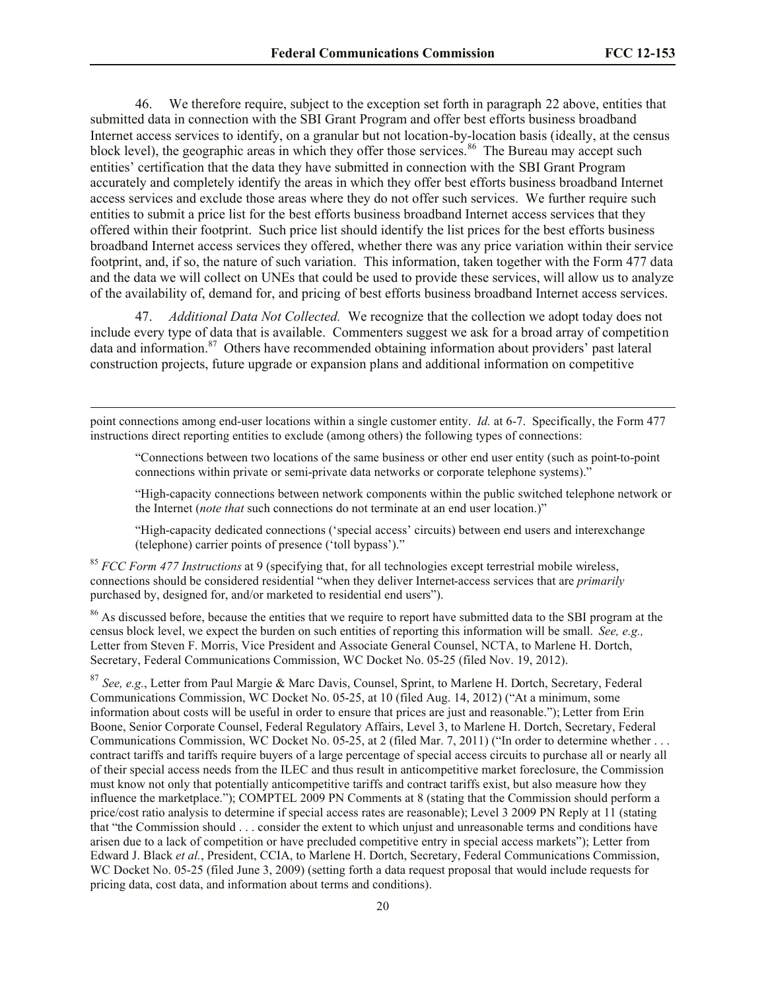46. We therefore require, subject to the exception set forth in paragraph 22 above, entities that submitted data in connection with the SBI Grant Program and offer best efforts business broadband Internet access services to identify, on a granular but not location-by-location basis (ideally, at the census block level), the geographic areas in which they offer those services.<sup>86</sup> The Bureau may accept such entities' certification that the data they have submitted in connection with the SBI Grant Program accurately and completely identify the areas in which they offer best efforts business broadband Internet access services and exclude those areas where they do not offer such services. We further require such entities to submit a price list for the best efforts business broadband Internet access services that they offered within their footprint. Such price list should identify the list prices for the best efforts business broadband Internet access services they offered, whether there was any price variation within their service footprint, and, if so, the nature of such variation. This information, taken together with the Form 477 data and the data we will collect on UNEs that could be used to provide these services, will allow us to analyze of the availability of, demand for, and pricing of best efforts business broadband Internet access services.

47. *Additional Data Not Collected.* We recognize that the collection we adopt today does not include every type of data that is available. Commenters suggest we ask for a broad array of competition data and information.<sup>87</sup> Others have recommended obtaining information about providers' past lateral construction projects, future upgrade or expansion plans and additional information on competitive

point connections among end-user locations within a single customer entity. *Id.* at 6-7. Specifically, the Form 477 instructions direct reporting entities to exclude (among others) the following types of connections:

 $\overline{\phantom{a}}$ 

"Connections between two locations of the same business or other end user entity (such as point-to-point connections within private or semi-private data networks or corporate telephone systems)."

"High-capacity connections between network components within the public switched telephone network or the Internet (*note that* such connections do not terminate at an end user location.)"

"High-capacity dedicated connections ('special access' circuits) between end users and interexchange (telephone) carrier points of presence ('toll bypass')."

<sup>85</sup> *FCC Form 477 Instructions* at 9 (specifying that, for all technologies except terrestrial mobile wireless, connections should be considered residential "when they deliver Internet-access services that are *primarily* purchased by, designed for, and/or marketed to residential end users").

<sup>86</sup> As discussed before, because the entities that we require to report have submitted data to the SBI program at the census block level, we expect the burden on such entities of reporting this information will be small. *See, e.g.,*  Letter from Steven F. Morris, Vice President and Associate General Counsel, NCTA, to Marlene H. Dortch, Secretary, Federal Communications Commission, WC Docket No. 05-25 (filed Nov. 19, 2012).

<sup>87</sup> *See, e.g.*, Letter from Paul Margie & Marc Davis, Counsel, Sprint, to Marlene H. Dortch, Secretary, Federal Communications Commission, WC Docket No. 05-25, at 10 (filed Aug. 14, 2012) ("At a minimum, some information about costs will be useful in order to ensure that prices are just and reasonable."); Letter from Erin Boone, Senior Corporate Counsel, Federal Regulatory Affairs, Level 3, to Marlene H. Dortch, Secretary, Federal Communications Commission, WC Docket No. 05-25, at 2 (filed Mar. 7, 2011) ("In order to determine whether . . . contract tariffs and tariffs require buyers of a large percentage of special access circuits to purchase all or nearly all of their special access needs from the ILEC and thus result in anticompetitive market foreclosure, the Commission must know not only that potentially anticompetitive tariffs and contract tariffs exist, but also measure how they influence the marketplace."); COMPTEL 2009 PN Comments at 8 (stating that the Commission should perform a price/cost ratio analysis to determine if special access rates are reasonable); Level 3 2009 PN Reply at 11 (stating that "the Commission should . . . consider the extent to which unjust and unreasonable terms and conditions have arisen due to a lack of competition or have precluded competitive entry in special access markets"); Letter from Edward J. Black *et al.*, President, CCIA, to Marlene H. Dortch, Secretary, Federal Communications Commission, WC Docket No. 05-25 (filed June 3, 2009) (setting forth a data request proposal that would include requests for pricing data, cost data, and information about terms and conditions).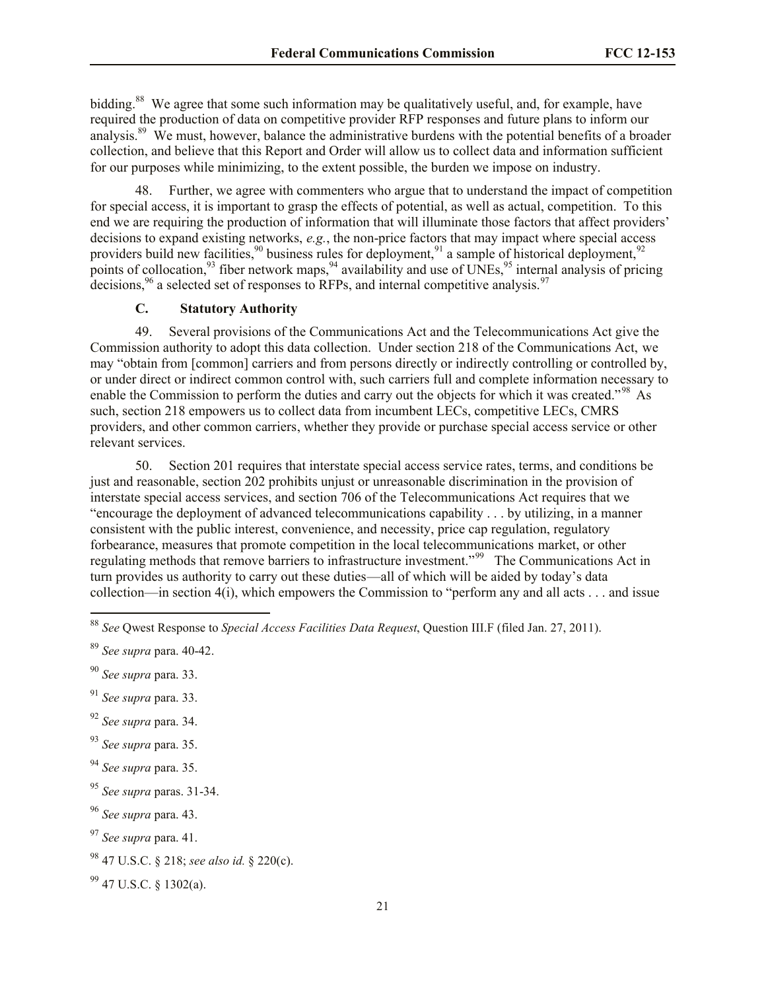bidding.<sup>88</sup> We agree that some such information may be qualitatively useful, and, for example, have required the production of data on competitive provider RFP responses and future plans to inform our analysis.<sup>89</sup> We must, however, balance the administrative burdens with the potential benefits of a broader collection, and believe that this Report and Order will allow us to collect data and information sufficient for our purposes while minimizing, to the extent possible, the burden we impose on industry.

48. Further, we agree with commenters who argue that to understand the impact of competition for special access, it is important to grasp the effects of potential, as well as actual, competition. To this end we are requiring the production of information that will illuminate those factors that affect providers' decisions to expand existing networks, *e.g.*, the non-price factors that may impact where special access providers build new facilities,  $90$  business rules for deployment,  $91$  a sample of historical deployment,  $92$ points of collocation,<sup>93</sup> fiber network maps,<sup>94</sup> availability and use of UNEs,<sup>95</sup> internal analysis of pricing decisions,  $96$  a selected set of responses to RFPs, and internal competitive analysis.<sup>97</sup>

## **C. Statutory Authority**

49. Several provisions of the Communications Act and the Telecommunications Act give the Commission authority to adopt this data collection. Under section 218 of the Communications Act, we may "obtain from [common] carriers and from persons directly or indirectly controlling or controlled by, or under direct or indirect common control with, such carriers full and complete information necessary to enable the Commission to perform the duties and carry out the objects for which it was created."<sup>98</sup> As such, section 218 empowers us to collect data from incumbent LECs, competitive LECs, CMRS providers, and other common carriers, whether they provide or purchase special access service or other relevant services.

50. Section 201 requires that interstate special access service rates, terms, and conditions be just and reasonable, section 202 prohibits unjust or unreasonable discrimination in the provision of interstate special access services, and section 706 of the Telecommunications Act requires that we "encourage the deployment of advanced telecommunications capability . . . by utilizing, in a manner consistent with the public interest, convenience, and necessity, price cap regulation, regulatory forbearance, measures that promote competition in the local telecommunications market, or other regulating methods that remove barriers to infrastructure investment."<sup>99</sup> The Communications Act in turn provides us authority to carry out these duties—all of which will be aided by today's data collection—in section 4(i), which empowers the Commission to "perform any and all acts . . . and issue

l

<sup>92</sup> *See supra* para. 34.

<sup>88</sup> *See* Qwest Response to *Special Access Facilities Data Request*, Question III.F (filed Jan. 27, 2011).

<sup>89</sup> *See supra* para. 40-42.

<sup>90</sup> *See supra* para. 33.

<sup>91</sup> *See supra* para. 33.

<sup>93</sup> *See supra* para. 35.

<sup>94</sup> *See supra* para. 35.

<sup>95</sup> *See supra* paras. 31-34.

<sup>96</sup> *See supra* para. 43.

<sup>97</sup> *See supra* para. 41.

<sup>98</sup> 47 U.S.C. § 218; *see also id.* § 220(c).

 $99$  47 U.S.C. § 1302(a).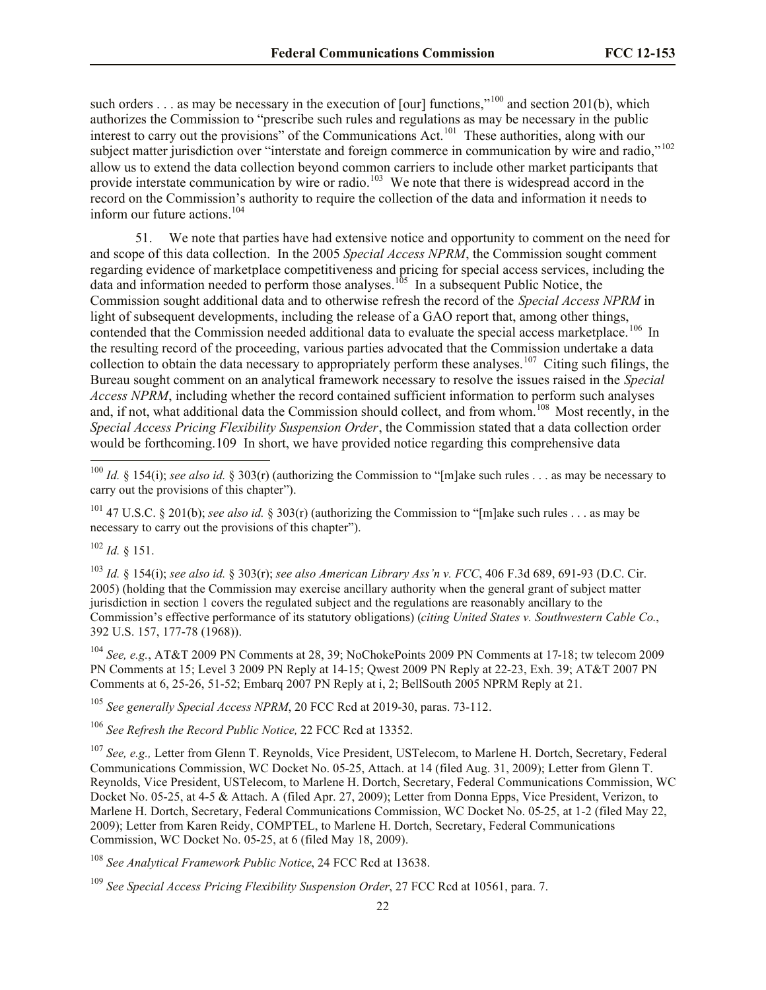such orders . . . as may be necessary in the execution of [our] functions,"<sup>100</sup> and section 201(b), which authorizes the Commission to "prescribe such rules and regulations as may be necessary in the public interest to carry out the provisions" of the Communications Act.<sup>101</sup> These authorities, along with our subject matter jurisdiction over "interstate and foreign commerce in communication by wire and radio,"<sup>102</sup> allow us to extend the data collection beyond common carriers to include other market participants that provide interstate communication by wire or radio.<sup>103</sup> We note that there is widespread accord in the record on the Commission's authority to require the collection of the data and information it needs to inform our future actions.<sup>104</sup>

51. We note that parties have had extensive notice and opportunity to comment on the need for and scope of this data collection. In the 2005 *Special Access NPRM*, the Commission sought comment regarding evidence of marketplace competitiveness and pricing for special access services, including the data and information needed to perform those analyses.<sup>105</sup> In a subsequent Public Notice, the Commission sought additional data and to otherwise refresh the record of the *Special Access NPRM* in light of subsequent developments, including the release of a GAO report that, among other things, contended that the Commission needed additional data to evaluate the special access marketplace.<sup>106</sup> In the resulting record of the proceeding, various parties advocated that the Commission undertake a data collection to obtain the data necessary to appropriately perform these analyses.<sup>107</sup> Citing such filings, the Bureau sought comment on an analytical framework necessary to resolve the issues raised in the *Special Access NPRM*, including whether the record contained sufficient information to perform such analyses and, if not, what additional data the Commission should collect, and from whom.<sup>108</sup> Most recently, in the *Special Access Pricing Flexibility Suspension Order*, the Commission stated that a data collection order would be forthcoming.109 In short, we have provided notice regarding this comprehensive data

<sup>102</sup> *Id.* § 151.

l

<sup>103</sup> *Id.* § 154(i); *see also id.* § 303(r); *see also American Library Ass'n v. FCC*, 406 F.3d 689, 691-93 (D.C. Cir. 2005) (holding that the Commission may exercise ancillary authority when the general grant of subject matter jurisdiction in section 1 covers the regulated subject and the regulations are reasonably ancillary to the Commission's effective performance of its statutory obligations) (*citing United States v. Southwestern Cable Co.*, 392 U.S. 157, 177-78 (1968)).

<sup>104</sup> *See, e.g.*, AT&T 2009 PN Comments at 28, 39; NoChokePoints 2009 PN Comments at 17-18; tw telecom 2009 PN Comments at 15; Level 3 2009 PN Reply at 14-15; Qwest 2009 PN Reply at 22-23, Exh. 39; AT&T 2007 PN Comments at 6, 25-26, 51-52; Embarq 2007 PN Reply at i, 2; BellSouth 2005 NPRM Reply at 21.

<sup>105</sup> *See generally Special Access NPRM*, 20 FCC Rcd at 2019-30, paras. 73-112.

<sup>106</sup> *See Refresh the Record Public Notice,* 22 FCC Rcd at 13352.

<sup>107</sup> *See, e.g.,* Letter from Glenn T. Reynolds, Vice President, USTelecom, to Marlene H. Dortch, Secretary, Federal Communications Commission, WC Docket No. 05-25, Attach. at 14 (filed Aug. 31, 2009); Letter from Glenn T. Reynolds, Vice President, USTelecom, to Marlene H. Dortch, Secretary, Federal Communications Commission, WC Docket No. 05-25, at 4-5 & Attach. A (filed Apr. 27, 2009); Letter from Donna Epps, Vice President, Verizon, to Marlene H. Dortch, Secretary, Federal Communications Commission, WC Docket No. 05-25, at 1-2 (filed May 22, 2009); Letter from Karen Reidy, COMPTEL, to Marlene H. Dortch, Secretary, Federal Communications Commission, WC Docket No. 05-25, at 6 (filed May 18, 2009).

<sup>108</sup> *See Analytical Framework Public Notice*, 24 FCC Rcd at 13638.

<sup>&</sup>lt;sup>100</sup> *Id.* § 154(i); *see also id.* § 303(r) (authorizing the Commission to "[m]ake such rules . . . as may be necessary to carry out the provisions of this chapter").

<sup>101</sup> 47 U.S.C. § 201(b); *see also id.* § 303(r) (authorizing the Commission to "[m]ake such rules . . . as may be necessary to carry out the provisions of this chapter").

<sup>109</sup> *See Special Access Pricing Flexibility Suspension Order*, 27 FCC Rcd at 10561, para. 7.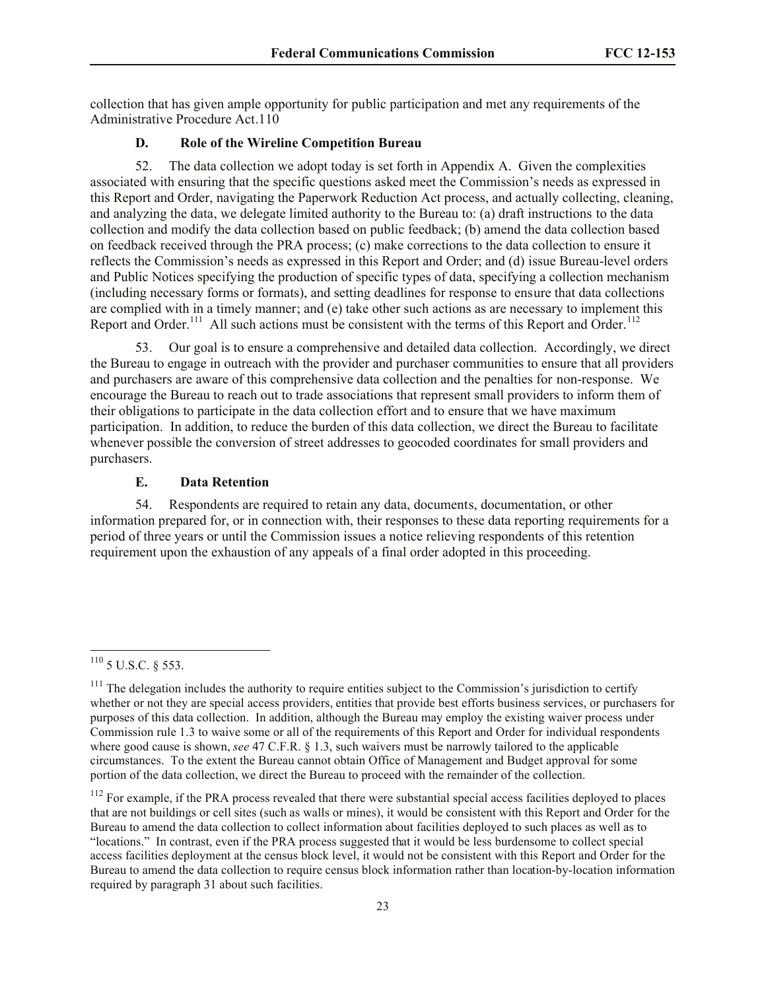collection that has given ample opportunity for public participation and met any requirements of the Administrative Procedure Act.110

## **D. Role of the Wireline Competition Bureau**

52. The data collection we adopt today is set forth in Appendix A. Given the complexities associated with ensuring that the specific questions asked meet the Commission's needs as expressed in this Report and Order, navigating the Paperwork Reduction Act process, and actually collecting, cleaning, and analyzing the data, we delegate limited authority to the Bureau to: (a) draft instructions to the data collection and modify the data collection based on public feedback; (b) amend the data collection based on feedback received through the PRA process; (c) make corrections to the data collection to ensure it reflects the Commission's needs as expressed in this Report and Order; and (d) issue Bureau-level orders and Public Notices specifying the production of specific types of data, specifying a collection mechanism (including necessary forms or formats), and setting deadlines for response to ensure that data collections are complied with in a timely manner; and (e) take other such actions as are necessary to implement this Report and Order.<sup>111</sup> All such actions must be consistent with the terms of this Report and Order.<sup>112</sup>

53. Our goal is to ensure a comprehensive and detailed data collection. Accordingly, we direct the Bureau to engage in outreach with the provider and purchaser communities to ensure that all providers and purchasers are aware of this comprehensive data collection and the penalties for non-response. We encourage the Bureau to reach out to trade associations that represent small providers to inform them of their obligations to participate in the data collection effort and to ensure that we have maximum participation. In addition, to reduce the burden of this data collection, we direct the Bureau to facilitate whenever possible the conversion of street addresses to geocoded coordinates for small providers and purchasers.

### **E. Data Retention**

54. Respondents are required to retain any data, documents, documentation, or other information prepared for, or in connection with, their responses to these data reporting requirements for a period of three years or until the Commission issues a notice relieving respondents of this retention requirement upon the exhaustion of any appeals of a final order adopted in this proceeding.

 $^{110}$  5 U.S.C. § 553.

 $111$  The delegation includes the authority to require entities subject to the Commission's jurisdiction to certify whether or not they are special access providers, entities that provide best efforts business services, or purchasers for purposes of this data collection. In addition, although the Bureau may employ the existing waiver process under Commission rule 1.3 to waive some or all of the requirements of this Report and Order for individual respondents where good cause is shown, *see* 47 C.F.R. § 1.3, such waivers must be narrowly tailored to the applicable circumstances. To the extent the Bureau cannot obtain Office of Management and Budget approval for some portion of the data collection, we direct the Bureau to proceed with the remainder of the collection.

 $112$  For example, if the PRA process revealed that there were substantial special access facilities deployed to places that are not buildings or cell sites (such as walls or mines), it would be consistent with this Report and Order for the Bureau to amend the data collection to collect information about facilities deployed to such places as well as to "locations." In contrast, even if the PRA process suggested that it would be less burdensome to collect special access facilities deployment at the census block level, it would not be consistent with this Report and Order for the Bureau to amend the data collection to require census block information rather than location-by-location information required by paragraph 31 about such facilities.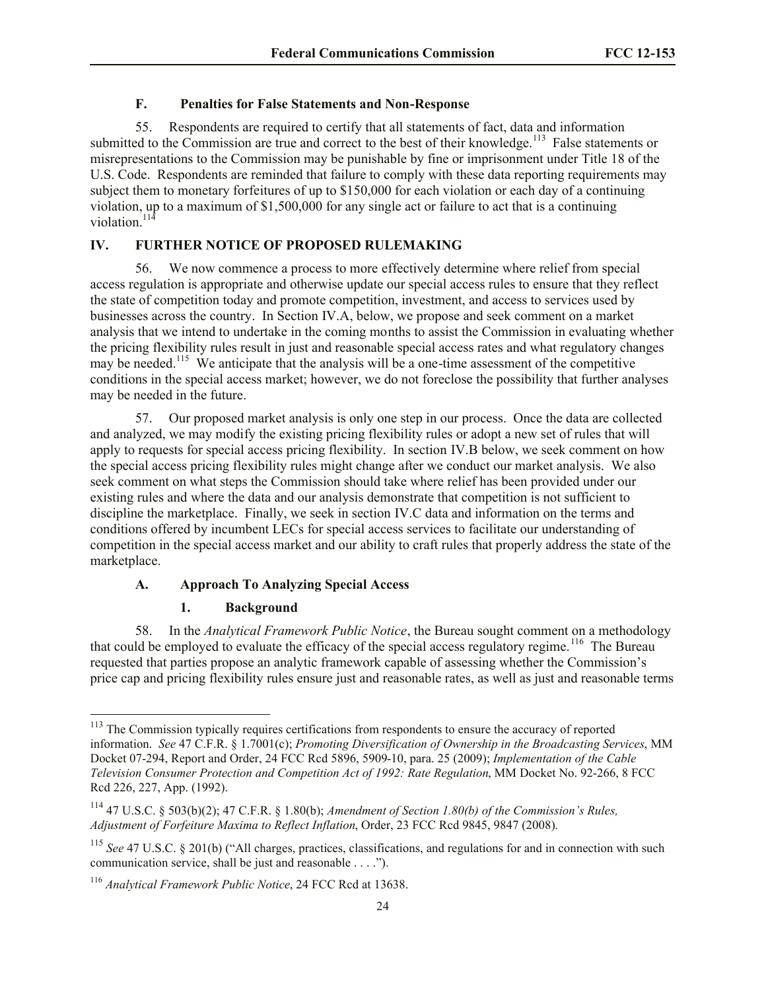## **F. Penalties for False Statements and Non-Response**

55. Respondents are required to certify that all statements of fact, data and information submitted to the Commission are true and correct to the best of their knowledge.<sup>113</sup> False statements or misrepresentations to the Commission may be punishable by fine or imprisonment under Title 18 of the U.S. Code. Respondents are reminded that failure to comply with these data reporting requirements may subject them to monetary forfeitures of up to \$150,000 for each violation or each day of a continuing violation, up to a maximum of \$1,500,000 for any single act or failure to act that is a continuing violation.<sup>114</sup>

## **IV. FURTHER NOTICE OF PROPOSED RULEMAKING**

56. We now commence a process to more effectively determine where relief from special access regulation is appropriate and otherwise update our special access rules to ensure that they reflect the state of competition today and promote competition, investment, and access to services used by businesses across the country. In Section IV.A, below, we propose and seek comment on a market analysis that we intend to undertake in the coming months to assist the Commission in evaluating whether the pricing flexibility rules result in just and reasonable special access rates and what regulatory changes may be needed.<sup>115</sup> We anticipate that the analysis will be a one-time assessment of the competitive conditions in the special access market; however, we do not foreclose the possibility that further analyses may be needed in the future.

57. Our proposed market analysis is only one step in our process. Once the data are collected and analyzed, we may modify the existing pricing flexibility rules or adopt a new set of rules that will apply to requests for special access pricing flexibility. In section IV.B below, we seek comment on how the special access pricing flexibility rules might change after we conduct our market analysis. We also seek comment on what steps the Commission should take where relief has been provided under our existing rules and where the data and our analysis demonstrate that competition is not sufficient to discipline the marketplace. Finally, we seek in section IV.C data and information on the terms and conditions offered by incumbent LECs for special access services to facilitate our understanding of competition in the special access market and our ability to craft rules that properly address the state of the marketplace.

# **A. Approach To Analyzing Special Access**

## **1. Background**

 $\overline{\phantom{a}}$ 

58. In the *Analytical Framework Public Notice*, the Bureau sought comment on a methodology that could be employed to evaluate the efficacy of the special access regulatory regime.<sup>116</sup> The Bureau requested that parties propose an analytic framework capable of assessing whether the Commission's price cap and pricing flexibility rules ensure just and reasonable rates, as well as just and reasonable terms

<sup>&</sup>lt;sup>113</sup> The Commission typically requires certifications from respondents to ensure the accuracy of reported information. *See* 47 C.F.R. § 1.7001(c); *Promoting Diversification of Ownership in the Broadcasting Services*, MM Docket 07-294, Report and Order, 24 FCC Rcd 5896, 5909-10, para. 25 (2009); *Implementation of the Cable Television Consumer Protection and Competition Act of 1992: Rate Regulation*, MM Docket No. 92-266, 8 FCC Rcd 226, 227, App. (1992).

<sup>114</sup> 47 U.S.C. § 503(b)(2); 47 C.F.R. § 1.80(b); *Amendment of Section 1.80(b) of the Commission's Rules, Adjustment of Forfeiture Maxima to Reflect Inflation*, Order, 23 FCC Rcd 9845, 9847 (2008).

<sup>115</sup> *See* 47 U.S.C. § 201(b) ("All charges, practices, classifications, and regulations for and in connection with such communication service, shall be just and reasonable . . . .").

<sup>116</sup> *Analytical Framework Public Notice*, 24 FCC Rcd at 13638.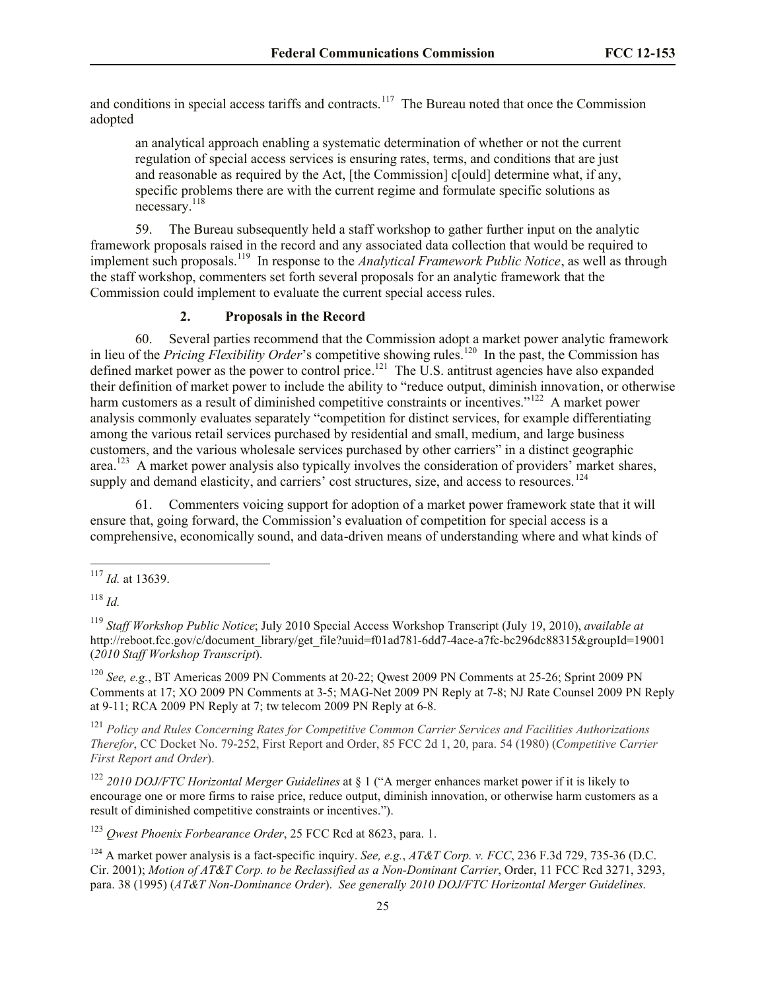and conditions in special access tariffs and contracts.<sup>117</sup> The Bureau noted that once the Commission adopted

an analytical approach enabling a systematic determination of whether or not the current regulation of special access services is ensuring rates, terms, and conditions that are just and reasonable as required by the Act, [the Commission] c[ould] determine what, if any, specific problems there are with the current regime and formulate specific solutions as necessary.<sup>118</sup>

59. The Bureau subsequently held a staff workshop to gather further input on the analytic framework proposals raised in the record and any associated data collection that would be required to implement such proposals.<sup>119</sup> In response to the *Analytical Framework Public Notice*, as well as through the staff workshop, commenters set forth several proposals for an analytic framework that the Commission could implement to evaluate the current special access rules.

# **2. Proposals in the Record**

60. Several parties recommend that the Commission adopt a market power analytic framework in lieu of the *Pricing Flexibility Order'*s competitive showing rules.<sup>120</sup> In the past, the Commission has defined market power as the power to control price.<sup>121</sup> The U.S. antitrust agencies have also expanded their definition of market power to include the ability to "reduce output, diminish innovation, or otherwise harm customers as a result of diminished competitive constraints or incentives."<sup>122</sup> A market power analysis commonly evaluates separately "competition for distinct services, for example differentiating among the various retail services purchased by residential and small, medium, and large business customers, and the various wholesale services purchased by other carriers" in a distinct geographic area.<sup>123</sup> A market power analysis also typically involves the consideration of providers' market shares, supply and demand elasticity, and carriers' cost structures, size, and access to resources.<sup>124</sup>

61. Commenters voicing support for adoption of a market power framework state that it will ensure that, going forward, the Commission's evaluation of competition for special access is a comprehensive, economically sound, and data-driven means of understanding where and what kinds of

l

<sup>120</sup> *See, e.g.*, BT Americas 2009 PN Comments at 20-22; Qwest 2009 PN Comments at 25-26; Sprint 2009 PN Comments at 17; XO 2009 PN Comments at 3-5; MAG-Net 2009 PN Reply at 7-8; NJ Rate Counsel 2009 PN Reply at 9-11; RCA 2009 PN Reply at 7; tw telecom 2009 PN Reply at 6-8.

<sup>121</sup> *Policy and Rules Concerning Rates for Competitive Common Carrier Services and Facilities Authorizations Therefor*, CC Docket No. 79-252, First Report and Order, 85 FCC 2d 1, 20, para. 54 (1980) (*Competitive Carrier First Report and Order*).

<sup>122</sup> *2010 DOJ/FTC Horizontal Merger Guidelines* at § 1 ("A merger enhances market power if it is likely to encourage one or more firms to raise price, reduce output, diminish innovation, or otherwise harm customers as a result of diminished competitive constraints or incentives.").

<sup>123</sup> *Qwest Phoenix Forbearance Order*, 25 FCC Rcd at 8623, para. 1.

<sup>124</sup> A market power analysis is a fact-specific inquiry. *See, e.g.*, *AT&T Corp. v. FCC*, 236 F.3d 729, 735-36 (D.C. Cir. 2001); *Motion of AT&T Corp. to be Reclassified as a Non-Dominant Carrier*, Order, 11 FCC Rcd 3271, 3293, para. 38 (1995) (*AT&T Non-Dominance Order*). *See generally 2010 DOJ/FTC Horizontal Merger Guidelines*.

<sup>117</sup> *Id.* at 13639.

<sup>118</sup> *Id.*

<sup>119</sup> *Staff Workshop Public Notice*; July 2010 Special Access Workshop Transcript (July 19, 2010), *available at*  http://reboot.fcc.gov/c/document\_library/get\_file?uuid=f01ad781-6dd7-4ace-a7fc-bc296dc88315&groupId=19001 (*2010 Staff Workshop Transcript*).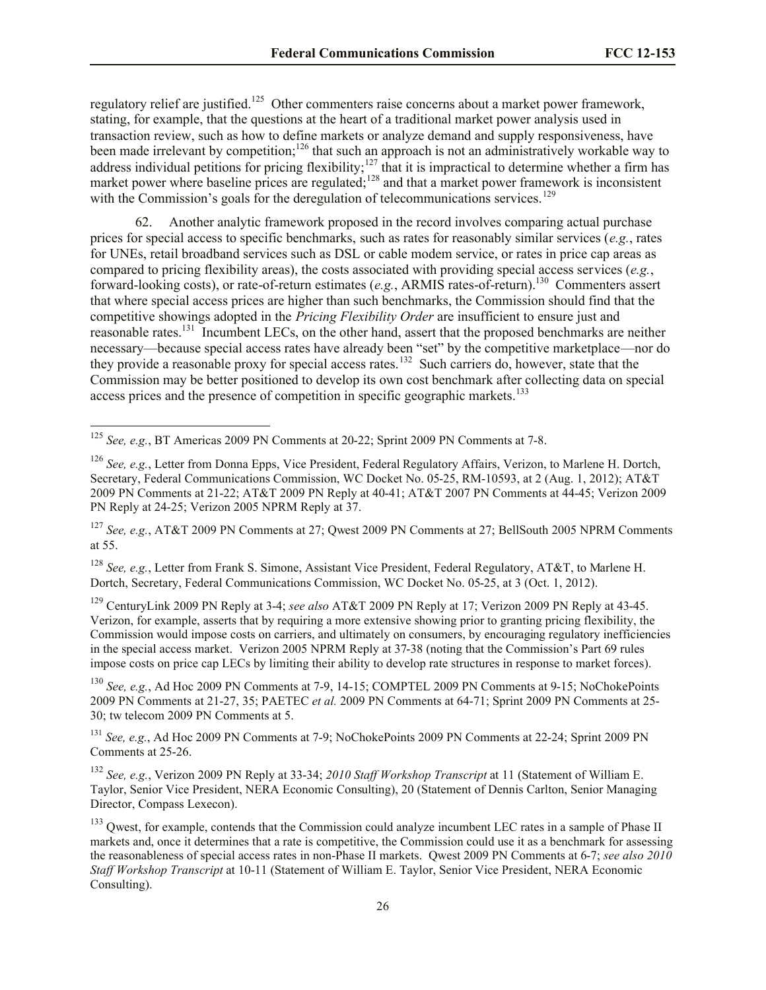regulatory relief are justified.<sup>125</sup> Other commenters raise concerns about a market power framework, stating, for example, that the questions at the heart of a traditional market power analysis used in transaction review, such as how to define markets or analyze demand and supply responsiveness, have been made irrelevant by competition;<sup>126</sup> that such an approach is not an administratively workable way to address individual petitions for pricing flexibility;<sup>127</sup> that it is impractical to determine whether a firm has market power where baseline prices are regulated;<sup>128</sup> and that a market power framework is inconsistent with the Commission's goals for the deregulation of telecommunications services.<sup>129</sup>

62. Another analytic framework proposed in the record involves comparing actual purchase prices for special access to specific benchmarks, such as rates for reasonably similar services (*e.g.*, rates for UNEs, retail broadband services such as DSL or cable modem service, or rates in price cap areas as compared to pricing flexibility areas), the costs associated with providing special access services (*e.g.*, forward-looking costs), or rate-of-return estimates (e.g., ARMIS rates-of-return).<sup>130</sup> Commenters assert that where special access prices are higher than such benchmarks, the Commission should find that the competitive showings adopted in the *Pricing Flexibility Order* are insufficient to ensure just and reasonable rates.<sup>131</sup> Incumbent LECs, on the other hand, assert that the proposed benchmarks are neither necessary—because special access rates have already been "set" by the competitive marketplace—nor do they provide a reasonable proxy for special access rates.<sup>132</sup> Such carriers do, however, state that the Commission may be better positioned to develop its own cost benchmark after collecting data on special access prices and the presence of competition in specific geographic markets.<sup>133</sup>

l

<sup>127</sup> *See, e.g.*, AT&T 2009 PN Comments at 27; Qwest 2009 PN Comments at 27; BellSouth 2005 NPRM Comments at 55.

<sup>128</sup> *See, e.g.*, Letter from Frank S. Simone, Assistant Vice President, Federal Regulatory, AT&T, to Marlene H. Dortch, Secretary, Federal Communications Commission, WC Docket No. 05-25, at 3 (Oct. 1, 2012).

<sup>129</sup> CenturyLink 2009 PN Reply at 3-4; *see also* AT&T 2009 PN Reply at 17; Verizon 2009 PN Reply at 43-45. Verizon, for example, asserts that by requiring a more extensive showing prior to granting pricing flexibility, the Commission would impose costs on carriers, and ultimately on consumers, by encouraging regulatory inefficiencies in the special access market. Verizon 2005 NPRM Reply at 37-38 (noting that the Commission's Part 69 rules impose costs on price cap LECs by limiting their ability to develop rate structures in response to market forces).

<sup>130</sup> *See, e.g.*, Ad Hoc 2009 PN Comments at 7-9, 14-15; COMPTEL 2009 PN Comments at 9-15; NoChokePoints 2009 PN Comments at 21-27, 35; PAETEC *et al.* 2009 PN Comments at 64-71; Sprint 2009 PN Comments at 25- 30; tw telecom 2009 PN Comments at 5.

<sup>131</sup> *See, e.g.*, Ad Hoc 2009 PN Comments at 7-9; NoChokePoints 2009 PN Comments at 22-24; Sprint 2009 PN Comments at 25-26.

<sup>132</sup> *See, e.g.*, Verizon 2009 PN Reply at 33-34; *2010 Staff Workshop Transcript* at 11 (Statement of William E. Taylor, Senior Vice President, NERA Economic Consulting), 20 (Statement of Dennis Carlton, Senior Managing Director, Compass Lexecon).

<sup>125</sup> *See, e.g.*, BT Americas 2009 PN Comments at 20-22; Sprint 2009 PN Comments at 7-8.

<sup>126</sup> *See, e.g.*, Letter from Donna Epps, Vice President, Federal Regulatory Affairs, Verizon, to Marlene H. Dortch, Secretary, Federal Communications Commission, WC Docket No. 05-25, RM-10593, at 2 (Aug. 1, 2012); AT&T 2009 PN Comments at 21-22; AT&T 2009 PN Reply at 40-41; AT&T 2007 PN Comments at 44-45; Verizon 2009 PN Reply at 24-25; Verizon 2005 NPRM Reply at 37.

<sup>&</sup>lt;sup>133</sup> Owest, for example, contends that the Commission could analyze incumbent LEC rates in a sample of Phase II markets and, once it determines that a rate is competitive, the Commission could use it as a benchmark for assessing the reasonableness of special access rates in non-Phase II markets. Qwest 2009 PN Comments at 6-7; *see also 2010 Staff Workshop Transcript* at 10-11 (Statement of William E. Taylor, Senior Vice President, NERA Economic Consulting).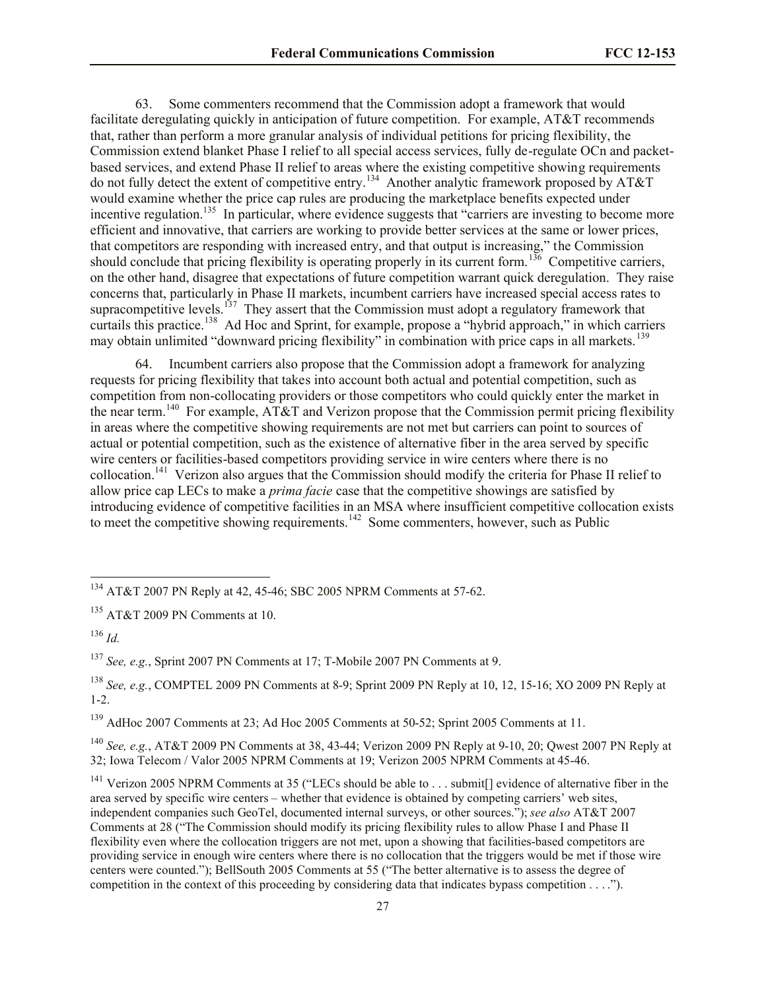63. Some commenters recommend that the Commission adopt a framework that would facilitate deregulating quickly in anticipation of future competition. For example, AT&T recommends that, rather than perform a more granular analysis of individual petitions for pricing flexibility, the Commission extend blanket Phase I relief to all special access services, fully de-regulate OCn and packetbased services, and extend Phase II relief to areas where the existing competitive showing requirements do not fully detect the extent of competitive entry.<sup>134</sup> Another analytic framework proposed by AT&T would examine whether the price cap rules are producing the marketplace benefits expected under incentive regulation.<sup>135</sup> In particular, where evidence suggests that "carriers are investing to become more efficient and innovative, that carriers are working to provide better services at the same or lower prices, that competitors are responding with increased entry, and that output is increasing," the Commission should conclude that pricing flexibility is operating properly in its current form.<sup>136</sup> Competitive carriers, on the other hand, disagree that expectations of future competition warrant quick deregulation. They raise concerns that, particularly in Phase II markets, incumbent carriers have increased special access rates to supracompetitive levels.<sup>137</sup> They assert that the Commission must adopt a regulatory framework that curtails this practice.<sup>138</sup> Ad Hoc and Sprint, for example, propose a "hybrid approach," in which carriers may obtain unlimited "downward pricing flexibility" in combination with price caps in all markets.<sup>139</sup>

64. Incumbent carriers also propose that the Commission adopt a framework for analyzing requests for pricing flexibility that takes into account both actual and potential competition, such as competition from non-collocating providers or those competitors who could quickly enter the market in the near term.<sup>140</sup> For example, AT&T and Verizon propose that the Commission permit pricing flexibility in areas where the competitive showing requirements are not met but carriers can point to sources of actual or potential competition, such as the existence of alternative fiber in the area served by specific wire centers or facilities-based competitors providing service in wire centers where there is no collocation.<sup>141</sup> Verizon also argues that the Commission should modify the criteria for Phase II relief to allow price cap LECs to make a *prima facie* case that the competitive showings are satisfied by introducing evidence of competitive facilities in an MSA where insufficient competitive collocation exists to meet the competitive showing requirements.<sup>142</sup> Some commenters, however, such as Public

l

<sup>137</sup> *See, e.g.*, Sprint 2007 PN Comments at 17; T-Mobile 2007 PN Comments at 9.

<sup>139</sup> AdHoc 2007 Comments at 23; Ad Hoc 2005 Comments at 50-52; Sprint 2005 Comments at 11.

<sup>140</sup> *See, e.g.*, AT&T 2009 PN Comments at 38, 43-44; Verizon 2009 PN Reply at 9-10, 20; Qwest 2007 PN Reply at 32; Iowa Telecom / Valor 2005 NPRM Comments at 19; Verizon 2005 NPRM Comments at 45-46.

 $^{134}$  AT&T 2007 PN Reply at 42, 45-46; SBC 2005 NPRM Comments at 57-62.

<sup>135</sup> AT&T 2009 PN Comments at 10.

<sup>136</sup> *Id.*

<sup>138</sup> *See, e.g.*, COMPTEL 2009 PN Comments at 8-9; Sprint 2009 PN Reply at 10, 12, 15-16; XO 2009 PN Reply at 1-2.

<sup>&</sup>lt;sup>141</sup> Verizon 2005 NPRM Comments at 35 ("LECs should be able to . . . submit[] evidence of alternative fiber in the area served by specific wire centers – whether that evidence is obtained by competing carriers' web sites, independent companies such GeoTel, documented internal surveys, or other sources."); *see also* AT&T 2007 Comments at 28 ("The Commission should modify its pricing flexibility rules to allow Phase I and Phase II flexibility even where the collocation triggers are not met, upon a showing that facilities-based competitors are providing service in enough wire centers where there is no collocation that the triggers would be met if those wire centers were counted."); BellSouth 2005 Comments at 55 ("The better alternative is to assess the degree of competition in the context of this proceeding by considering data that indicates bypass competition . . . .").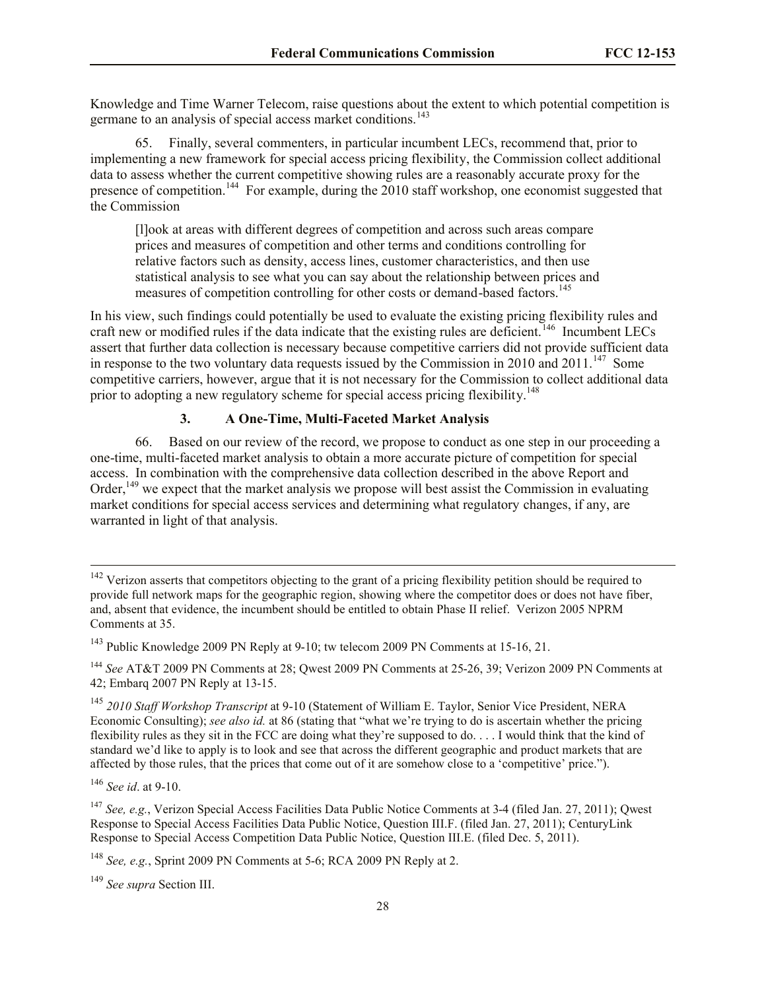Knowledge and Time Warner Telecom, raise questions about the extent to which potential competition is germane to an analysis of special access market conditions.<sup>143</sup>

65. Finally, several commenters, in particular incumbent LECs, recommend that, prior to implementing a new framework for special access pricing flexibility, the Commission collect additional data to assess whether the current competitive showing rules are a reasonably accurate proxy for the presence of competition.<sup>144</sup> For example, during the 2010 staff workshop, one economist suggested that the Commission

[l]ook at areas with different degrees of competition and across such areas compare prices and measures of competition and other terms and conditions controlling for relative factors such as density, access lines, customer characteristics, and then use statistical analysis to see what you can say about the relationship between prices and measures of competition controlling for other costs or demand-based factors.<sup>145</sup>

In his view, such findings could potentially be used to evaluate the existing pricing flexibility rules and craft new or modified rules if the data indicate that the existing rules are deficient.<sup>146</sup> Incumbent LECs assert that further data collection is necessary because competitive carriers did not provide sufficient data in response to the two voluntary data requests issued by the Commission in 2010 and 2011.<sup>147</sup> Some competitive carriers, however, argue that it is not necessary for the Commission to collect additional data prior to adopting a new regulatory scheme for special access pricing flexibility.<sup>148</sup>

## **3. A One-Time, Multi-Faceted Market Analysis**

66. Based on our review of the record, we propose to conduct as one step in our proceeding a one-time, multi-faceted market analysis to obtain a more accurate picture of competition for special access. In combination with the comprehensive data collection described in the above Report and Order,<sup>149</sup> we expect that the market analysis we propose will best assist the Commission in evaluating market conditions for special access services and determining what regulatory changes, if any, are warranted in light of that analysis.

<sup>144</sup> *See* AT&T 2009 PN Comments at 28; Qwest 2009 PN Comments at 25-26, 39; Verizon 2009 PN Comments at 42; Embarq 2007 PN Reply at 13-15.

<sup>145</sup> *2010 Staff Workshop Transcript* at 9-10 (Statement of William E. Taylor, Senior Vice President, NERA Economic Consulting); *see also id.* at 86 (stating that "what we're trying to do is ascertain whether the pricing flexibility rules as they sit in the FCC are doing what they're supposed to do. . . . I would think that the kind of standard we'd like to apply is to look and see that across the different geographic and product markets that are affected by those rules, that the prices that come out of it are somehow close to a 'competitive' price.").

<sup>146</sup> *See id*. at 9-10.

l

<sup>147</sup> *See, e.g.*, Verizon Special Access Facilities Data Public Notice Comments at 3-4 (filed Jan. 27, 2011); Qwest Response to Special Access Facilities Data Public Notice, Question III.F. (filed Jan. 27, 2011); CenturyLink Response to Special Access Competition Data Public Notice, Question III.E. (filed Dec. 5, 2011).

<sup>149</sup> *See supra* Section III.

 $142$  Verizon asserts that competitors objecting to the grant of a pricing flexibility petition should be required to provide full network maps for the geographic region, showing where the competitor does or does not have fiber, and, absent that evidence, the incumbent should be entitled to obtain Phase II relief. Verizon 2005 NPRM Comments at 35.

<sup>&</sup>lt;sup>143</sup> Public Knowledge 2009 PN Reply at 9-10; tw telecom 2009 PN Comments at 15-16, 21.

<sup>148</sup> *See, e.g.*, Sprint 2009 PN Comments at 5-6; RCA 2009 PN Reply at 2.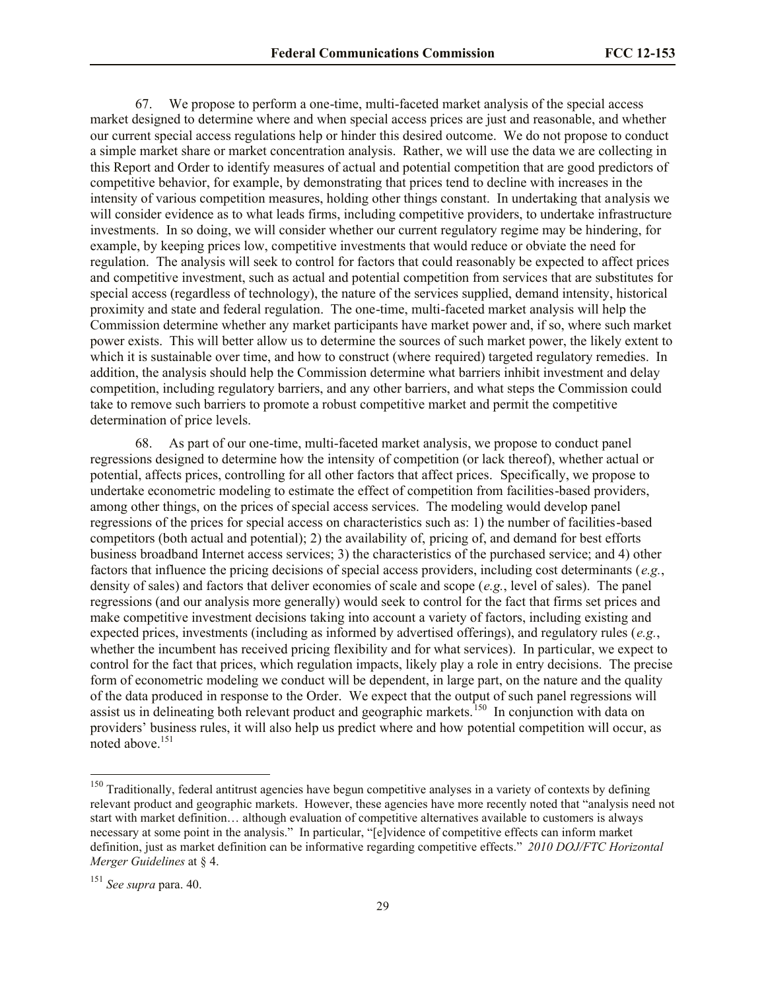67. We propose to perform a one-time, multi-faceted market analysis of the special access market designed to determine where and when special access prices are just and reasonable, and whether our current special access regulations help or hinder this desired outcome. We do not propose to conduct a simple market share or market concentration analysis. Rather, we will use the data we are collecting in this Report and Order to identify measures of actual and potential competition that are good predictors of competitive behavior, for example, by demonstrating that prices tend to decline with increases in the intensity of various competition measures, holding other things constant. In undertaking that analysis we will consider evidence as to what leads firms, including competitive providers, to undertake infrastructure investments. In so doing, we will consider whether our current regulatory regime may be hindering, for example, by keeping prices low, competitive investments that would reduce or obviate the need for regulation. The analysis will seek to control for factors that could reasonably be expected to affect prices and competitive investment, such as actual and potential competition from services that are substitutes for special access (regardless of technology), the nature of the services supplied, demand intensity, historical proximity and state and federal regulation. The one-time, multi-faceted market analysis will help the Commission determine whether any market participants have market power and, if so, where such market power exists. This will better allow us to determine the sources of such market power, the likely extent to which it is sustainable over time, and how to construct (where required) targeted regulatory remedies. In addition, the analysis should help the Commission determine what barriers inhibit investment and delay competition, including regulatory barriers, and any other barriers, and what steps the Commission could take to remove such barriers to promote a robust competitive market and permit the competitive determination of price levels.

68. As part of our one-time, multi-faceted market analysis, we propose to conduct panel regressions designed to determine how the intensity of competition (or lack thereof), whether actual or potential, affects prices, controlling for all other factors that affect prices. Specifically, we propose to undertake econometric modeling to estimate the effect of competition from facilities-based providers, among other things, on the prices of special access services. The modeling would develop panel regressions of the prices for special access on characteristics such as: 1) the number of facilities-based competitors (both actual and potential); 2) the availability of, pricing of, and demand for best efforts business broadband Internet access services; 3) the characteristics of the purchased service; and 4) other factors that influence the pricing decisions of special access providers, including cost determinants (*e.g.*, density of sales) and factors that deliver economies of scale and scope (*e.g.*, level of sales). The panel regressions (and our analysis more generally) would seek to control for the fact that firms set prices and make competitive investment decisions taking into account a variety of factors, including existing and expected prices, investments (including as informed by advertised offerings), and regulatory rules (*e.g.*, whether the incumbent has received pricing flexibility and for what services). In particular, we expect to control for the fact that prices, which regulation impacts, likely play a role in entry decisions. The precise form of econometric modeling we conduct will be dependent, in large part, on the nature and the quality of the data produced in response to the Order. We expect that the output of such panel regressions will assist us in delineating both relevant product and geographic markets.<sup>150</sup> In conjunction with data on providers' business rules, it will also help us predict where and how potential competition will occur, as noted above. $151$ 

<sup>&</sup>lt;sup>150</sup> Traditionally, federal antitrust agencies have begun competitive analyses in a variety of contexts by defining relevant product and geographic markets. However, these agencies have more recently noted that "analysis need not start with market definition… although evaluation of competitive alternatives available to customers is always necessary at some point in the analysis." In particular, "[e]vidence of competitive effects can inform market definition, just as market definition can be informative regarding competitive effects." *2010 DOJ/FTC Horizontal Merger Guidelines* at § 4.

<sup>151</sup> *See supra* para. 40.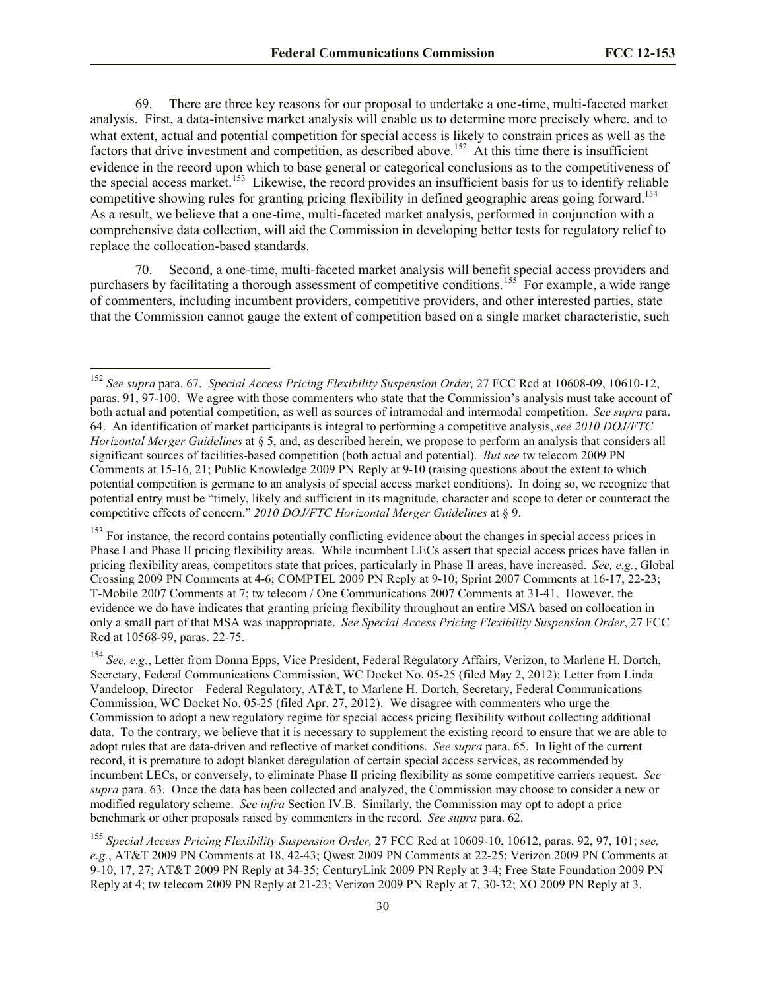69. There are three key reasons for our proposal to undertake a one-time, multi-faceted market analysis. First, a data-intensive market analysis will enable us to determine more precisely where, and to what extent, actual and potential competition for special access is likely to constrain prices as well as the factors that drive investment and competition, as described above.<sup>152</sup> At this time there is insufficient evidence in the record upon which to base general or categorical conclusions as to the competitiveness of the special access market.<sup>153</sup> Likewise, the record provides an insufficient basis for us to identify reliable competitive showing rules for granting pricing flexibility in defined geographic areas going forward.<sup>154</sup> As a result, we believe that a one-time, multi-faceted market analysis, performed in conjunction with a comprehensive data collection, will aid the Commission in developing better tests for regulatory relief to replace the collocation-based standards.

70. Second, a one-time, multi-faceted market analysis will benefit special access providers and purchasers by facilitating a thorough assessment of competitive conditions.<sup>155</sup> For example, a wide range of commenters, including incumbent providers, competitive providers, and other interested parties, state that the Commission cannot gauge the extent of competition based on a single market characteristic, such

<sup>152</sup> *See supra* para. 67. *Special Access Pricing Flexibility Suspension Order,* 27 FCC Rcd at 10608-09, 10610-12, paras. 91, 97-100. We agree with those commenters who state that the Commission's analysis must take account of both actual and potential competition, as well as sources of intramodal and intermodal competition. *See supra* para. 64. An identification of market participants is integral to performing a competitive analysis, *see 2010 DOJ/FTC Horizontal Merger Guidelines* at § 5, and, as described herein, we propose to perform an analysis that considers all significant sources of facilities-based competition (both actual and potential). *But see* tw telecom 2009 PN Comments at 15-16, 21; Public Knowledge 2009 PN Reply at 9-10 (raising questions about the extent to which potential competition is germane to an analysis of special access market conditions). In doing so, we recognize that potential entry must be "timely, likely and sufficient in its magnitude, character and scope to deter or counteract the competitive effects of concern." *2010 DOJ/FTC Horizontal Merger Guidelines* at § 9.

<sup>&</sup>lt;sup>153</sup> For instance, the record contains potentially conflicting evidence about the changes in special access prices in Phase I and Phase II pricing flexibility areas. While incumbent LECs assert that special access prices have fallen in pricing flexibility areas, competitors state that prices, particularly in Phase II areas, have increased. *See, e.g.*, Global Crossing 2009 PN Comments at 4-6; COMPTEL 2009 PN Reply at 9-10; Sprint 2007 Comments at 16-17, 22-23; T-Mobile 2007 Comments at 7; tw telecom / One Communications 2007 Comments at 31-41. However, the evidence we do have indicates that granting pricing flexibility throughout an entire MSA based on collocation in only a small part of that MSA was inappropriate. *See Special Access Pricing Flexibility Suspension Order*, 27 FCC Rcd at 10568-99, paras. 22-75.

<sup>154</sup> *See, e.g.*, Letter from Donna Epps, Vice President, Federal Regulatory Affairs, Verizon, to Marlene H. Dortch, Secretary, Federal Communications Commission, WC Docket No. 05-25 (filed May 2, 2012); Letter from Linda Vandeloop, Director – Federal Regulatory, AT&T, to Marlene H. Dortch, Secretary, Federal Communications Commission, WC Docket No. 05-25 (filed Apr. 27, 2012). We disagree with commenters who urge the Commission to adopt a new regulatory regime for special access pricing flexibility without collecting additional data. To the contrary, we believe that it is necessary to supplement the existing record to ensure that we are able to adopt rules that are data-driven and reflective of market conditions. *See supra* para. 65. In light of the current record, it is premature to adopt blanket deregulation of certain special access services, as recommended by incumbent LECs, or conversely, to eliminate Phase II pricing flexibility as some competitive carriers request. *See supra* para. 63. Once the data has been collected and analyzed, the Commission may choose to consider a new or modified regulatory scheme. *See infra* Section IV.B. Similarly, the Commission may opt to adopt a price benchmark or other proposals raised by commenters in the record. *See supra* para. 62.

<sup>155</sup> *Special Access Pricing Flexibility Suspension Order,* 27 FCC Rcd at 10609-10, 10612, paras. 92, 97, 101; *see, e.g.*, AT&T 2009 PN Comments at 18, 42-43; Qwest 2009 PN Comments at 22-25; Verizon 2009 PN Comments at 9-10, 17, 27; AT&T 2009 PN Reply at 34-35; CenturyLink 2009 PN Reply at 3-4; Free State Foundation 2009 PN Reply at 4; tw telecom 2009 PN Reply at 21-23; Verizon 2009 PN Reply at 7, 30-32; XO 2009 PN Reply at 3.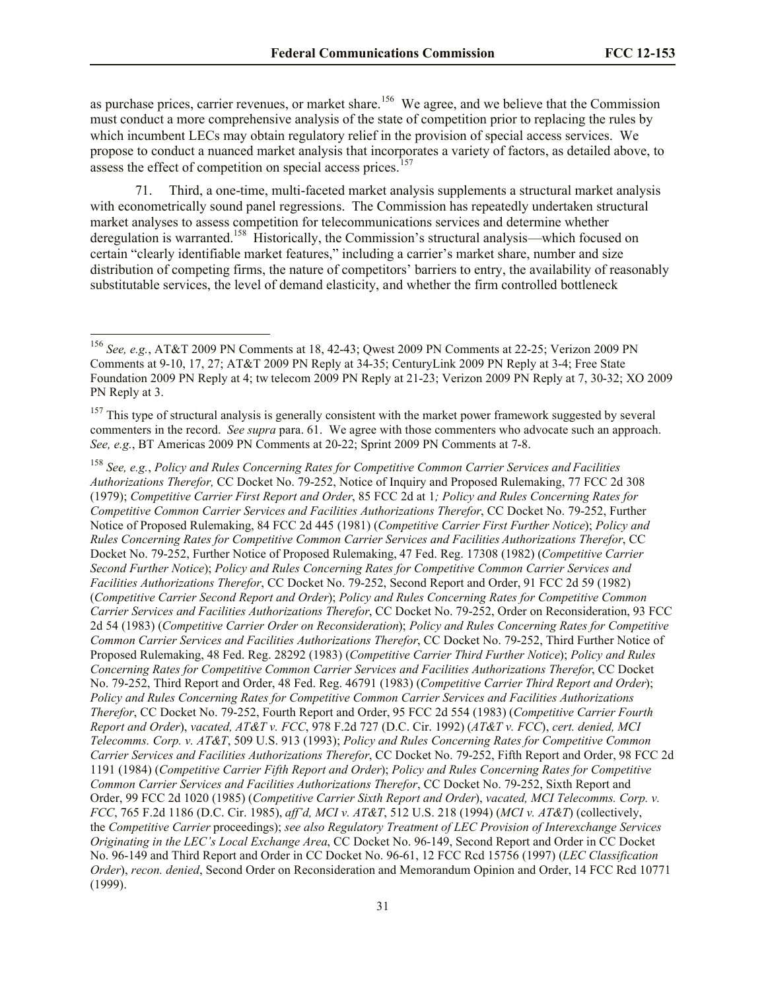as purchase prices, carrier revenues, or market share.<sup>156</sup> We agree, and we believe that the Commission must conduct a more comprehensive analysis of the state of competition prior to replacing the rules by which incumbent LECs may obtain regulatory relief in the provision of special access services. We propose to conduct a nuanced market analysis that incorporates a variety of factors, as detailed above, to assess the effect of competition on special access prices.<sup>157</sup>

71. Third, a one-time, multi-faceted market analysis supplements a structural market analysis with econometrically sound panel regressions. The Commission has repeatedly undertaken structural market analyses to assess competition for telecommunications services and determine whether deregulation is warranted.<sup>158</sup> Historically, the Commission's structural analysis—which focused on certain "clearly identifiable market features," including a carrier's market share, number and size distribution of competing firms, the nature of competitors' barriers to entry, the availability of reasonably substitutable services, the level of demand elasticity, and whether the firm controlled bottleneck

<sup>156</sup> *See, e.g.*, AT&T 2009 PN Comments at 18, 42-43; Qwest 2009 PN Comments at 22-25; Verizon 2009 PN Comments at 9-10, 17, 27; AT&T 2009 PN Reply at 34-35; CenturyLink 2009 PN Reply at 3-4; Free State Foundation 2009 PN Reply at 4; tw telecom 2009 PN Reply at 21-23; Verizon 2009 PN Reply at 7, 30-32; XO 2009 PN Reply at 3.

 $157$  This type of structural analysis is generally consistent with the market power framework suggested by several commenters in the record. *See supra* para. 61. We agree with those commenters who advocate such an approach. *See, e.g.*, BT Americas 2009 PN Comments at 20-22; Sprint 2009 PN Comments at 7-8.

<sup>158</sup> *See, e.g.*, *Policy and Rules Concerning Rates for Competitive Common Carrier Services and Facilities Authorizations Therefor,* CC Docket No. 79-252, Notice of Inquiry and Proposed Rulemaking, 77 FCC 2d 308 (1979); *Competitive Carrier First Report and Order*, 85 FCC 2d at 1*; Policy and Rules Concerning Rates for Competitive Common Carrier Services and Facilities Authorizations Therefor*, CC Docket No. 79-252, Further Notice of Proposed Rulemaking, 84 FCC 2d 445 (1981) (*Competitive Carrier First Further Notice*); *Policy and Rules Concerning Rates for Competitive Common Carrier Services and Facilities Authorizations Therefor*, CC Docket No. 79-252, Further Notice of Proposed Rulemaking, 47 Fed. Reg. 17308 (1982) (*Competitive Carrier Second Further Notice*); *Policy and Rules Concerning Rates for Competitive Common Carrier Services and Facilities Authorizations Therefor*, CC Docket No. 79-252, Second Report and Order, 91 FCC 2d 59 (1982) (*Competitive Carrier Second Report and Order*); *Policy and Rules Concerning Rates for Competitive Common Carrier Services and Facilities Authorizations Therefor*, CC Docket No. 79-252, Order on Reconsideration, 93 FCC 2d 54 (1983) (*Competitive Carrier Order on Reconsideration*); *Policy and Rules Concerning Rates for Competitive Common Carrier Services and Facilities Authorizations Therefor*, CC Docket No. 79-252, Third Further Notice of Proposed Rulemaking, 48 Fed. Reg. 28292 (1983) (*Competitive Carrier Third Further Notice*); *Policy and Rules Concerning Rates for Competitive Common Carrier Services and Facilities Authorizations Therefor*, CC Docket No. 79-252, Third Report and Order, 48 Fed. Reg. 46791 (1983) (*Competitive Carrier Third Report and Order*); *Policy and Rules Concerning Rates for Competitive Common Carrier Services and Facilities Authorizations Therefor*, CC Docket No. 79-252, Fourth Report and Order, 95 FCC 2d 554 (1983) (*Competitive Carrier Fourth Report and Order*), *vacated, AT&T v. FCC*, 978 F.2d 727 (D.C. Cir. 1992) (*AT&T v. FCC*), *cert. denied, MCI Telecomms. Corp. v. AT&T*, 509 U.S. 913 (1993); *Policy and Rules Concerning Rates for Competitive Common Carrier Services and Facilities Authorizations Therefor*, CC Docket No. 79-252, Fifth Report and Order, 98 FCC 2d 1191 (1984) (*Competitive Carrier Fifth Report and Order*); *Policy and Rules Concerning Rates for Competitive Common Carrier Services and Facilities Authorizations Therefor*, CC Docket No. 79-252, Sixth Report and Order, 99 FCC 2d 1020 (1985) (*Competitive Carrier Sixth Report and Order*), *vacated, MCI Telecomms. Corp. v. FCC*, 765 F.2d 1186 (D.C. Cir. 1985), *aff'd, MCI v. AT&T*, 512 U.S. 218 (1994) (*MCI v. AT&T*) (collectively, the *Competitive Carrier* proceedings); *see also Regulatory Treatment of LEC Provision of Interexchange Services Originating in the LEC's Local Exchange Area*, CC Docket No. 96-149, Second Report and Order in CC Docket No. 96-149 and Third Report and Order in CC Docket No. 96-61, 12 FCC Rcd 15756 (1997) (*LEC Classification Order*), *recon. denied*, Second Order on Reconsideration and Memorandum Opinion and Order, 14 FCC Rcd 10771 (1999).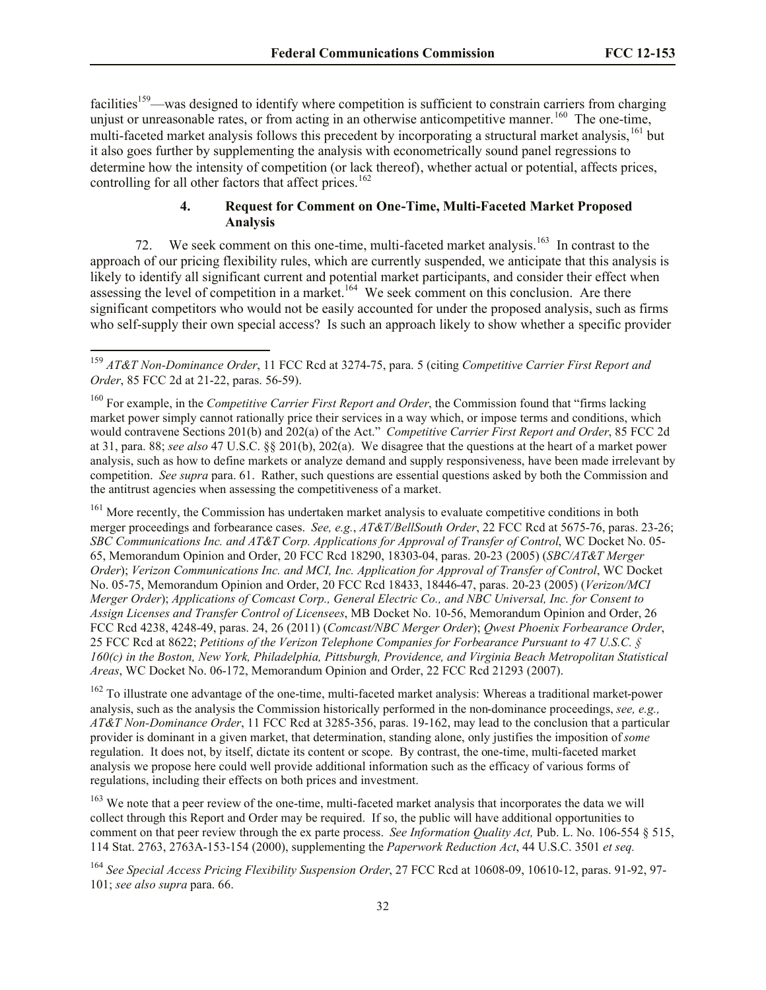facilities<sup>159</sup>—was designed to identify where competition is sufficient to constrain carriers from charging unjust or unreasonable rates, or from acting in an otherwise anticompetitive manner.<sup>160</sup> The one-time, multi-faceted market analysis follows this precedent by incorporating a structural market analysis, <sup>161</sup> but it also goes further by supplementing the analysis with econometrically sound panel regressions to determine how the intensity of competition (or lack thereof), whether actual or potential, affects prices, controlling for all other factors that affect prices.<sup>162</sup>

## **4. Request for Comment on One-Time, Multi-Faceted Market Proposed Analysis**

72. We seek comment on this one-time, multi-faceted market analysis.<sup>163</sup> In contrast to the approach of our pricing flexibility rules, which are currently suspended, we anticipate that this analysis is likely to identify all significant current and potential market participants, and consider their effect when assessing the level of competition in a market.<sup>164</sup> We seek comment on this conclusion. Are there significant competitors who would not be easily accounted for under the proposed analysis, such as firms who self-supply their own special access? Is such an approach likely to show whether a specific provider

 $\overline{\phantom{a}}$ 

<sup>161</sup> More recently, the Commission has undertaken market analysis to evaluate competitive conditions in both merger proceedings and forbearance cases. *See, e.g.*, *AT&T/BellSouth Order*, 22 FCC Rcd at 5675-76, paras. 23-26; *SBC Communications Inc. and AT&T Corp. Applications for Approval of Transfer of Control*, WC Docket No. 05- 65, Memorandum Opinion and Order, 20 FCC Rcd 18290, 18303-04, paras. 20-23 (2005) (*SBC/AT&T Merger Order*); *Verizon Communications Inc. and MCI, Inc. Application for Approval of Transfer of Control*, WC Docket No. 05-75, Memorandum Opinion and Order, 20 FCC Rcd 18433, 18446-47, paras. 20-23 (2005) (*Verizon/MCI Merger Order*); *Applications of Comcast Corp., General Electric Co., and NBC Universal, Inc. for Consent to Assign Licenses and Transfer Control of Licensees*, MB Docket No. 10-56, Memorandum Opinion and Order, 26 FCC Rcd 4238, 4248-49, paras. 24, 26 (2011) (*Comcast/NBC Merger Order*); *Qwest Phoenix Forbearance Order*, 25 FCC Rcd at 8622; *Petitions of the Verizon Telephone Companies for Forbearance Pursuant to 47 U.S.C. § 160(c) in the Boston, New York, Philadelphia, Pittsburgh, Providence, and Virginia Beach Metropolitan Statistical Areas*, WC Docket No. 06-172, Memorandum Opinion and Order, 22 FCC Rcd 21293 (2007).

 $162$  To illustrate one advantage of the one-time, multi-faceted market analysis: Whereas a traditional market-power analysis, such as the analysis the Commission historically performed in the non-dominance proceedings, *see, e.g., AT&T Non-Dominance Order*, 11 FCC Rcd at 3285-356, paras. 19-162, may lead to the conclusion that a particular provider is dominant in a given market, that determination, standing alone, only justifies the imposition of *some* regulation. It does not, by itself, dictate its content or scope. By contrast, the one-time, multi-faceted market analysis we propose here could well provide additional information such as the efficacy of various forms of regulations, including their effects on both prices and investment.

<sup>163</sup> We note that a peer review of the one-time, multi-faceted market analysis that incorporates the data we will collect through this Report and Order may be required. If so, the public will have additional opportunities to comment on that peer review through the ex parte process. *See Information Quality Act,* Pub. L. No. 106-554 § 515, 114 Stat. 2763, 2763A-153-154 (2000), supplementing the *Paperwork Reduction Act*, 44 U.S.C. 3501 *et seq.*

<sup>164</sup> *See Special Access Pricing Flexibility Suspension Order*, 27 FCC Rcd at 10608-09, 10610-12, paras. 91-92, 97- 101; *see also supra* para. 66.

<sup>159</sup> *AT&T Non-Dominance Order*, 11 FCC Rcd at 3274-75, para. 5 (citing *Competitive Carrier First Report and Order*, 85 FCC 2d at 21-22, paras. 56-59).

<sup>160</sup> For example, in the *Competitive Carrier First Report and Order*, the Commission found that "firms lacking market power simply cannot rationally price their services in a way which, or impose terms and conditions, which would contravene Sections 201(b) and 202(a) of the Act." *Competitive Carrier First Report and Order*, 85 FCC 2d at 31, para. 88; *see also* 47 U.S.C. §§ 201(b), 202(a). We disagree that the questions at the heart of a market power analysis, such as how to define markets or analyze demand and supply responsiveness, have been made irrelevant by competition. *See supra* para. 61. Rather, such questions are essential questions asked by both the Commission and the antitrust agencies when assessing the competitiveness of a market.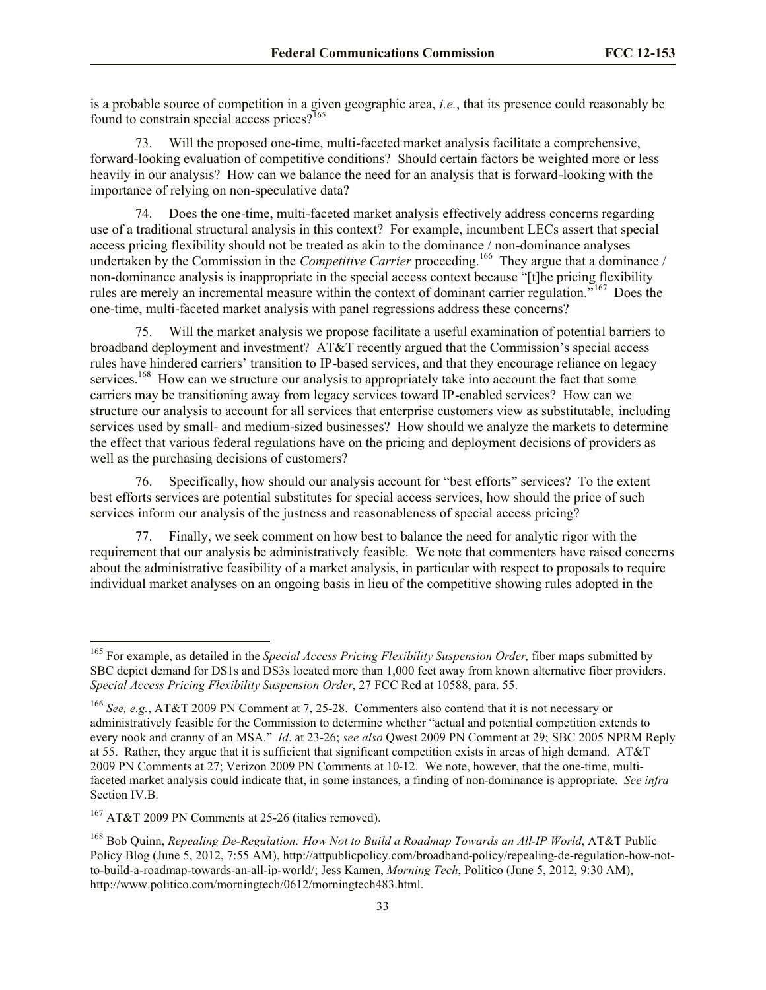is a probable source of competition in a given geographic area, *i.e.*, that its presence could reasonably be found to constrain special access prices? $165$ 

73. Will the proposed one-time, multi-faceted market analysis facilitate a comprehensive, forward-looking evaluation of competitive conditions? Should certain factors be weighted more or less heavily in our analysis? How can we balance the need for an analysis that is forward-looking with the importance of relying on non-speculative data?

74. Does the one-time, multi-faceted market analysis effectively address concerns regarding use of a traditional structural analysis in this context? For example, incumbent LECs assert that special access pricing flexibility should not be treated as akin to the dominance / non-dominance analyses undertaken by the Commission in the *Competitive Carrier* proceeding.<sup>166</sup> They argue that a dominance / non-dominance analysis is inappropriate in the special access context because "[t]he pricing flexibility rules are merely an incremental measure within the context of dominant carrier regulation."<sup>167</sup> Does the one-time, multi-faceted market analysis with panel regressions address these concerns?

75. Will the market analysis we propose facilitate a useful examination of potential barriers to broadband deployment and investment? AT&T recently argued that the Commission's special access rules have hindered carriers' transition to IP-based services, and that they encourage reliance on legacy services.<sup>168</sup> How can we structure our analysis to appropriately take into account the fact that some carriers may be transitioning away from legacy services toward IP-enabled services? How can we structure our analysis to account for all services that enterprise customers view as substitutable, including services used by small- and medium-sized businesses? How should we analyze the markets to determine the effect that various federal regulations have on the pricing and deployment decisions of providers as well as the purchasing decisions of customers?

76. Specifically, how should our analysis account for "best efforts" services? To the extent best efforts services are potential substitutes for special access services, how should the price of such services inform our analysis of the justness and reasonableness of special access pricing?

77. Finally, we seek comment on how best to balance the need for analytic rigor with the requirement that our analysis be administratively feasible. We note that commenters have raised concerns about the administrative feasibility of a market analysis, in particular with respect to proposals to require individual market analyses on an ongoing basis in lieu of the competitive showing rules adopted in the

 $\overline{a}$ 

<sup>&</sup>lt;sup>165</sup> For example, as detailed in the *Special Access Pricing Flexibility Suspension Order*, fiber maps submitted by SBC depict demand for DS1s and DS3s located more than 1,000 feet away from known alternative fiber providers. *Special Access Pricing Flexibility Suspension Order*, 27 FCC Rcd at 10588, para. 55.

<sup>166</sup> *See, e.g.*, AT&T 2009 PN Comment at 7, 25-28. Commenters also contend that it is not necessary or administratively feasible for the Commission to determine whether "actual and potential competition extends to every nook and cranny of an MSA." *Id*. at 23-26; *see also* Qwest 2009 PN Comment at 29; SBC 2005 NPRM Reply at 55. Rather, they argue that it is sufficient that significant competition exists in areas of high demand. AT&T 2009 PN Comments at 27; Verizon 2009 PN Comments at 10-12. We note, however, that the one-time, multifaceted market analysis could indicate that, in some instances, a finding of non-dominance is appropriate. *See infra* Section IV.B.

 $167$  AT&T 2009 PN Comments at 25-26 (italics removed).

<sup>&</sup>lt;sup>168</sup> Bob Ouinn, *Repealing De-Regulation: How Not to Build a Roadmap Towards an All-IP World*, AT&T Public Policy Blog (June 5, 2012, 7:55 AM), http://attpublicpolicy.com/broadband-policy/repealing-de-regulation-how-notto-build-a-roadmap-towards-an-all-ip-world/; Jess Kamen, *Morning Tech*, Politico (June 5, 2012, 9:30 AM), http://www.politico.com/morningtech/0612/morningtech483.html.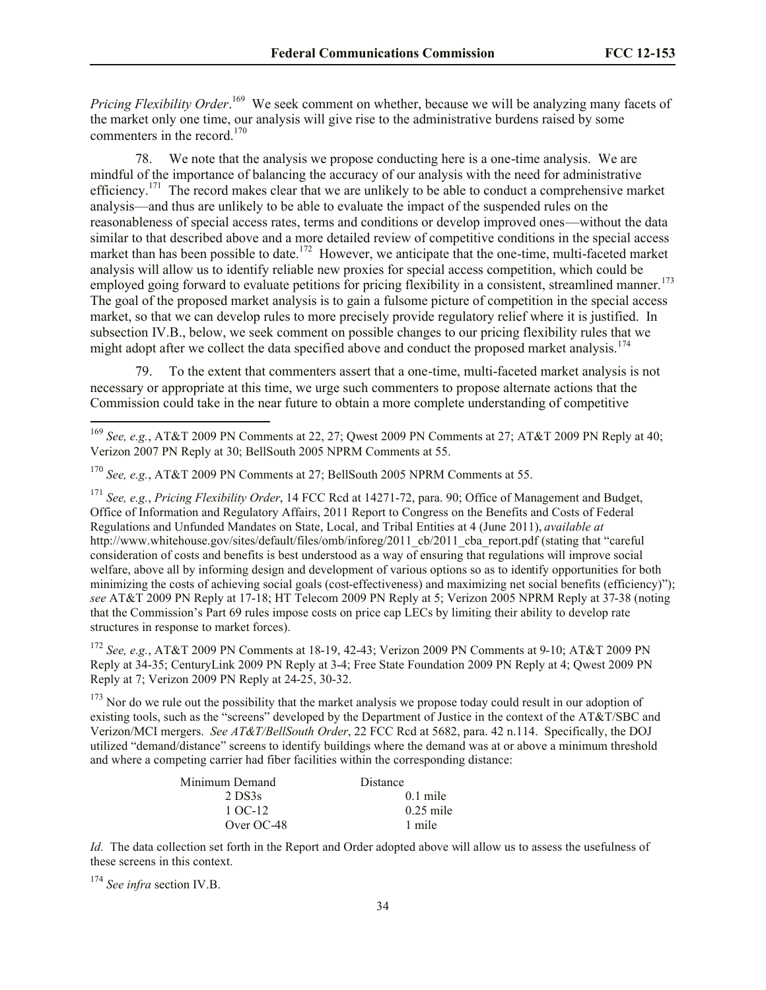*Pricing Flexibility Order*. <sup>169</sup> We seek comment on whether, because we will be analyzing many facets of the market only one time, our analysis will give rise to the administrative burdens raised by some commenters in the record.<sup>170</sup>

78. We note that the analysis we propose conducting here is a one-time analysis. We are mindful of the importance of balancing the accuracy of our analysis with the need for administrative efficiency.<sup>171</sup> The record makes clear that we are unlikely to be able to conduct a comprehensive market analysis—and thus are unlikely to be able to evaluate the impact of the suspended rules on the reasonableness of special access rates, terms and conditions or develop improved ones—without the data similar to that described above and a more detailed review of competitive conditions in the special access market than has been possible to date.<sup>172</sup> However, we anticipate that the one-time, multi-faceted market analysis will allow us to identify reliable new proxies for special access competition, which could be employed going forward to evaluate petitions for pricing flexibility in a consistent, streamlined manner.<sup>173</sup> The goal of the proposed market analysis is to gain a fulsome picture of competition in the special access market, so that we can develop rules to more precisely provide regulatory relief where it is justified. In subsection IV.B., below, we seek comment on possible changes to our pricing flexibility rules that we might adopt after we collect the data specified above and conduct the proposed market analysis.<sup>174</sup>

79. To the extent that commenters assert that a one-time, multi-faceted market analysis is not necessary or appropriate at this time, we urge such commenters to propose alternate actions that the Commission could take in the near future to obtain a more complete understanding of competitive

<sup>171</sup> *See, e.g.*, *Pricing Flexibility Order*, 14 FCC Rcd at 14271-72, para. 90; Office of Management and Budget, Office of Information and Regulatory Affairs, 2011 Report to Congress on the Benefits and Costs of Federal Regulations and Unfunded Mandates on State, Local, and Tribal Entities at 4 (June 2011), *available at*  http://www.whitehouse.gov/sites/default/files/omb/inforeg/2011\_cb/2011\_cba\_report.pdf (stating that "careful consideration of costs and benefits is best understood as a way of ensuring that regulations will improve social welfare, above all by informing design and development of various options so as to identify opportunities for both minimizing the costs of achieving social goals (cost-effectiveness) and maximizing net social benefits (efficiency)"); *see* AT&T 2009 PN Reply at 17-18; HT Telecom 2009 PN Reply at 5; Verizon 2005 NPRM Reply at 37-38 (noting that the Commission's Part 69 rules impose costs on price cap LECs by limiting their ability to develop rate structures in response to market forces).

<sup>172</sup> *See, e.g.*, AT&T 2009 PN Comments at 18-19, 42-43; Verizon 2009 PN Comments at 9-10; AT&T 2009 PN Reply at 34-35; CenturyLink 2009 PN Reply at 3-4; Free State Foundation 2009 PN Reply at 4; Qwest 2009 PN Reply at 7; Verizon 2009 PN Reply at 24-25, 30-32.

 $173$  Nor do we rule out the possibility that the market analysis we propose today could result in our adoption of existing tools, such as the "screens" developed by the Department of Justice in the context of the AT&T/SBC and Verizon/MCI mergers. *See AT&T/BellSouth Order*, 22 FCC Rcd at 5682, para. 42 n.114. Specifically, the DOJ utilized "demand/distance" screens to identify buildings where the demand was at or above a minimum threshold and where a competing carrier had fiber facilities within the corresponding distance:

| Minimum Demand | <b>Distance</b> |
|----------------|-----------------|
| 2 DS3s         | $0.1$ mile      |
| 1 OC-12        | $0.25$ mile     |
| Over $OC-48$   | 1 mile          |

*Id.* The data collection set forth in the Report and Order adopted above will allow us to assess the usefulness of these screens in this context.

<sup>174</sup> *See infra* section IV.B.

 $\overline{\phantom{a}}$ 

<sup>169</sup> *See, e.g.*, AT&T 2009 PN Comments at 22, 27; Qwest 2009 PN Comments at 27; AT&T 2009 PN Reply at 40; Verizon 2007 PN Reply at 30; BellSouth 2005 NPRM Comments at 55.

<sup>170</sup> *See, e.g.*, AT&T 2009 PN Comments at 27; BellSouth 2005 NPRM Comments at 55.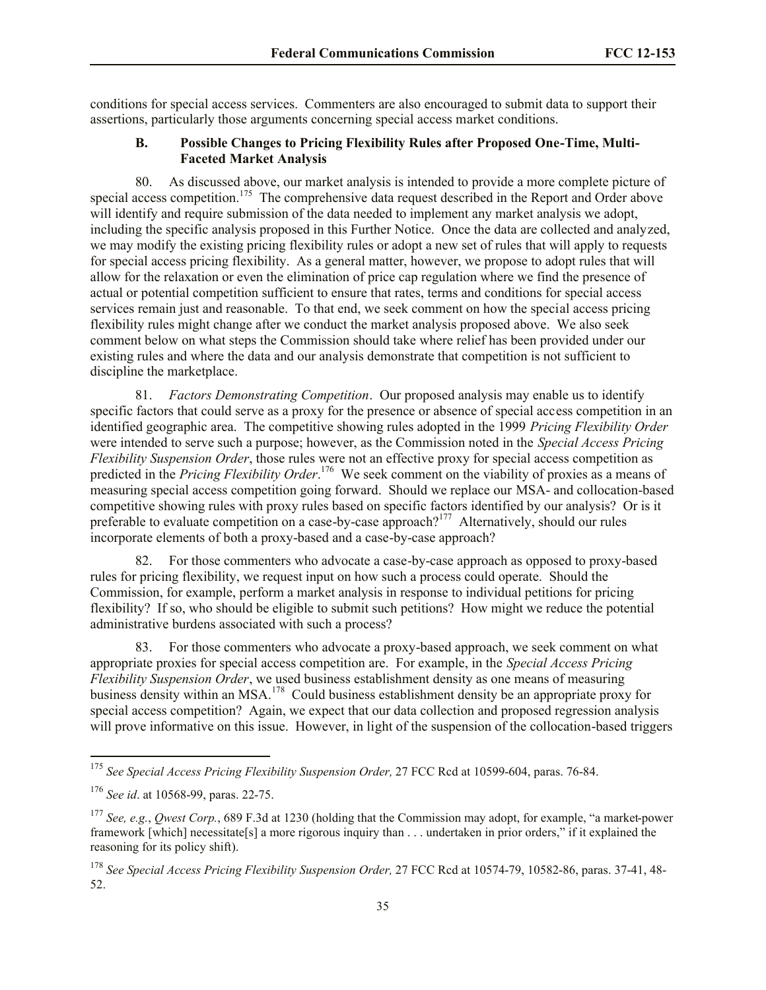conditions for special access services. Commenters are also encouraged to submit data to support their assertions, particularly those arguments concerning special access market conditions.

#### **B. Possible Changes to Pricing Flexibility Rules after Proposed One-Time, Multi-Faceted Market Analysis**

80. As discussed above, our market analysis is intended to provide a more complete picture of special access competition.<sup>175</sup> The comprehensive data request described in the Report and Order above will identify and require submission of the data needed to implement any market analysis we adopt, including the specific analysis proposed in this Further Notice. Once the data are collected and analyzed, we may modify the existing pricing flexibility rules or adopt a new set of rules that will apply to requests for special access pricing flexibility. As a general matter, however, we propose to adopt rules that will allow for the relaxation or even the elimination of price cap regulation where we find the presence of actual or potential competition sufficient to ensure that rates, terms and conditions for special access services remain just and reasonable. To that end, we seek comment on how the special access pricing flexibility rules might change after we conduct the market analysis proposed above. We also seek comment below on what steps the Commission should take where relief has been provided under our existing rules and where the data and our analysis demonstrate that competition is not sufficient to discipline the marketplace.

81. *Factors Demonstrating Competition*.Our proposed analysis may enable us to identify specific factors that could serve as a proxy for the presence or absence of special access competition in an identified geographic area. The competitive showing rules adopted in the 1999 *Pricing Flexibility Order* were intended to serve such a purpose; however, as the Commission noted in the *Special Access Pricing Flexibility Suspension Order*, those rules were not an effective proxy for special access competition as predicted in the *Pricing Flexibility Order*. 176 We seek comment on the viability of proxies as a means of measuring special access competition going forward. Should we replace our MSA- and collocation-based competitive showing rules with proxy rules based on specific factors identified by our analysis? Or is it preferable to evaluate competition on a case-by-case approach?<sup>177</sup> Alternatively, should our rules incorporate elements of both a proxy-based and a case-by-case approach?

82. For those commenters who advocate a case-by-case approach as opposed to proxy-based rules for pricing flexibility, we request input on how such a process could operate. Should the Commission, for example, perform a market analysis in response to individual petitions for pricing flexibility? If so, who should be eligible to submit such petitions? How might we reduce the potential administrative burdens associated with such a process?

83. For those commenters who advocate a proxy-based approach, we seek comment on what appropriate proxies for special access competition are. For example, in the *Special Access Pricing Flexibility Suspension Order*, we used business establishment density as one means of measuring business density within an MSA.<sup>178</sup> Could business establishment density be an appropriate proxy for special access competition? Again, we expect that our data collection and proposed regression analysis will prove informative on this issue. However, in light of the suspension of the collocation-based triggers

 $\overline{\phantom{a}}$ 

<sup>&</sup>lt;sup>175</sup> See Special Access Pricing Flexibility Suspension Order, 27 FCC Rcd at 10599-604, paras. 76-84.

<sup>176</sup> *See id*. at 10568-99, paras. 22-75.

<sup>177</sup> *See, e.g.*, *Qwest Corp.*, 689 F.3d at 1230 (holding that the Commission may adopt, for example, "a market-power framework [which] necessitate[s] a more rigorous inquiry than . . . undertaken in prior orders," if it explained the reasoning for its policy shift).

<sup>178</sup> *See Special Access Pricing Flexibility Suspension Order,* 27 FCC Rcd at 10574-79, 10582-86, paras. 37-41, 48- 52.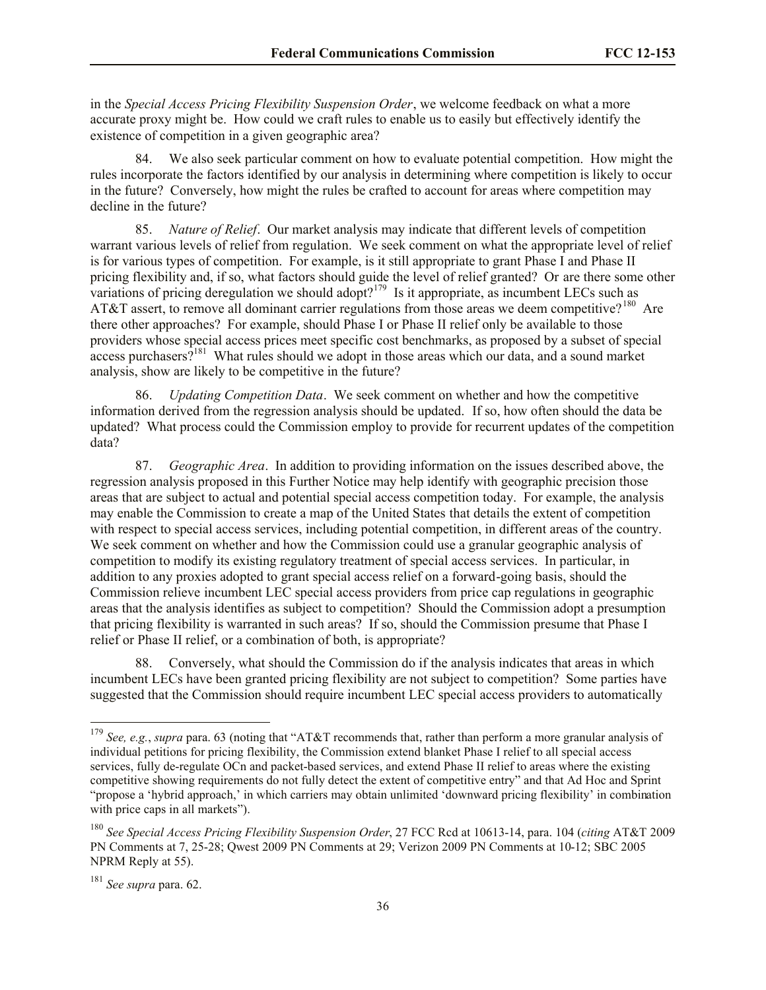in the *Special Access Pricing Flexibility Suspension Order*, we welcome feedback on what a more accurate proxy might be. How could we craft rules to enable us to easily but effectively identify the existence of competition in a given geographic area?

We also seek particular comment on how to evaluate potential competition. How might the rules incorporate the factors identified by our analysis in determining where competition is likely to occur in the future? Conversely, how might the rules be crafted to account for areas where competition may decline in the future?

85. *Nature of Relief*. Our market analysis may indicate that different levels of competition warrant various levels of relief from regulation. We seek comment on what the appropriate level of relief is for various types of competition. For example, is it still appropriate to grant Phase I and Phase II pricing flexibility and, if so, what factors should guide the level of relief granted? Or are there some other variations of pricing deregulation we should adopt?<sup>179</sup> Is it appropriate, as incumbent LECs such as AT&T assert, to remove all dominant carrier regulations from those areas we deem competitive?<sup>180</sup> Are there other approaches? For example, should Phase I or Phase II relief only be available to those providers whose special access prices meet specific cost benchmarks, as proposed by a subset of special access purchasers?<sup>181</sup> What rules should we adopt in those areas which our data, and a sound market analysis, show are likely to be competitive in the future?

86. *Updating Competition Data*. We seek comment on whether and how the competitive information derived from the regression analysis should be updated. If so, how often should the data be updated? What process could the Commission employ to provide for recurrent updates of the competition data?

87. *Geographic Area*. In addition to providing information on the issues described above, the regression analysis proposed in this Further Notice may help identify with geographic precision those areas that are subject to actual and potential special access competition today. For example, the analysis may enable the Commission to create a map of the United States that details the extent of competition with respect to special access services, including potential competition, in different areas of the country. We seek comment on whether and how the Commission could use a granular geographic analysis of competition to modify its existing regulatory treatment of special access services. In particular, in addition to any proxies adopted to grant special access relief on a forward-going basis, should the Commission relieve incumbent LEC special access providers from price cap regulations in geographic areas that the analysis identifies as subject to competition? Should the Commission adopt a presumption that pricing flexibility is warranted in such areas? If so, should the Commission presume that Phase I relief or Phase II relief, or a combination of both, is appropriate?

88. Conversely, what should the Commission do if the analysis indicates that areas in which incumbent LECs have been granted pricing flexibility are not subject to competition? Some parties have suggested that the Commission should require incumbent LEC special access providers to automatically

 $\overline{\phantom{a}}$ 

<sup>179</sup> *See, e.g.*, *supra* para. 63 (noting that "AT&T recommends that, rather than perform a more granular analysis of individual petitions for pricing flexibility, the Commission extend blanket Phase I relief to all special access services, fully de-regulate OCn and packet-based services, and extend Phase II relief to areas where the existing competitive showing requirements do not fully detect the extent of competitive entry" and that Ad Hoc and Sprint "propose a 'hybrid approach,' in which carriers may obtain unlimited 'downward pricing flexibility' in combination with price caps in all markets").

<sup>180</sup> *See Special Access Pricing Flexibility Suspension Order*, 27 FCC Rcd at 10613-14, para. 104 (*citing* AT&T 2009 PN Comments at 7, 25-28; Qwest 2009 PN Comments at 29; Verizon 2009 PN Comments at 10-12; SBC 2005 NPRM Reply at 55).

<sup>181</sup> *See supra* para. 62.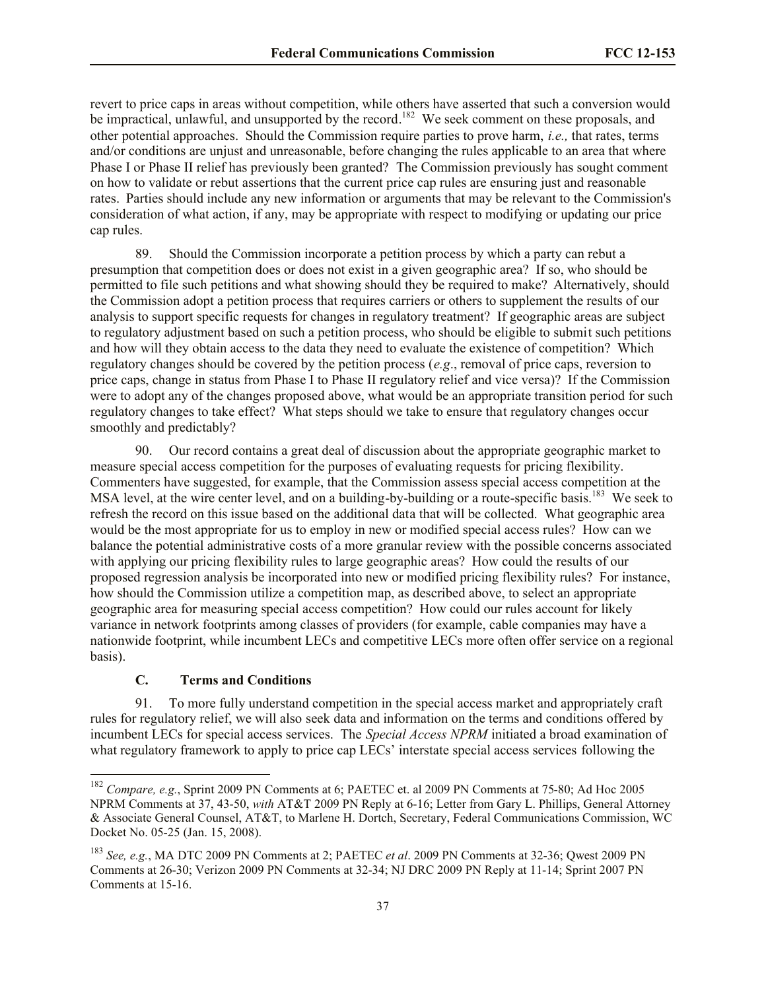revert to price caps in areas without competition, while others have asserted that such a conversion would be impractical, unlawful, and unsupported by the record.<sup>182</sup> We seek comment on these proposals, and other potential approaches. Should the Commission require parties to prove harm, *i.e.,* that rates, terms and/or conditions are unjust and unreasonable, before changing the rules applicable to an area that where Phase I or Phase II relief has previously been granted? The Commission previously has sought comment on how to validate or rebut assertions that the current price cap rules are ensuring just and reasonable rates. Parties should include any new information or arguments that may be relevant to the Commission's consideration of what action, if any, may be appropriate with respect to modifying or updating our price cap rules.

89. Should the Commission incorporate a petition process by which a party can rebut a presumption that competition does or does not exist in a given geographic area? If so, who should be permitted to file such petitions and what showing should they be required to make? Alternatively, should the Commission adopt a petition process that requires carriers or others to supplement the results of our analysis to support specific requests for changes in regulatory treatment? If geographic areas are subject to regulatory adjustment based on such a petition process, who should be eligible to submit such petitions and how will they obtain access to the data they need to evaluate the existence of competition? Which regulatory changes should be covered by the petition process (*e.g*., removal of price caps, reversion to price caps, change in status from Phase I to Phase II regulatory relief and vice versa)? If the Commission were to adopt any of the changes proposed above, what would be an appropriate transition period for such regulatory changes to take effect? What steps should we take to ensure that regulatory changes occur smoothly and predictably?

90. Our record contains a great deal of discussion about the appropriate geographic market to measure special access competition for the purposes of evaluating requests for pricing flexibility. Commenters have suggested, for example, that the Commission assess special access competition at the MSA level, at the wire center level, and on a building-by-building or a route-specific basis.<sup>183</sup> We seek to refresh the record on this issue based on the additional data that will be collected. What geographic area would be the most appropriate for us to employ in new or modified special access rules? How can we balance the potential administrative costs of a more granular review with the possible concerns associated with applying our pricing flexibility rules to large geographic areas? How could the results of our proposed regression analysis be incorporated into new or modified pricing flexibility rules? For instance, how should the Commission utilize a competition map, as described above, to select an appropriate geographic area for measuring special access competition? How could our rules account for likely variance in network footprints among classes of providers (for example, cable companies may have a nationwide footprint, while incumbent LECs and competitive LECs more often offer service on a regional basis).

## **C. Terms and Conditions**

l

91. To more fully understand competition in the special access market and appropriately craft rules for regulatory relief, we will also seek data and information on the terms and conditions offered by incumbent LECs for special access services. The *Special Access NPRM* initiated a broad examination of what regulatory framework to apply to price cap LECs' interstate special access services following the

<sup>182</sup> *Compare, e.g.*, Sprint 2009 PN Comments at 6; PAETEC et. al 2009 PN Comments at 75-80; Ad Hoc 2005 NPRM Comments at 37, 43-50, *with* AT&T 2009 PN Reply at 6-16; Letter from Gary L. Phillips, General Attorney & Associate General Counsel, AT&T, to Marlene H. Dortch, Secretary, Federal Communications Commission, WC Docket No. 05-25 (Jan. 15, 2008).

<sup>183</sup> *See, e.g.*, MA DTC 2009 PN Comments at 2; PAETEC *et al*. 2009 PN Comments at 32-36; Qwest 2009 PN Comments at 26-30; Verizon 2009 PN Comments at 32-34; NJ DRC 2009 PN Reply at 11-14; Sprint 2007 PN Comments at 15-16.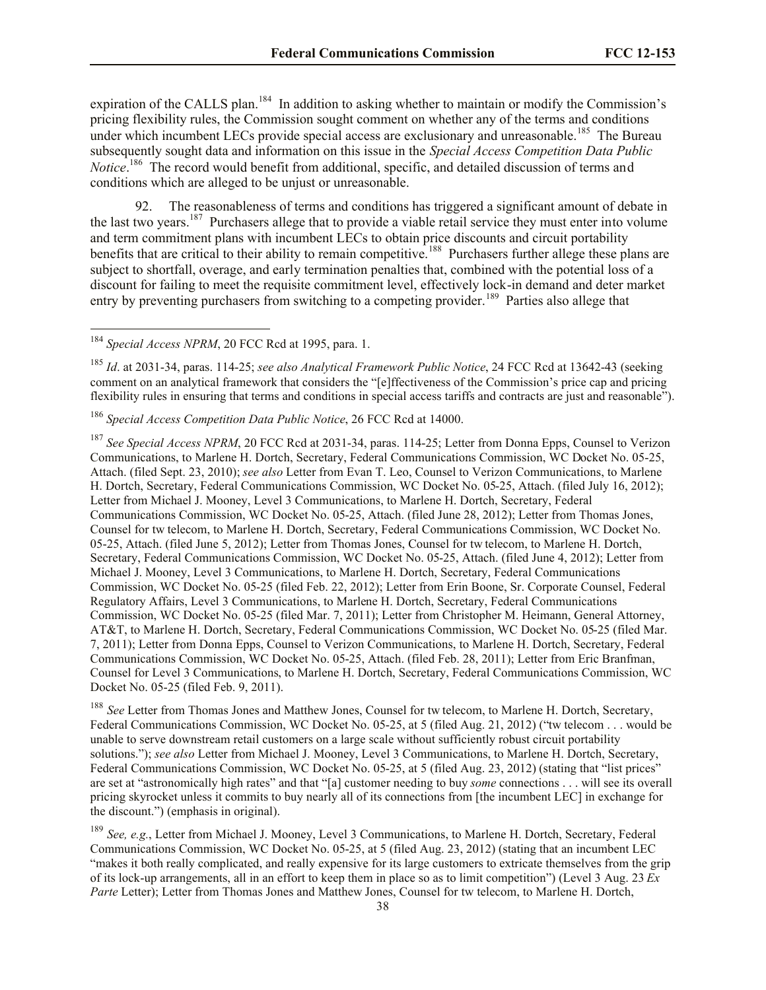expiration of the CALLS plan.<sup>184</sup> In addition to asking whether to maintain or modify the Commission's pricing flexibility rules, the Commission sought comment on whether any of the terms and conditions under which incumbent LECs provide special access are exclusionary and unreasonable.<sup>185</sup> The Bureau subsequently sought data and information on this issue in the *Special Access Competition Data Public*  Notice.<sup>186</sup> The record would benefit from additional, specific, and detailed discussion of terms and conditions which are alleged to be unjust or unreasonable.

92. The reasonableness of terms and conditions has triggered a significant amount of debate in the last two years.<sup>187</sup> Purchasers allege that to provide a viable retail service they must enter into volume and term commitment plans with incumbent LECs to obtain price discounts and circuit portability benefits that are critical to their ability to remain competitive.<sup>188</sup> Purchasers further allege these plans are subject to shortfall, overage, and early termination penalties that, combined with the potential loss of a discount for failing to meet the requisite commitment level, effectively lock-in demand and deter market entry by preventing purchasers from switching to a competing provider.<sup>189</sup> Parties also allege that

l

<sup>185</sup> *Id*. at 2031-34, paras. 114-25; *see also Analytical Framework Public Notice*, 24 FCC Rcd at 13642-43 (seeking comment on an analytical framework that considers the "[e]ffectiveness of the Commission's price cap and pricing flexibility rules in ensuring that terms and conditions in special access tariffs and contracts are just and reasonable").

<sup>187</sup> *See Special Access NPRM*, 20 FCC Rcd at 2031-34, paras. 114-25; Letter from Donna Epps, Counsel to Verizon Communications, to Marlene H. Dortch, Secretary, Federal Communications Commission, WC Docket No. 05-25, Attach. (filed Sept. 23, 2010); *see also* Letter from Evan T. Leo, Counsel to Verizon Communications, to Marlene H. Dortch, Secretary, Federal Communications Commission, WC Docket No. 05-25, Attach. (filed July 16, 2012); Letter from Michael J. Mooney, Level 3 Communications, to Marlene H. Dortch, Secretary, Federal Communications Commission, WC Docket No. 05-25, Attach. (filed June 28, 2012); Letter from Thomas Jones, Counsel for tw telecom, to Marlene H. Dortch, Secretary, Federal Communications Commission, WC Docket No. 05-25, Attach. (filed June 5, 2012); Letter from Thomas Jones, Counsel for tw telecom, to Marlene H. Dortch, Secretary, Federal Communications Commission, WC Docket No. 05-25, Attach. (filed June 4, 2012); Letter from Michael J. Mooney, Level 3 Communications, to Marlene H. Dortch, Secretary, Federal Communications Commission, WC Docket No. 05-25 (filed Feb. 22, 2012); Letter from Erin Boone, Sr. Corporate Counsel, Federal Regulatory Affairs, Level 3 Communications, to Marlene H. Dortch, Secretary, Federal Communications Commission, WC Docket No. 05-25 (filed Mar. 7, 2011); Letter from Christopher M. Heimann, General Attorney, AT&T, to Marlene H. Dortch, Secretary, Federal Communications Commission, WC Docket No. 05-25 (filed Mar. 7, 2011); Letter from Donna Epps, Counsel to Verizon Communications, to Marlene H. Dortch, Secretary, Federal Communications Commission, WC Docket No. 05-25, Attach. (filed Feb. 28, 2011); Letter from Eric Branfman, Counsel for Level 3 Communications, to Marlene H. Dortch, Secretary, Federal Communications Commission, WC Docket No. 05-25 (filed Feb. 9, 2011).

<sup>188</sup> *See* Letter from Thomas Jones and Matthew Jones, Counsel for tw telecom, to Marlene H. Dortch, Secretary, Federal Communications Commission, WC Docket No. 05-25, at 5 (filed Aug. 21, 2012) ("tw telecom . . . would be unable to serve downstream retail customers on a large scale without sufficiently robust circuit portability solutions."); *see also* Letter from Michael J. Mooney, Level 3 Communications, to Marlene H. Dortch, Secretary, Federal Communications Commission, WC Docket No. 05-25, at 5 (filed Aug. 23, 2012) (stating that "list prices" are set at "astronomically high rates" and that "[a] customer needing to buy *some* connections . . . will see its overall pricing skyrocket unless it commits to buy nearly all of its connections from [the incumbent LEC] in exchange for the discount.") (emphasis in original).

<sup>189</sup> *See, e.g.*, Letter from Michael J. Mooney, Level 3 Communications, to Marlene H. Dortch, Secretary, Federal Communications Commission, WC Docket No. 05-25, at 5 (filed Aug. 23, 2012) (stating that an incumbent LEC "makes it both really complicated, and really expensive for its large customers to extricate themselves from the grip of its lock-up arrangements, all in an effort to keep them in place so as to limit competition") (Level 3 Aug. 23 *Ex*  Parte Letter); Letter from Thomas Jones and Matthew Jones, Counsel for tw telecom, to Marlene H. Dortch,

<sup>184</sup> *Special Access NPRM*, 20 FCC Rcd at 1995, para. 1.

<sup>186</sup> *Special Access Competition Data Public Notice*, 26 FCC Rcd at 14000.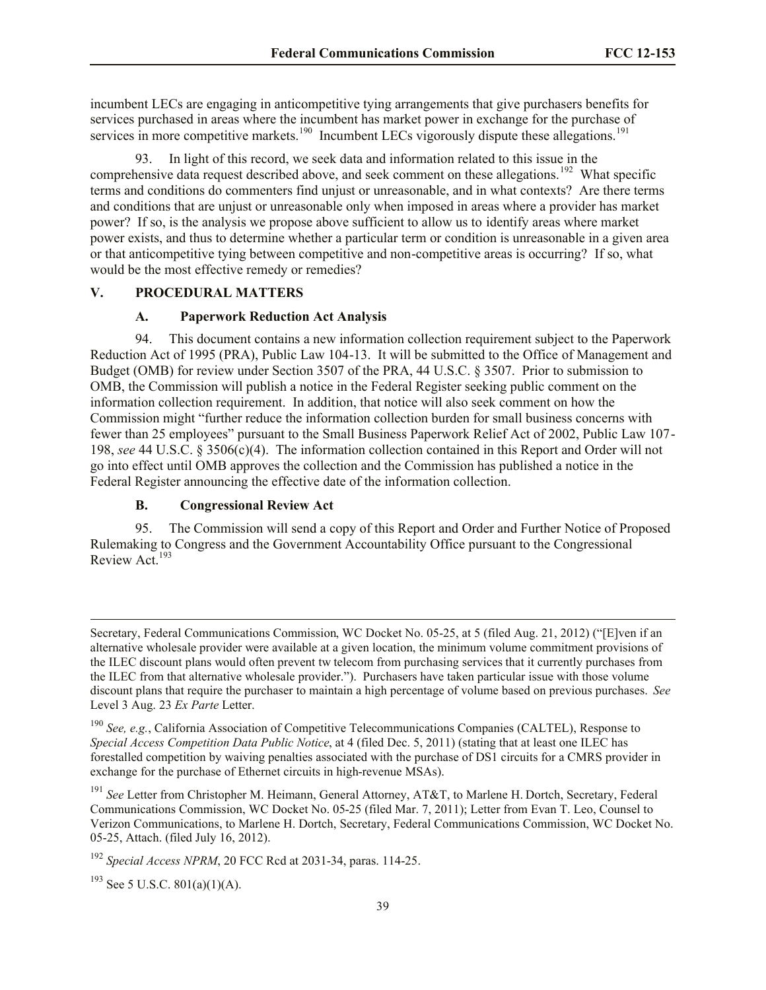incumbent LECs are engaging in anticompetitive tying arrangements that give purchasers benefits for services purchased in areas where the incumbent has market power in exchange for the purchase of services in more competitive markets.<sup>190</sup> Incumbent LECs vigorously dispute these allegations.<sup>191</sup>

93. In light of this record, we seek data and information related to this issue in the comprehensive data request described above, and seek comment on these allegations.<sup>192</sup> What specific terms and conditions do commenters find unjust or unreasonable, and in what contexts? Are there terms and conditions that are unjust or unreasonable only when imposed in areas where a provider has market power? If so, is the analysis we propose above sufficient to allow us to identify areas where market power exists, and thus to determine whether a particular term or condition is unreasonable in a given area or that anticompetitive tying between competitive and non-competitive areas is occurring? If so, what would be the most effective remedy or remedies?

### **V. PROCEDURAL MATTERS**

## **A. Paperwork Reduction Act Analysis**

94. This document contains a new information collection requirement subject to the Paperwork Reduction Act of 1995 (PRA), Public Law 104-13. It will be submitted to the Office of Management and Budget (OMB) for review under Section 3507 of the PRA, 44 U.S.C. § 3507. Prior to submission to OMB, the Commission will publish a notice in the Federal Register seeking public comment on the information collection requirement. In addition, that notice will also seek comment on how the Commission might "further reduce the information collection burden for small business concerns with fewer than 25 employees" pursuant to the Small Business Paperwork Relief Act of 2002, Public Law 107- 198, *see* 44 U.S.C. § 3506(c)(4). The information collection contained in this Report and Order will not go into effect until OMB approves the collection and the Commission has published a notice in the Federal Register announcing the effective date of the information collection.

### **B. Congressional Review Act**

95. The Commission will send a copy of this Report and Order and Further Notice of Proposed Rulemaking to Congress and the Government Accountability Office pursuant to the Congressional Review Act<sup>193</sup>

<sup>190</sup> *See, e.g.*, California Association of Competitive Telecommunications Companies (CALTEL), Response to *Special Access Competition Data Public Notice*, at 4 (filed Dec. 5, 2011) (stating that at least one ILEC has forestalled competition by waiving penalties associated with the purchase of DS1 circuits for a CMRS provider in exchange for the purchase of Ethernet circuits in high-revenue MSAs).

<sup>191</sup> *See* Letter from Christopher M. Heimann, General Attorney, AT&T, to Marlene H. Dortch, Secretary, Federal Communications Commission, WC Docket No. 05-25 (filed Mar. 7, 2011); Letter from Evan T. Leo, Counsel to Verizon Communications, to Marlene H. Dortch, Secretary, Federal Communications Commission, WC Docket No. 05-25, Attach. (filed July 16, 2012).

 $193$  See 5 U.S.C. 801(a)(1)(A).

l

Secretary, Federal Communications Commission, WC Docket No. 05-25, at 5 (filed Aug. 21, 2012) ("[E]ven if an alternative wholesale provider were available at a given location, the minimum volume commitment provisions of the ILEC discount plans would often prevent tw telecom from purchasing services that it currently purchases from the ILEC from that alternative wholesale provider."). Purchasers have taken particular issue with those volume discount plans that require the purchaser to maintain a high percentage of volume based on previous purchases. *See*  Level 3 Aug. 23 *Ex Parte* Letter.

<sup>192</sup> *Special Access NPRM*, 20 FCC Rcd at 2031-34, paras. 114-25.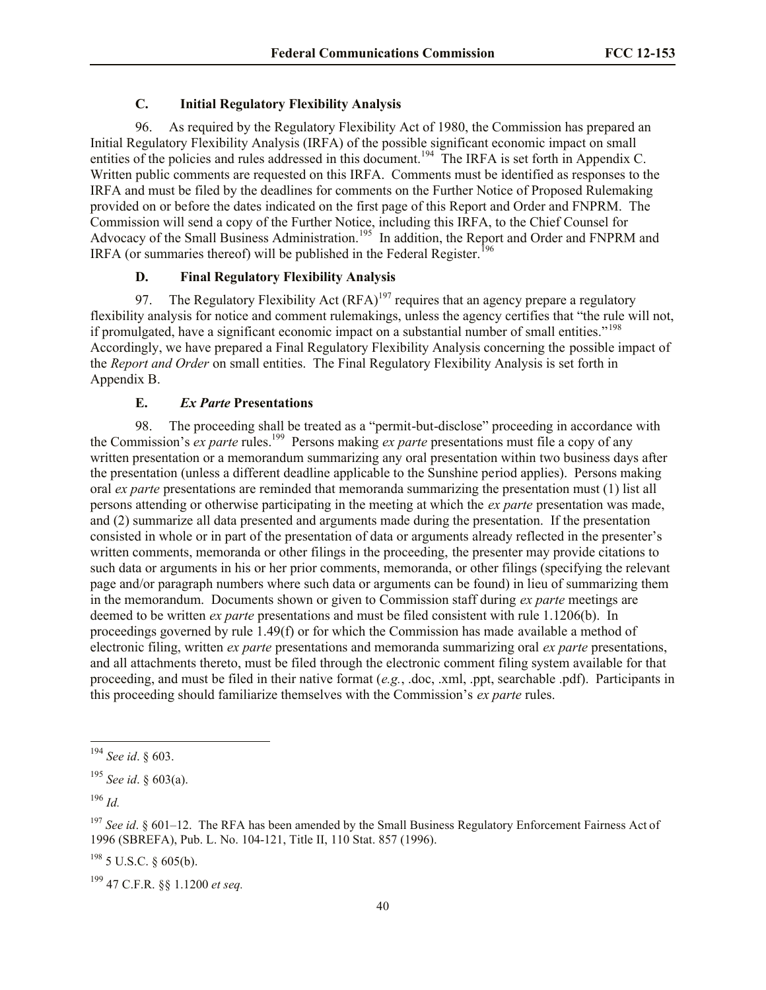# **C. Initial Regulatory Flexibility Analysis**

96. As required by the Regulatory Flexibility Act of 1980, the Commission has prepared an Initial Regulatory Flexibility Analysis (IRFA) of the possible significant economic impact on small entities of the policies and rules addressed in this document.<sup>194</sup> The IRFA is set forth in Appendix C. Written public comments are requested on this IRFA. Comments must be identified as responses to the IRFA and must be filed by the deadlines for comments on the Further Notice of Proposed Rulemaking provided on or before the dates indicated on the first page of this Report and Order and FNPRM. The Commission will send a copy of the Further Notice, including this IRFA, to the Chief Counsel for Advocacy of the Small Business Administration.<sup>195</sup> In addition, the Report and Order and FNPRM and IRFA (or summaries thereof) will be published in the Federal Register.<sup>196</sup>

### **D. Final Regulatory Flexibility Analysis**

97. The Regulatory Flexibility Act  $(RFA)^{197}$  requires that an agency prepare a regulatory flexibility analysis for notice and comment rulemakings, unless the agency certifies that "the rule will not, if promulgated, have a significant economic impact on a substantial number of small entities."<sup>198</sup> Accordingly, we have prepared a Final Regulatory Flexibility Analysis concerning the possible impact of the *Report and Order* on small entities. The Final Regulatory Flexibility Analysis is set forth in Appendix B.

#### **E.** *Ex Parte* **Presentations**

98. The proceeding shall be treated as a "permit-but-disclose" proceeding in accordance with the Commission's *ex parte* rules.<sup>199</sup> Persons making *ex parte* presentations must file a copy of any written presentation or a memorandum summarizing any oral presentation within two business days after the presentation (unless a different deadline applicable to the Sunshine period applies). Persons making oral *ex parte* presentations are reminded that memoranda summarizing the presentation must (1) list all persons attending or otherwise participating in the meeting at which the *ex parte* presentation was made, and (2) summarize all data presented and arguments made during the presentation. If the presentation consisted in whole or in part of the presentation of data or arguments already reflected in the presenter's written comments, memoranda or other filings in the proceeding, the presenter may provide citations to such data or arguments in his or her prior comments, memoranda, or other filings (specifying the relevant page and/or paragraph numbers where such data or arguments can be found) in lieu of summarizing them in the memorandum. Documents shown or given to Commission staff during *ex parte* meetings are deemed to be written *ex parte* presentations and must be filed consistent with rule 1.1206(b). In proceedings governed by rule 1.49(f) or for which the Commission has made available a method of electronic filing, written *ex parte* presentations and memoranda summarizing oral *ex parte* presentations, and all attachments thereto, must be filed through the electronic comment filing system available for that proceeding, and must be filed in their native format (*e.g.*, .doc, .xml, .ppt, searchable .pdf). Participants in this proceeding should familiarize themselves with the Commission's *ex parte* rules.

 $\overline{\phantom{a}}$ 

<sup>194</sup> *See id*. § 603.

<sup>195</sup> *See id*. § 603(a).

<sup>196</sup> *Id.*

<sup>&</sup>lt;sup>197</sup> *See id.* § 601–12. The RFA has been amended by the Small Business Regulatory Enforcement Fairness Act of 1996 (SBREFA), Pub. L. No. 104-121, Title II, 110 Stat. 857 (1996).

 $198$  5 U.S.C. § 605(b).

<sup>199</sup> 47 C.F.R. §§ 1.1200 *et seq.*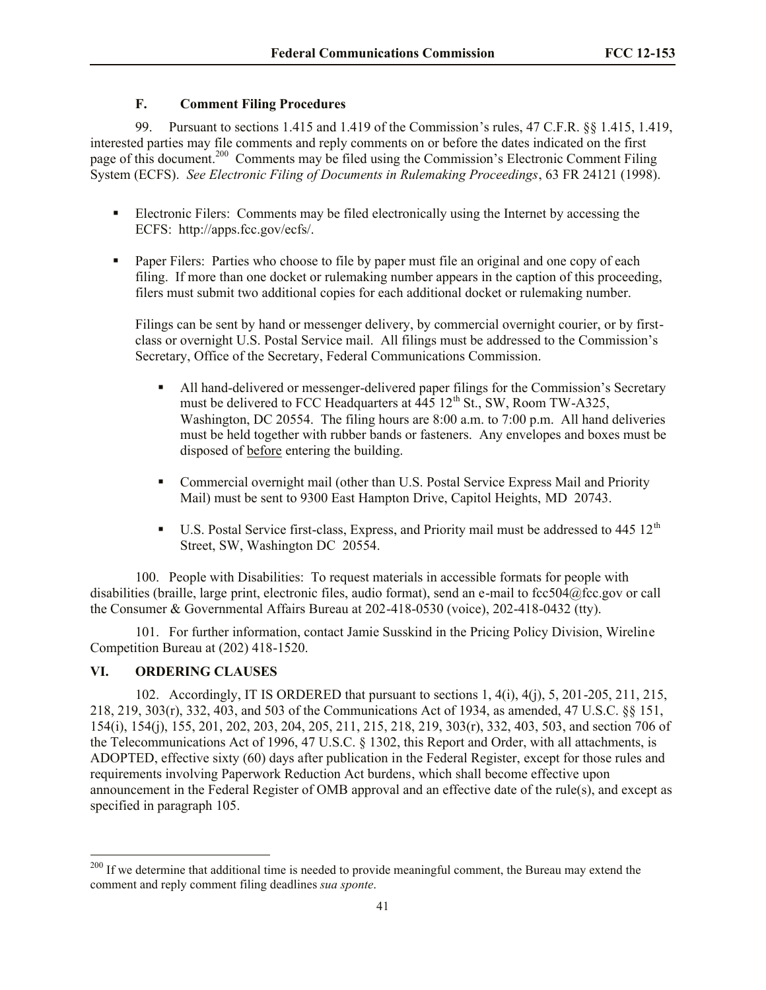# **F. Comment Filing Procedures**

99. Pursuant to sections 1.415 and 1.419 of the Commission's rules, 47 C.F.R. §§ 1.415, 1.419, interested parties may file comments and reply comments on or before the dates indicated on the first page of this document.<sup>200</sup> Comments may be filed using the Commission's Electronic Comment Filing System (ECFS). *See Electronic Filing of Documents in Rulemaking Proceedings*, 63 FR 24121 (1998).

- Electronic Filers: Comments may be filed electronically using the Internet by accessing the ECFS: http://apps.fcc.gov/ecfs/.
- Paper Filers: Parties who choose to file by paper must file an original and one copy of each filing. If more than one docket or rulemaking number appears in the caption of this proceeding, filers must submit two additional copies for each additional docket or rulemaking number.

Filings can be sent by hand or messenger delivery, by commercial overnight courier, or by firstclass or overnight U.S. Postal Service mail. All filings must be addressed to the Commission's Secretary, Office of the Secretary, Federal Communications Commission.

- All hand-delivered or messenger-delivered paper filings for the Commission's Secretary must be delivered to FCC Headquarters at  $\overline{445}$  12<sup>th</sup> St., SW, Room TW-A325, Washington, DC 20554. The filing hours are 8:00 a.m. to 7:00 p.m. All hand deliveries must be held together with rubber bands or fasteners. Any envelopes and boxes must be disposed of before entering the building.
- Commercial overnight mail (other than U.S. Postal Service Express Mail and Priority Mail) must be sent to 9300 East Hampton Drive, Capitol Heights, MD 20743.
- $\blacksquare$  U.S. Postal Service first-class, Express, and Priority mail must be addressed to 445 12<sup>th</sup> Street, SW, Washington DC 20554.

100. People with Disabilities: To request materials in accessible formats for people with disabilities (braille, large print, electronic files, audio format), send an e-mail to fcc504@fcc.gov or call the Consumer & Governmental Affairs Bureau at 202-418-0530 (voice), 202-418-0432 (tty).

101. For further information, contact Jamie Susskind in the Pricing Policy Division, Wireline Competition Bureau at (202) 418-1520.

# **VI. ORDERING CLAUSES**

l

102. Accordingly, IT IS ORDERED that pursuant to sections 1, 4(i), 4(j), 5, 201-205, 211, 215, 218, 219, 303(r), 332, 403, and 503 of the Communications Act of 1934, as amended, 47 U.S.C. §§ 151, 154(i), 154(j), 155, 201, 202, 203, 204, 205, 211, 215, 218, 219, 303(r), 332, 403, 503, and section 706 of the Telecommunications Act of 1996, 47 U.S.C. § 1302, this Report and Order, with all attachments, is ADOPTED, effective sixty (60) days after publication in the Federal Register, except for those rules and requirements involving Paperwork Reduction Act burdens, which shall become effective upon announcement in the Federal Register of OMB approval and an effective date of the rule(s), and except as specified in paragraph 105.

<sup>&</sup>lt;sup>200</sup> If we determine that additional time is needed to provide meaningful comment, the Bureau may extend the comment and reply comment filing deadlines *sua sponte*.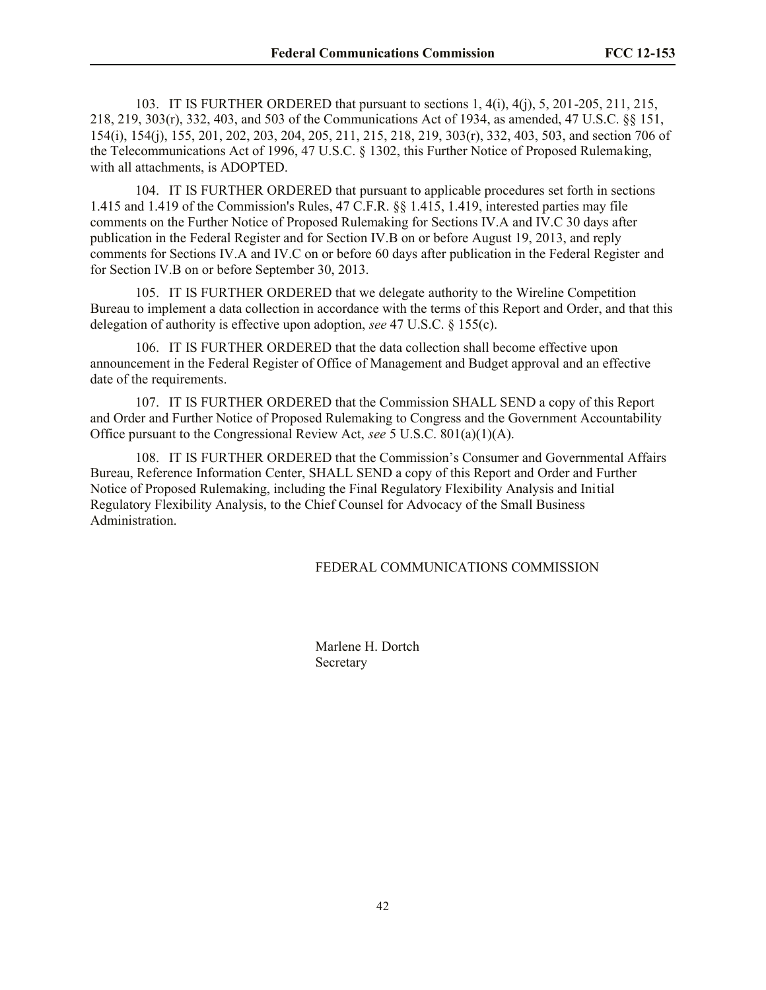103. IT IS FURTHER ORDERED that pursuant to sections 1, 4(i), 4(j), 5, 201-205, 211, 215, 218, 219, 303(r), 332, 403, and 503 of the Communications Act of 1934, as amended, 47 U.S.C. §§ 151, 154(i), 154(j), 155, 201, 202, 203, 204, 205, 211, 215, 218, 219, 303(r), 332, 403, 503, and section 706 of the Telecommunications Act of 1996, 47 U.S.C. § 1302, this Further Notice of Proposed Rulemaking, with all attachments, is ADOPTED.

104. IT IS FURTHER ORDERED that pursuant to applicable procedures set forth in sections 1.415 and 1.419 of the Commission's Rules, 47 C.F.R. §§ 1.415, 1.419, interested parties may file comments on the Further Notice of Proposed Rulemaking for Sections IV.A and IV.C 30 days after publication in the Federal Register and for Section IV.B on or before August 19, 2013, and reply comments for Sections IV.A and IV.C on or before 60 days after publication in the Federal Register and for Section IV.B on or before September 30, 2013.

105. IT IS FURTHER ORDERED that we delegate authority to the Wireline Competition Bureau to implement a data collection in accordance with the terms of this Report and Order, and that this delegation of authority is effective upon adoption, *see* 47 U.S.C. § 155(c).

106. IT IS FURTHER ORDERED that the data collection shall become effective upon announcement in the Federal Register of Office of Management and Budget approval and an effective date of the requirements.

107. IT IS FURTHER ORDERED that the Commission SHALL SEND a copy of this Report and Order and Further Notice of Proposed Rulemaking to Congress and the Government Accountability Office pursuant to the Congressional Review Act, *see* 5 U.S.C. 801(a)(1)(A).

108. IT IS FURTHER ORDERED that the Commission's Consumer and Governmental Affairs Bureau, Reference Information Center, SHALL SEND a copy of this Report and Order and Further Notice of Proposed Rulemaking, including the Final Regulatory Flexibility Analysis and Initial Regulatory Flexibility Analysis, to the Chief Counsel for Advocacy of the Small Business Administration.

#### FEDERAL COMMUNICATIONS COMMISSION

Marlene H. Dortch **Secretary**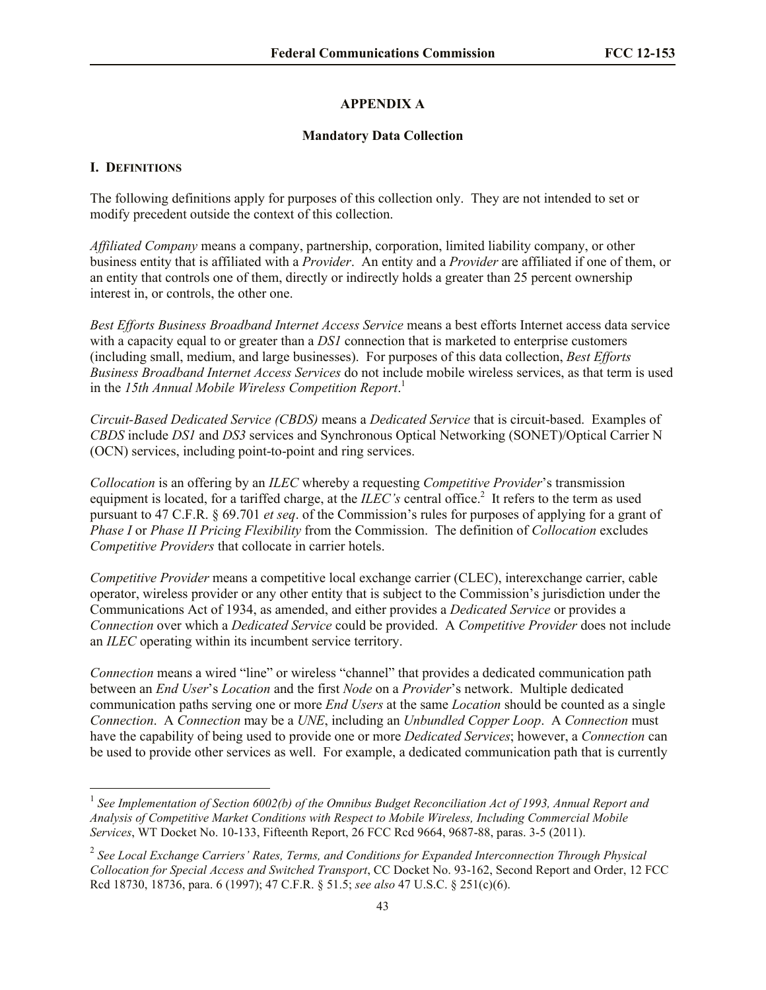# **APPENDIX A**

### **Mandatory Data Collection**

### **I. DEFINITIONS**

l

The following definitions apply for purposes of this collection only. They are not intended to set or modify precedent outside the context of this collection.

*Affiliated Company* means a company, partnership, corporation, limited liability company, or other business entity that is affiliated with a *Provider*. An entity and a *Provider* are affiliated if one of them, or an entity that controls one of them, directly or indirectly holds a greater than 25 percent ownership interest in, or controls, the other one.

*Best Efforts Business Broadband Internet Access Service* means a best efforts Internet access data service with a capacity equal to or greater than a *DS1* connection that is marketed to enterprise customers (including small, medium, and large businesses). For purposes of this data collection, *Best Efforts Business Broadband Internet Access Services* do not include mobile wireless services, as that term is used in the *15th Annual Mobile Wireless Competition Report*. 1

*Circuit-Based Dedicated Service (CBDS)* means a *Dedicated Service* that is circuit-based. Examples of *CBDS* include *DS1* and *DS3* services and Synchronous Optical Networking (SONET)/Optical Carrier N (OCN) services, including point-to-point and ring services.

*Collocation* is an offering by an *ILEC* whereby a requesting *Competitive Provider*'s transmission equipment is located, for a tariffed charge, at the  $ILEC's$  central office.<sup>2</sup> It refers to the term as used pursuant to 47 C.F.R. § 69.701 *et seq*. of the Commission's rules for purposes of applying for a grant of *Phase I* or *Phase II Pricing Flexibility* from the Commission. The definition of *Collocation* excludes *Competitive Providers* that collocate in carrier hotels.

*Competitive Provider* means a competitive local exchange carrier (CLEC), interexchange carrier, cable operator, wireless provider or any other entity that is subject to the Commission's jurisdiction under the Communications Act of 1934, as amended, and either provides a *Dedicated Service* or provides a *Connection* over which a *Dedicated Service* could be provided. A *Competitive Provider* does not include an *ILEC* operating within its incumbent service territory.

*Connection* means a wired "line" or wireless "channel" that provides a dedicated communication path between an *End User*'s *Location* and the first *Node* on a *Provider*'s network. Multiple dedicated communication paths serving one or more *End Users* at the same *Location* should be counted as a single *Connection*. A *Connection* may be a *UNE*, including an *Unbundled Copper Loop*. A *Connection* must have the capability of being used to provide one or more *Dedicated Services*; however, a *Connection* can be used to provide other services as well. For example, a dedicated communication path that is currently

<sup>&</sup>lt;sup>1</sup> See Implementation of Section 6002(b) of the Omnibus Budget Reconciliation Act of 1993, Annual Report and *Analysis of Competitive Market Conditions with Respect to Mobile Wireless, Including Commercial Mobile Services*, WT Docket No. 10-133, Fifteenth Report, 26 FCC Rcd 9664, 9687-88, paras. 3-5 (2011).

<sup>2</sup> *See Local Exchange Carriers' Rates, Terms, and Conditions for Expanded Interconnection Through Physical Collocation for Special Access and Switched Transport*, CC Docket No. 93-162, Second Report and Order, 12 FCC Rcd 18730, 18736, para. 6 (1997); 47 C.F.R. § 51.5; *see also* 47 U.S.C. § 251(c)(6).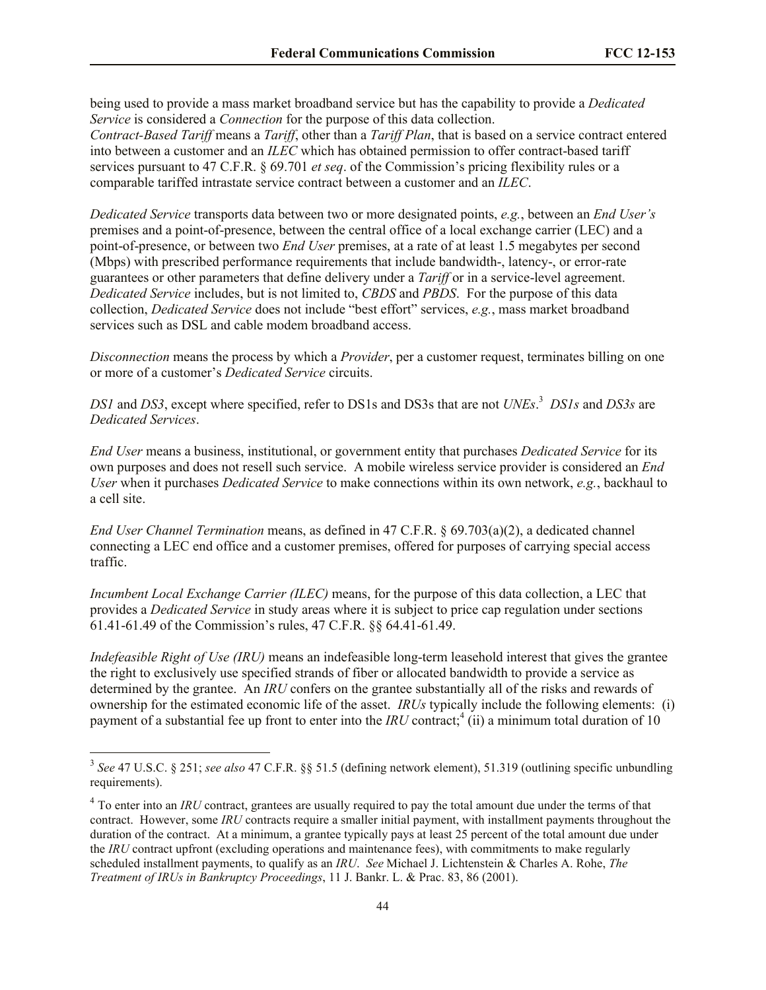being used to provide a mass market broadband service but has the capability to provide a *Dedicated Service* is considered a *Connection* for the purpose of this data collection. *Contract-Based Tariff* means a *Tariff*, other than a *Tariff Plan*, that is based on a service contract entered into between a customer and an *ILEC* which has obtained permission to offer contract-based tariff services pursuant to 47 C.F.R. § 69.701 *et seq*. of the Commission's pricing flexibility rules or a comparable tariffed intrastate service contract between a customer and an *ILEC*.

*Dedicated Service* transports data between two or more designated points, *e.g.*, between an *End User's* premises and a point-of-presence, between the central office of a local exchange carrier (LEC) and a point-of-presence, or between two *End User* premises, at a rate of at least 1.5 megabytes per second (Mbps) with prescribed performance requirements that include bandwidth-, latency-, or error-rate guarantees or other parameters that define delivery under a *Tariff* or in a service-level agreement. *Dedicated Service* includes, but is not limited to, *CBDS* and *PBDS*. For the purpose of this data collection, *Dedicated Service* does not include "best effort" services, *e.g.*, mass market broadband services such as DSL and cable modem broadband access.

*Disconnection* means the process by which a *Provider*, per a customer request, terminates billing on one or more of a customer's *Dedicated Service* circuits.

*DS1* and *DS3*, except where specified, refer to DS1s and DS3s that are not *UNEs*. 3 *DS1s* and *DS3s* are *Dedicated Services*.

*End User* means a business, institutional, or government entity that purchases *Dedicated Service* for its own purposes and does not resell such service. A mobile wireless service provider is considered an *End User* when it purchases *Dedicated Service* to make connections within its own network, *e.g.*, backhaul to a cell site.

*End User Channel Termination* means, as defined in 47 C.F.R. § 69.703(a)(2), a dedicated channel connecting a LEC end office and a customer premises, offered for purposes of carrying special access traffic.

*Incumbent Local Exchange Carrier (ILEC)* means, for the purpose of this data collection, a LEC that provides a *Dedicated Service* in study areas where it is subject to price cap regulation under sections 61.41-61.49 of the Commission's rules, 47 C.F.R. §§ 64.41-61.49.

*Indefeasible Right of Use (IRU)* means an indefeasible long-term leasehold interest that gives the grantee the right to exclusively use specified strands of fiber or allocated bandwidth to provide a service as determined by the grantee. An *IRU* confers on the grantee substantially all of the risks and rewards of ownership for the estimated economic life of the asset. *IRUs* typically include the following elements: (i) payment of a substantial fee up front to enter into the *IRU* contract;<sup>4</sup> (ii) a minimum total duration of 10

l

<sup>3</sup> *See* 47 U.S.C. § 251; *see also* 47 C.F.R. §§ 51.5 (defining network element), 51.319 (outlining specific unbundling requirements).

 $4$  To enter into an *IRU* contract, grantees are usually required to pay the total amount due under the terms of that contract. However, some *IRU* contracts require a smaller initial payment, with installment payments throughout the duration of the contract. At a minimum, a grantee typically pays at least 25 percent of the total amount due under the *IRU* contract upfront (excluding operations and maintenance fees), with commitments to make regularly scheduled installment payments, to qualify as an *IRU*. *See* Michael J. Lichtenstein & Charles A. Rohe, *The Treatment of IRUs in Bankruptcy Proceedings*, 11 J. Bankr. L. & Prac. 83, 86 (2001).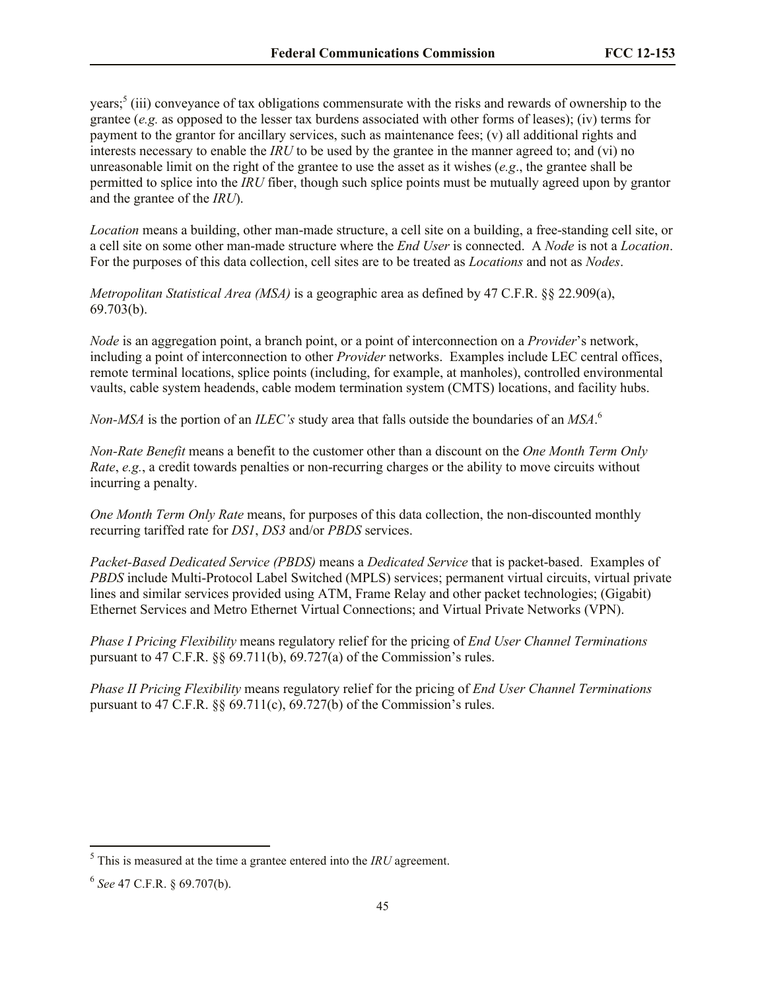years;<sup>5</sup> (iii) conveyance of tax obligations commensurate with the risks and rewards of ownership to the grantee (*e.g.* as opposed to the lesser tax burdens associated with other forms of leases); (iv) terms for payment to the grantor for ancillary services, such as maintenance fees; (v) all additional rights and interests necessary to enable the *IRU* to be used by the grantee in the manner agreed to; and (vi) no unreasonable limit on the right of the grantee to use the asset as it wishes (*e.g*., the grantee shall be permitted to splice into the *IRU* fiber, though such splice points must be mutually agreed upon by grantor and the grantee of the *IRU*).

*Location* means a building, other man-made structure, a cell site on a building, a free-standing cell site, or a cell site on some other man-made structure where the *End User* is connected. A *Node* is not a *Location*. For the purposes of this data collection, cell sites are to be treated as *Locations* and not as *Nodes*.

*Metropolitan Statistical Area (MSA)* is a geographic area as defined by 47 C.F.R. §§ 22.909(a), 69.703(b).

*Node* is an aggregation point, a branch point, or a point of interconnection on a *Provider*'s network, including a point of interconnection to other *Provider* networks. Examples include LEC central offices, remote terminal locations, splice points (including, for example, at manholes), controlled environmental vaults, cable system headends, cable modem termination system (CMTS) locations, and facility hubs.

*Non-MSA* is the portion of an *ILEC's* study area that falls outside the boundaries of an *MSA*. 6

*Non-Rate Benefit* means a benefit to the customer other than a discount on the *One Month Term Only Rate*, *e.g.*, a credit towards penalties or non-recurring charges or the ability to move circuits without incurring a penalty.

*One Month Term Only Rate* means, for purposes of this data collection, the non-discounted monthly recurring tariffed rate for *DS1*, *DS3* and/or *PBDS* services.

*Packet-Based Dedicated Service (PBDS)* means a *Dedicated Service* that is packet-based. Examples of *PBDS* include Multi-Protocol Label Switched (MPLS) services; permanent virtual circuits, virtual private lines and similar services provided using ATM, Frame Relay and other packet technologies; (Gigabit) Ethernet Services and Metro Ethernet Virtual Connections; and Virtual Private Networks (VPN).

*Phase I Pricing Flexibility* means regulatory relief for the pricing of *End User Channel Terminations* pursuant to 47 C.F.R. §§ 69.711(b), 69.727(a) of the Commission's rules.

*Phase II Pricing Flexibility* means regulatory relief for the pricing of *End User Channel Terminations* pursuant to 47 C.F.R.  $\S$ § 69.711(c), 69.727(b) of the Commission's rules.

l

 $<sup>5</sup>$  This is measured at the time a grantee entered into the *IRU* agreement.</sup>

<sup>6</sup> *See* 47 C.F.R. § 69.707(b).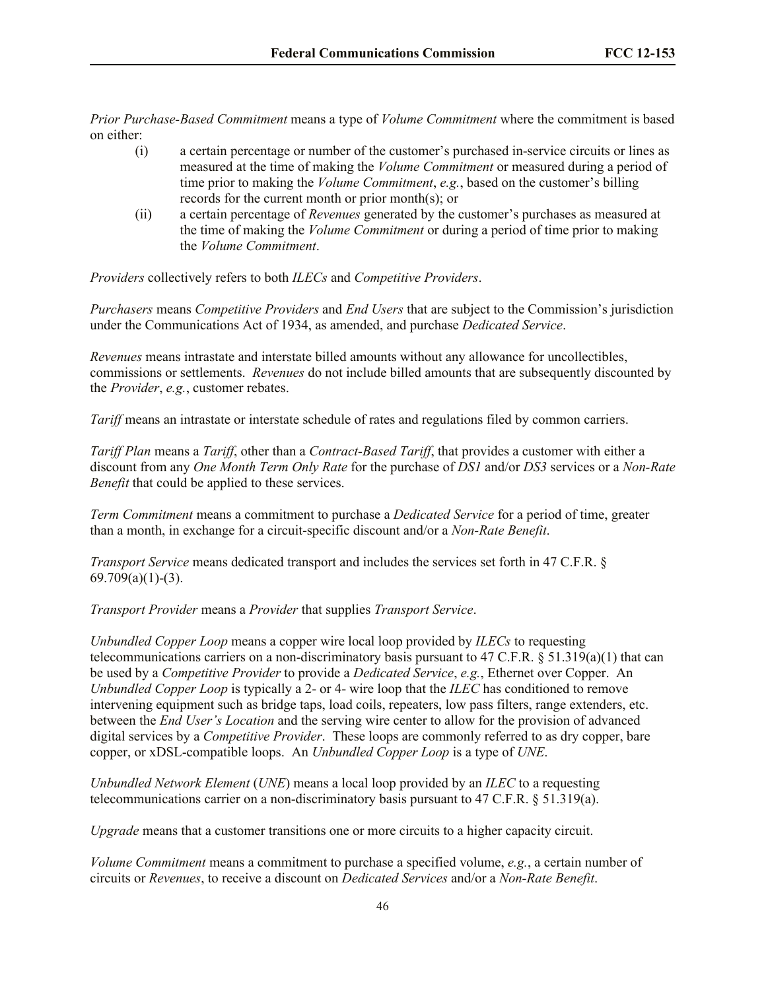*Prior Purchase-Based Commitment* means a type of *Volume Commitment* where the commitment is based on either:

- (i) a certain percentage or number of the customer's purchased in-service circuits or lines as measured at the time of making the *Volume Commitment* or measured during a period of time prior to making the *Volume Commitment*, *e.g.*, based on the customer's billing records for the current month or prior month(s); or
- (ii) a certain percentage of *Revenues* generated by the customer's purchases as measured at the time of making the *Volume Commitment* or during a period of time prior to making the *Volume Commitment*.

*Providers* collectively refers to both *ILECs* and *Competitive Providers*.

*Purchasers* means *Competitive Providers* and *End Users* that are subject to the Commission's jurisdiction under the Communications Act of 1934, as amended, and purchase *Dedicated Service*.

*Revenues* means intrastate and interstate billed amounts without any allowance for uncollectibles, commissions or settlements. *Revenues* do not include billed amounts that are subsequently discounted by the *Provider*, *e.g.*, customer rebates.

*Tariff* means an intrastate or interstate schedule of rates and regulations filed by common carriers.

*Tariff Plan* means a *Tariff*, other than a *Contract-Based Tariff*, that provides a customer with either a discount from any *One Month Term Only Rate* for the purchase of *DS1* and/or *DS3* services or a *Non-Rate Benefit* that could be applied to these services.

*Term Commitment* means a commitment to purchase a *Dedicated Service* for a period of time, greater than a month, in exchange for a circuit-specific discount and/or a *Non-Rate Benefit*.

*Transport Service* means dedicated transport and includes the services set forth in 47 C.F.R. §  $69.709(a)(1)-(3)$ .

*Transport Provider* means a *Provider* that supplies *Transport Service*.

*Unbundled Copper Loop* means a copper wire local loop provided by *ILECs* to requesting telecommunications carriers on a non-discriminatory basis pursuant to 47 C.F.R.  $\S 51.319(a)(1)$  that can be used by a *Competitive Provider* to provide a *Dedicated Service*, *e.g.*, Ethernet over Copper. An *Unbundled Copper Loop* is typically a 2- or 4- wire loop that the *ILEC* has conditioned to remove intervening equipment such as bridge taps, load coils, repeaters, low pass filters, range extenders, etc. between the *End User's Location* and the serving wire center to allow for the provision of advanced digital services by a *Competitive Provider*. These loops are commonly referred to as dry copper, bare copper, or xDSL-compatible loops. An *Unbundled Copper Loop* is a type of *UNE*.

*Unbundled Network Element* (*UNE*) means a local loop provided by an *ILEC* to a requesting telecommunications carrier on a non-discriminatory basis pursuant to 47 C.F.R. § 51.319(a).

*Upgrade* means that a customer transitions one or more circuits to a higher capacity circuit.

*Volume Commitment* means a commitment to purchase a specified volume, *e.g.*, a certain number of circuits or *Revenues*, to receive a discount on *Dedicated Services* and/or a *Non-Rate Benefit*.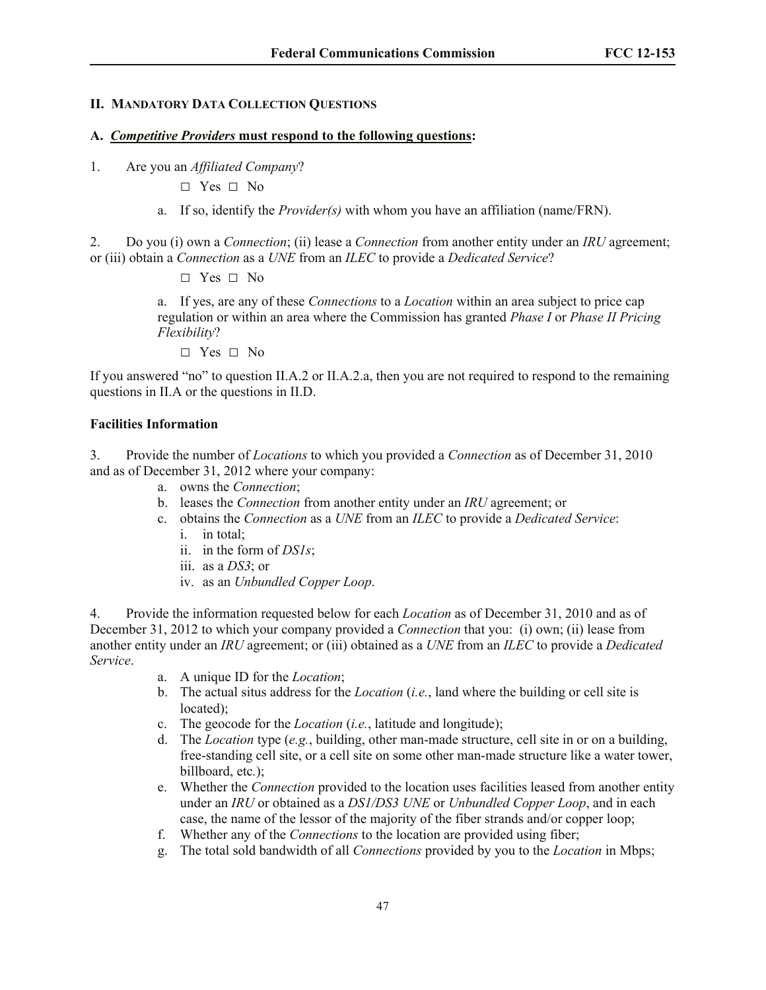### **II. MANDATORY DATA COLLECTION QUESTIONS**

#### **A.** *Competitive Providers* **must respond to the following questions:**

1. Are you an *Affiliated Company*?

**□** Yes **□** No

a. If so, identify the *Provider(s)* with whom you have an affiliation (name/FRN).

2. Do you (i) own a *Connection*; (ii) lease a *Connection* from another entity under an *IRU* agreement; or (iii) obtain a *Connection* as a *UNE* from an *ILEC* to provide a *Dedicated Service*?

**□** Yes **□** No

a. If yes, are any of these *Connections* to a *Location* within an area subject to price cap regulation or within an area where the Commission has granted *Phase I* or *Phase II Pricing Flexibility*?

**□** Yes **□** No

If you answered "no" to question II.A.2 or II.A.2.a, then you are not required to respond to the remaining questions in II.A or the questions in II.D.

#### **Facilities Information**

3. Provide the number of *Locations* to which you provided a *Connection* as of December 31, 2010 and as of December 31, 2012 where your company:

- a. owns the *Connection*;
- b. leases the *Connection* from another entity under an *IRU* agreement; or
- c. obtains the *Connection* as a *UNE* from an *ILEC* to provide a *Dedicated Service*:
	- i. in total;
	- ii. in the form of *DS1s*;
	- iii. as a *DS3*; or
	- iv. as an *Unbundled Copper Loop*.

4. Provide the information requested below for each *Location* as of December 31, 2010 and as of December 31, 2012 to which your company provided a *Connection* that you: (i) own; (ii) lease from another entity under an *IRU* agreement; or (iii) obtained as a *UNE* from an *ILEC* to provide a *Dedicated Service*.

- a. A unique ID for the *Location*;
- b. The actual situs address for the *Location* (*i.e.*, land where the building or cell site is located);
- c. The geocode for the *Location* (*i.e.*, latitude and longitude);
- d. The *Location* type (*e.g.*, building, other man-made structure, cell site in or on a building, free-standing cell site, or a cell site on some other man-made structure like a water tower, billboard, etc*.*);
- e. Whether the *Connection* provided to the location uses facilities leased from another entity under an *IRU* or obtained as a *DS1/DS3 UNE* or *Unbundled Copper Loop*, and in each case, the name of the lessor of the majority of the fiber strands and/or copper loop;
- f. Whether any of the *Connections* to the location are provided using fiber;
- g. The total sold bandwidth of all *Connections* provided by you to the *Location* in Mbps;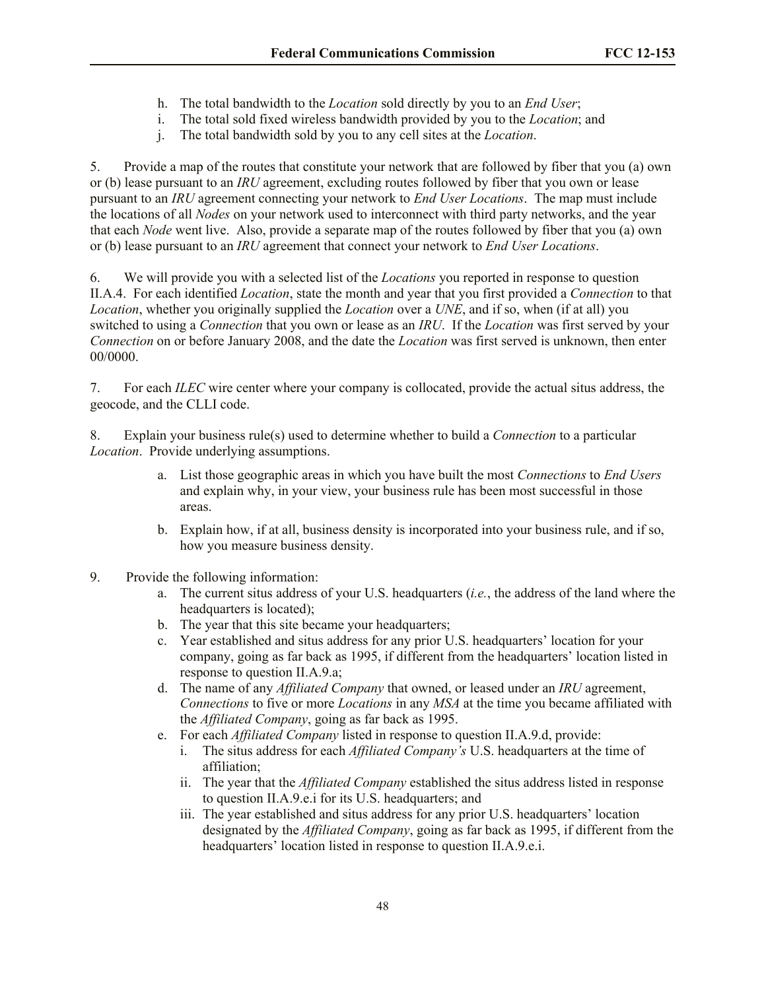- h. The total bandwidth to the *Location* sold directly by you to an *End User*;
- i. The total sold fixed wireless bandwidth provided by you to the *Location*; and
- j. The total bandwidth sold by you to any cell sites at the *Location*.

5. Provide a map of the routes that constitute your network that are followed by fiber that you (a) own or (b) lease pursuant to an *IRU* agreement, excluding routes followed by fiber that you own or lease pursuant to an *IRU* agreement connecting your network to *End User Locations*. The map must include the locations of all *Nodes* on your network used to interconnect with third party networks, and the year that each *Node* went live. Also, provide a separate map of the routes followed by fiber that you (a) own or (b) lease pursuant to an *IRU* agreement that connect your network to *End User Locations*.

6. We will provide you with a selected list of the *Locations* you reported in response to question II.A.4. For each identified *Location*, state the month and year that you first provided a *Connection* to that *Location*, whether you originally supplied the *Location* over a *UNE*, and if so, when (if at all) you switched to using a *Connection* that you own or lease as an *IRU*. If the *Location* was first served by your *Connection* on or before January 2008, and the date the *Location* was first served is unknown, then enter 00/0000.

7. For each *ILEC* wire center where your company is collocated, provide the actual situs address, the geocode, and the CLLI code.

8. Explain your business rule(s) used to determine whether to build a *Connection* to a particular *Location*. Provide underlying assumptions.

- a. List those geographic areas in which you have built the most *Connections* to *End Users* and explain why, in your view, your business rule has been most successful in those areas.
- b. Explain how, if at all, business density is incorporated into your business rule, and if so, how you measure business density.
- 9. Provide the following information:
	- a. The current situs address of your U.S. headquarters (*i.e.*, the address of the land where the headquarters is located);
	- b. The year that this site became your headquarters;
	- c. Year established and situs address for any prior U.S. headquarters' location for your company, going as far back as 1995, if different from the headquarters' location listed in response to question II.A.9.a;
	- d. The name of any *Affiliated Company* that owned, or leased under an *IRU* agreement, *Connections* to five or more *Locations* in any *MSA* at the time you became affiliated with the *Affiliated Company*, going as far back as 1995.
	- e. For each *Affiliated Company* listed in response to question II.A.9.d, provide:
		- i. The situs address for each *Affiliated Company's* U.S. headquarters at the time of affiliation;
		- ii. The year that the *Affiliated Company* established the situs address listed in response to question II.A.9.e.i for its U.S. headquarters; and
		- iii. The year established and situs address for any prior U.S. headquarters' location designated by the *Affiliated Company*, going as far back as 1995, if different from the headquarters' location listed in response to question II.A.9.e.i.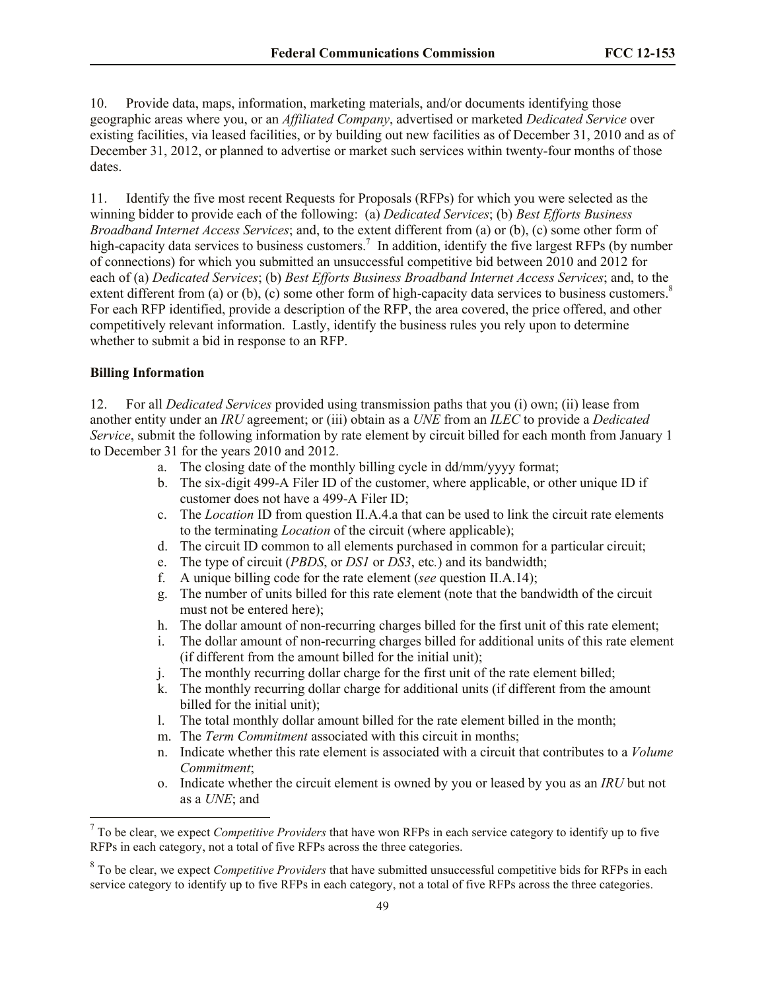10. Provide data, maps, information, marketing materials, and/or documents identifying those geographic areas where you, or an *Affiliated Company*, advertised or marketed *Dedicated Service* over existing facilities, via leased facilities, or by building out new facilities as of December 31, 2010 and as of December 31, 2012, or planned to advertise or market such services within twenty-four months of those dates.

11. Identify the five most recent Requests for Proposals (RFPs) for which you were selected as the winning bidder to provide each of the following: (a) *Dedicated Services*; (b) *Best Efforts Business Broadband Internet Access Services*; and, to the extent different from (a) or (b), (c) some other form of high-capacity data services to business customers.<sup>7</sup> In addition, identify the five largest RFPs (by number of connections) for which you submitted an unsuccessful competitive bid between 2010 and 2012 for each of (a) *Dedicated Services*; (b) *Best Efforts Business Broadband Internet Access Services*; and, to the extent different from (a) or (b), (c) some other form of high-capacity data services to business customers. $8$ For each RFP identified, provide a description of the RFP, the area covered, the price offered, and other competitively relevant information. Lastly, identify the business rules you rely upon to determine whether to submit a bid in response to an RFP.

#### **Billing Information**

 $\overline{\phantom{a}}$ 

12. For all *Dedicated Services* provided using transmission paths that you (i) own; (ii) lease from another entity under an *IRU* agreement; or (iii) obtain as a *UNE* from an *ILEC* to provide a *Dedicated Service*, submit the following information by rate element by circuit billed for each month from January 1 to December 31 for the years 2010 and 2012.

- a. The closing date of the monthly billing cycle in dd/mm/yyyy format;
- b. The six-digit 499-A Filer ID of the customer, where applicable, or other unique ID if customer does not have a 499-A Filer ID;
- c. The *Location* ID from question II.A.4.a that can be used to link the circuit rate elements to the terminating *Location* of the circuit (where applicable);
- d. The circuit ID common to all elements purchased in common for a particular circuit;
- e. The type of circuit (*PBDS*, or *DS1* or *DS3*, etc*.*) and its bandwidth;
- f. A unique billing code for the rate element (*see* question II.A.14);
- g. The number of units billed for this rate element (note that the bandwidth of the circuit must not be entered here);
- h. The dollar amount of non-recurring charges billed for the first unit of this rate element;
- i. The dollar amount of non-recurring charges billed for additional units of this rate element (if different from the amount billed for the initial unit);
- j. The monthly recurring dollar charge for the first unit of the rate element billed;
- k. The monthly recurring dollar charge for additional units (if different from the amount billed for the initial unit);
- l. The total monthly dollar amount billed for the rate element billed in the month;
- m. The *Term Commitment* associated with this circuit in months;
- n. Indicate whether this rate element is associated with a circuit that contributes to a *Volume Commitment*;
- o. Indicate whether the circuit element is owned by you or leased by you as an *IRU* but not as a *UNE*; and

<sup>7</sup> To be clear, we expect *Competitive Providers* that have won RFPs in each service category to identify up to five RFPs in each category, not a total of five RFPs across the three categories.

<sup>8</sup> To be clear, we expect *Competitive Providers* that have submitted unsuccessful competitive bids for RFPs in each service category to identify up to five RFPs in each category, not a total of five RFPs across the three categories.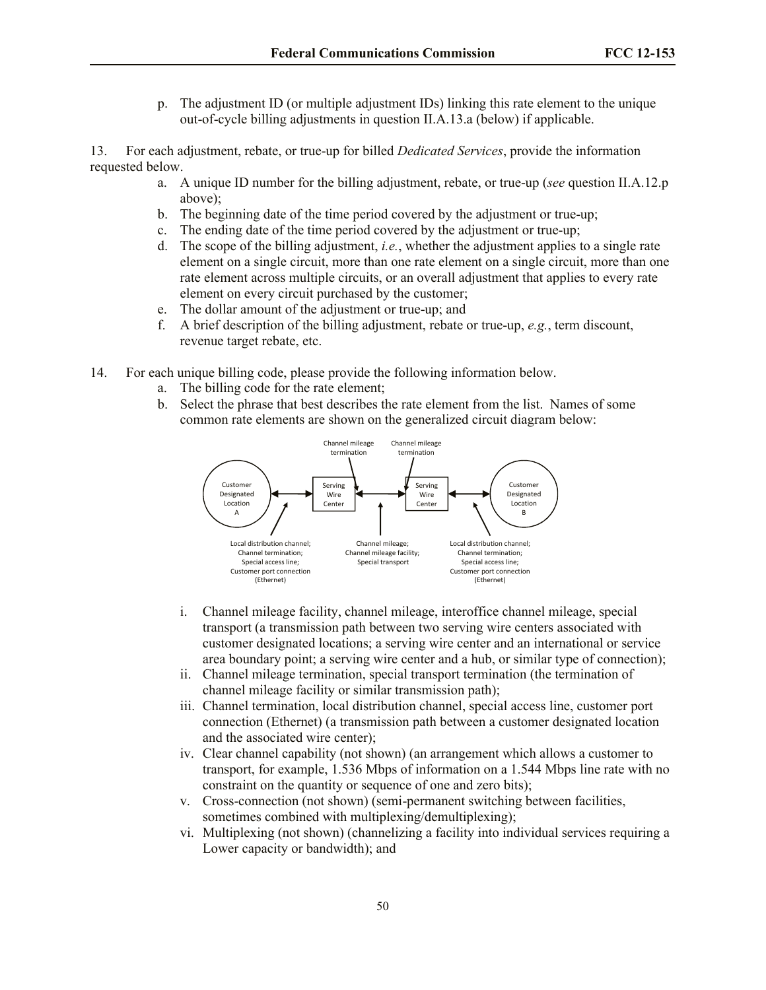p. The adjustment ID (or multiple adjustment IDs) linking this rate element to the unique out-of-cycle billing adjustments in question II.A.13.a (below) if applicable.

13. For each adjustment, rebate, or true-up for billed *Dedicated Services*, provide the information requested below.

- a. A unique ID number for the billing adjustment, rebate, or true-up (*see* question II.A.12.p above);
- b. The beginning date of the time period covered by the adjustment or true-up;
- c. The ending date of the time period covered by the adjustment or true-up;
- d. The scope of the billing adjustment, *i.e.*, whether the adjustment applies to a single rate element on a single circuit, more than one rate element on a single circuit, more than one rate element across multiple circuits, or an overall adjustment that applies to every rate element on every circuit purchased by the customer;
- e. The dollar amount of the adjustment or true-up; and
- f. A brief description of the billing adjustment, rebate or true-up, *e.g.*, term discount, revenue target rebate, etc.
- 14. For each unique billing code, please provide the following information below.
	- a. The billing code for the rate element;
	- b. Select the phrase that best describes the rate element from the list. Names of some common rate elements are shown on the generalized circuit diagram below:



- i. Channel mileage facility, channel mileage, interoffice channel mileage, special transport (a transmission path between two serving wire centers associated with customer designated locations; a serving wire center and an international or service area boundary point; a serving wire center and a hub, or similar type of connection);
- ii. Channel mileage termination, special transport termination (the termination of channel mileage facility or similar transmission path);
- iii. Channel termination, local distribution channel, special access line, customer port connection (Ethernet) (a transmission path between a customer designated location and the associated wire center);
- iv. Clear channel capability (not shown) (an arrangement which allows a customer to transport, for example, 1.536 Mbps of information on a 1.544 Mbps line rate with no constraint on the quantity or sequence of one and zero bits);
- v. Cross-connection (not shown) (semi-permanent switching between facilities, sometimes combined with multiplexing/demultiplexing);
- vi. Multiplexing (not shown) (channelizing a facility into individual services requiring a Lower capacity or bandwidth); and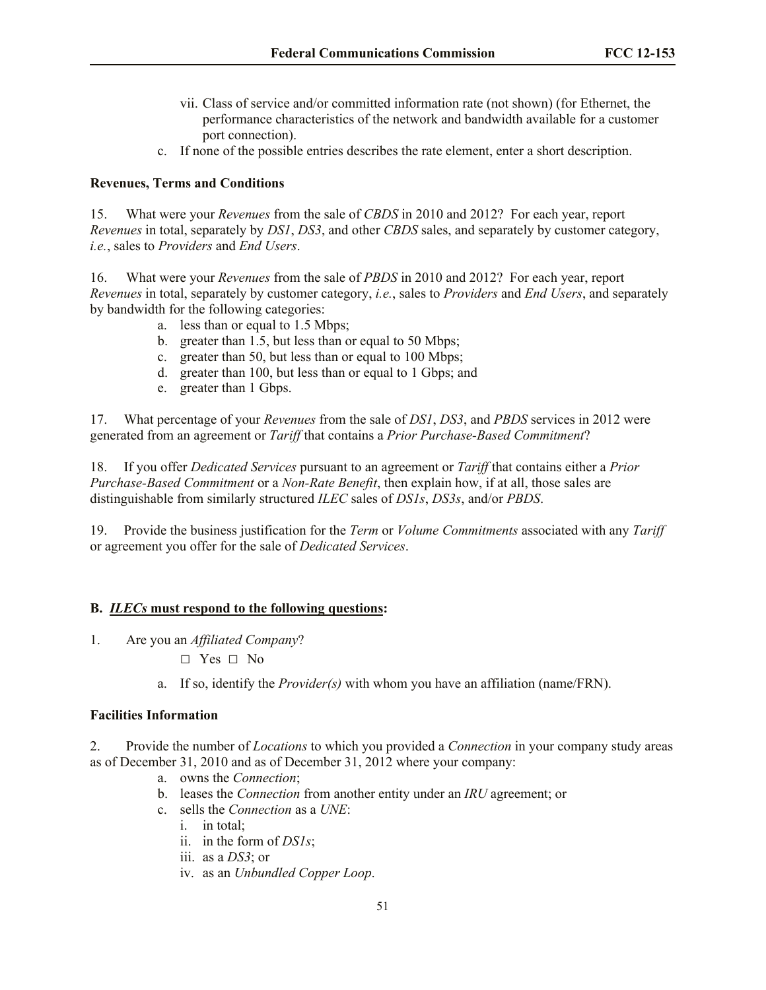- vii. Class of service and/or committed information rate (not shown) (for Ethernet, the performance characteristics of the network and bandwidth available for a customer port connection).
- c. If none of the possible entries describes the rate element, enter a short description.

# **Revenues, Terms and Conditions**

15. What were your *Revenues* from the sale of *CBDS* in 2010 and 2012? For each year, report *Revenues* in total, separately by *DS1*, *DS3*, and other *CBDS* sales, and separately by customer category, *i.e.*, sales to *Providers* and *End Users*.

16. What were your *Revenues* from the sale of *PBDS* in 2010 and 2012? For each year, report *Revenues* in total, separately by customer category, *i.e.*, sales to *Providers* and *End Users*, and separately by bandwidth for the following categories:

- a. less than or equal to 1.5 Mbps;
- b. greater than 1.5, but less than or equal to 50 Mbps;
- c. greater than 50, but less than or equal to 100 Mbps;
- d. greater than 100, but less than or equal to 1 Gbps; and
- e. greater than 1 Gbps.

17. What percentage of your *Revenues* from the sale of *DS1*, *DS3*, and *PBDS* services in 2012 were generated from an agreement or *Tariff* that contains a *Prior Purchase-Based Commitment*?

18. If you offer *Dedicated Services* pursuant to an agreement or *Tariff* that contains either a *Prior Purchase-Based Commitment* or a *Non-Rate Benefit*, then explain how, if at all, those sales are distinguishable from similarly structured *ILEC* sales of *DS1s*, *DS3s*, and/or *PBDS*.

19. Provide the business justification for the *Term* or *Volume Commitments* associated with any *Tariff* or agreement you offer for the sale of *Dedicated Services*.

## **B.** *ILECs* **must respond to the following questions:**

- 1. Are you an *Affiliated Company*?
	- **□** Yes **□** No
	- a. If so, identify the *Provider(s)* with whom you have an affiliation (name/FRN).

## **Facilities Information**

2. Provide the number of *Locations* to which you provided a *Connection* in your company study areas as of December 31, 2010 and as of December 31, 2012 where your company:

- a. owns the *Connection*;
- b. leases the *Connection* from another entity under an *IRU* agreement; or
- c. sells the *Connection* as a *UNE*:
	- i. in total;
	- ii. in the form of *DS1s*;
	- iii. as a *DS3*; or
	- iv. as an *Unbundled Copper Loop*.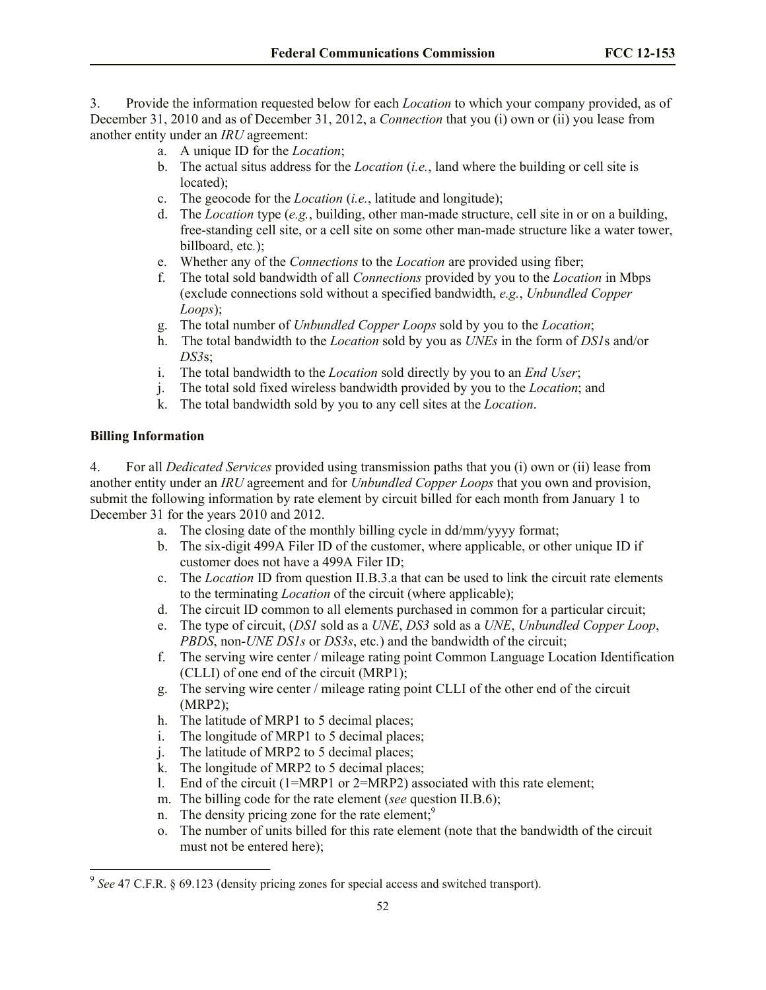3. Provide the information requested below for each *Location* to which your company provided, as of December 31, 2010 and as of December 31, 2012, a *Connection* that you (i) own or (ii) you lease from another entity under an *IRU* agreement:

- a. A unique ID for the *Location*;
- b. The actual situs address for the *Location* (*i.e.*, land where the building or cell site is located);
- c. The geocode for the *Location* (*i.e.*, latitude and longitude);
- d. The *Location* type (*e.g.*, building, other man-made structure, cell site in or on a building, free-standing cell site, or a cell site on some other man-made structure like a water tower, billboard, etc*.*);
- e. Whether any of the *Connections* to the *Location* are provided using fiber;
- f. The total sold bandwidth of all *Connections* provided by you to the *Location* in Mbps (exclude connections sold without a specified bandwidth, *e.g.*, *Unbundled Copper Loops*);
- g. The total number of *Unbundled Copper Loops* sold by you to the *Location*;
- h. The total bandwidth to the *Location* sold by you as *UNEs* in the form of *DS1*s and/or *DS3*s;
- i. The total bandwidth to the *Location* sold directly by you to an *End User*;
- j. The total sold fixed wireless bandwidth provided by you to the *Location*; and
- k. The total bandwidth sold by you to any cell sites at the *Location*.

## **Billing Information**

 $\overline{\phantom{a}}$ 

4. For all *Dedicated Services* provided using transmission paths that you (i) own or (ii) lease from another entity under an *IRU* agreement and for *Unbundled Copper Loops* that you own and provision, submit the following information by rate element by circuit billed for each month from January 1 to December 31 for the years 2010 and 2012.

- a. The closing date of the monthly billing cycle in dd/mm/yyyy format;
- b. The six-digit 499A Filer ID of the customer, where applicable, or other unique ID if customer does not have a 499A Filer ID;
- c. The *Location* ID from question II.B.3.a that can be used to link the circuit rate elements to the terminating *Location* of the circuit (where applicable);
- d. The circuit ID common to all elements purchased in common for a particular circuit;
- e. The type of circuit, (*DS1* sold as a *UNE*, *DS3* sold as a *UNE*, *Unbundled Copper Loop*, *PBDS*, non-*UNE DS1s* or *DS3s*, etc*.*) and the bandwidth of the circuit;
- f. The serving wire center / mileage rating point Common Language Location Identification (CLLI) of one end of the circuit (MRP1);
- g. The serving wire center / mileage rating point CLLI of the other end of the circuit (MRP2);
- h. The latitude of MRP1 to 5 decimal places;
- i. The longitude of MRP1 to 5 decimal places;
- j. The latitude of MRP2 to 5 decimal places;
- k. The longitude of MRP2 to 5 decimal places;
- l. End of the circuit (1=MRP1 or 2=MRP2) associated with this rate element;
- m. The billing code for the rate element (*see* question II.B.6);
- n. The density pricing zone for the rate element; $9$
- o. The number of units billed for this rate element (note that the bandwidth of the circuit must not be entered here);

<sup>&</sup>lt;sup>9</sup> See 47 C.F.R. § 69.123 (density pricing zones for special access and switched transport).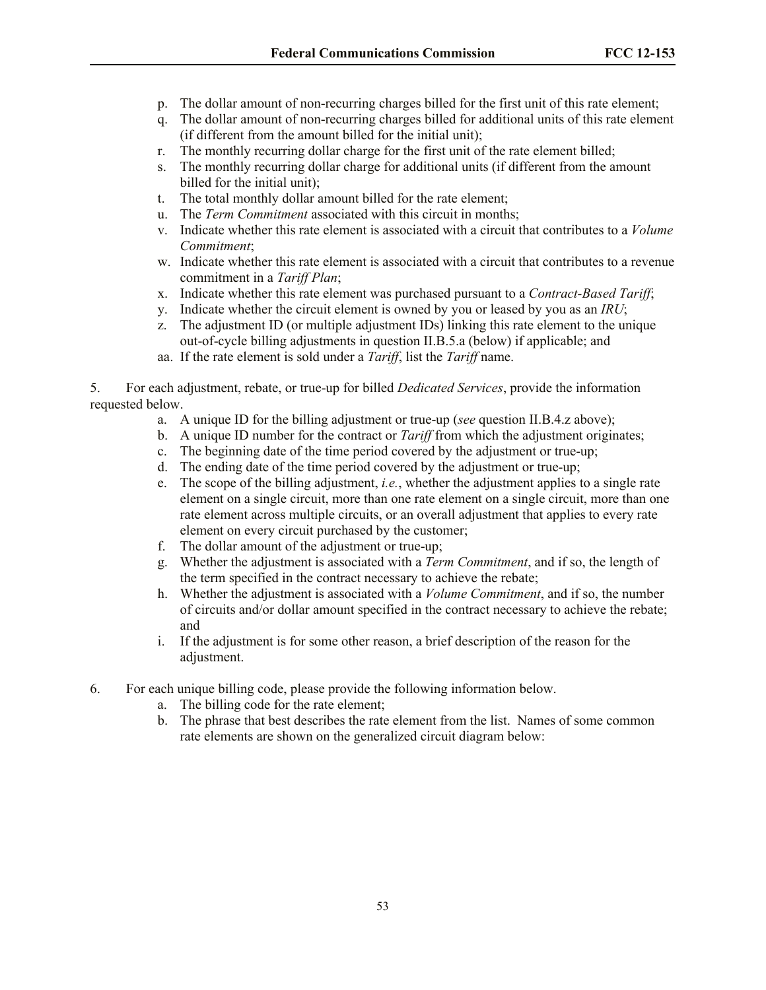- p. The dollar amount of non-recurring charges billed for the first unit of this rate element;
- q. The dollar amount of non-recurring charges billed for additional units of this rate element (if different from the amount billed for the initial unit);
- r. The monthly recurring dollar charge for the first unit of the rate element billed;
- s. The monthly recurring dollar charge for additional units (if different from the amount billed for the initial unit);
- t. The total monthly dollar amount billed for the rate element;
- u. The *Term Commitment* associated with this circuit in months;
- v. Indicate whether this rate element is associated with a circuit that contributes to a *Volume Commitment*;
- w. Indicate whether this rate element is associated with a circuit that contributes to a revenue commitment in a *Tariff Plan*;
- x. Indicate whether this rate element was purchased pursuant to a *Contract-Based Tariff*;
- y. Indicate whether the circuit element is owned by you or leased by you as an *IRU*;
- z. The adjustment ID (or multiple adjustment IDs) linking this rate element to the unique out-of-cycle billing adjustments in question II.B.5.a (below) if applicable; and
- aa. If the rate element is sold under a *Tariff*, list the *Tariff* name.

5. For each adjustment, rebate, or true-up for billed *Dedicated Services*, provide the information requested below.

- a. A unique ID for the billing adjustment or true-up (*see* question II.B.4.z above);
- b. A unique ID number for the contract or *Tariff* from which the adjustment originates;
- c. The beginning date of the time period covered by the adjustment or true-up;
- d. The ending date of the time period covered by the adjustment or true-up;
- e. The scope of the billing adjustment, *i.e.*, whether the adjustment applies to a single rate element on a single circuit, more than one rate element on a single circuit, more than one rate element across multiple circuits, or an overall adjustment that applies to every rate element on every circuit purchased by the customer;
- f. The dollar amount of the adjustment or true-up;
- g. Whether the adjustment is associated with a *Term Commitment*, and if so, the length of the term specified in the contract necessary to achieve the rebate;
- h. Whether the adjustment is associated with a *Volume Commitment*, and if so, the number of circuits and/or dollar amount specified in the contract necessary to achieve the rebate; and
- i. If the adjustment is for some other reason, a brief description of the reason for the adjustment.
- 6. For each unique billing code, please provide the following information below.
	- a. The billing code for the rate element;
	- b. The phrase that best describes the rate element from the list. Names of some common rate elements are shown on the generalized circuit diagram below: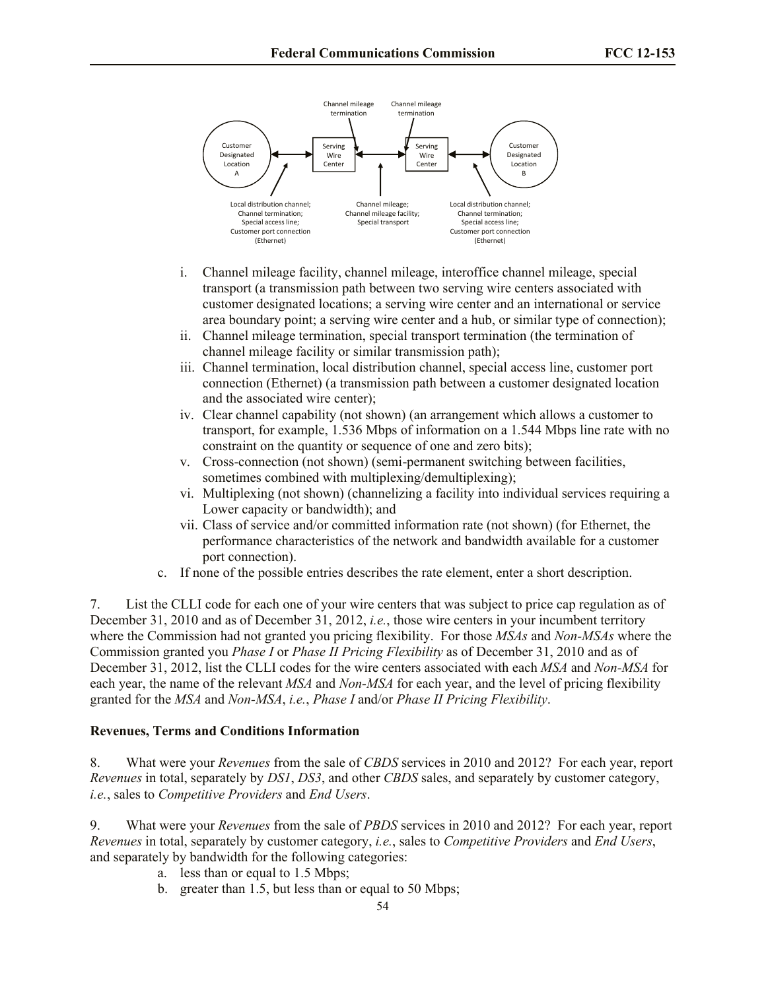

- i. Channel mileage facility, channel mileage, interoffice channel mileage, special transport (a transmission path between two serving wire centers associated with customer designated locations; a serving wire center and an international or service area boundary point; a serving wire center and a hub, or similar type of connection);
- ii. Channel mileage termination, special transport termination (the termination of channel mileage facility or similar transmission path);
- iii. Channel termination, local distribution channel, special access line, customer port connection (Ethernet) (a transmission path between a customer designated location and the associated wire center);
- iv. Clear channel capability (not shown) (an arrangement which allows a customer to transport, for example, 1.536 Mbps of information on a 1.544 Mbps line rate with no constraint on the quantity or sequence of one and zero bits);
- v. Cross-connection (not shown) (semi-permanent switching between facilities, sometimes combined with multiplexing/demultiplexing);
- vi. Multiplexing (not shown) (channelizing a facility into individual services requiring a Lower capacity or bandwidth); and
- vii. Class of service and/or committed information rate (not shown) (for Ethernet, the performance characteristics of the network and bandwidth available for a customer port connection).
- c. If none of the possible entries describes the rate element, enter a short description.

7. List the CLLI code for each one of your wire centers that was subject to price cap regulation as of December 31, 2010 and as of December 31, 2012, *i.e.*, those wire centers in your incumbent territory where the Commission had not granted you pricing flexibility. For those *MSAs* and *Non-MSAs* where the Commission granted you *Phase I* or *Phase II Pricing Flexibility* as of December 31, 2010 and as of December 31, 2012, list the CLLI codes for the wire centers associated with each *MSA* and *Non-MSA* for each year, the name of the relevant *MSA* and *Non-MSA* for each year, and the level of pricing flexibility granted for the *MSA* and *Non-MSA*, *i.e.*, *Phase I* and/or *Phase II Pricing Flexibility*.

#### **Revenues, Terms and Conditions Information**

8. What were your *Revenues* from the sale of *CBDS* services in 2010 and 2012? For each year, report *Revenues* in total, separately by *DS1*, *DS3*, and other *CBDS* sales, and separately by customer category, *i.e.*, sales to *Competitive Providers* and *End Users*.

9. What were your *Revenues* from the sale of *PBDS* services in 2010 and 2012? For each year, report *Revenues* in total, separately by customer category, *i.e.*, sales to *Competitive Providers* and *End Users*, and separately by bandwidth for the following categories:

- a. less than or equal to 1.5 Mbps;
- b. greater than 1.5, but less than or equal to 50 Mbps;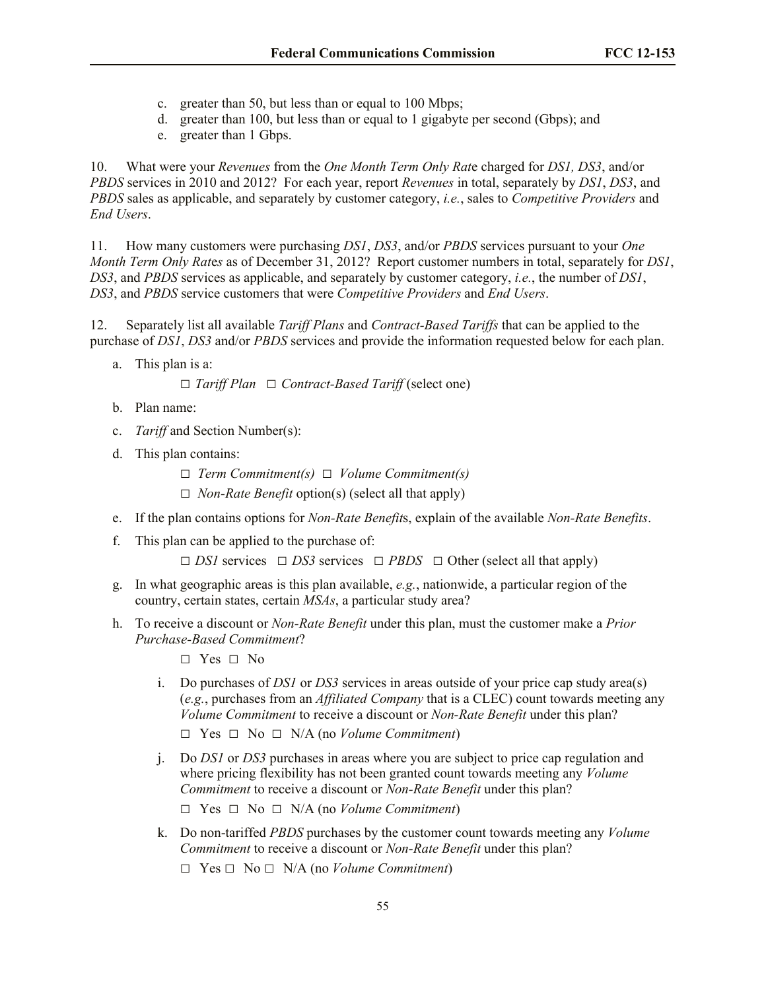- c. greater than 50, but less than or equal to 100 Mbps;
- d. greater than 100, but less than or equal to 1 gigabyte per second (Gbps); and
- e. greater than 1 Gbps.

10. What were your *Revenues* from the *One Month Term Only Rat*e charged for *DS1, DS3*, and/or *PBDS* services in 2010 and 2012? For each year, report *Revenues* in total, separately by *DS1*, *DS3*, and *PBDS* sales as applicable, and separately by customer category, *i.e.*, sales to *Competitive Providers* and *End Users*.

11. How many customers were purchasing *DS1*, *DS3*, and/or *PBDS* services pursuant to your *One Month Term Only Rat*e*s* as of December 31, 2012? Report customer numbers in total, separately for *DS1*, *DS3*, and *PBDS* services as applicable, and separately by customer category, *i.e.*, the number of *DS1*, *DS3*, and *PBDS* service customers that were *Competitive Providers* and *End Users*.

12. Separately list all available *Tariff Plans* and *Contract-Based Tariffs* that can be applied to the purchase of *DS1*, *DS3* and/or *PBDS* services and provide the information requested below for each plan.

a. This plan is a:

**□** *Tariff Plan* **□** *Contract-Based Tariff* (select one)

- b. Plan name:
- c. *Tariff* and Section Number(s):
- d. This plan contains:
	- **□** *Term Commitment(s)* **□** *Volume Commitment(s)*
	- **□** *Non-Rate Benefit* option(s) (select all that apply)
- e. If the plan contains options for *Non-Rate Benefit*s, explain of the available *Non-Rate Benefits*.
- f. This plan can be applied to the purchase of:

**□** *DS1* services **□** *DS3* services **□** *PBDS* **□** Other (select all that apply)

- g. In what geographic areas is this plan available, *e.g.*, nationwide, a particular region of the country, certain states, certain *MSAs*, a particular study area?
- h. To receive a discount or *Non-Rate Benefit* under this plan, must the customer make a *Prior Purchase-Based Commitment*?
	- **□** Yes **□** No
	- i. Do purchases of *DS1* or *DS3* services in areas outside of your price cap study area(s) (*e.g.*, purchases from an *Affiliated Company* that is a CLEC) count towards meeting any *Volume Commitment* to receive a discount or *Non-Rate Benefit* under this plan?

```
□ Yes □ No □ N/A (no Volume Commitment)
```
j. Do *DS1* or *DS3* purchases in areas where you are subject to price cap regulation and where pricing flexibility has not been granted count towards meeting any *Volume Commitment* to receive a discount or *Non-Rate Benefit* under this plan?

**□** Yes **□** No **□** N/A (no *Volume Commitment*)

- k. Do non-tariffed *PBDS* purchases by the customer count towards meeting any *Volume Commitment* to receive a discount or *Non-Rate Benefit* under this plan?
	- **□** Yes **□** No **□** N/A (no *Volume Commitment*)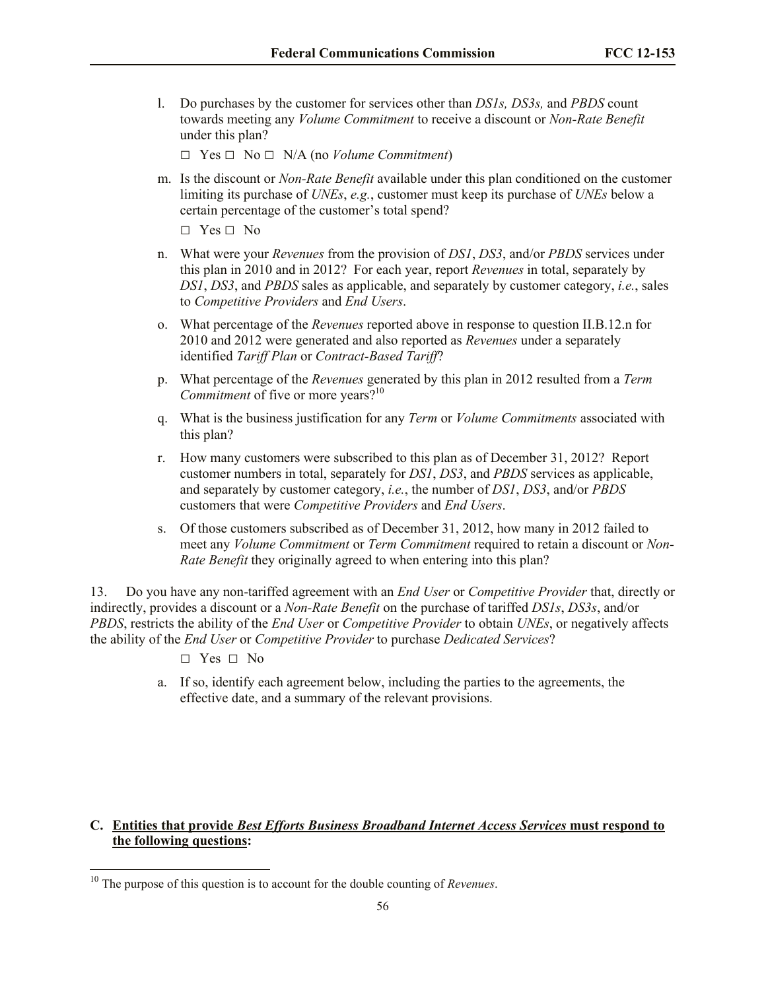l. Do purchases by the customer for services other than *DS1s, DS3s,* and *PBDS* count towards meeting any *Volume Commitment* to receive a discount or *Non-Rate Benefit* under this plan?

**□** Yes **□** No **□** N/A (no *Volume Commitment*)

m. Is the discount or *Non-Rate Benefit* available under this plan conditioned on the customer limiting its purchase of *UNEs*, *e.g.*, customer must keep its purchase of *UNEs* below a certain percentage of the customer's total spend?

**□** Yes **□** No

- n. What were your *Revenues* from the provision of *DS1*, *DS3*, and/or *PBDS* services under this plan in 2010 and in 2012? For each year, report *Revenues* in total, separately by *DS1*, *DS3*, and *PBDS* sales as applicable, and separately by customer category, *i.e.*, sales to *Competitive Providers* and *End Users*.
- o. What percentage of the *Revenues* reported above in response to question II.B.12.n for 2010 and 2012 were generated and also reported as *Revenues* under a separately identified *Tariff Plan* or *Contract-Based Tariff*?
- p. What percentage of the *Revenues* generated by this plan in 2012 resulted from a *Term Commitment* of five or more years?<sup>10</sup>
- q. What is the business justification for any *Term* or *Volume Commitments* associated with this plan?
- r. How many customers were subscribed to this plan as of December 31, 2012? Report customer numbers in total, separately for *DS1*, *DS3*, and *PBDS* services as applicable, and separately by customer category, *i.e.*, the number of *DS1*, *DS3*, and/or *PBDS* customers that were *Competitive Providers* and *End Users*.
- s. Of those customers subscribed as of December 31, 2012, how many in 2012 failed to meet any *Volume Commitment* or *Term Commitment* required to retain a discount or *Non-Rate Benefit* they originally agreed to when entering into this plan?

13. Do you have any non-tariffed agreement with an *End User* or *Competitive Provider* that, directly or indirectly, provides a discount or a *Non-Rate Benefit* on the purchase of tariffed *DS1s*, *DS3s*, and/or *PBDS*, restricts the ability of the *End User* or *Competitive Provider* to obtain *UNEs*, or negatively affects the ability of the *End User* or *Competitive Provider* to purchase *Dedicated Services*?

**□** Yes **□** No

 $\overline{\phantom{a}}$ 

a. If so, identify each agreement below, including the parties to the agreements, the effective date, and a summary of the relevant provisions.

# **C. Entities that provide** *Best Efforts Business Broadband Internet Access Services* **must respond to the following questions:**

<sup>10</sup> The purpose of this question is to account for the double counting of *Revenues*.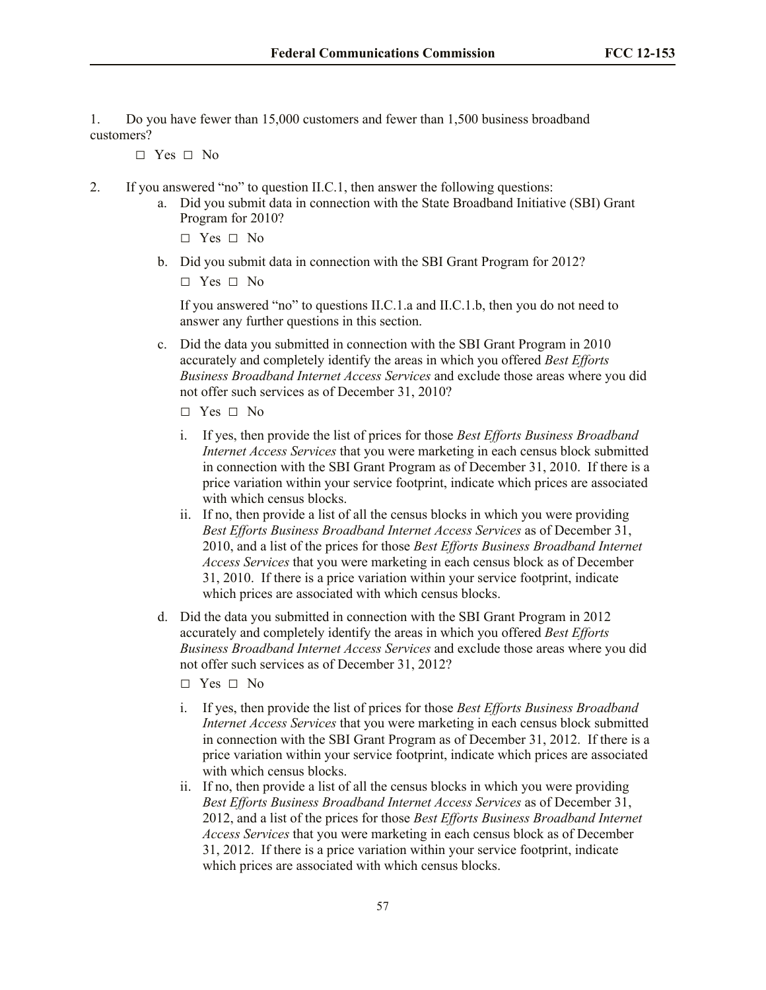1. Do you have fewer than 15,000 customers and fewer than 1,500 business broadband customers?

**□** Yes **□** No

- 2. If you answered "no" to question II.C.1, then answer the following questions:
	- a. Did you submit data in connection with the State Broadband Initiative (SBI) Grant Program for 2010?
		- **□** Yes **□** No
	- b. Did you submit data in connection with the SBI Grant Program for 2012?

**□** Yes **□** No

If you answered "no" to questions II.C.1.a and II.C.1.b, then you do not need to answer any further questions in this section.

- c. Did the data you submitted in connection with the SBI Grant Program in 2010 accurately and completely identify the areas in which you offered *Best Efforts Business Broadband Internet Access Services* and exclude those areas where you did not offer such services as of December 31, 2010?
	- **□** Yes **□** No
	- i. If yes, then provide the list of prices for those *Best Efforts Business Broadband Internet Access Services* that you were marketing in each census block submitted in connection with the SBI Grant Program as of December 31, 2010. If there is a price variation within your service footprint, indicate which prices are associated with which census blocks.
	- ii. If no, then provide a list of all the census blocks in which you were providing *Best Efforts Business Broadband Internet Access Services* as of December 31, 2010, and a list of the prices for those *Best Efforts Business Broadband Internet Access Services* that you were marketing in each census block as of December 31, 2010. If there is a price variation within your service footprint, indicate which prices are associated with which census blocks.
- d. Did the data you submitted in connection with the SBI Grant Program in 2012 accurately and completely identify the areas in which you offered *Best Efforts Business Broadband Internet Access Services* and exclude those areas where you did not offer such services as of December 31, 2012?
	- **□** Yes **□** No
	- i. If yes, then provide the list of prices for those *Best Efforts Business Broadband Internet Access Services* that you were marketing in each census block submitted in connection with the SBI Grant Program as of December 31, 2012. If there is a price variation within your service footprint, indicate which prices are associated with which census blocks.
	- ii. If no, then provide a list of all the census blocks in which you were providing *Best Efforts Business Broadband Internet Access Services* as of December 31, 2012, and a list of the prices for those *Best Efforts Business Broadband Internet Access Services* that you were marketing in each census block as of December 31, 2012. If there is a price variation within your service footprint, indicate which prices are associated with which census blocks.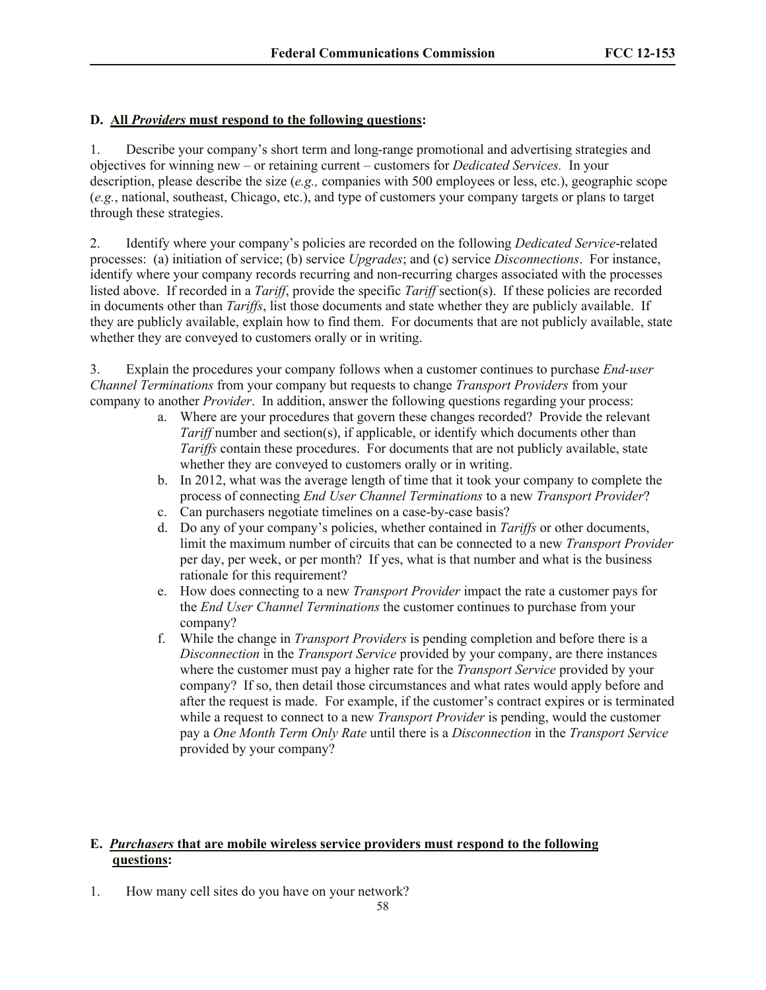# **D.****All** *Providers* **must respond to the following questions:**

1. Describe your company's short term and long-range promotional and advertising strategies and objectives for winning new – or retaining current – customers for *Dedicated Services.* In your description, please describe the size (*e.g.,* companies with 500 employees or less, etc.), geographic scope (*e.g.*, national, southeast, Chicago, etc.), and type of customers your company targets or plans to target through these strategies.

2. Identify where your company's policies are recorded on the following *Dedicated Service*-related processes: (a) initiation of service; (b) service *Upgrades*; and (c) service *Disconnections*. For instance, identify where your company records recurring and non-recurring charges associated with the processes listed above. If recorded in a *Tariff*, provide the specific *Tariff* section(s). If these policies are recorded in documents other than *Tariffs*, list those documents and state whether they are publicly available. If they are publicly available, explain how to find them. For documents that are not publicly available, state whether they are conveyed to customers orally or in writing.

3. Explain the procedures your company follows when a customer continues to purchase *End-user Channel Terminations* from your company but requests to change *Transport Providers* from your company to another *Provider*. In addition, answer the following questions regarding your process:

- a. Where are your procedures that govern these changes recorded? Provide the relevant *Tariff* number and section(s), if applicable, or identify which documents other than *Tariffs* contain these procedures. For documents that are not publicly available, state whether they are conveyed to customers orally or in writing.
- b. In 2012, what was the average length of time that it took your company to complete the process of connecting *End User Channel Terminations* to a new *Transport Provider*?
- c. Can purchasers negotiate timelines on a case-by-case basis?
- d. Do any of your company's policies, whether contained in *Tariffs* or other documents, limit the maximum number of circuits that can be connected to a new *Transport Provider* per day, per week, or per month? If yes, what is that number and what is the business rationale for this requirement?
- e. How does connecting to a new *Transport Provider* impact the rate a customer pays for the *End User Channel Terminations* the customer continues to purchase from your company?
- f. While the change in *Transport Providers* is pending completion and before there is a *Disconnection* in the *Transport Service* provided by your company, are there instances where the customer must pay a higher rate for the *Transport Service* provided by your company? If so, then detail those circumstances and what rates would apply before and after the request is made. For example, if the customer's contract expires or is terminated while a request to connect to a new *Transport Provider* is pending, would the customer pay a *One Month Term Only Rate* until there is a *Disconnection* in the *Transport Service* provided by your company?

# **E.** *Purchasers* **that are mobile wireless service providers must respond to the following questions:**

1. How many cell sites do you have on your network?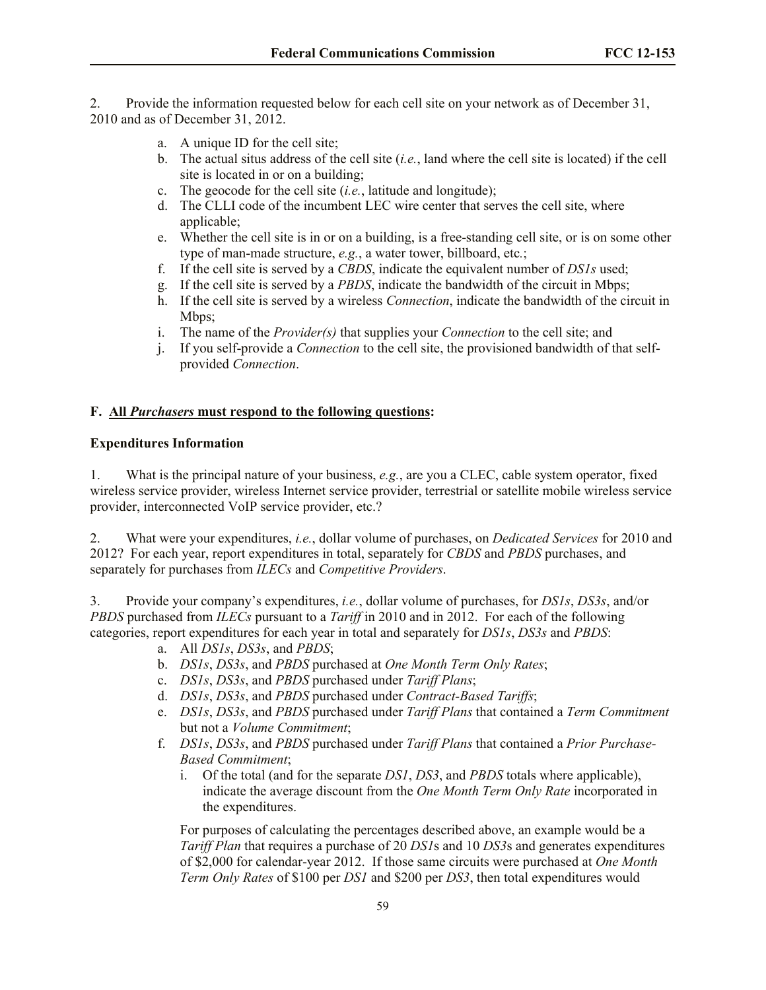2. Provide the information requested below for each cell site on your network as of December 31, 2010 and as of December 31, 2012.

- a. A unique ID for the cell site;
- b. The actual situs address of the cell site (*i.e.*, land where the cell site is located) if the cell site is located in or on a building;
- c. The geocode for the cell site (*i.e.*, latitude and longitude);
- d. The CLLI code of the incumbent LEC wire center that serves the cell site, where applicable;
- e. Whether the cell site is in or on a building, is a free-standing cell site, or is on some other type of man-made structure, *e.g.*, a water tower, billboard, etc*.*;
- f. If the cell site is served by a *CBDS*, indicate the equivalent number of *DS1s* used;
- g. If the cell site is served by a *PBDS*, indicate the bandwidth of the circuit in Mbps;
- h. If the cell site is served by a wireless *Connection*, indicate the bandwidth of the circuit in Mbps;
- i. The name of the *Provider(s)* that supplies your *Connection* to the cell site; and
- j. If you self-provide a *Connection* to the cell site, the provisioned bandwidth of that selfprovided *Connection*.

## **F.****All** *Purchasers* **must respond to the following questions:**

#### **Expenditures Information**

1. What is the principal nature of your business, *e.g.*, are you a CLEC, cable system operator, fixed wireless service provider, wireless Internet service provider, terrestrial or satellite mobile wireless service provider, interconnected VoIP service provider, etc.?

2. What were your expenditures, *i.e.*, dollar volume of purchases, on *Dedicated Services* for 2010 and 2012? For each year, report expenditures in total, separately for *CBDS* and *PBDS* purchases, and separately for purchases from *ILECs* and *Competitive Providers*.

3. Provide your company's expenditures, *i.e.*, dollar volume of purchases, for *DS1s*, *DS3s*, and/or *PBDS* purchased from *ILECs* pursuant to a *Tariff* in 2010 and in 2012. For each of the following categories, report expenditures for each year in total and separately for *DS1s*, *DS3s* and *PBDS*:

- a. All *DS1s*, *DS3s*, and *PBDS*;
- b. *DS1s*, *DS3s*, and *PBDS* purchased at *One Month Term Only Rates*;
- c. *DS1s*, *DS3s*, and *PBDS* purchased under *Tariff Plans*;
- d. *DS1s*, *DS3s*, and *PBDS* purchased under *Contract-Based Tariffs*;
- e. *DS1s*, *DS3s*, and *PBDS* purchased under *Tariff Plans* that contained a *Term Commitment* but not a *Volume Commitment*;
- f. *DS1s*, *DS3s*, and *PBDS* purchased under *Tariff Plans* that contained a *Prior Purchase-Based Commitment*;
	- i. Of the total (and for the separate *DS1*, *DS3*, and *PBDS* totals where applicable), indicate the average discount from the *One Month Term Only Rate* incorporated in the expenditures.

For purposes of calculating the percentages described above, an example would be a *Tariff Plan* that requires a purchase of 20 *DS1*s and 10 *DS3*s and generates expenditures of \$2,000 for calendar-year 2012. If those same circuits were purchased at *One Month Term Only Rates* of \$100 per *DS1* and \$200 per *DS3*, then total expenditures would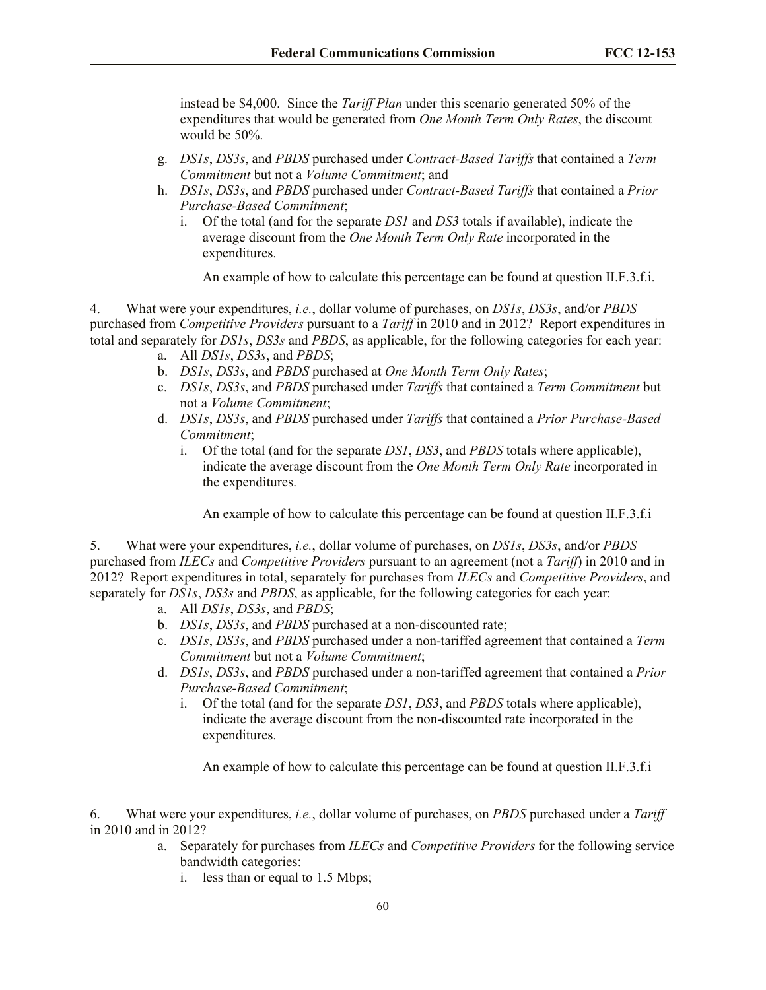instead be \$4,000. Since the *Tariff Plan* under this scenario generated 50% of the expenditures that would be generated from *One Month Term Only Rates*, the discount would be 50%.

- g. *DS1s*, *DS3s*, and *PBDS* purchased under *Contract-Based Tariffs* that contained a *Term Commitment* but not a *Volume Commitment*; and
- h. *DS1s*, *DS3s*, and *PBDS* purchased under *Contract-Based Tariffs* that contained a *Prior Purchase-Based Commitment*;
	- i. Of the total (and for the separate *DS1* and *DS3* totals if available), indicate the average discount from the *One Month Term Only Rate* incorporated in the expenditures.

An example of how to calculate this percentage can be found at question II.F.3.f.i.

4. What were your expenditures, *i.e.*, dollar volume of purchases, on *DS1s*, *DS3s*, and/or *PBDS* purchased from *Competitive Providers* pursuant to a *Tariff* in 2010 and in 2012? Report expenditures in total and separately for *DS1s*, *DS3s* and *PBDS*, as applicable, for the following categories for each year:

- a. All *DS1s*, *DS3s*, and *PBDS*;
- b. *DS1s*, *DS3s*, and *PBDS* purchased at *One Month Term Only Rates*;
- c. *DS1s*, *DS3s*, and *PBDS* purchased under *Tariffs* that contained a *Term Commitment* but not a *Volume Commitment*;
- d. *DS1s*, *DS3s*, and *PBDS* purchased under *Tariffs* that contained a *Prior Purchase-Based Commitment*;
	- i. Of the total (and for the separate *DS1*, *DS3*, and *PBDS* totals where applicable), indicate the average discount from the *One Month Term Only Rate* incorporated in the expenditures.

An example of how to calculate this percentage can be found at question II.F.3.f.i

5. What were your expenditures, *i.e.*, dollar volume of purchases, on *DS1s*, *DS3s*, and/or *PBDS* purchased from *ILECs* and *Competitive Providers* pursuant to an agreement (not a *Tariff*) in 2010 and in 2012? Report expenditures in total, separately for purchases from *ILECs* and *Competitive Providers*, and separately for *DS1s*, *DS3s* and *PBDS*, as applicable, for the following categories for each year:

- a. All *DS1s*, *DS3s*, and *PBDS*;
- b. *DS1s*, *DS3s*, and *PBDS* purchased at a non-discounted rate;
- c. *DS1s*, *DS3s*, and *PBDS* purchased under a non-tariffed agreement that contained a *Term Commitment* but not a *Volume Commitment*;
- d. *DS1s*, *DS3s*, and *PBDS* purchased under a non-tariffed agreement that contained a *Prior Purchase-Based Commitment*;
	- i. Of the total (and for the separate *DS1*, *DS3*, and *PBDS* totals where applicable), indicate the average discount from the non-discounted rate incorporated in the expenditures.

An example of how to calculate this percentage can be found at question II.F.3.f.i

6. What were your expenditures, *i.e.*, dollar volume of purchases, on *PBDS* purchased under a *Tariff* in 2010 and in 2012?

- a. Separately for purchases from *ILECs* and *Competitive Providers* for the following service bandwidth categories:
	- i. less than or equal to 1.5 Mbps;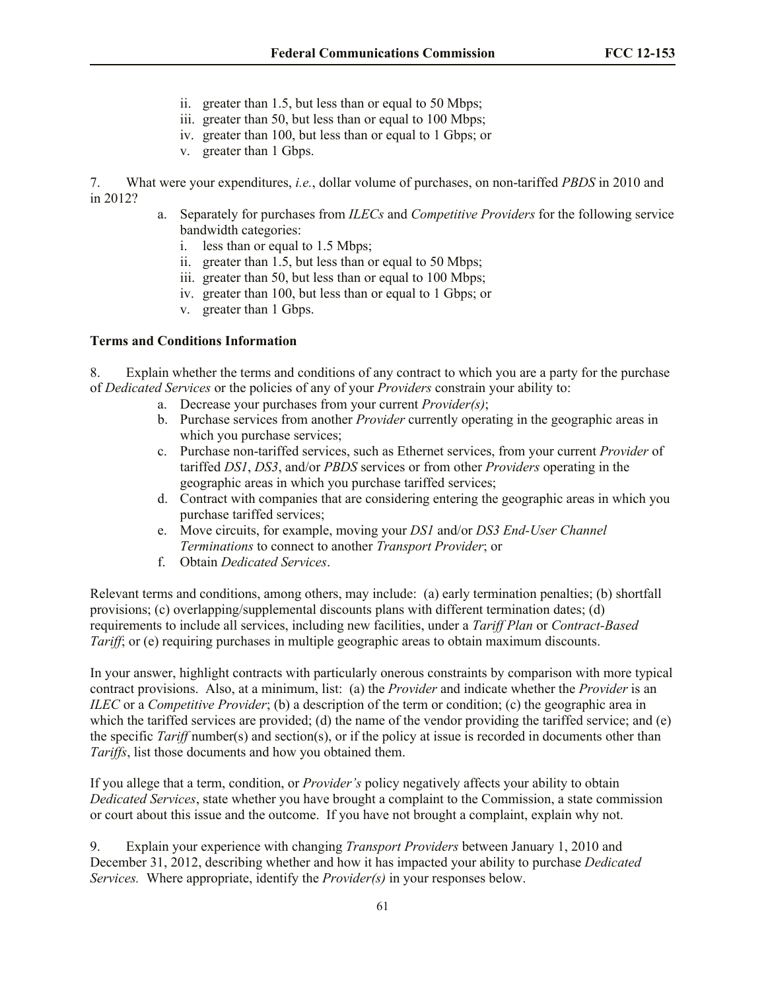- ii. greater than 1.5, but less than or equal to 50 Mbps;
- iii. greater than 50, but less than or equal to 100 Mbps;
- iv. greater than 100, but less than or equal to 1 Gbps; or
- v. greater than 1 Gbps.

7. What were your expenditures, *i.e.*, dollar volume of purchases, on non-tariffed *PBDS* in 2010 and in 2012?

- a. Separately for purchases from *ILECs* and *Competitive Providers* for the following service bandwidth categories:
	- i. less than or equal to 1.5 Mbps;
	- ii. greater than 1.5, but less than or equal to 50 Mbps;
	- iii. greater than 50, but less than or equal to 100 Mbps;
	- iv. greater than 100, but less than or equal to 1 Gbps; or
	- v. greater than 1 Gbps.

#### **Terms and Conditions Information**

8. Explain whether the terms and conditions of any contract to which you are a party for the purchase of *Dedicated Services* or the policies of any of your *Providers* constrain your ability to:

- a. Decrease your purchases from your current *Provider(s)*;
- b. Purchase services from another *Provider* currently operating in the geographic areas in which you purchase services;
- c. Purchase non-tariffed services, such as Ethernet services, from your current *Provider* of tariffed *DS1*, *DS3*, and/or *PBDS* services or from other *Providers* operating in the geographic areas in which you purchase tariffed services;
- d. Contract with companies that are considering entering the geographic areas in which you purchase tariffed services;
- e. Move circuits, for example, moving your *DS1* and/or *DS3 End-User Channel Terminations* to connect to another *Transport Provider*; or
- f. Obtain *Dedicated Services*.

Relevant terms and conditions, among others, may include: (a) early termination penalties; (b) shortfall provisions; (c) overlapping/supplemental discounts plans with different termination dates; (d) requirements to include all services, including new facilities, under a *Tariff Plan* or *Contract-Based Tariff*; or (e) requiring purchases in multiple geographic areas to obtain maximum discounts.

In your answer, highlight contracts with particularly onerous constraints by comparison with more typical contract provisions. Also, at a minimum, list: (a) the *Provider* and indicate whether the *Provider* is an *ILEC* or a *Competitive Provider*; (b) a description of the term or condition; (c) the geographic area in which the tariffed services are provided; (d) the name of the vendor providing the tariffed service; and (e) the specific *Tariff* number(s) and section(s), or if the policy at issue is recorded in documents other than *Tariffs*, list those documents and how you obtained them.

If you allege that a term, condition, or *Provider's* policy negatively affects your ability to obtain *Dedicated Services*, state whether you have brought a complaint to the Commission, a state commission or court about this issue and the outcome. If you have not brought a complaint, explain why not.

9. Explain your experience with changing *Transport Providers* between January 1, 2010 and December 31, 2012, describing whether and how it has impacted your ability to purchase *Dedicated Services.* Where appropriate, identify the *Provider(s)* in your responses below.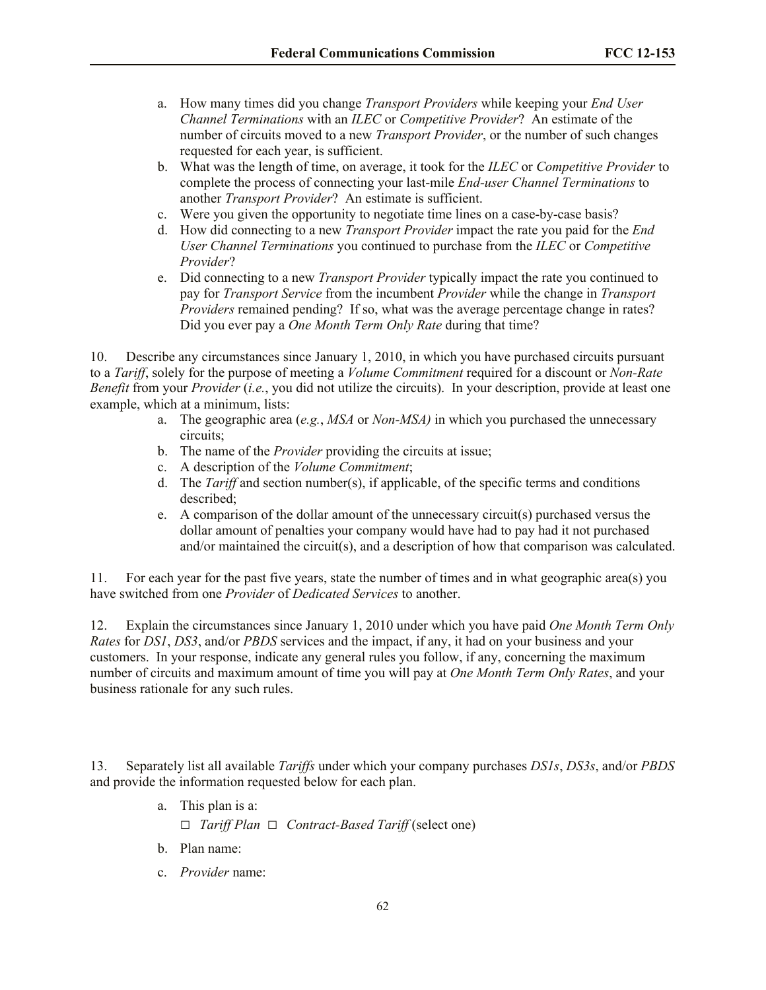- a. How many times did you change *Transport Providers* while keeping your *End User Channel Terminations* with an *ILEC* or *Competitive Provider*? An estimate of the number of circuits moved to a new *Transport Provider*, or the number of such changes requested for each year, is sufficient.
- b. What was the length of time, on average, it took for the *ILEC* or *Competitive Provider* to complete the process of connecting your last-mile *End-user Channel Terminations* to another *Transport Provider*? An estimate is sufficient.
- c. Were you given the opportunity to negotiate time lines on a case-by-case basis?
- d. How did connecting to a new *Transport Provider* impact the rate you paid for the *End User Channel Terminations* you continued to purchase from the *ILEC* or *Competitive Provider*?
- e. Did connecting to a new *Transport Provider* typically impact the rate you continued to pay for *Transport Service* from the incumbent *Provider* while the change in *Transport Providers* remained pending? If so, what was the average percentage change in rates? Did you ever pay a *One Month Term Only Rate* during that time?

10. Describe any circumstances since January 1, 2010, in which you have purchased circuits pursuant to a *Tariff*, solely for the purpose of meeting a *Volume Commitment* required for a discount or *Non-Rate Benefit* from your *Provider* (*i.e.*, you did not utilize the circuits). In your description, provide at least one example, which at a minimum, lists:

- a. The geographic area (*e.g.*, *MSA* or *Non-MSA)* in which you purchased the unnecessary circuits;
- b. The name of the *Provider* providing the circuits at issue;
- c. A description of the *Volume Commitment*;
- d. The *Tariff* and section number(s), if applicable, of the specific terms and conditions described;
- e. A comparison of the dollar amount of the unnecessary circuit(s) purchased versus the dollar amount of penalties your company would have had to pay had it not purchased and/or maintained the circuit(s), and a description of how that comparison was calculated.

11. For each year for the past five years, state the number of times and in what geographic area(s) you have switched from one *Provider* of *Dedicated Services* to another.

12. Explain the circumstances since January 1, 2010 under which you have paid *One Month Term Only Rates* for *DS1*, *DS3*, and/or *PBDS* services and the impact, if any, it had on your business and your customers. In your response, indicate any general rules you follow, if any, concerning the maximum number of circuits and maximum amount of time you will pay at *One Month Term Only Rates*, and your business rationale for any such rules.

13. Separately list all available *Tariffs* under which your company purchases *DS1s*, *DS3s*, and/or *PBDS* and provide the information requested below for each plan.

- a. This plan is a:
	- **□** *Tariff Plan* **□** *Contract-Based Tariff* (select one)
- b. Plan name:
- c. *Provider* name: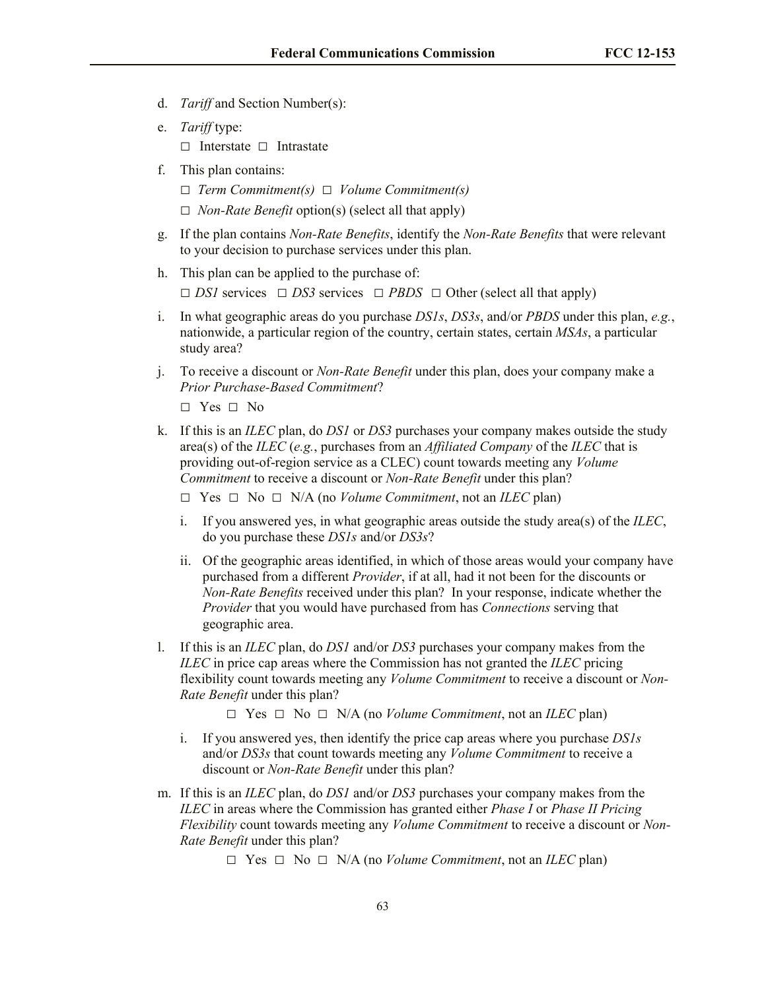- d. *Tariff* and Section Number(s):
- e. *Tariff* type:

**□** Interstate **□** Intrastate

- f. This plan contains:
	- **□** *Term Commitment(s)* **□** *Volume Commitment(s)*
	- **□** *Non-Rate Benefit* option(s) (select all that apply)
- g. If the plan contains *Non-Rate Benefits*, identify the *Non-Rate Benefits* that were relevant to your decision to purchase services under this plan.
- h. This plan can be applied to the purchase of: **□** *DS1* services **□** *DS3* services **□** *PBDS* **□** Other (select all that apply)
- i. In what geographic areas do you purchase *DS1s*, *DS3s*, and/or *PBDS* under this plan, *e.g.*, nationwide, a particular region of the country, certain states, certain *MSAs*, a particular study area?
- j. To receive a discount or *Non-Rate Benefit* under this plan, does your company make a *Prior Purchase-Based Commitment*?

**□** Yes **□** No

- k. If this is an *ILEC* plan, do *DS1* or *DS3* purchases your company makes outside the study area(s) of the *ILEC* (*e.g.*, purchases from an *Affiliated Company* of the *ILEC* that is providing out-of-region service as a CLEC) count towards meeting any *Volume Commitment* to receive a discount or *Non-Rate Benefit* under this plan?
	- **□** Yes **□** No **□** N/A (no *Volume Commitment*, not an *ILEC* plan)
	- i. If you answered yes, in what geographic areas outside the study area(s) of the *ILEC*, do you purchase these *DS1s* and/or *DS3s*?
	- ii. Of the geographic areas identified, in which of those areas would your company have purchased from a different *Provider*, if at all, had it not been for the discounts or *Non-Rate Benefits* received under this plan? In your response, indicate whether the *Provider* that you would have purchased from has *Connections* serving that geographic area.
- l. If this is an *ILEC* plan, do *DS1* and/or *DS3* purchases your company makes from the *ILEC* in price cap areas where the Commission has not granted the *ILEC* pricing flexibility count towards meeting any *Volume Commitment* to receive a discount or *Non-Rate Benefit* under this plan?
	- **□** Yes **□** No **□** N/A (no *Volume Commitment*, not an *ILEC* plan)
	- i. If you answered yes, then identify the price cap areas where you purchase *DS1s* and/or *DS3s* that count towards meeting any *Volume Commitment* to receive a discount or *Non-Rate Benefit* under this plan?
- m. If this is an *ILEC* plan, do *DS1* and/or *DS3* purchases your company makes from the *ILEC* in areas where the Commission has granted either *Phase I* or *Phase II Pricing Flexibility* count towards meeting any *Volume Commitment* to receive a discount or *Non-Rate Benefit* under this plan?
	- **□** Yes **□** No **□** N/A (no *Volume Commitment*, not an *ILEC* plan)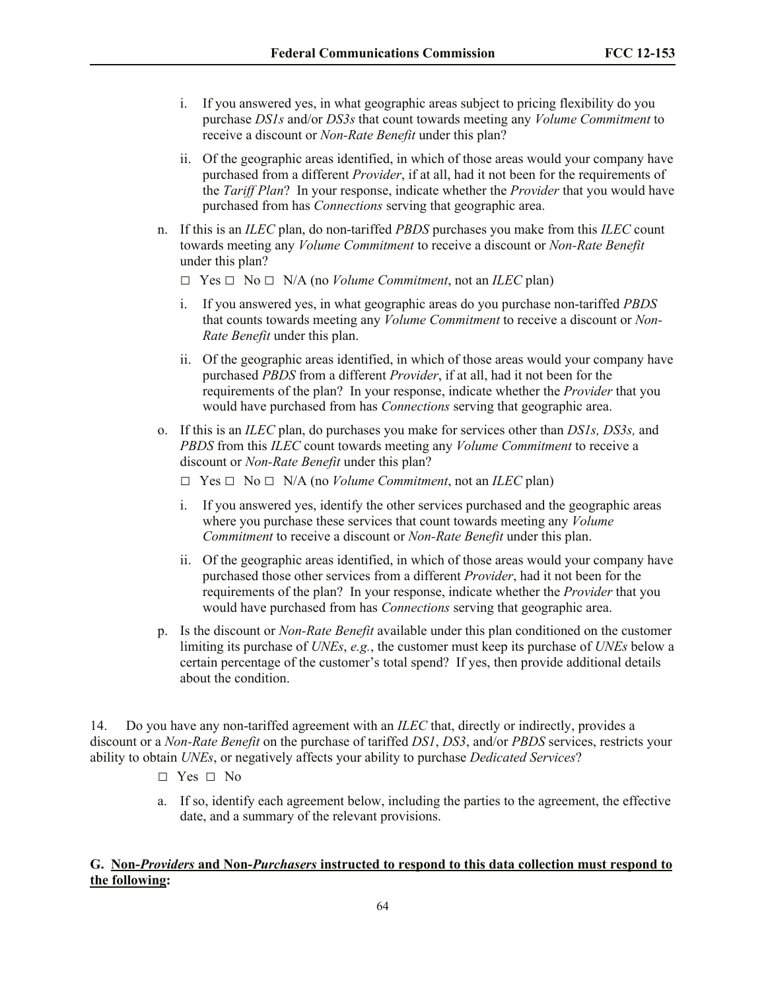- i. If you answered yes, in what geographic areas subject to pricing flexibility do you purchase *DS1s* and/or *DS3s* that count towards meeting any *Volume Commitment* to receive a discount or *Non-Rate Benefit* under this plan?
- ii. Of the geographic areas identified, in which of those areas would your company have purchased from a different *Provider*, if at all, had it not been for the requirements of the *Tariff Plan*? In your response, indicate whether the *Provider* that you would have purchased from has *Connections* serving that geographic area.
- n. If this is an *ILEC* plan, do non-tariffed *PBDS* purchases you make from this *ILEC* count towards meeting any *Volume Commitment* to receive a discount or *Non-Rate Benefit* under this plan?
	- **□** Yes **□** No **□** N/A (no *Volume Commitment*, not an *ILEC* plan)
	- i. If you answered yes, in what geographic areas do you purchase non-tariffed *PBDS*  that counts towards meeting any *Volume Commitment* to receive a discount or *Non-Rate Benefit* under this plan.
	- ii. Of the geographic areas identified, in which of those areas would your company have purchased *PBDS* from a different *Provider*, if at all, had it not been for the requirements of the plan? In your response, indicate whether the *Provider* that you would have purchased from has *Connections* serving that geographic area.
- o. If this is an *ILEC* plan, do purchases you make for services other than *DS1s, DS3s,* and *PBDS* from this *ILEC* count towards meeting any *Volume Commitment* to receive a discount or *Non-Rate Benefit* under this plan?
	- **□** Yes **□** No **□** N/A (no *Volume Commitment*, not an *ILEC* plan)
	- i. If you answered yes, identify the other services purchased and the geographic areas where you purchase these services that count towards meeting any *Volume Commitment* to receive a discount or *Non-Rate Benefit* under this plan.
	- ii. Of the geographic areas identified, in which of those areas would your company have purchased those other services from a different *Provider*, had it not been for the requirements of the plan? In your response, indicate whether the *Provider* that you would have purchased from has *Connections* serving that geographic area.
- p. Is the discount or *Non-Rate Benefit* available under this plan conditioned on the customer limiting its purchase of *UNEs*, *e.g.*, the customer must keep its purchase of *UNEs* below a certain percentage of the customer's total spend? If yes, then provide additional details about the condition.

14. Do you have any non-tariffed agreement with an *ILEC* that, directly or indirectly, provides a discount or a *Non-Rate Benefit* on the purchase of tariffed *DS1*, *DS3*, and/or *PBDS* services, restricts your ability to obtain *UNEs*, or negatively affects your ability to purchase *Dedicated Services*?

- **□** Yes **□** No
- a. If so, identify each agreement below, including the parties to the agreement, the effective date, and a summary of the relevant provisions.

### **G. Non-***Providers* **and Non-***Purchasers* **instructed to respond to this data collection must respond to the following:**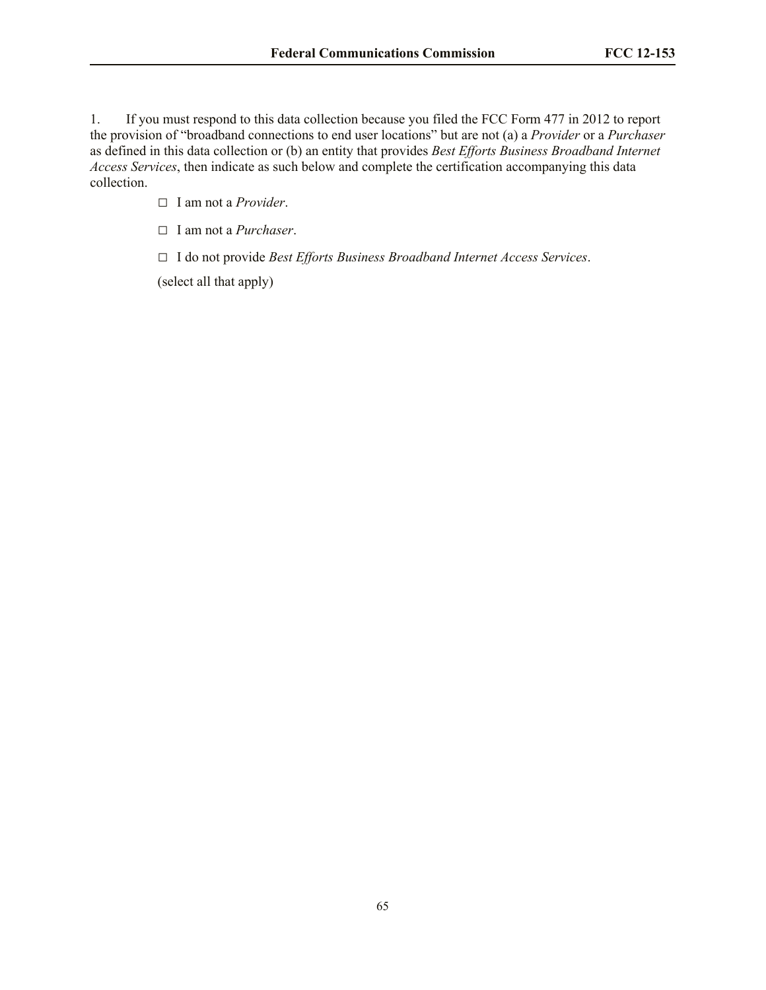1. If you must respond to this data collection because you filed the FCC Form 477 in 2012 to report the provision of "broadband connections to end user locations" but are not (a) a *Provider* or a *Purchaser* as defined in this data collection or (b) an entity that provides *Best Efforts Business Broadband Internet Access Services*, then indicate as such below and complete the certification accompanying this data collection.

**□** I am not a *Provider*.

**□** I am not a *Purchaser*.

**□** I do not provide *Best Efforts Business Broadband Internet Access Services*.

(select all that apply)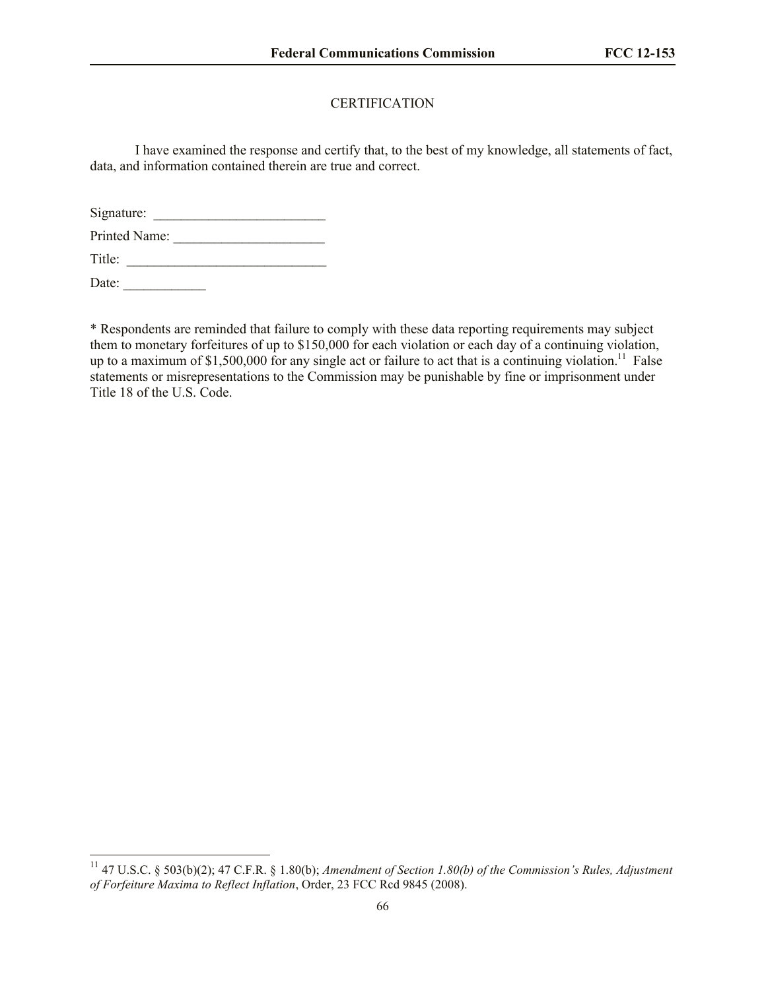# **CERTIFICATION**

I have examined the response and certify that, to the best of my knowledge, all statements of fact, data, and information contained therein are true and correct.

Signature: \_\_\_\_\_\_\_\_\_\_\_\_\_\_\_\_\_\_\_\_\_\_\_\_\_

Printed Name:

Title: \_\_\_\_\_\_\_\_\_\_\_\_\_\_\_\_\_\_\_\_\_\_\_\_\_\_\_\_\_

Date:  $\frac{1}{\sqrt{1-\frac{1}{2}}\cdot\frac{1}{\sqrt{1-\frac{1}{2}}}}$ 

l

\* Respondents are reminded that failure to comply with these data reporting requirements may subject them to monetary forfeitures of up to \$150,000 for each violation or each day of a continuing violation, up to a maximum of \$1,500,000 for any single act or failure to act that is a continuing violation.<sup>11</sup> False statements or misrepresentations to the Commission may be punishable by fine or imprisonment under Title 18 of the U.S. Code.

<sup>&</sup>lt;sup>11</sup> 47 U.S.C. § 503(b)(2); 47 C.F.R. § 1.80(b); *Amendment of Section 1.80(b) of the Commission's Rules, Adjustment of Forfeiture Maxima to Reflect Inflation*, Order, 23 FCC Rcd 9845 (2008).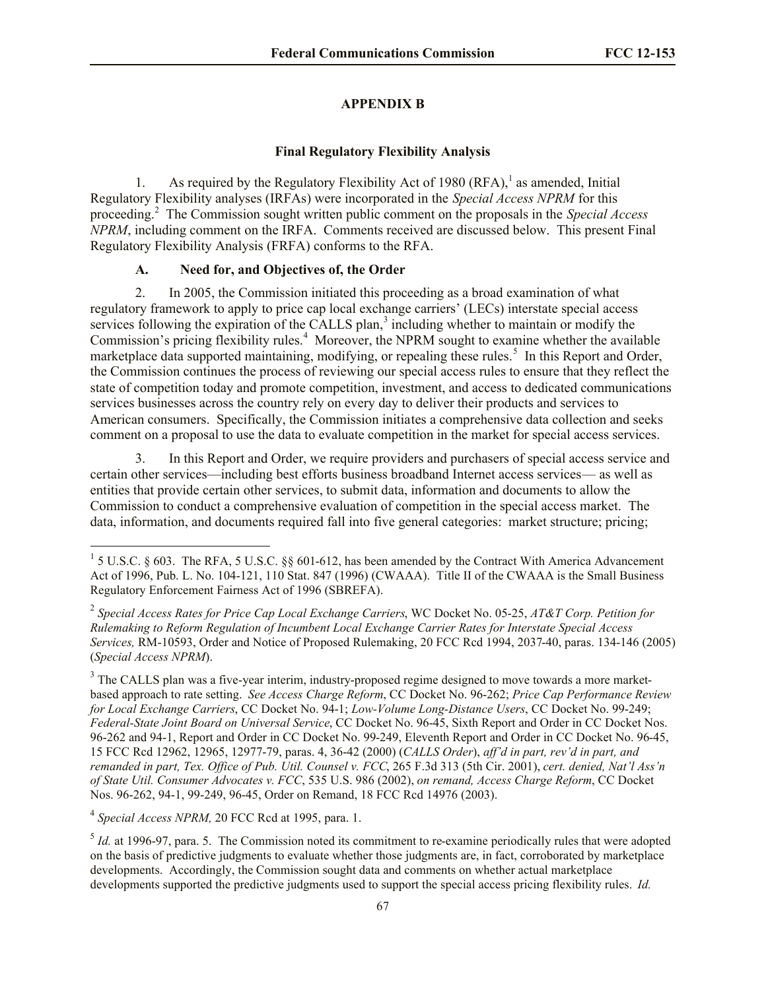## **APPENDIX B**

### **Final Regulatory Flexibility Analysis**

1. As required by the Regulatory Flexibility Act of 1980  $(RFA)$ , as amended, Initial Regulatory Flexibility analyses (IRFAs) were incorporated in the *Special Access NPRM* for this proceeding.<sup>2</sup> The Commission sought written public comment on the proposals in the *Special Access NPRM*, including comment on the IRFA. Comments received are discussed below. This present Final Regulatory Flexibility Analysis (FRFA) conforms to the RFA.

## **A. Need for, and Objectives of, the Order**

2. In 2005, the Commission initiated this proceeding as a broad examination of what regulatory framework to apply to price cap local exchange carriers' (LECs) interstate special access services following the expiration of the CALLS plan,<sup>3</sup> including whether to maintain or modify the Commission's pricing flexibility rules.<sup>4</sup> Moreover, the NPRM sought to examine whether the available marketplace data supported maintaining, modifying, or repealing these rules.<sup>5</sup> In this Report and Order, the Commission continues the process of reviewing our special access rules to ensure that they reflect the state of competition today and promote competition, investment, and access to dedicated communications services businesses across the country rely on every day to deliver their products and services to American consumers. Specifically, the Commission initiates a comprehensive data collection and seeks comment on a proposal to use the data to evaluate competition in the market for special access services.

3. In this Report and Order, we require providers and purchasers of special access service and certain other services—including best efforts business broadband Internet access services— as well as entities that provide certain other services, to submit data, information and documents to allow the Commission to conduct a comprehensive evaluation of competition in the special access market. The data, information, and documents required fall into five general categories: market structure; pricing;

4 *Special Access NPRM,* 20 FCC Rcd at 1995, para. 1.

<sup>&</sup>lt;sup>1</sup> 5 U.S.C. § 603. The RFA, 5 U.S.C. §§ 601-612, has been amended by the Contract With America Advancement Act of 1996, Pub. L. No. 104-121, 110 Stat. 847 (1996) (CWAAA). Title II of the CWAAA is the Small Business Regulatory Enforcement Fairness Act of 1996 (SBREFA).

<sup>2</sup> *Special Access Rates for Price Cap Local Exchange Carriers*, WC Docket No. 05-25, *AT&T Corp. Petition for Rulemaking to Reform Regulation of Incumbent Local Exchange Carrier Rates for Interstate Special Access Services,* RM-10593, Order and Notice of Proposed Rulemaking, 20 FCC Rcd 1994, 2037-40, paras. 134-146 (2005) (*Special Access NPRM*).

 $3$  The CALLS plan was a five-year interim, industry-proposed regime designed to move towards a more marketbased approach to rate setting. *See Access Charge Reform*, CC Docket No. 96-262; *Price Cap Performance Review for Local Exchange Carriers*, CC Docket No. 94-1; *Low-Volume Long-Distance Users*, CC Docket No. 99-249; *Federal-State Joint Board on Universal Service*, CC Docket No. 96-45, Sixth Report and Order in CC Docket Nos. 96-262 and 94-1, Report and Order in CC Docket No. 99-249, Eleventh Report and Order in CC Docket No. 96-45, 15 FCC Rcd 12962, 12965, 12977-79, paras. 4, 36-42 (2000) (*CALLS Order*), *aff'd in part, rev'd in part, and remanded in part, Tex. Office of Pub. Util. Counsel v. FCC*, 265 F.3d 313 (5th Cir. 2001), *cert. denied, Nat'l Ass'n of State Util. Consumer Advocates v. FCC*, 535 U.S. 986 (2002), *on remand, Access Charge Reform*, CC Docket Nos. 96-262, 94-1, 99-249, 96-45, Order on Remand, 18 FCC Rcd 14976 (2003).

 $<sup>5</sup>$  *Id.* at 1996-97, para. 5. The Commission noted its commitment to re-examine periodically rules that were adopted</sup> on the basis of predictive judgments to evaluate whether those judgments are, in fact, corroborated by marketplace developments. Accordingly, the Commission sought data and comments on whether actual marketplace developments supported the predictive judgments used to support the special access pricing flexibility rules. *Id.*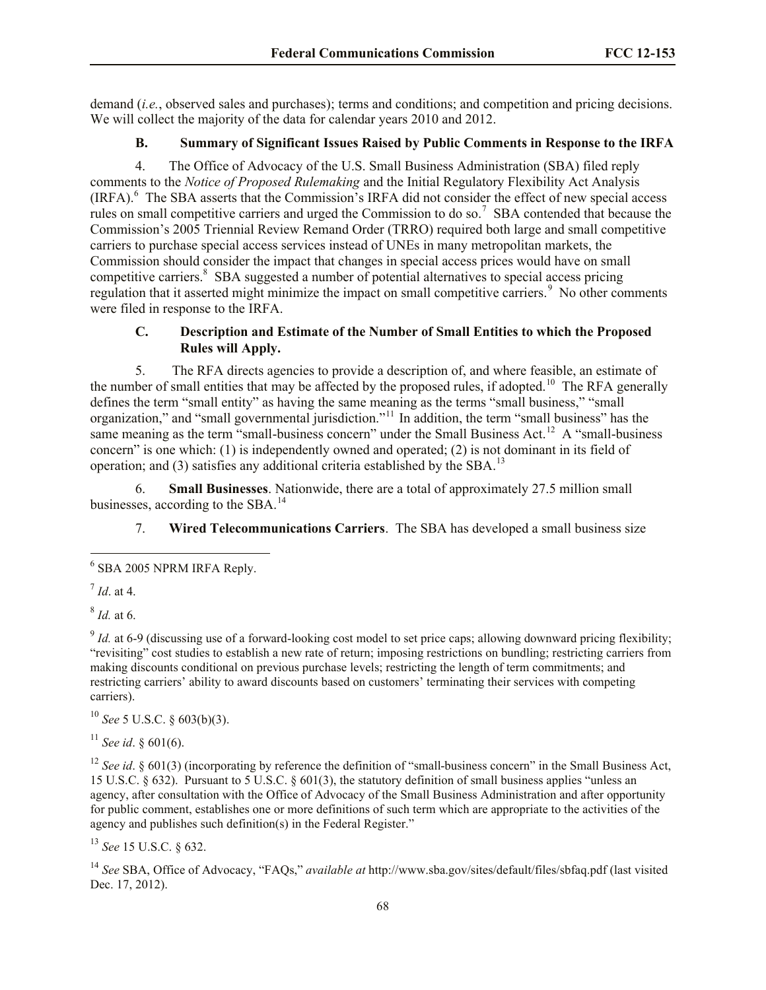demand (*i.e.*, observed sales and purchases); terms and conditions; and competition and pricing decisions. We will collect the majority of the data for calendar years 2010 and 2012.

# **B. Summary of Significant Issues Raised by Public Comments in Response to the IRFA**

4. The Office of Advocacy of the U.S. Small Business Administration (SBA) filed reply comments to the *Notice of Proposed Rulemaking* and the Initial Regulatory Flexibility Act Analysis (IRFA).<sup>6</sup> The SBA asserts that the Commission's IRFA did not consider the effect of new special access rules on small competitive carriers and urged the Commission to do so.<sup>7</sup> SBA contended that because the Commission's 2005 Triennial Review Remand Order (TRRO) required both large and small competitive carriers to purchase special access services instead of UNEs in many metropolitan markets, the Commission should consider the impact that changes in special access prices would have on small competitive carriers.<sup>8</sup> SBA suggested a number of potential alternatives to special access pricing regulation that it asserted might minimize the impact on small competitive carriers.<sup>9</sup> No other comments were filed in response to the IRFA.

# **C. Description and Estimate of the Number of Small Entities to which the Proposed Rules will Apply.**

5. The RFA directs agencies to provide a description of, and where feasible, an estimate of the number of small entities that may be affected by the proposed rules, if adopted.<sup>10</sup> The RFA generally defines the term "small entity" as having the same meaning as the terms "small business," "small organization," and "small governmental jurisdiction."<sup>11</sup> In addition, the term "small business" has the same meaning as the term "small-business concern" under the Small Business Act.<sup>12</sup> A "small-business concern" is one which: (1) is independently owned and operated; (2) is not dominant in its field of operation; and (3) satisfies any additional criteria established by the SBA.<sup>13</sup>

6. **Small Businesses**. Nationwide, there are a total of approximately 27.5 million small businesses, according to the SBA.<sup>14</sup>

7. **Wired Telecommunications Carriers**. The SBA has developed a small business size

l

8 *Id.* at 6.

 $\frac{9}{9}$  *Id.* at 6-9 (discussing use of a forward-looking cost model to set price caps; allowing downward pricing flexibility; "revisiting" cost studies to establish a new rate of return; imposing restrictions on bundling; restricting carriers from making discounts conditional on previous purchase levels; restricting the length of term commitments; and restricting carriers' ability to award discounts based on customers' terminating their services with competing carriers).

<sup>10</sup> *See* 5 U.S.C. § 603(b)(3).

<sup>11</sup> *See id*. § 601(6).

<sup>12</sup> *See id.* § 601(3) (incorporating by reference the definition of "small-business concern" in the Small Business Act, 15 U.S.C. § 632). Pursuant to 5 U.S.C. § 601(3), the statutory definition of small business applies "unless an agency, after consultation with the Office of Advocacy of the Small Business Administration and after opportunity for public comment, establishes one or more definitions of such term which are appropriate to the activities of the agency and publishes such definition(s) in the Federal Register."

<sup>13</sup> *See* 15 U.S.C. § 632.

<sup>14</sup> *See* SBA, Office of Advocacy, "FAQs," *available at* http://www.sba.gov/sites/default/files/sbfaq.pdf (last visited Dec. 17, 2012).

 $6$  SBA 2005 NPRM IRFA Reply.

<sup>7</sup> *Id*. at 4.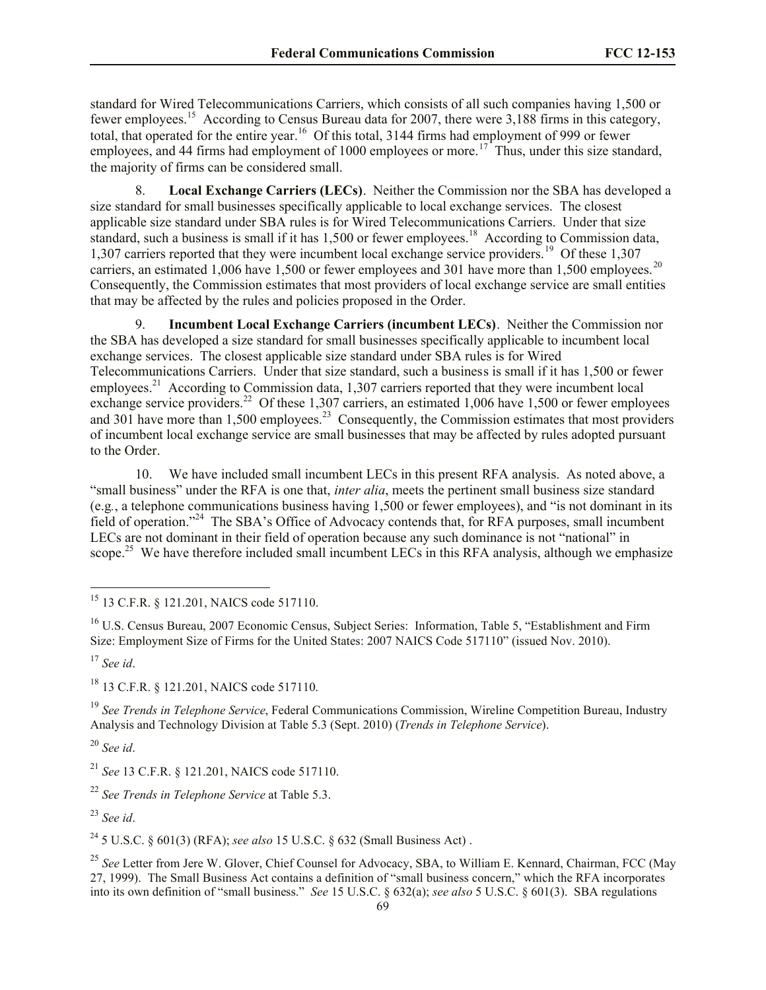standard for Wired Telecommunications Carriers, which consists of all such companies having 1,500 or fewer employees.<sup>15</sup> According to Census Bureau data for 2007, there were 3,188 firms in this category, total, that operated for the entire year.<sup>16</sup> Of this total, 3144 firms had employment of 999 or fewer employees, and 44 firms had employment of 1000 employees or more.<sup>17</sup> Thus, under this size standard, the majority of firms can be considered small.

8. **Local Exchange Carriers (LECs)**. Neither the Commission nor the SBA has developed a size standard for small businesses specifically applicable to local exchange services. The closest applicable size standard under SBA rules is for Wired Telecommunications Carriers. Under that size standard, such a business is small if it has 1,500 or fewer employees.<sup>18</sup> According to Commission data, 1,307 carriers reported that they were incumbent local exchange service providers.<sup>19</sup> Of these 1,307 carriers, an estimated 1,006 have 1,500 or fewer employees and 301 have more than 1,500 employees.<sup>20</sup> Consequently, the Commission estimates that most providers of local exchange service are small entities that may be affected by the rules and policies proposed in the Order.

9. **Incumbent Local Exchange Carriers (incumbent LECs)**.Neither the Commission nor the SBA has developed a size standard for small businesses specifically applicable to incumbent local exchange services. The closest applicable size standard under SBA rules is for Wired Telecommunications Carriers. Under that size standard, such a business is small if it has 1,500 or fewer employees.<sup>21</sup> According to Commission data, 1,307 carriers reported that they were incumbent local exchange service providers.<sup>22</sup> Of these 1,307 carriers, an estimated 1,006 have 1,500 or fewer employees and 301 have more than  $1,500$  employees.<sup>23</sup> Consequently, the Commission estimates that most providers of incumbent local exchange service are small businesses that may be affected by rules adopted pursuant to the Order.

10. We have included small incumbent LECs in this present RFA analysis. As noted above, a "small business" under the RFA is one that, *inter alia*, meets the pertinent small business size standard (e.g*.*, a telephone communications business having 1,500 or fewer employees), and "is not dominant in its field of operation."<sup>24</sup> The SBA's Office of Advocacy contends that, for RFA purposes, small incumbent LECs are not dominant in their field of operation because any such dominance is not "national" in scope.<sup>25</sup> We have therefore included small incumbent LECs in this RFA analysis, although we emphasize

l

<sup>18</sup> 13 C.F.R. § 121.201, NAICS code 517110.

<sup>19</sup> *See Trends in Telephone Service*, Federal Communications Commission, Wireline Competition Bureau, Industry Analysis and Technology Division at Table 5.3 (Sept. 2010) (*Trends in Telephone Service*).

<sup>20</sup> *See id*.

<sup>21</sup> *See* 13 C.F.R. § 121.201, NAICS code 517110.

<sup>22</sup> *See Trends in Telephone Service* at Table 5.3.

<sup>23</sup> *See id*.

<sup>24</sup> 5 U.S.C. § 601(3) (RFA); *see also* 15 U.S.C. § 632 (Small Business Act) .

<sup>25</sup> See Letter from Jere W. Glover, Chief Counsel for Advocacy, SBA, to William E. Kennard, Chairman, FCC (May 27, 1999). The Small Business Act contains a definition of "small business concern," which the RFA incorporates into its own definition of "small business." *See* 15 U.S.C. § 632(a); *see also* 5 U.S.C. § 601(3). SBA regulations

<sup>&</sup>lt;sup>15</sup> 13 C.F.R. § 121.201, NAICS code 517110.

<sup>&</sup>lt;sup>16</sup> U.S. Census Bureau, 2007 Economic Census, Subject Series: Information, Table 5, "Establishment and Firm Size: Employment Size of Firms for the United States: 2007 NAICS Code 517110" (issued Nov. 2010).

<sup>17</sup> *See id*.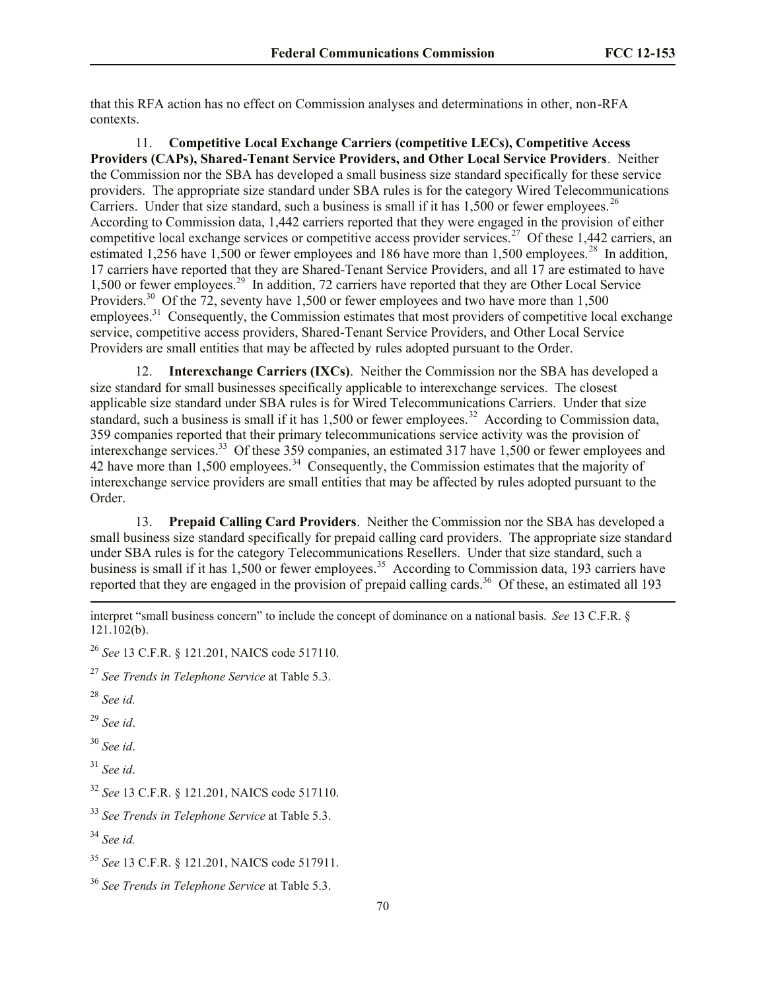that this RFA action has no effect on Commission analyses and determinations in other, non-RFA contexts.

11. **Competitive Local Exchange Carriers (competitive LECs), Competitive Access Providers (CAPs), Shared-Tenant Service Providers, and Other Local Service Providers**. Neither the Commission nor the SBA has developed a small business size standard specifically for these service providers. The appropriate size standard under SBA rules is for the category Wired Telecommunications Carriers. Under that size standard, such a business is small if it has  $1,500$  or fewer employees.<sup>26</sup> According to Commission data, 1,442 carriers reported that they were engaged in the provision of either competitive local exchange services or competitive access provider services.<sup>27</sup> Of these 1,442 carriers, an estimated 1,256 have 1,500 or fewer employees and 186 have more than 1,500 employees.<sup>28</sup> In addition, 17 carriers have reported that they are Shared-Tenant Service Providers, and all 17 are estimated to have 1,500 or fewer employees.<sup>29</sup> In addition, 72 carriers have reported that they are Other Local Service Providers.<sup>30</sup> Of the 72, seventy have 1,500 or fewer employees and two have more than 1,500 employees.<sup>31</sup> Consequently, the Commission estimates that most providers of competitive local exchange service, competitive access providers, Shared-Tenant Service Providers, and Other Local Service Providers are small entities that may be affected by rules adopted pursuant to the Order.

12. **Interexchange Carriers (IXCs)**. Neither the Commission nor the SBA has developed a size standard for small businesses specifically applicable to interexchange services. The closest applicable size standard under SBA rules is for Wired Telecommunications Carriers. Under that size standard, such a business is small if it has 1,500 or fewer employees.<sup>32</sup> According to Commission data, 359 companies reported that their primary telecommunications service activity was the provision of interexchange services.<sup>33</sup> Of these 359 companies, an estimated 317 have 1,500 or fewer employees and 42 have more than 1,500 employees.<sup>34</sup> Consequently, the Commission estimates that the majority of interexchange service providers are small entities that may be affected by rules adopted pursuant to the Order.

13. **Prepaid Calling Card Providers**. Neither the Commission nor the SBA has developed a small business size standard specifically for prepaid calling card providers. The appropriate size standard under SBA rules is for the category Telecommunications Resellers. Under that size standard, such a business is small if it has  $1,500$  or fewer employees.<sup>35</sup> According to Commission data, 193 carriers have reported that they are engaged in the provision of prepaid calling cards.<sup>36</sup> Of these, an estimated all 193 l

interpret "small business concern" to include the concept of dominance on a national basis. *See* 13 C.F.R. § 121.102(b).

<sup>26</sup> *See* 13 C.F.R. § 121.201, NAICS code 517110.

<sup>27</sup> *See Trends in Telephone Service* at Table 5.3.

<sup>28</sup> *See id.*

<sup>29</sup> *See id*.

<sup>30</sup> *See id*.

<sup>31</sup> *See id*.

<sup>32</sup> *See* 13 C.F.R. § 121.201, NAICS code 517110.

<sup>33</sup> *See Trends in Telephone Service* at Table 5.3.

<sup>34</sup> *See id.*

<sup>35</sup> *See* 13 C.F.R. § 121.201, NAICS code 517911.

<sup>36</sup> *See Trends in Telephone Service* at Table 5.3.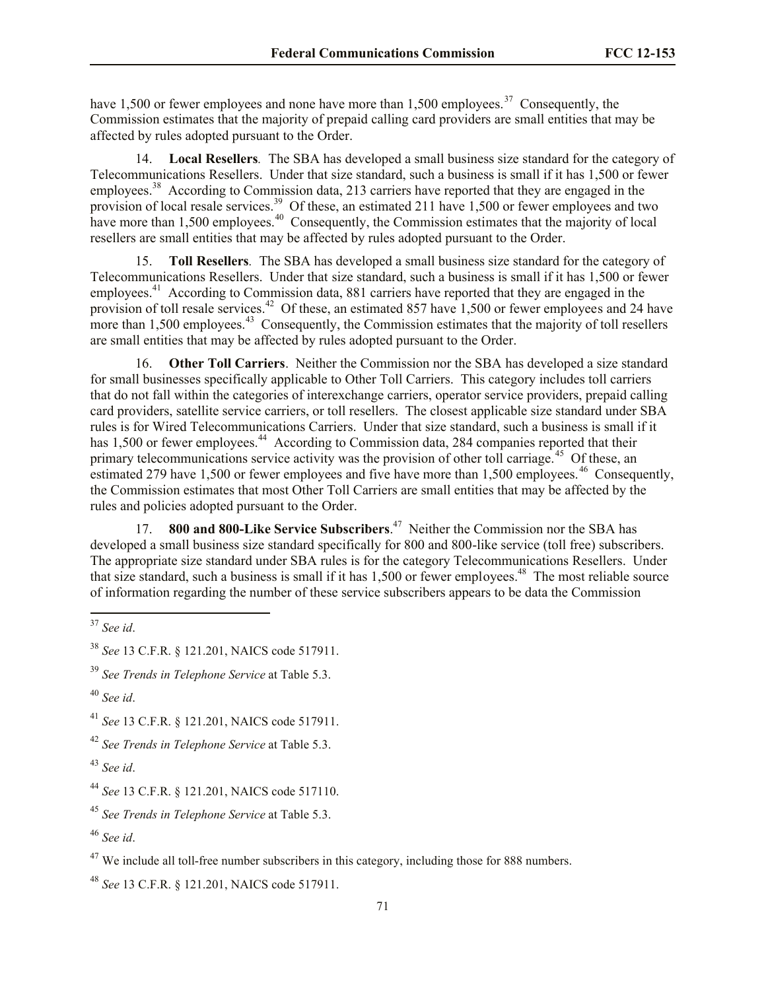have 1,500 or fewer employees and none have more than 1,500 employees.<sup>37</sup> Consequently, the Commission estimates that the majority of prepaid calling card providers are small entities that may be affected by rules adopted pursuant to the Order.

14. **Local Resellers***.* The SBA has developed a small business size standard for the category of Telecommunications Resellers. Under that size standard, such a business is small if it has 1,500 or fewer employees.<sup>38</sup> According to Commission data, 213 carriers have reported that they are engaged in the provision of local resale services.<sup>39</sup> Of these, an estimated 211 have 1,500 or fewer employees and two have more than 1,500 employees.<sup>40</sup> Consequently, the Commission estimates that the majority of local resellers are small entities that may be affected by rules adopted pursuant to the Order.

15. **Toll Resellers***.* The SBA has developed a small business size standard for the category of Telecommunications Resellers. Under that size standard, such a business is small if it has 1,500 or fewer employees.<sup>41</sup> According to Commission data, 881 carriers have reported that they are engaged in the provision of toll resale services.<sup>42</sup> Of these, an estimated 857 have 1,500 or fewer employees and 24 have more than  $1,500$  employees.<sup>43</sup> Consequently, the Commission estimates that the majority of toll resellers are small entities that may be affected by rules adopted pursuant to the Order.

16. **Other Toll Carriers**. Neither the Commission nor the SBA has developed a size standard for small businesses specifically applicable to Other Toll Carriers. This category includes toll carriers that do not fall within the categories of interexchange carriers, operator service providers, prepaid calling card providers, satellite service carriers, or toll resellers. The closest applicable size standard under SBA rules is for Wired Telecommunications Carriers. Under that size standard, such a business is small if it has 1,500 or fewer employees.<sup>44</sup> According to Commission data, 284 companies reported that their primary telecommunications service activity was the provision of other toll carriage.<sup>45</sup> Of these, an estimated 279 have 1,500 or fewer employees and five have more than 1,500 employees.<sup>46</sup> Consequently, the Commission estimates that most Other Toll Carriers are small entities that may be affected by the rules and policies adopted pursuant to the Order.

17. **800 and 800-Like Service Subscribers.**<sup>47</sup> Neither the Commission nor the SBA has developed a small business size standard specifically for 800 and 800-like service (toll free) subscribers. The appropriate size standard under SBA rules is for the category Telecommunications Resellers. Under that size standard, such a business is small if it has  $1,500$  or fewer employees.<sup>48</sup> The most reliable source of information regarding the number of these service subscribers appears to be data the Commission

l

<sup>37</sup> *See id*.

<sup>38</sup> *See* 13 C.F.R. § 121.201, NAICS code 517911.

<sup>39</sup> *See Trends in Telephone Service* at Table 5.3.

<sup>40</sup> *See id*.

<sup>41</sup> *See* 13 C.F.R. § 121.201, NAICS code 517911.

<sup>42</sup> *See Trends in Telephone Service* at Table 5.3.

<sup>43</sup> *See id*.

<sup>44</sup> *See* 13 C.F.R. § 121.201, NAICS code 517110.

<sup>45</sup> *See Trends in Telephone Service* at Table 5.3.

<sup>46</sup> *See id*.

 $47$  We include all toll-free number subscribers in this category, including those for 888 numbers.

<sup>48</sup> *See* 13 C.F.R. § 121.201, NAICS code 517911.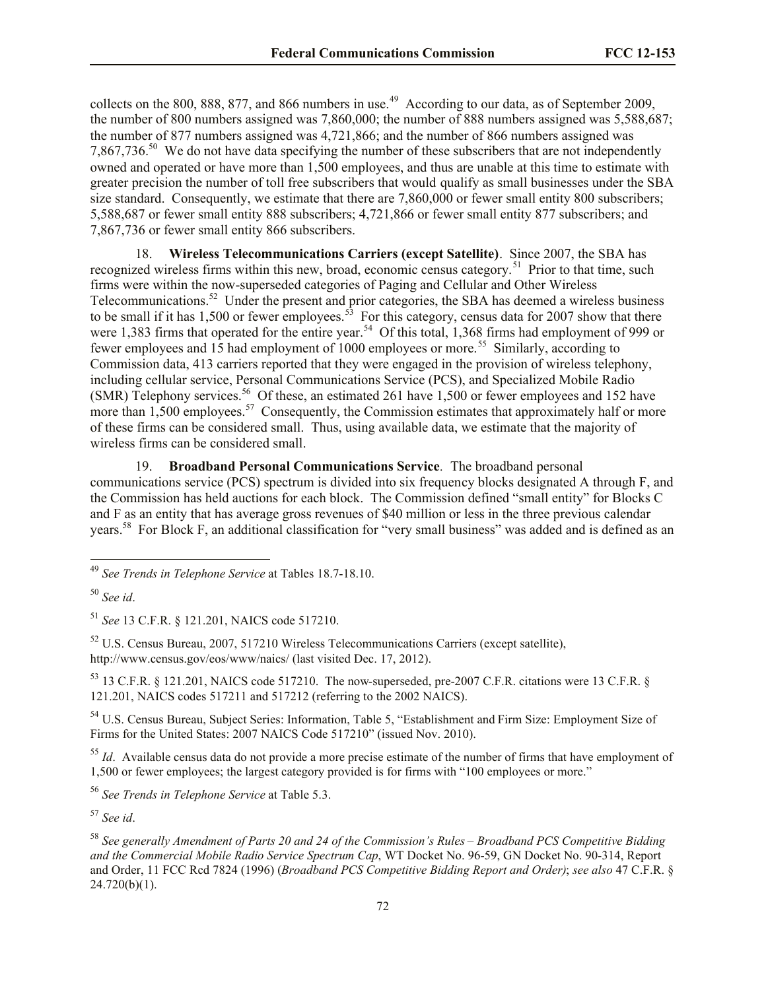collects on the 800, 888, 877, and 866 numbers in use.<sup>49</sup> According to our data, as of September 2009, the number of 800 numbers assigned was 7,860,000; the number of 888 numbers assigned was 5,588,687; the number of 877 numbers assigned was 4,721,866; and the number of 866 numbers assigned was 7,867,736.<sup>50</sup> We do not have data specifying the number of these subscribers that are not independently owned and operated or have more than 1,500 employees, and thus are unable at this time to estimate with greater precision the number of toll free subscribers that would qualify as small businesses under the SBA size standard. Consequently, we estimate that there are 7,860,000 or fewer small entity 800 subscribers; 5,588,687 or fewer small entity 888 subscribers; 4,721,866 or fewer small entity 877 subscribers; and 7,867,736 or fewer small entity 866 subscribers.

18. **Wireless Telecommunications Carriers (except Satellite)**. Since 2007, the SBA has recognized wireless firms within this new, broad, economic census category.<sup>51</sup> Prior to that time, such firms were within the now-superseded categories of Paging and Cellular and Other Wireless Telecommunications.<sup>52</sup> Under the present and prior categories, the SBA has deemed a wireless business to be small if it has 1,500 or fewer employees.<sup>53</sup> For this category, census data for 2007 show that there were 1,383 firms that operated for the entire year.<sup>54</sup> Of this total, 1,368 firms had employment of 999 or fewer employees and 15 had employment of 1000 employees or more.<sup>55</sup> Similarly, according to Commission data, 413 carriers reported that they were engaged in the provision of wireless telephony, including cellular service, Personal Communications Service (PCS), and Specialized Mobile Radio (SMR) Telephony services.<sup>56</sup> Of these, an estimated 261 have 1,500 or fewer employees and 152 have more than 1,500 employees.<sup>57</sup> Consequently, the Commission estimates that approximately half or more of these firms can be considered small. Thus, using available data, we estimate that the majority of wireless firms can be considered small.

19. **Broadband Personal Communications Service***.* The broadband personal communications service (PCS) spectrum is divided into six frequency blocks designated A through F, and the Commission has held auctions for each block. The Commission defined "small entity" for Blocks C and F as an entity that has average gross revenues of \$40 million or less in the three previous calendar years.<sup>58</sup> For Block F, an additional classification for "very small business" was added and is defined as an

l

<sup>51</sup> *See* 13 C.F.R. § 121.201, NAICS code 517210.

<sup>52</sup> U.S. Census Bureau, 2007, 517210 Wireless Telecommunications Carriers (except satellite), http://www.census.gov/eos/www/naics/ (last visited Dec. 17, 2012).

<sup>53</sup> 13 C.F.R. § 121.201, NAICS code 517210. The now-superseded, pre-2007 C.F.R. citations were 13 C.F.R. § 121.201, NAICS codes 517211 and 517212 (referring to the 2002 NAICS).

<sup>54</sup> U.S. Census Bureau, Subject Series: Information, Table 5, "Establishment and Firm Size: Employment Size of Firms for the United States: 2007 NAICS Code 517210" (issued Nov. 2010).

<sup>55</sup> *Id*. Available census data do not provide a more precise estimate of the number of firms that have employment of 1,500 or fewer employees; the largest category provided is for firms with "100 employees or more."

<sup>56</sup> *See Trends in Telephone Service* at Table 5.3.

<sup>57</sup> *See id*.

<sup>49</sup> *See Trends in Telephone Service* at Tables 18.7-18.10.

<sup>50</sup> *See id*.

<sup>58</sup> *See generally Amendment of Parts 20 and 24 of the Commission's Rules – Broadband PCS Competitive Bidding and the Commercial Mobile Radio Service Spectrum Cap*, WT Docket No. 96-59, GN Docket No. 90-314, Report and Order, 11 FCC Rcd 7824 (1996) (*Broadband PCS Competitive Bidding Report and Order)*; *see also* 47 C.F.R. §  $24.720(b)(1)$ .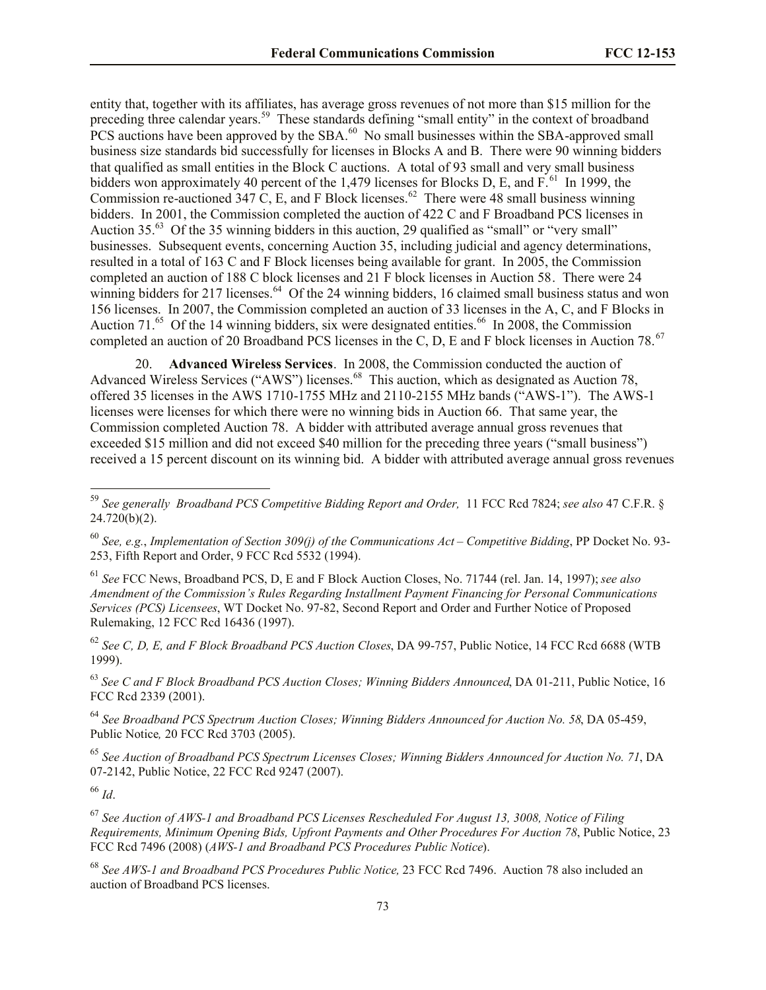entity that, together with its affiliates, has average gross revenues of not more than \$15 million for the preceding three calendar years.<sup>59</sup> These standards defining "small entity" in the context of broadband  $PCS$  auctions have been approved by the SBA. $^{60}$  No small businesses within the SBA-approved small business size standards bid successfully for licenses in Blocks A and B. There were 90 winning bidders that qualified as small entities in the Block C auctions. A total of 93 small and very small business bidders won approximately 40 percent of the 1,479 licenses for Blocks D, E, and  $F<sup>61</sup>$  In 1999, the Commission re-auctioned 347 C, E, and F Block licenses.<sup>62</sup> There were 48 small business winning bidders. In 2001, the Commission completed the auction of 422 C and F Broadband PCS licenses in Auction  $35<sup>63</sup>$  Of the 35 winning bidders in this auction, 29 qualified as "small" or "very small" businesses. Subsequent events, concerning Auction 35, including judicial and agency determinations, resulted in a total of 163 C and F Block licenses being available for grant. In 2005, the Commission completed an auction of 188 C block licenses and 21 F block licenses in Auction 58. There were 24 winning bidders for 217 licenses.<sup>64</sup> Of the 24 winning bidders, 16 claimed small business status and won 156 licenses. In 2007, the Commission completed an auction of 33 licenses in the A, C, and F Blocks in Auction 71.<sup>65</sup> Of the 14 winning bidders, six were designated entities.<sup>66</sup> In 2008, the Commission completed an auction of 20 Broadband PCS licenses in the C, D, E and F block licenses in Auction 78.<sup>67</sup>

20. **Advanced Wireless Services**. In 2008, the Commission conducted the auction of Advanced Wireless Services ("AWS") licenses.<sup>68</sup> This auction, which as designated as Auction 78, offered 35 licenses in the AWS 1710-1755 MHz and 2110-2155 MHz bands ("AWS-1"). The AWS-1 licenses were licenses for which there were no winning bids in Auction 66. That same year, the Commission completed Auction 78. A bidder with attributed average annual gross revenues that exceeded \$15 million and did not exceed \$40 million for the preceding three years ("small business") received a 15 percent discount on its winning bid. A bidder with attributed average annual gross revenues

<sup>61</sup> *See* FCC News, Broadband PCS, D, E and F Block Auction Closes, No. 71744 (rel. Jan. 14, 1997); *see also Amendment of the Commission's Rules Regarding Installment Payment Financing for Personal Communications Services (PCS) Licensees*, WT Docket No. 97-82, Second Report and Order and Further Notice of Proposed Rulemaking, 12 FCC Rcd 16436 (1997).

<sup>62</sup> *See C, D, E, and F Block Broadband PCS Auction Closes*, DA 99-757, Public Notice, 14 FCC Rcd 6688 (WTB 1999).

<sup>63</sup> *See C and F Block Broadband PCS Auction Closes; Winning Bidders Announced*, DA 01-211, Public Notice, 16 FCC Rcd 2339 (2001).

<sup>64</sup> *See Broadband PCS Spectrum Auction Closes; Winning Bidders Announced for Auction No. 58*, DA 05-459, Public Notice*,* 20 FCC Rcd 3703 (2005).

<sup>65</sup> *See Auction of Broadband PCS Spectrum Licenses Closes; Winning Bidders Announced for Auction No. 71*, DA 07-2142, Public Notice, 22 FCC Rcd 9247 (2007).

<sup>66</sup> *Id*.

 $\overline{a}$ 

<sup>67</sup> *See Auction of AWS-1 and Broadband PCS Licenses Rescheduled For August 13, 3008, Notice of Filing Requirements, Minimum Opening Bids, Upfront Payments and Other Procedures For Auction 78*, Public Notice, 23 FCC Rcd 7496 (2008) (*AWS-1 and Broadband PCS Procedures Public Notice*).

<sup>68</sup> *See AWS-1 and Broadband PCS Procedures Public Notice,* 23 FCC Rcd 7496.Auction 78 also included an auction of Broadband PCS licenses.

<sup>59</sup> *See generally Broadband PCS Competitive Bidding Report and Order,* 11 FCC Rcd 7824; *see also* 47 C.F.R. § 24.720(b)(2).

<sup>60</sup> *See, e.g.*, *Implementation of Section 309(j) of the Communications Act – Competitive Bidding*, PP Docket No. 93- 253, Fifth Report and Order, 9 FCC Rcd 5532 (1994).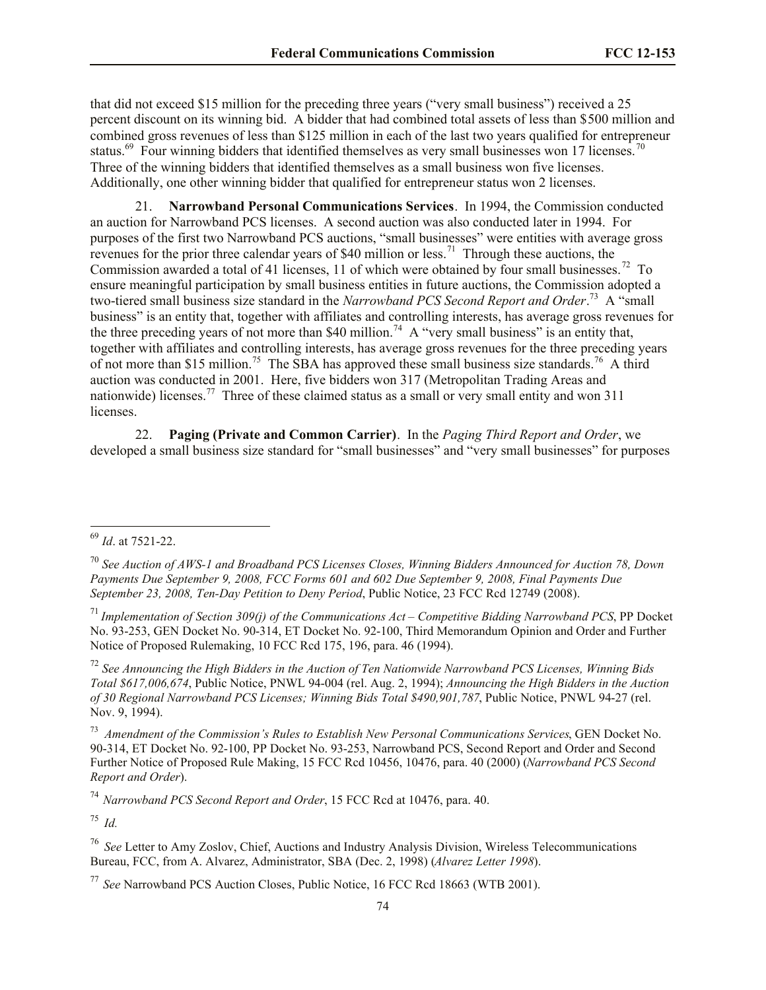that did not exceed \$15 million for the preceding three years ("very small business") received a 25 percent discount on its winning bid. A bidder that had combined total assets of less than \$500 million and combined gross revenues of less than \$125 million in each of the last two years qualified for entrepreneur status.<sup>69</sup> Four winning bidders that identified themselves as very small businesses won 17 licenses.<sup>70</sup> Three of the winning bidders that identified themselves as a small business won five licenses. Additionally, one other winning bidder that qualified for entrepreneur status won 2 licenses.

21. **Narrowband Personal Communications Services**. In 1994, the Commission conducted an auction for Narrowband PCS licenses. A second auction was also conducted later in 1994. For purposes of the first two Narrowband PCS auctions, "small businesses" were entities with average gross revenues for the prior three calendar years of \$40 million or less.<sup>71</sup> Through these auctions, the Commission awarded a total of 41 licenses, 11 of which were obtained by four small businesses.<sup>72</sup> To ensure meaningful participation by small business entities in future auctions, the Commission adopted a two-tiered small business size standard in the *Narrowband PCS Second Report and Order*. 73 A "small business" is an entity that, together with affiliates and controlling interests, has average gross revenues for the three preceding years of not more than \$40 million.<sup>74</sup> A "very small business" is an entity that, together with affiliates and controlling interests, has average gross revenues for the three preceding years of not more than \$15 million.<sup>75</sup> The SBA has approved these small business size standards.<sup>76</sup> A third auction was conducted in 2001. Here, five bidders won 317 (Metropolitan Trading Areas and nationwide) licenses.<sup>77</sup> Three of these claimed status as a small or very small entity and won 311 licenses.

22. **Paging (Private and Common Carrier)**. In the *Paging Third Report and Order*, we developed a small business size standard for "small businesses" and "very small businesses" for purposes

 $\overline{\phantom{a}}$ 

<sup>72</sup> *See Announcing the High Bidders in the Auction of Ten Nationwide Narrowband PCS Licenses, Winning Bids Total \$617,006,674*, Public Notice, PNWL 94-004 (rel. Aug. 2, 1994); *Announcing the High Bidders in the Auction of 30 Regional Narrowband PCS Licenses; Winning Bids Total \$490,901,787*, Public Notice, PNWL 94-27 (rel. Nov. 9, 1994).

73 *Amendment of the Commission's Rules to Establish New Personal Communications Services*, GEN Docket No. 90-314, ET Docket No. 92-100, PP Docket No. 93-253, Narrowband PCS, Second Report and Order and Second Further Notice of Proposed Rule Making, 15 FCC Rcd 10456, 10476, para. 40 (2000) (*Narrowband PCS Second Report and Order*).

<sup>74</sup> *Narrowband PCS Second Report and Order*, 15 FCC Rcd at 10476, para. 40.

<sup>75</sup> *Id.*

<sup>69</sup> *Id*. at 7521-22.

<sup>70</sup> *See Auction of AWS-1 and Broadband PCS Licenses Closes, Winning Bidders Announced for Auction 78, Down Payments Due September 9, 2008, FCC Forms 601 and 602 Due September 9, 2008, Final Payments Due September 23, 2008, Ten-Day Petition to Deny Period*, Public Notice, 23 FCC Rcd 12749 (2008).

<sup>71</sup> *Implementation of Section 309(j) of the Communications Act – Competitive Bidding Narrowband PCS*, PP Docket No. 93-253, GEN Docket No. 90-314, ET Docket No. 92-100, Third Memorandum Opinion and Order and Further Notice of Proposed Rulemaking, 10 FCC Rcd 175, 196, para. 46 (1994).

<sup>76</sup> *See* Letter to Amy Zoslov, Chief, Auctions and Industry Analysis Division, Wireless Telecommunications Bureau, FCC, from A. Alvarez, Administrator, SBA (Dec. 2, 1998) (*Alvarez Letter 1998*).

<sup>77</sup> *See* Narrowband PCS Auction Closes, Public Notice, 16 FCC Rcd 18663 (WTB 2001).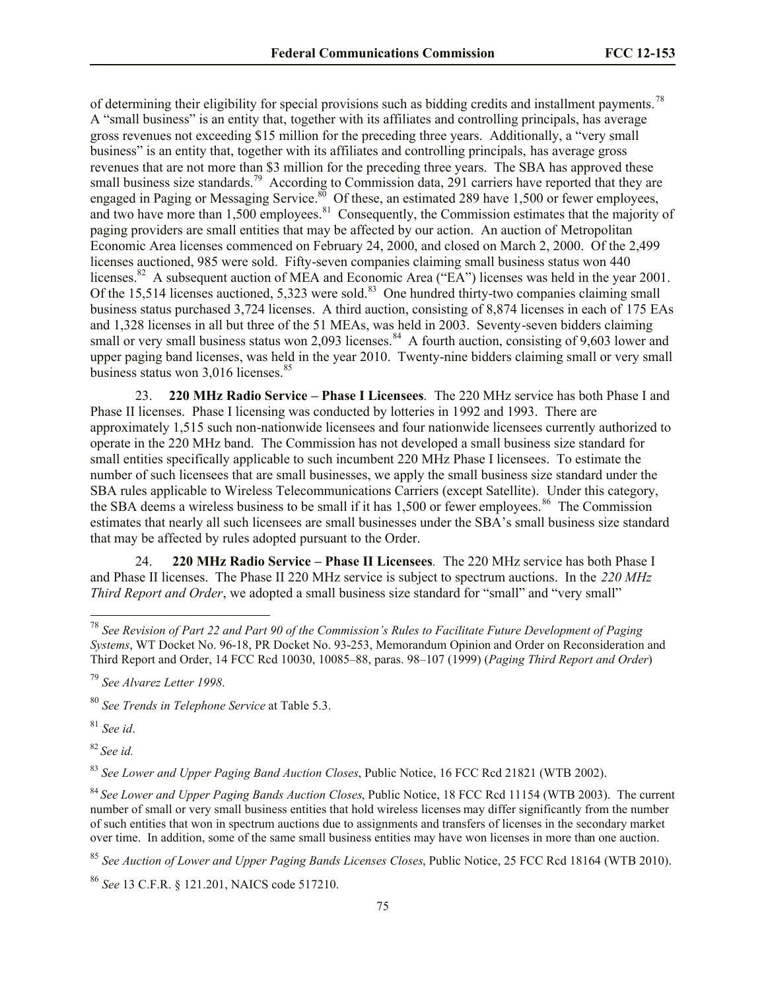of determining their eligibility for special provisions such as bidding credits and installment payments.<sup>78</sup> A "small business" is an entity that, together with its affiliates and controlling principals, has average gross revenues not exceeding \$15 million for the preceding three years. Additionally, a "very small business" is an entity that, together with its affiliates and controlling principals, has average gross revenues that are not more than \$3 million for the preceding three years. The SBA has approved these small business size standards.<sup>79</sup> According to Commission data, 291 carriers have reported that they are engaged in Paging or Messaging Service.<sup>80</sup> Of these, an estimated 289 have 1,500 or fewer employees, and two have more than 1,500 employees.<sup>81</sup> Consequently, the Commission estimates that the majority of paging providers are small entities that may be affected by our action. An auction of Metropolitan Economic Area licenses commenced on February 24, 2000, and closed on March 2, 2000. Of the 2,499 licenses auctioned, 985 were sold. Fifty-seven companies claiming small business status won 440 licenses.<sup>82</sup> A subsequent auction of MEA and Economic Area ("EA") licenses was held in the year 2001. Of the 15,514 licenses auctioned, 5,323 were sold.<sup>83</sup> One hundred thirty-two companies claiming small business status purchased 3,724 licenses. A third auction, consisting of 8,874 licenses in each of 175 EAs and 1,328 licenses in all but three of the 51 MEAs, was held in 2003. Seventy-seven bidders claiming small or very small business status won 2,093 licenses.<sup>84</sup> A fourth auction, consisting of 9,603 lower and upper paging band licenses, was held in the year 2010. Twenty-nine bidders claiming small or very small business status won 3,016 licenses.<sup>85</sup>

23. **220 MHz Radio Service – Phase I Licensees***.* The 220 MHz service has both Phase I and Phase II licenses. Phase I licensing was conducted by lotteries in 1992 and 1993. There are approximately 1,515 such non-nationwide licensees and four nationwide licensees currently authorized to operate in the 220 MHz band. The Commission has not developed a small business size standard for small entities specifically applicable to such incumbent 220 MHz Phase I licensees. To estimate the number of such licensees that are small businesses, we apply the small business size standard under the SBA rules applicable to Wireless Telecommunications Carriers (except Satellite). Under this category, the SBA deems a wireless business to be small if it has 1,500 or fewer employees.<sup>86</sup> The Commission estimates that nearly all such licensees are small businesses under the SBA's small business size standard that may be affected by rules adopted pursuant to the Order.

24. **220 MHz Radio Service – Phase II Licensees***.*The 220 MHz service has both Phase I and Phase II licenses. The Phase II 220 MHz service is subject to spectrum auctions. In the *220 MHz Third Report and Order*, we adopted a small business size standard for "small" and "very small"

<sup>81</sup> *See id*.

l

<sup>82</sup> *See id.*

<sup>83</sup> *See Lower and Upper Paging Band Auction Closes*, Public Notice, 16 FCC Rcd 21821 (WTB 2002).

<sup>84</sup> *See Lower and Upper Paging Bands Auction Closes*, Public Notice, 18 FCC Rcd 11154 (WTB 2003). The current number of small or very small business entities that hold wireless licenses may differ significantly from the number of such entities that won in spectrum auctions due to assignments and transfers of licenses in the secondary market over time. In addition, some of the same small business entities may have won licenses in more than one auction.

<sup>85</sup> *See Auction of Lower and Upper Paging Bands Licenses Closes*, Public Notice, 25 FCC Rcd 18164 (WTB 2010).

<sup>86</sup> *See* 13 C.F.R. § 121.201, NAICS code 517210.

<sup>78</sup> *See Revision of Part 22 and Part 90 of the Commission's Rules to Facilitate Future Development of Paging Systems*, WT Docket No. 96-18, PR Docket No. 93-253, Memorandum Opinion and Order on Reconsideration and Third Report and Order, 14 FCC Rcd 10030, 10085–88, paras. 98–107 (1999) (*Paging Third Report and Order*)

<sup>79</sup> *See Alvarez Letter 1998*.

<sup>80</sup> *See Trends in Telephone Service* at Table 5.3.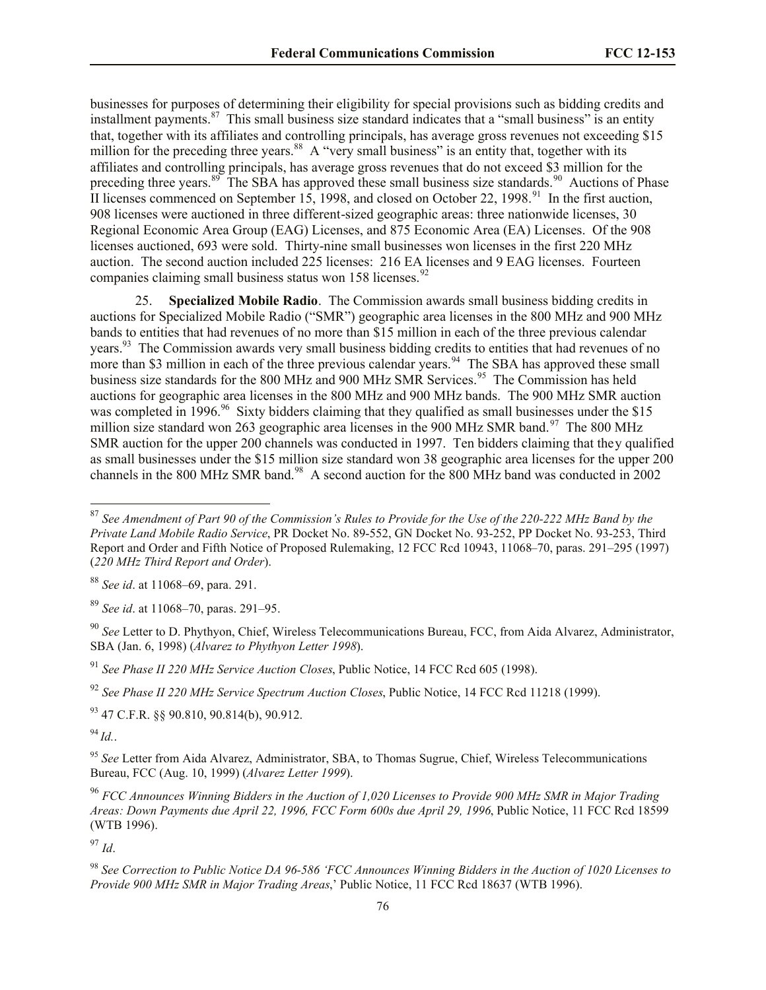businesses for purposes of determining their eligibility for special provisions such as bidding credits and installment payments. $87$  This small business size standard indicates that a "small business" is an entity that, together with its affiliates and controlling principals, has average gross revenues not exceeding \$15 million for the preceding three years.<sup>88</sup> A "very small business" is an entity that, together with its affiliates and controlling principals, has average gross revenues that do not exceed \$3 million for the preceding three years.<sup>89</sup> The SBA has approved these small business size standards.<sup>90</sup> Auctions of Phase II licenses commenced on September 15, 1998, and closed on October 22, 1998.<sup>91</sup> In the first auction, 908 licenses were auctioned in three different-sized geographic areas: three nationwide licenses, 30 Regional Economic Area Group (EAG) Licenses, and 875 Economic Area (EA) Licenses. Of the 908 licenses auctioned, 693 were sold.Thirty-nine small businesses won licenses in the first 220 MHz auction. The second auction included 225 licenses: 216 EA licenses and 9 EAG licenses. Fourteen companies claiming small business status won 158 licenses. $92$ 

25. **Specialized Mobile Radio**. The Commission awards small business bidding credits in auctions for Specialized Mobile Radio ("SMR") geographic area licenses in the 800 MHz and 900 MHz bands to entities that had revenues of no more than \$15 million in each of the three previous calendar years.<sup>93</sup> The Commission awards very small business bidding credits to entities that had revenues of no more than \$3 million in each of the three previous calendar years.<sup>94</sup> The SBA has approved these small business size standards for the 800 MHz and 900 MHz SMR Services.<sup>95</sup> The Commission has held auctions for geographic area licenses in the 800 MHz and 900 MHz bands. The 900 MHz SMR auction was completed in 1996.<sup>96</sup> Sixty bidders claiming that they qualified as small businesses under the \$15 million size standard won 263 geographic area licenses in the 900 MHz SMR band.<sup>97</sup> The 800 MHz SMR auction for the upper 200 channels was conducted in 1997. Ten bidders claiming that they qualified as small businesses under the \$15 million size standard won 38 geographic area licenses for the upper 200 channels in the 800 MHz SMR band.<sup>98</sup> A second auction for the 800 MHz band was conducted in 2002

 $93$  47 C.F.R. §§ 90.810, 90.814(b), 90.912.

 $^{94}$ *Id.*.

 $\overline{\phantom{a}}$ 

<sup>97</sup> *Id*.

<sup>87</sup> *See Amendment of Part 90 of the Commission's Rules to Provide for the Use of the 220-222 MHz Band by the Private Land Mobile Radio Service*, PR Docket No. 89-552, GN Docket No. 93-252, PP Docket No. 93-253, Third Report and Order and Fifth Notice of Proposed Rulemaking, 12 FCC Rcd 10943, 11068–70, paras. 291–295 (1997) (*220 MHz Third Report and Order*).

<sup>88</sup> *See id*. at 11068–69, para. 291.

<sup>89</sup> *See id*. at 11068–70, paras. 291–95.

<sup>90</sup> *See* Letter to D. Phythyon, Chief, Wireless Telecommunications Bureau, FCC, from Aida Alvarez, Administrator, SBA (Jan. 6, 1998) (*Alvarez to Phythyon Letter 1998*).

<sup>91</sup> *See Phase II 220 MHz Service Auction Closes*, Public Notice, 14 FCC Rcd 605 (1998).

<sup>92</sup> *See Phase II 220 MHz Service Spectrum Auction Closes*, Public Notice, 14 FCC Rcd 11218 (1999).

<sup>95</sup> *See* Letter from Aida Alvarez, Administrator, SBA, to Thomas Sugrue, Chief, Wireless Telecommunications Bureau, FCC (Aug. 10, 1999) (*Alvarez Letter 1999*).

<sup>96</sup> *FCC Announces Winning Bidders in the Auction of 1,020 Licenses to Provide 900 MHz SMR in Major Trading Areas: Down Payments due April 22, 1996, FCC Form 600s due April 29, 1996*, Public Notice, 11 FCC Rcd 18599 (WTB 1996).

<sup>98</sup> *See Correction to Public Notice DA 96-586 'FCC Announces Winning Bidders in the Auction of 1020 Licenses to Provide 900 MHz SMR in Major Trading Areas*,' Public Notice, 11 FCC Rcd 18637 (WTB 1996).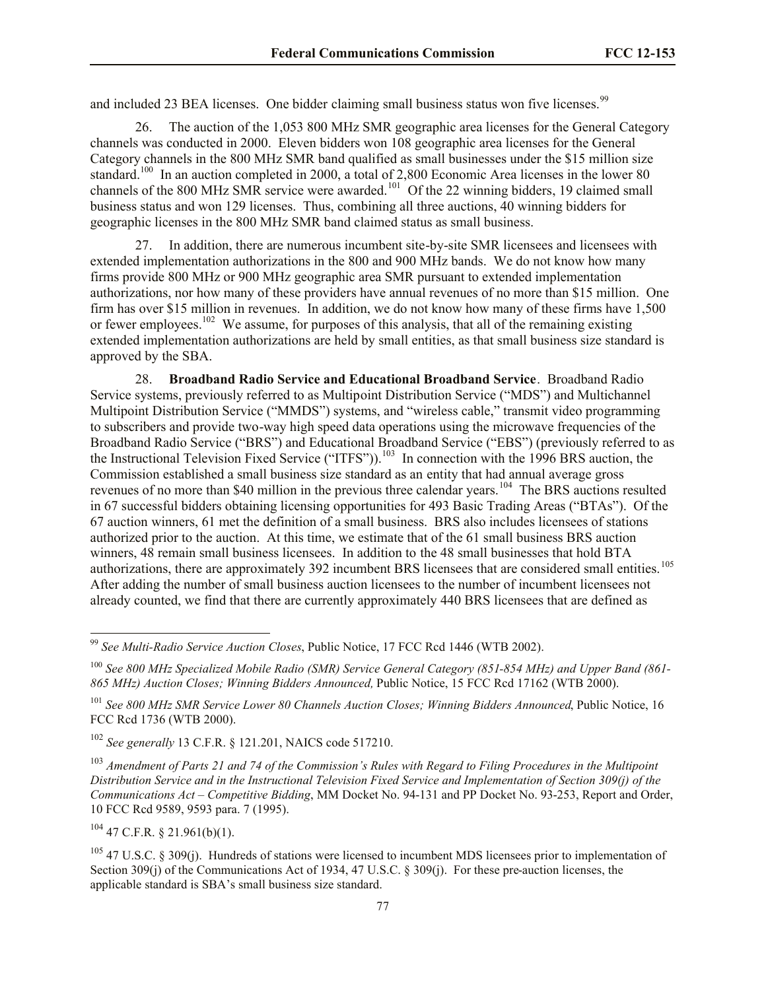and included 23 BEA licenses. One bidder claiming small business status won five licenses.<sup>99</sup>

26. The auction of the 1,053 800 MHz SMR geographic area licenses for the General Category channels was conducted in 2000. Eleven bidders won 108 geographic area licenses for the General Category channels in the 800 MHz SMR band qualified as small businesses under the \$15 million size standard.<sup>100</sup> In an auction completed in 2000, a total of 2,800 Economic Area licenses in the lower 80 channels of the 800 MHz SMR service were awarded.<sup>101</sup> Of the 22 winning bidders, 19 claimed small business status and won 129 licenses. Thus, combining all three auctions, 40 winning bidders for geographic licenses in the 800 MHz SMR band claimed status as small business.

27. In addition, there are numerous incumbent site-by-site SMR licensees and licensees with extended implementation authorizations in the 800 and 900 MHz bands. We do not know how many firms provide 800 MHz or 900 MHz geographic area SMR pursuant to extended implementation authorizations, nor how many of these providers have annual revenues of no more than \$15 million. One firm has over \$15 million in revenues. In addition, we do not know how many of these firms have 1,500 or fewer employees.<sup>102</sup> We assume, for purposes of this analysis, that all of the remaining existing extended implementation authorizations are held by small entities, as that small business size standard is approved by the SBA.

28. **Broadband Radio Service and Educational Broadband Service**. Broadband Radio Service systems, previously referred to as Multipoint Distribution Service ("MDS") and Multichannel Multipoint Distribution Service ("MMDS") systems, and "wireless cable," transmit video programming to subscribers and provide two-way high speed data operations using the microwave frequencies of the Broadband Radio Service ("BRS") and Educational Broadband Service ("EBS") (previously referred to as the Instructional Television Fixed Service ("ITFS")).<sup>103</sup> In connection with the 1996 BRS auction, the Commission established a small business size standard as an entity that had annual average gross revenues of no more than \$40 million in the previous three calendar years.<sup>104</sup> The BRS auctions resulted in 67 successful bidders obtaining licensing opportunities for 493 Basic Trading Areas ("BTAs"). Of the 67 auction winners, 61 met the definition of a small business. BRS also includes licensees of stations authorized prior to the auction. At this time, we estimate that of the 61 small business BRS auction winners, 48 remain small business licensees. In addition to the 48 small businesses that hold BTA authorizations, there are approximately 392 incumbent BRS licensees that are considered small entities.<sup>105</sup> After adding the number of small business auction licensees to the number of incumbent licensees not already counted, we find that there are currently approximately 440 BRS licensees that are defined as

<sup>102</sup> *See generally* 13 C.F.R. § 121.201, NAICS code 517210.

<sup>103</sup> *Amendment of Parts 21 and 74 of the Commission's Rules with Regard to Filing Procedures in the Multipoint Distribution Service and in the Instructional Television Fixed Service and Implementation of Section 309(j) of the Communications Act – Competitive Bidding*, MM Docket No. 94-131 and PP Docket No. 93-253, Report and Order, 10 FCC Rcd 9589, 9593 para. 7 (1995).

 $104$  47 C.F.R. § 21.961(b)(1).

<sup>99</sup> *See Multi-Radio Service Auction Closes*, Public Notice, 17 FCC Rcd 1446 (WTB 2002).

<sup>100</sup> *See 800 MHz Specialized Mobile Radio (SMR) Service General Category (851-854 MHz) and Upper Band (861- 865 MHz) Auction Closes; Winning Bidders Announced,* Public Notice, 15 FCC Rcd 17162 (WTB 2000).

<sup>101</sup> *See 800 MHz SMR Service Lower 80 Channels Auction Closes; Winning Bidders Announced*, Public Notice, 16 FCC Rcd 1736 (WTB 2000).

<sup>105</sup> 47 U.S.C. § 309(j). Hundreds of stations were licensed to incumbent MDS licensees prior to implementation of Section 309(j) of the Communications Act of 1934, 47 U.S.C. § 309(j). For these pre-auction licenses, the applicable standard is SBA's small business size standard.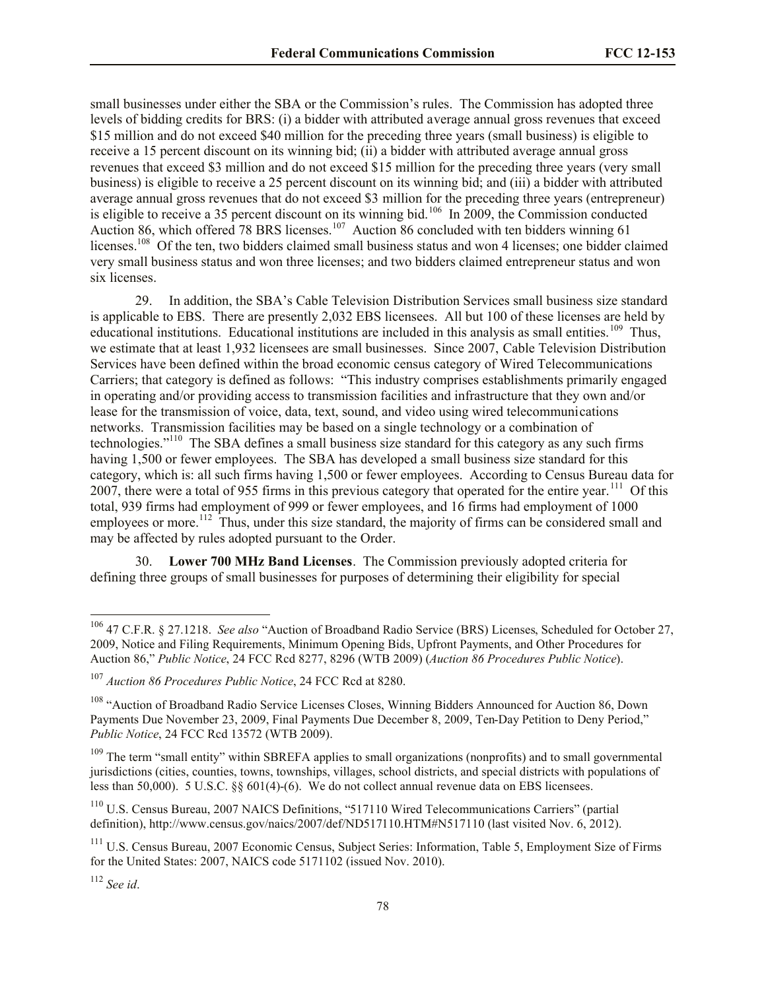small businesses under either the SBA or the Commission's rules. The Commission has adopted three levels of bidding credits for BRS: (i) a bidder with attributed average annual gross revenues that exceed \$15 million and do not exceed \$40 million for the preceding three years (small business) is eligible to receive a 15 percent discount on its winning bid; (ii) a bidder with attributed average annual gross revenues that exceed \$3 million and do not exceed \$15 million for the preceding three years (very small business) is eligible to receive a 25 percent discount on its winning bid; and (iii) a bidder with attributed average annual gross revenues that do not exceed \$3 million for the preceding three years (entrepreneur) is eligible to receive a 35 percent discount on its winning bid.<sup>106</sup> In 2009, the Commission conducted Auction 86, which offered 78 BRS licenses.<sup>107</sup> Auction 86 concluded with ten bidders winning 61 licenses.<sup>108</sup> Of the ten, two bidders claimed small business status and won 4 licenses; one bidder claimed very small business status and won three licenses; and two bidders claimed entrepreneur status and won six licenses.

29. In addition, the SBA's Cable Television Distribution Services small business size standard is applicable to EBS. There are presently 2,032 EBS licensees. All but 100 of these licenses are held by educational institutions. Educational institutions are included in this analysis as small entities.<sup>109</sup> Thus, we estimate that at least 1,932 licensees are small businesses. Since 2007, Cable Television Distribution Services have been defined within the broad economic census category of Wired Telecommunications Carriers; that category is defined as follows: "This industry comprises establishments primarily engaged in operating and/or providing access to transmission facilities and infrastructure that they own and/or lease for the transmission of voice, data, text, sound, and video using wired telecommunications networks. Transmission facilities may be based on a single technology or a combination of technologies."<sup>110</sup> The SBA defines a small business size standard for this category as any such firms having 1,500 or fewer employees. The SBA has developed a small business size standard for this category, which is: all such firms having 1,500 or fewer employees. According to Census Bureau data for 2007, there were a total of 955 firms in this previous category that operated for the entire year.<sup>111</sup> Of this total, 939 firms had employment of 999 or fewer employees, and 16 firms had employment of 1000 employees or more.<sup>112</sup> Thus, under this size standard, the majority of firms can be considered small and may be affected by rules adopted pursuant to the Order.

30. **Lower 700 MHz Band Licenses**. The Commission previously adopted criteria for defining three groups of small businesses for purposes of determining their eligibility for special

<sup>112</sup> *See id*.

<sup>106</sup> 47 C.F.R. § 27.1218. *See also* "Auction of Broadband Radio Service (BRS) Licenses, Scheduled for October 27, 2009, Notice and Filing Requirements, Minimum Opening Bids, Upfront Payments, and Other Procedures for Auction 86," *Public Notice*, 24 FCC Rcd 8277, 8296 (WTB 2009) (*Auction 86 Procedures Public Notice*).

<sup>107</sup> *Auction 86 Procedures Public Notice*, 24 FCC Rcd at 8280.

<sup>108</sup> "Auction of Broadband Radio Service Licenses Closes, Winning Bidders Announced for Auction 86, Down Payments Due November 23, 2009, Final Payments Due December 8, 2009, Ten-Day Petition to Deny Period," *Public Notice*, 24 FCC Rcd 13572 (WTB 2009).

 $109$  The term "small entity" within SBREFA applies to small organizations (nonprofits) and to small governmental jurisdictions (cities, counties, towns, townships, villages, school districts, and special districts with populations of less than 50,000). 5 U.S.C. §§ 601(4)-(6). We do not collect annual revenue data on EBS licensees.

<sup>110</sup> U.S. Census Bureau, 2007 NAICS Definitions, "517110 Wired Telecommunications Carriers" (partial definition), http://www.census.gov/naics/2007/def/ND517110.HTM#N517110 (last visited Nov. 6, 2012).

<sup>&</sup>lt;sup>111</sup> U.S. Census Bureau, 2007 Economic Census, Subject Series: Information, Table 5, Employment Size of Firms for the United States: 2007, NAICS code 5171102 (issued Nov. 2010).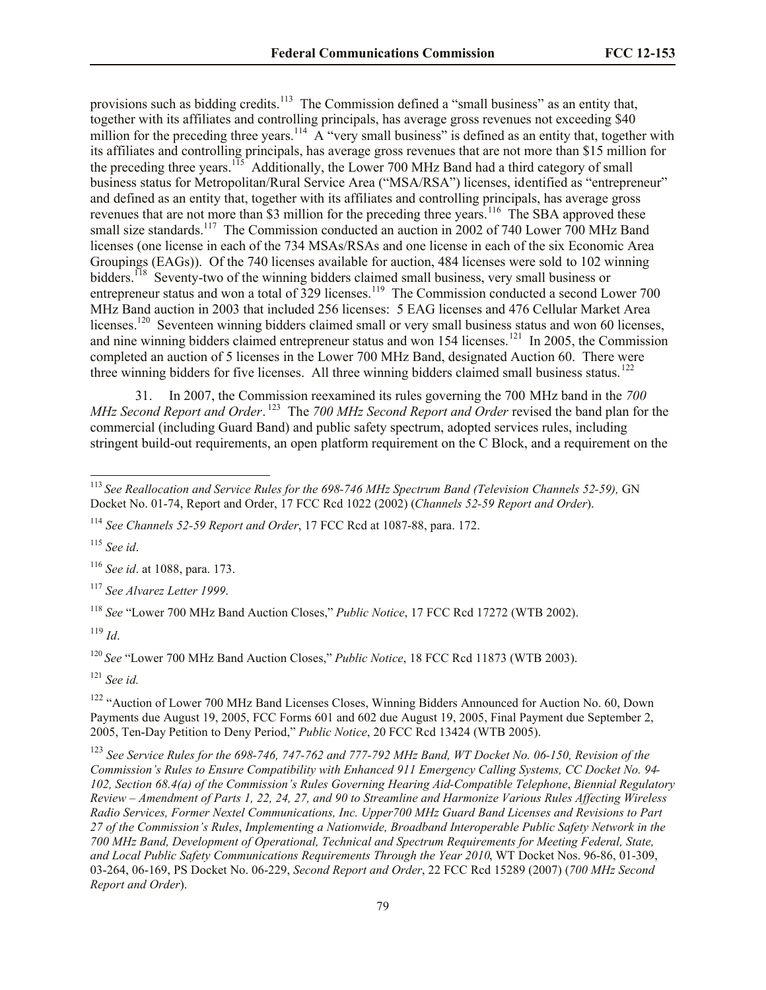provisions such as bidding credits.<sup>113</sup> The Commission defined a "small business" as an entity that, together with its affiliates and controlling principals, has average gross revenues not exceeding  $$40$ million for the preceding three years.<sup>114</sup> A "very small business" is defined as an entity that, together with its affiliates and controlling principals, has average gross revenues that are not more than \$15 million for the preceding three years.<sup>115</sup> Additionally, the Lower 700 MHz Band had a third category of small business status for Metropolitan/Rural Service Area ("MSA/RSA") licenses, identified as "entrepreneur" and defined as an entity that, together with its affiliates and controlling principals, has average gross revenues that are not more than \$3 million for the preceding three years.<sup>116</sup> The SBA approved these small size standards.<sup>117</sup> The Commission conducted an auction in 2002 of 740 Lower 700 MHz Band licenses (one license in each of the 734 MSAs/RSAs and one license in each of the six Economic Area Groupings (EAGs)). Of the 740 licenses available for auction, 484 licenses were sold to 102 winning bidders.<sup>118</sup> Seventy-two of the winning bidders claimed small business, very small business or entrepreneur status and won a total of 329 licenses.<sup>119</sup> The Commission conducted a second Lower 700 MHz Band auction in 2003 that included 256 licenses: 5 EAG licenses and 476 Cellular Market Area licenses.<sup>120</sup> Seventeen winning bidders claimed small or very small business status and won 60 licenses, and nine winning bidders claimed entrepreneur status and won 154 licenses.<sup>121</sup> In 2005, the Commission completed an auction of 5 licenses in the Lower 700 MHz Band, designated Auction 60. There were three winning bidders for five licenses. All three winning bidders claimed small business status.<sup>122</sup>

31. In 2007, the Commission reexamined its rules governing the 700 MHz band in the *700 MHz Second Report and Order*. 123 The *700 MHz Second Report and Order* revised the band plan for the commercial (including Guard Band) and public safety spectrum, adopted services rules, including stringent build-out requirements, an open platform requirement on the C Block, and a requirement on the

<sup>115</sup> *See id*.

l

<sup>116</sup> *See id*. at 1088, para. 173.

<sup>117</sup> *See Alvarez Letter 1999*.

<sup>118</sup> *See* "Lower 700 MHz Band Auction Closes," *Public Notice*, 17 FCC Rcd 17272 (WTB 2002).

<sup>119</sup> *Id*.

<sup>120</sup> *See* "Lower 700 MHz Band Auction Closes," *Public Notice*, 18 FCC Rcd 11873 (WTB 2003).

<sup>121</sup> *See id.*

<sup>122</sup> "Auction of Lower 700 MHz Band Licenses Closes, Winning Bidders Announced for Auction No. 60, Down Payments due August 19, 2005, FCC Forms 601 and 602 due August 19, 2005, Final Payment due September 2, 2005, Ten-Day Petition to Deny Period," *Public Notice*, 20 FCC Rcd 13424 (WTB 2005).

<sup>123</sup> *See Service Rules for the 698-746, 747-762 and 777-792 MHz Band, WT Docket No. 06-150, Revision of the Commission's Rules to Ensure Compatibility with Enhanced 911 Emergency Calling Systems, CC Docket No. 94- 102, Section 68.4(a) of the Commission's Rules Governing Hearing Aid-Compatible Telephone*, *Biennial Regulatory Review – Amendment of Parts 1, 22, 24, 27, and 90 to Streamline and Harmonize Various Rules Affecting Wireless Radio Services, Former Nextel Communications, Inc. Upper700 MHz Guard Band Licenses and Revisions to Part 27 of the Commission's Rules*, *Implementing a Nationwide, Broadband Interoperable Public Safety Network in the 700 MHz Band, Development of Operational, Technical and Spectrum Requirements for Meeting Federal, State, and Local Public Safety Communications Requirements Through the Year 2010*, WT Docket Nos. 96-86, 01-309, 03-264, 06-169, PS Docket No. 06-229, *Second Report and Order*, 22 FCC Rcd 15289 (2007) (*700 MHz Second Report and Order*).

<sup>113</sup> *See Reallocation and Service Rules for the 698-746 MHz Spectrum Band (Television Channels 52-59),* GN Docket No. 01-74, Report and Order, 17 FCC Rcd 1022 (2002) (*Channels 52-59 Report and Order*).

<sup>114</sup> *See Channels 52-59 Report and Order*, 17 FCC Rcd at 1087-88, para. 172.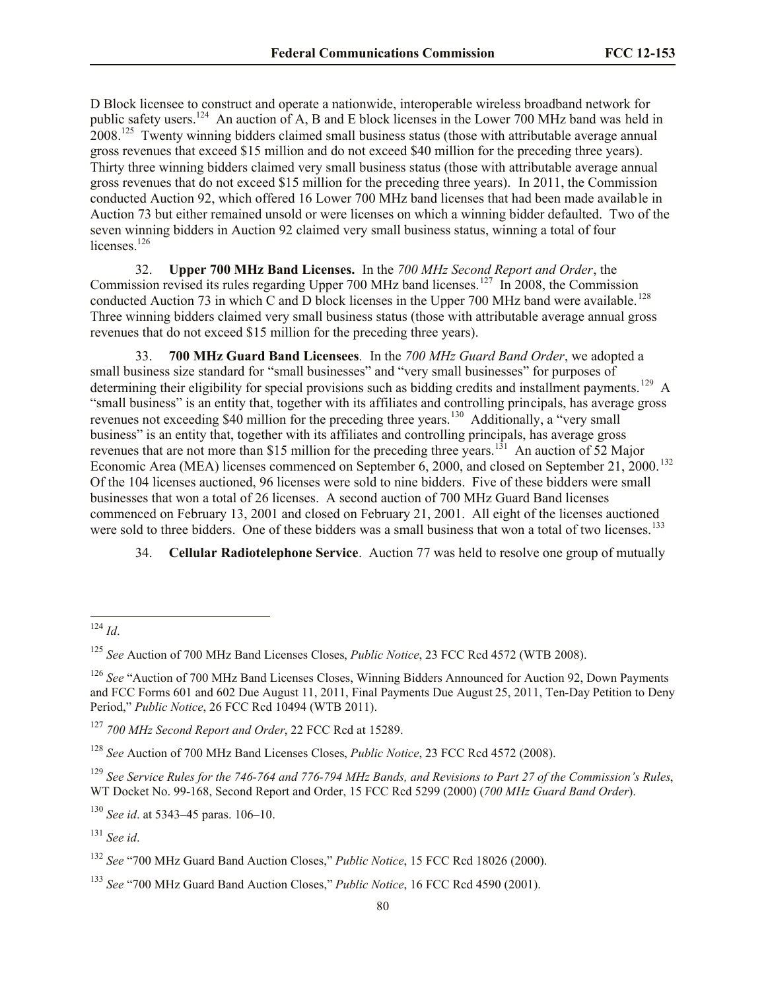D Block licensee to construct and operate a nationwide, interoperable wireless broadband network for public safety users.<sup>124</sup> An auction of A, B and E block licenses in the Lower 700 MHz band was held in 2008.<sup>125</sup> Twenty winning bidders claimed small business status (those with attributable average annual gross revenues that exceed \$15 million and do not exceed \$40 million for the preceding three years). Thirty three winning bidders claimed very small business status (those with attributable average annual gross revenues that do not exceed \$15 million for the preceding three years). In 2011, the Commission conducted Auction 92, which offered 16 Lower 700 MHz band licenses that had been made available in Auction 73 but either remained unsold or were licenses on which a winning bidder defaulted. Two of the seven winning bidders in Auction 92 claimed very small business status, winning a total of four licenses.<sup>126</sup>

32. **Upper 700 MHz Band Licenses.** In the *700 MHz Second Report and Order*, the Commission revised its rules regarding Upper 700 MHz band licenses.<sup>127</sup> In 2008, the Commission conducted Auction 73 in which C and D block licenses in the Upper 700 MHz band were available.<sup>128</sup> Three winning bidders claimed very small business status (those with attributable average annual gross revenues that do not exceed \$15 million for the preceding three years).

33. **700 MHz Guard Band Licensees***.* In the *700 MHz Guard Band Order*, we adopted a small business size standard for "small businesses" and "very small businesses" for purposes of determining their eligibility for special provisions such as bidding credits and installment payments.<sup>129</sup> A "small business" is an entity that, together with its affiliates and controlling principals, has average gross revenues not exceeding \$40 million for the preceding three years.<sup>130</sup> Additionally, a "very small business" is an entity that, together with its affiliates and controlling principals, has average gross revenues that are not more than \$15 million for the preceding three years.<sup>131</sup> An auction of 52 Major Economic Area (MEA) licenses commenced on September  $6, 2000,$  and closed on September 21, 2000.<sup>132</sup> Of the 104 licenses auctioned, 96 licenses were sold to nine bidders. Five of these bidders were small businesses that won a total of 26 licenses. A second auction of 700 MHz Guard Band licenses commenced on February 13, 2001 and closed on February 21, 2001. All eight of the licenses auctioned were sold to three bidders. One of these bidders was a small business that won a total of two licenses.<sup>133</sup>

34. **Cellular Radiotelephone Service**. Auction 77 was held to resolve one group of mutually

<sup>124</sup> *Id*.

<sup>125</sup> *See* Auction of 700 MHz Band Licenses Closes, *Public Notice*, 23 FCC Rcd 4572 (WTB 2008).

<sup>&</sup>lt;sup>126</sup> See "Auction of 700 MHz Band Licenses Closes, Winning Bidders Announced for Auction 92, Down Payments and FCC Forms 601 and 602 Due August 11, 2011, Final Payments Due August 25, 2011, Ten-Day Petition to Deny Period," *Public Notice*, 26 FCC Rcd 10494 (WTB 2011).

<sup>127</sup> *700 MHz Second Report and Order*, 22 FCC Rcd at 15289.

<sup>128</sup> *See* Auction of 700 MHz Band Licenses Closes, *Public Notice*, 23 FCC Rcd 4572 (2008).

<sup>129</sup> *See Service Rules for the 746-764 and 776-794 MHz Bands, and Revisions to Part 27 of the Commission's Rules*, WT Docket No. 99-168, Second Report and Order, 15 FCC Rcd 5299 (2000) (*700 MHz Guard Band Order*).

<sup>130</sup> *See id*. at 5343–45 paras. 106–10.

<sup>131</sup> *See id*.

<sup>132</sup> *See* "700 MHz Guard Band Auction Closes," *Public Notice*, 15 FCC Rcd 18026 (2000).

<sup>133</sup> *See* "700 MHz Guard Band Auction Closes," *Public Notice*, 16 FCC Rcd 4590 (2001).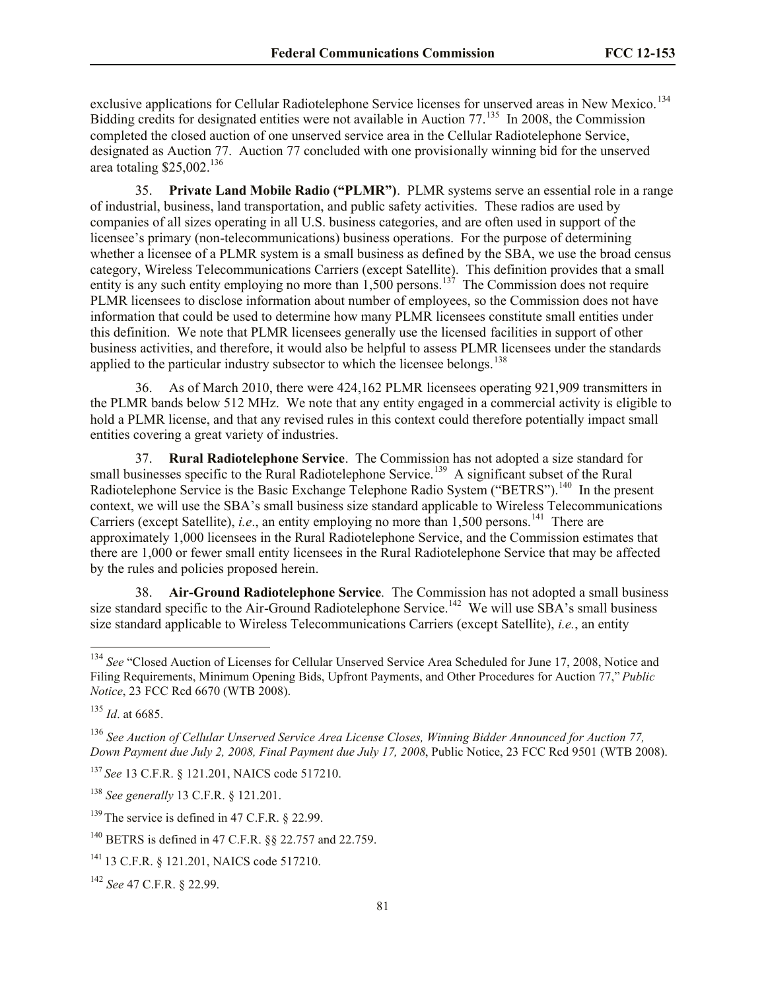exclusive applications for Cellular Radiotelephone Service licenses for unserved areas in New Mexico.<sup>134</sup> Bidding credits for designated entities were not available in Auction 77.<sup>135</sup> In 2008, the Commission completed the closed auction of one unserved service area in the Cellular Radiotelephone Service, designated as Auction 77. Auction 77 concluded with one provisionally winning bid for the unserved area totaling  $$25,002$ .<sup>136</sup>

35. **Private Land Mobile Radio ("PLMR")**. PLMR systems serve an essential role in a range of industrial, business, land transportation, and public safety activities. These radios are used by companies of all sizes operating in all U.S. business categories, and are often used in support of the licensee's primary (non-telecommunications) business operations. For the purpose of determining whether a licensee of a PLMR system is a small business as defined by the SBA, we use the broad census category, Wireless Telecommunications Carriers (except Satellite). This definition provides that a small entity is any such entity employing no more than  $1,500$  persons.<sup>137</sup> The Commission does not require PLMR licensees to disclose information about number of employees, so the Commission does not have information that could be used to determine how many PLMR licensees constitute small entities under this definition. We note that PLMR licensees generally use the licensed facilities in support of other business activities, and therefore, it would also be helpful to assess PLMR licensees under the standards applied to the particular industry subsector to which the licensee belongs.<sup>138</sup>

36. As of March 2010, there were 424,162 PLMR licensees operating 921,909 transmitters in the PLMR bands below 512 MHz. We note that any entity engaged in a commercial activity is eligible to hold a PLMR license, and that any revised rules in this context could therefore potentially impact small entities covering a great variety of industries.

37. **Rural Radiotelephone Service**. The Commission has not adopted a size standard for small businesses specific to the Rural Radiotelephone Service.<sup>139</sup> A significant subset of the Rural Radiotelephone Service is the Basic Exchange Telephone Radio System ("BETRS").<sup>140</sup> In the present context, we will use the SBA's small business size standard applicable to Wireless Telecommunications Carriers (except Satellite), *i.e.*, an entity employing no more than  $1,500$  persons.<sup>141</sup> There are approximately 1,000 licensees in the Rural Radiotelephone Service, and the Commission estimates that there are 1,000 or fewer small entity licensees in the Rural Radiotelephone Service that may be affected by the rules and policies proposed herein.

38. **Air-Ground Radiotelephone Service***.* The Commission has not adopted a small business size standard specific to the Air-Ground Radiotelephone Service.<sup>142</sup> We will use SBA's small business size standard applicable to Wireless Telecommunications Carriers (except Satellite), *i.e.*, an entity

<sup>&</sup>lt;sup>134</sup> See "Closed Auction of Licenses for Cellular Unserved Service Area Scheduled for June 17, 2008, Notice and Filing Requirements, Minimum Opening Bids, Upfront Payments, and Other Procedures for Auction 77," *Public Notice*, 23 FCC Rcd 6670 (WTB 2008).

<sup>135</sup> *Id*. at 6685.

<sup>136</sup> *See Auction of Cellular Unserved Service Area License Closes, Winning Bidder Announced for Auction 77, Down Payment due July 2, 2008, Final Payment due July 17, 2008*, Public Notice, 23 FCC Rcd 9501 (WTB 2008).

<sup>137</sup> *See* 13 C.F.R. § 121.201, NAICS code 517210.

<sup>138</sup> *See generally* 13 C.F.R. § 121.201.

 $139$  The service is defined in 47 C.F.R.  $\&$  22.99.

<sup>140</sup> BETRS is defined in 47 C.F.R. §§ 22.757 and 22.759.

<sup>141</sup> 13 C.F.R. § 121.201, NAICS code 517210.

<sup>142</sup> *See* 47 C.F.R. § 22.99.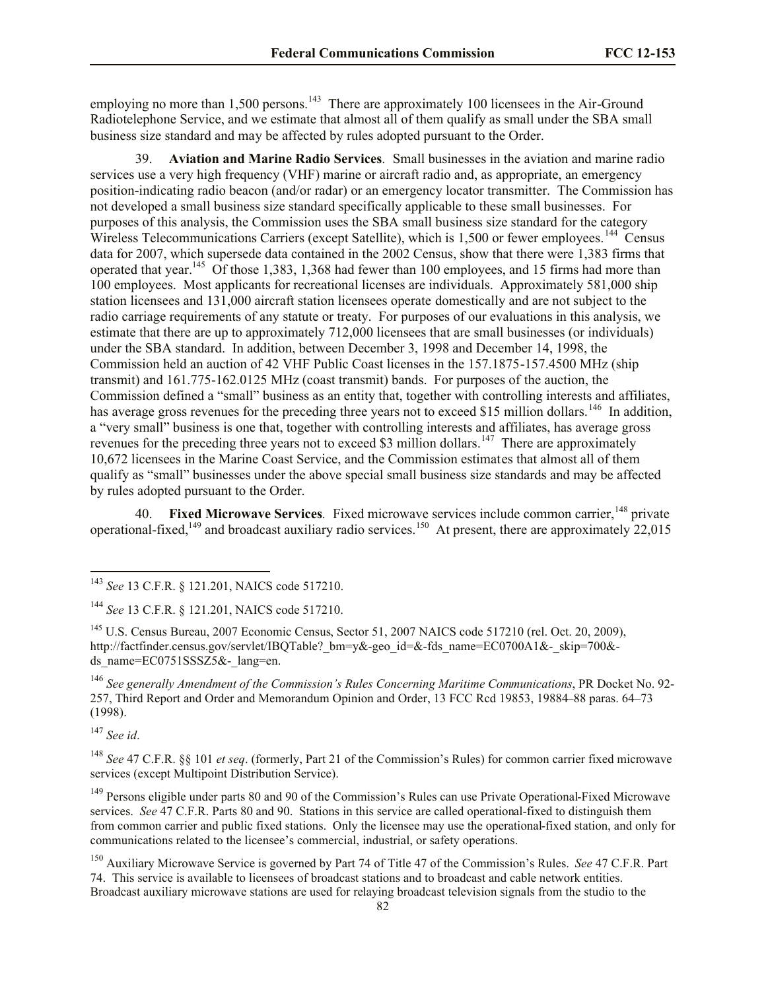employing no more than  $1,500$  persons.<sup>143</sup> There are approximately 100 licensees in the Air-Ground Radiotelephone Service, and we estimate that almost all of them qualify as small under the SBA small business size standard and may be affected by rules adopted pursuant to the Order.

39. **Aviation and Marine Radio Services***.* Small businesses in the aviation and marine radio services use a very high frequency (VHF) marine or aircraft radio and, as appropriate, an emergency position-indicating radio beacon (and/or radar) or an emergency locator transmitter. The Commission has not developed a small business size standard specifically applicable to these small businesses. For purposes of this analysis, the Commission uses the SBA small business size standard for the category Wireless Telecommunications Carriers (except Satellite), which is  $1,500$  or fewer employees.<sup>144</sup> Census data for 2007, which supersede data contained in the 2002 Census, show that there were 1,383 firms that operated that year.<sup>145</sup> Of those 1,383, 1,368 had fewer than 100 employees, and 15 firms had more than 100 employees. Most applicants for recreational licenses are individuals. Approximately 581,000 ship station licensees and 131,000 aircraft station licensees operate domestically and are not subject to the radio carriage requirements of any statute or treaty. For purposes of our evaluations in this analysis, we estimate that there are up to approximately 712,000 licensees that are small businesses (or individuals) under the SBA standard. In addition, between December 3, 1998 and December 14, 1998, the Commission held an auction of 42 VHF Public Coast licenses in the 157.1875-157.4500 MHz (ship transmit) and 161.775-162.0125 MHz (coast transmit) bands. For purposes of the auction, the Commission defined a "small" business as an entity that, together with controlling interests and affiliates, has average gross revenues for the preceding three years not to exceed \$15 million dollars.<sup>146</sup> In addition, a "very small" business is one that, together with controlling interests and affiliates, has average gross revenues for the preceding three years not to exceed \$3 million dollars.<sup>147</sup> There are approximately 10,672 licensees in the Marine Coast Service, and the Commission estimates that almost all of them qualify as "small" businesses under the above special small business size standards and may be affected by rules adopted pursuant to the Order.

40. Fixed Microwave Services. Fixed microwave services include common carrier, <sup>148</sup> private operational-fixed,  $^{149}$  and broadcast auxiliary radio services. <sup>150</sup> At present, there are approximately 22,015

<sup>147</sup> *See id*.

<sup>143</sup> *See* 13 C.F.R. § 121.201, NAICS code 517210.

<sup>144</sup> *See* 13 C.F.R. § 121.201, NAICS code 517210.

<sup>&</sup>lt;sup>145</sup> U.S. Census Bureau, 2007 Economic Census, Sector 51, 2007 NAICS code 517210 (rel. Oct. 20, 2009), http://factfinder.census.gov/servlet/IBQTable? bm=y&-geo\_id=&-fds\_name=EC0700A1&-\_skip=700&ds\_name=EC0751SSSZ5&-\_lang=en.

<sup>146</sup> *See generally Amendment of the Commission's Rules Concerning Maritime Communications*, PR Docket No. 92- 257, Third Report and Order and Memorandum Opinion and Order, 13 FCC Rcd 19853, 19884–88 paras. 64–73 (1998).

<sup>148</sup> *See* 47 C.F.R. §§ 101 *et seq*. (formerly, Part 21 of the Commission's Rules) for common carrier fixed microwave services (except Multipoint Distribution Service).

<sup>&</sup>lt;sup>149</sup> Persons eligible under parts 80 and 90 of the Commission's Rules can use Private Operational-Fixed Microwave services. *See* 47 C.F.R. Parts 80 and 90. Stations in this service are called operational-fixed to distinguish them from common carrier and public fixed stations. Only the licensee may use the operational-fixed station, and only for communications related to the licensee's commercial, industrial, or safety operations.

<sup>150</sup> Auxiliary Microwave Service is governed by Part 74 of Title 47 of the Commission's Rules. *See* 47 C.F.R. Part 74. This service is available to licensees of broadcast stations and to broadcast and cable network entities. Broadcast auxiliary microwave stations are used for relaying broadcast television signals from the studio to the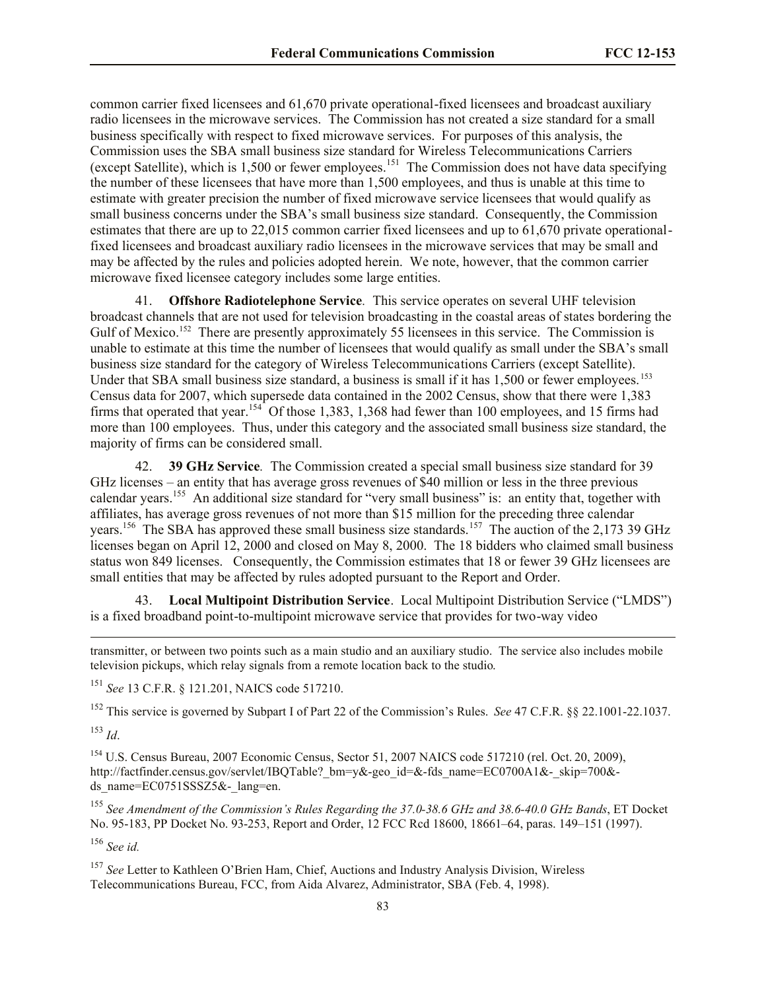common carrier fixed licensees and 61,670 private operational-fixed licensees and broadcast auxiliary radio licensees in the microwave services. The Commission has not created a size standard for a small business specifically with respect to fixed microwave services. For purposes of this analysis, the Commission uses the SBA small business size standard for Wireless Telecommunications Carriers (except Satellite), which is  $1,500$  or fewer employees.<sup>151</sup> The Commission does not have data specifying the number of these licensees that have more than 1,500 employees, and thus is unable at this time to estimate with greater precision the number of fixed microwave service licensees that would qualify as small business concerns under the SBA's small business size standard. Consequently, the Commission estimates that there are up to 22,015 common carrier fixed licensees and up to 61,670 private operationalfixed licensees and broadcast auxiliary radio licensees in the microwave services that may be small and may be affected by the rules and policies adopted herein. We note, however, that the common carrier microwave fixed licensee category includes some large entities.

41. **Offshore Radiotelephone Service***.* This service operates on several UHF television broadcast channels that are not used for television broadcasting in the coastal areas of states bordering the Gulf of Mexico.<sup>152</sup> There are presently approximately 55 licensees in this service. The Commission is unable to estimate at this time the number of licensees that would qualify as small under the SBA's small business size standard for the category of Wireless Telecommunications Carriers (except Satellite). Under that SBA small business size standard, a business is small if it has 1,500 or fewer employees.<sup>153</sup> Census data for 2007, which supersede data contained in the 2002 Census, show that there were 1,383 firms that operated that year.<sup>154</sup> Of those 1,383, 1,368 had fewer than 100 employees, and 15 firms had more than 100 employees. Thus, under this category and the associated small business size standard, the majority of firms can be considered small.

42. **39 GHz Service***.* The Commission created a special small business size standard for 39 GHz licenses – an entity that has average gross revenues of \$40 million or less in the three previous calendar years.<sup>155</sup> An additional size standard for "very small business" is: an entity that, together with affiliates, has average gross revenues of not more than \$15 million for the preceding three calendar years.<sup>156</sup> The SBA has approved these small business size standards.<sup>157</sup> The auction of the 2,173 39 GHz licenses began on April 12, 2000 and closed on May 8, 2000. The 18 bidders who claimed small business status won 849 licenses. Consequently, the Commission estimates that 18 or fewer 39 GHz licensees are small entities that may be affected by rules adopted pursuant to the Report and Order.

43. **Local Multipoint Distribution Service**. Local Multipoint Distribution Service ("LMDS") is a fixed broadband point-to-multipoint microwave service that provides for two-way video

transmitter, or between two points such as a main studio and an auxiliary studio. The service also includes mobile television pickups, which relay signals from a remote location back to the studio.

<sup>151</sup> *See* 13 C.F.R. § 121.201, NAICS code 517210.

<sup>152</sup> This service is governed by Subpart I of Part 22 of the Commission's Rules. *See* 47 C.F.R. §§ 22.1001-22.1037. <sup>153</sup> *Id*.

<sup>154</sup> U.S. Census Bureau, 2007 Economic Census, Sector 51, 2007 NAICS code 517210 (rel. Oct. 20, 2009), http://factfinder.census.gov/servlet/IBOTable? bm=y&-geo\_id=&-fds\_name=EC0700A1&-\_skip=700&ds\_name=EC0751SSSZ5&-\_lang=en.

<sup>155</sup> *See Amendment of the Commission's Rules Regarding the 37.0-38.6 GHz and 38.6-40.0 GHz Bands*, ET Docket No. 95-183, PP Docket No. 93-253, Report and Order, 12 FCC Rcd 18600, 18661–64, paras. 149–151 (1997).

<sup>156</sup> *See id.*

 $\overline{\phantom{a}}$ 

<sup>157</sup> *See* Letter to Kathleen O'Brien Ham, Chief, Auctions and Industry Analysis Division, Wireless Telecommunications Bureau, FCC, from Aida Alvarez, Administrator, SBA (Feb. 4, 1998).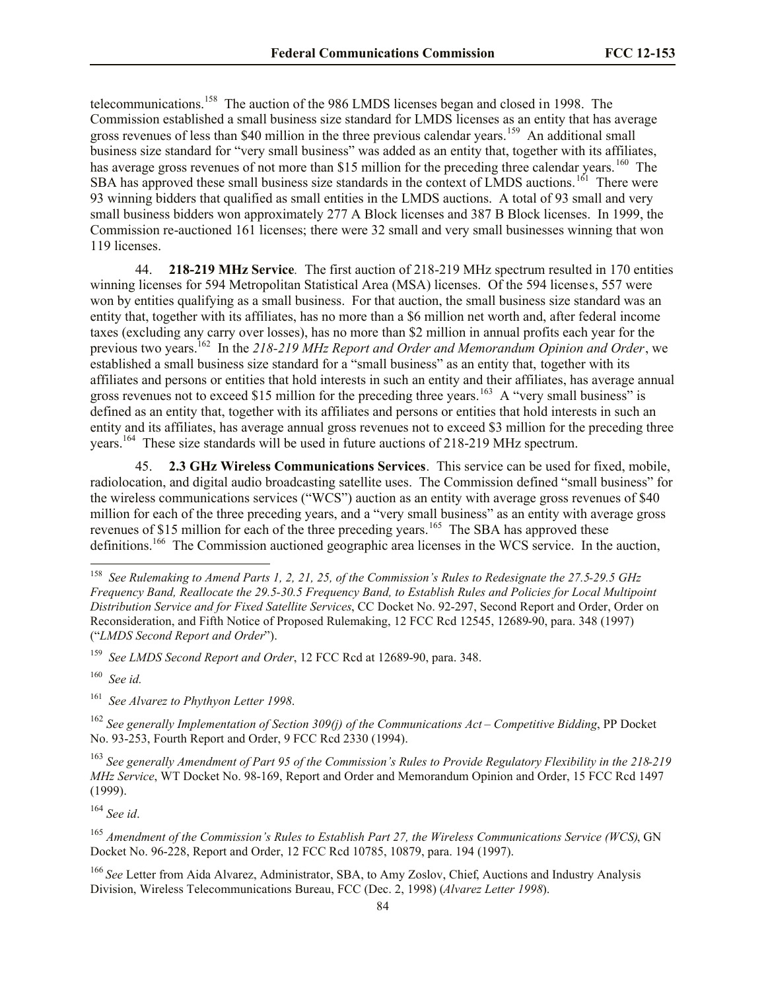telecommunications.<sup>158</sup> The auction of the 986 LMDS licenses began and closed in 1998. The Commission established a small business size standard for LMDS licenses as an entity that has average gross revenues of less than \$40 million in the three previous calendar years.<sup>159</sup> An additional small business size standard for "very small business" was added as an entity that, together with its affiliates, has average gross revenues of not more than \$15 million for the preceding three calendar years.<sup>160</sup> The SBA has approved these small business size standards in the context of LMDS auctions.<sup>161</sup> There were 93 winning bidders that qualified as small entities in the LMDS auctions. A total of 93 small and very small business bidders won approximately 277 A Block licenses and 387 B Block licenses. In 1999, the Commission re-auctioned 161 licenses; there were 32 small and very small businesses winning that won 119 licenses.

44. **218-219 MHz Service***.* The first auction of 218-219 MHz spectrum resulted in 170 entities winning licenses for 594 Metropolitan Statistical Area (MSA) licenses. Of the 594 licenses, 557 were won by entities qualifying as a small business. For that auction, the small business size standard was an entity that, together with its affiliates, has no more than a \$6 million net worth and, after federal income taxes (excluding any carry over losses), has no more than \$2 million in annual profits each year for the previous two years.<sup>162</sup> In the 218-219 MHz Report and Order and Memorandum Opinion and Order, we established a small business size standard for a "small business" as an entity that, together with its affiliates and persons or entities that hold interests in such an entity and their affiliates, has average annual gross revenues not to exceed \$15 million for the preceding three years.<sup>163</sup> A "very small business" is defined as an entity that, together with its affiliates and persons or entities that hold interests in such an entity and its affiliates, has average annual gross revenues not to exceed \$3 million for the preceding three years.<sup>164</sup> These size standards will be used in future auctions of 218-219 MHz spectrum.

45. **2.3 GHz Wireless Communications Services**. This service can be used for fixed, mobile, radiolocation, and digital audio broadcasting satellite uses. The Commission defined "small business" for the wireless communications services ("WCS") auction as an entity with average gross revenues of \$40 million for each of the three preceding years, and a "very small business" as an entity with average gross revenues of \$15 million for each of the three preceding years.<sup>165</sup> The SBA has approved these definitions.<sup>166</sup> The Commission auctioned geographic area licenses in the WCS service. In the auction,

159 *See LMDS Second Report and Order*, 12 FCC Rcd at 12689-90, para. 348.

160 *See id.*

 $\overline{\phantom{a}}$ 

161  *See Alvarez to Phythyon Letter 1998*.

<sup>162</sup> *See generally Implementation of Section 309(j) of the Communications Act – Competitive Bidding*, PP Docket No. 93-253, Fourth Report and Order, 9 FCC Rcd 2330 (1994).

<sup>163</sup> *See generally Amendment of Part 95 of the Commission's Rules to Provide Regulatory Flexibility in the 218-219 MHz Service*, WT Docket No. 98-169, Report and Order and Memorandum Opinion and Order, 15 FCC Rcd 1497 (1999).

<sup>164</sup> *See id*.

<sup>165</sup> *Amendment of the Commission's Rules to Establish Part 27, the Wireless Communications Service (WCS)*, GN Docket No. 96-228, Report and Order, 12 FCC Rcd 10785, 10879, para. 194 (1997).

<sup>166</sup> *See* Letter from Aida Alvarez, Administrator, SBA, to Amy Zoslov, Chief, Auctions and Industry Analysis Division, Wireless Telecommunications Bureau, FCC (Dec. 2, 1998) (*Alvarez Letter 1998*).

<sup>158</sup> *See Rulemaking to Amend Parts 1, 2, 21, 25, of the Commission's Rules to Redesignate the 27.5-29.5 GHz Frequency Band, Reallocate the 29.5-30.5 Frequency Band, to Establish Rules and Policies for Local Multipoint Distribution Service and for Fixed Satellite Services*, CC Docket No. 92-297, Second Report and Order, Order on Reconsideration, and Fifth Notice of Proposed Rulemaking, 12 FCC Rcd 12545, 12689-90, para. 348 (1997) ("*LMDS Second Report and Order*").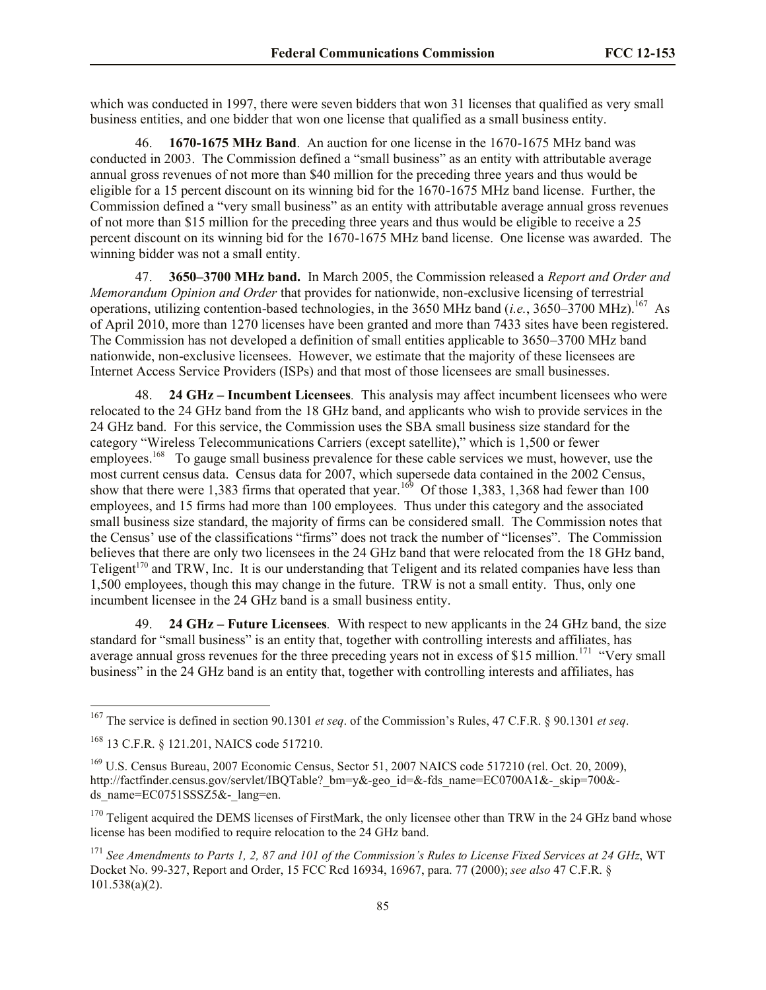which was conducted in 1997, there were seven bidders that won 31 licenses that qualified as very small business entities, and one bidder that won one license that qualified as a small business entity.

46. **1670-1675 MHz Band**. An auction for one license in the 1670-1675 MHz band was conducted in 2003. The Commission defined a "small business" as an entity with attributable average annual gross revenues of not more than \$40 million for the preceding three years and thus would be eligible for a 15 percent discount on its winning bid for the 1670-1675 MHz band license. Further, the Commission defined a "very small business" as an entity with attributable average annual gross revenues of not more than \$15 million for the preceding three years and thus would be eligible to receive a 25 percent discount on its winning bid for the 1670-1675 MHz band license. One license was awarded. The winning bidder was not a small entity.

47. **3650–3700 MHz band.** In March 2005, the Commission released a *Report and Order and Memorandum Opinion and Order* that provides for nationwide, non-exclusive licensing of terrestrial operations, utilizing contention-based technologies, in the 3650 MHz band (*i.e.*, 3650–3700 MHz).<sup>167</sup> As of April 2010, more than 1270 licenses have been granted and more than 7433 sites have been registered. The Commission has not developed a definition of small entities applicable to 3650–3700 MHz band nationwide, non-exclusive licensees. However, we estimate that the majority of these licensees are Internet Access Service Providers (ISPs) and that most of those licensees are small businesses.

48. **24 GHz – Incumbent Licensees***.* This analysis may affect incumbent licensees who were relocated to the 24 GHz band from the 18 GHz band, and applicants who wish to provide services in the 24 GHz band. For this service, the Commission uses the SBA small business size standard for the category "Wireless Telecommunications Carriers (except satellite)," which is 1,500 or fewer employees.<sup>168</sup> To gauge small business prevalence for these cable services we must, however, use the most current census data. Census data for 2007, which supersede data contained in the 2002 Census, show that there were 1,383 firms that operated that year.<sup>169</sup> Of those 1,383, 1,368 had fewer than 100 employees, and 15 firms had more than 100 employees. Thus under this category and the associated small business size standard, the majority of firms can be considered small. The Commission notes that the Census' use of the classifications "firms" does not track the number of "licenses". The Commission believes that there are only two licensees in the 24 GHz band that were relocated from the 18 GHz band, Teligent<sup>170</sup> and TRW, Inc. It is our understanding that Teligent and its related companies have less than 1,500 employees, though this may change in the future. TRW is not a small entity. Thus, only one incumbent licensee in the 24 GHz band is a small business entity.

49. **24 GHz – Future Licensees***.*With respect to new applicants in the 24 GHz band, the size standard for "small business" is an entity that, together with controlling interests and affiliates, has average annual gross revenues for the three preceding years not in excess of \$15 million.<sup>171</sup> "Very small business" in the 24 GHz band is an entity that, together with controlling interests and affiliates, has

<sup>167</sup> The service is defined in section 90.1301 *et seq*. of the Commission's Rules, 47 C.F.R. § 90.1301 *et seq*.

<sup>168</sup> 13 C.F.R. § 121.201, NAICS code 517210.

<sup>&</sup>lt;sup>169</sup> U.S. Census Bureau, 2007 Economic Census, Sector 51, 2007 NAICS code 517210 (rel. Oct. 20, 2009), http://factfinder.census.gov/servlet/IBQTable? bm=y&-geo\_id=&-fds\_name=EC0700A1&-\_skip=700&ds\_name= $EC0751SSSZ5&-$ lang=en.

 $170$  Teligent acquired the DEMS licenses of FirstMark, the only licensee other than TRW in the 24 GHz band whose license has been modified to require relocation to the 24 GHz band.

<sup>171</sup> *See Amendments to Parts 1, 2, 87 and 101 of the Commission's Rules to License Fixed Services at 24 GHz*, WT Docket No. 99-327, Report and Order, 15 FCC Rcd 16934, 16967, para. 77 (2000); *see also* 47 C.F.R. § 101.538(a)(2).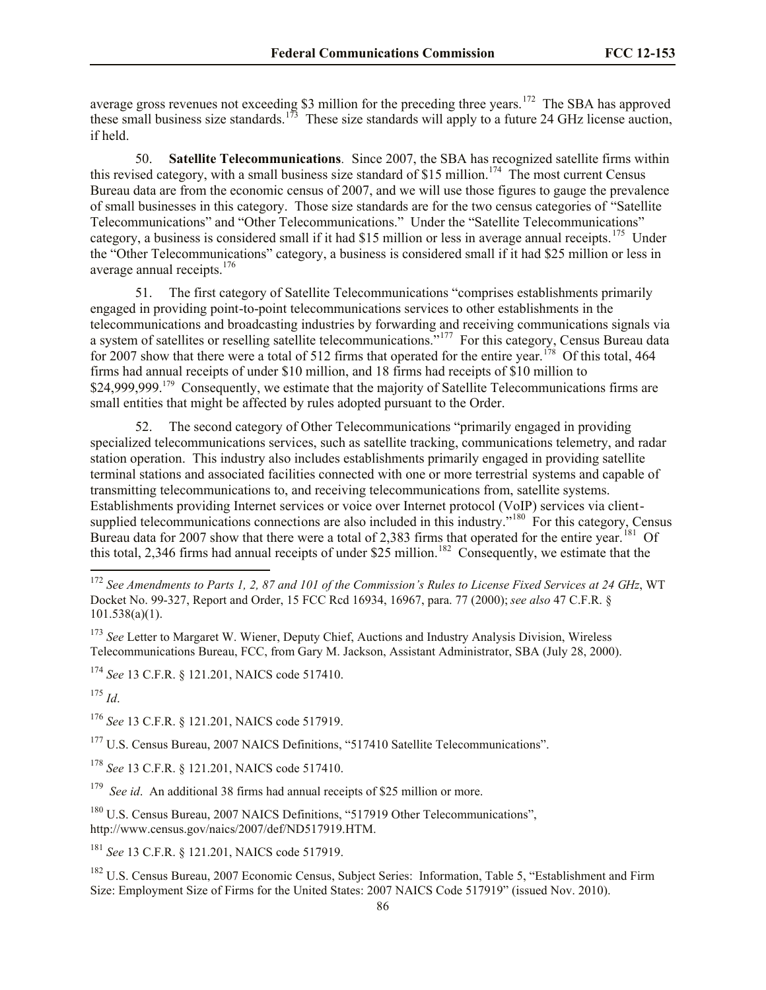average gross revenues not exceeding \$3 million for the preceding three years.<sup>172</sup> The SBA has approved these small business size standards.<sup>173</sup> These size standards will apply to a future 24 GHz license auction, if held.

50. **Satellite Telecommunications***.* Since 2007, the SBA has recognized satellite firms within this revised category, with a small business size standard of \$15 million.<sup>174</sup> The most current Census Bureau data are from the economic census of 2007, and we will use those figures to gauge the prevalence of small businesses in this category. Those size standards are for the two census categories of "Satellite Telecommunications" and "Other Telecommunications." Under the "Satellite Telecommunications" category, a business is considered small if it had \$15 million or less in average annual receipts.<sup>175</sup> Under the "Other Telecommunications" category, a business is considered small if it had \$25 million or less in average annual receipts.<sup>176</sup>

51. The first category of Satellite Telecommunications "comprises establishments primarily engaged in providing point-to-point telecommunications services to other establishments in the telecommunications and broadcasting industries by forwarding and receiving communications signals via a system of satellites or reselling satellite telecommunications."<sup>177</sup> For this category, Census Bureau data for 2007 show that there were a total of 512 firms that operated for the entire year.<sup>178</sup> Of this total, 464 firms had annual receipts of under \$10 million, and 18 firms had receipts of \$10 million to \$24,999,999.<sup>179</sup> Consequently, we estimate that the majority of Satellite Telecommunications firms are small entities that might be affected by rules adopted pursuant to the Order.

52. The second category of Other Telecommunications "primarily engaged in providing specialized telecommunications services, such as satellite tracking, communications telemetry, and radar station operation. This industry also includes establishments primarily engaged in providing satellite terminal stations and associated facilities connected with one or more terrestrial systems and capable of transmitting telecommunications to, and receiving telecommunications from, satellite systems. Establishments providing Internet services or voice over Internet protocol (VoIP) services via clientsupplied telecommunications connections are also included in this industry."<sup>180</sup> For this category, Census Bureau data for 2007 show that there were a total of 2,383 firms that operated for the entire year.<sup>181</sup> Of this total, 2,346 firms had annual receipts of under \$25 million.<sup>182</sup> Consequently, we estimate that the

<sup>175</sup> *Id*.

 $\overline{a}$ 

<sup>176</sup> *See* 13 C.F.R. § 121.201, NAICS code 517919.

<sup>177</sup> U.S. Census Bureau, 2007 NAICS Definitions, "517410 Satellite Telecommunications".

<sup>178</sup> *See* 13 C.F.R. § 121.201, NAICS code 517410.

<sup>179</sup> See id. An additional 38 firms had annual receipts of \$25 million or more.

<sup>180</sup> U.S. Census Bureau, 2007 NAICS Definitions, "517919 Other Telecommunications", http://www.census.gov/naics/2007/def/ND517919.HTM.

<sup>181</sup> *See* 13 C.F.R. § 121.201, NAICS code 517919.

<sup>182</sup> U.S. Census Bureau, 2007 Economic Census, Subject Series: Information, Table 5, "Establishment and Firm Size: Employment Size of Firms for the United States: 2007 NAICS Code 517919" (issued Nov. 2010).

<sup>172</sup> *See Amendments to Parts 1, 2, 87 and 101 of the Commission's Rules to License Fixed Services at 24 GHz*, WT Docket No. 99-327, Report and Order, 15 FCC Rcd 16934, 16967, para. 77 (2000); *see also* 47 C.F.R. § 101.538(a)(1).

<sup>173</sup> *See* Letter to Margaret W. Wiener, Deputy Chief, Auctions and Industry Analysis Division, Wireless Telecommunications Bureau, FCC, from Gary M. Jackson, Assistant Administrator, SBA (July 28, 2000).

<sup>174</sup> *See* 13 C.F.R. § 121.201, NAICS code 517410.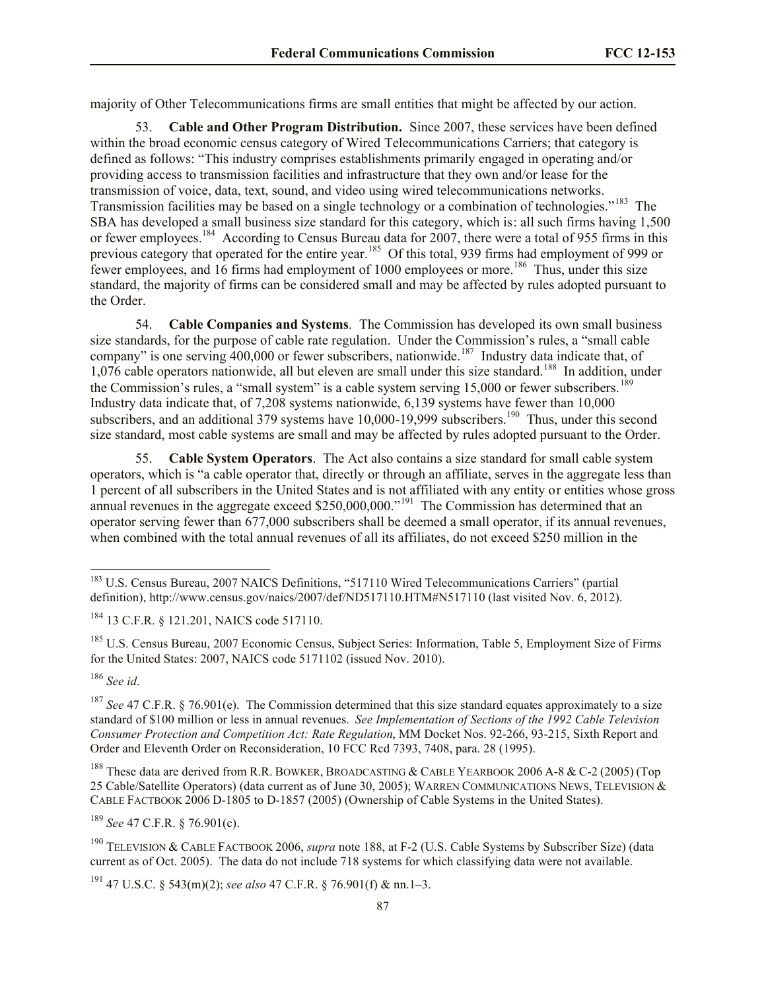majority of Other Telecommunications firms are small entities that might be affected by our action.

53. **Cable and Other Program Distribution.** Since 2007, these services have been defined within the broad economic census category of Wired Telecommunications Carriers; that category is defined as follows: "This industry comprises establishments primarily engaged in operating and/or providing access to transmission facilities and infrastructure that they own and/or lease for the transmission of voice, data, text, sound, and video using wired telecommunications networks. Transmission facilities may be based on a single technology or a combination of technologies."<sup>183</sup> The SBA has developed a small business size standard for this category, which is: all such firms having 1,500 or fewer employees.<sup>184</sup> According to Census Bureau data for 2007, there were a total of 955 firms in this previous category that operated for the entire year.<sup>185</sup> Of this total, 939 firms had employment of 999 or fewer employees, and 16 firms had employment of 1000 employees or more.<sup>186</sup> Thus, under this size standard, the majority of firms can be considered small and may be affected by rules adopted pursuant to the Order.

54. **Cable Companies and Systems***.* The Commission has developed its own small business size standards, for the purpose of cable rate regulation. Under the Commission's rules, a "small cable company" is one serving  $400,000$  or fewer subscribers, nationwide.<sup>187</sup> Industry data indicate that, of 1,076 cable operators nationwide, all but eleven are small under this size standard.<sup>188</sup> In addition, under the Commission's rules, a "small system" is a cable system serving 15,000 or fewer subscribers.<sup>189</sup> Industry data indicate that, of 7,208 systems nationwide, 6,139 systems have fewer than 10,000 subscribers, and an additional 379 systems have  $10,000$ -19,999 subscribers.<sup>190</sup> Thus, under this second size standard, most cable systems are small and may be affected by rules adopted pursuant to the Order.

55. **Cable System Operators**.The Act also contains a size standard for small cable system operators, which is "a cable operator that, directly or through an affiliate, serves in the aggregate less than 1 percent of all subscribers in the United States and is not affiliated with any entity or entities whose gross annual revenues in the aggregate exceed  $$250,000,000."$ <sup>191</sup> The Commission has determined that an operator serving fewer than 677,000 subscribers shall be deemed a small operator, if its annual revenues, when combined with the total annual revenues of all its affiliates, do not exceed \$250 million in the

<sup>186</sup> *See id*.

l

<sup>189</sup> *See* 47 C.F.R. § 76.901(c).

<sup>&</sup>lt;sup>183</sup> U.S. Census Bureau, 2007 NAICS Definitions, "517110 Wired Telecommunications Carriers" (partial definition), http://www.census.gov/naics/2007/def/ND517110.HTM#N517110 (last visited Nov. 6, 2012).

<sup>184</sup> 13 C.F.R. § 121.201, NAICS code 517110.

<sup>185</sup> U.S. Census Bureau, 2007 Economic Census, Subject Series: Information, Table 5, Employment Size of Firms for the United States: 2007, NAICS code 5171102 (issued Nov. 2010).

<sup>&</sup>lt;sup>187</sup> *See* 47 C.F.R. § 76.901(e). The Commission determined that this size standard equates approximately to a size standard of \$100 million or less in annual revenues. *See Implementation of Sections of the 1992 Cable Television Consumer Protection and Competition Act: Rate Regulation*, MM Docket Nos. 92-266, 93-215, Sixth Report and Order and Eleventh Order on Reconsideration, 10 FCC Rcd 7393, 7408, para. 28 (1995).

<sup>&</sup>lt;sup>188</sup> These data are derived from R.R. BOWKER, BROADCASTING & CABLE YEARBOOK 2006 A-8 & C-2 (2005) (Top 25 Cable/Satellite Operators) (data current as of June 30, 2005); WARREN COMMUNICATIONS NEWS, TELEVISION & CABLE FACTBOOK 2006 D-1805 to D-1857 (2005) (Ownership of Cable Systems in the United States).

<sup>190</sup> TELEVISION & CABLE FACTBOOK 2006, *supra* note 188, at F-2 (U.S. Cable Systems by Subscriber Size) (data current as of Oct. 2005). The data do not include 718 systems for which classifying data were not available.

<sup>191</sup> 47 U.S.C. § 543(m)(2); *see also* 47 C.F.R. § 76.901(f) & nn.1–3.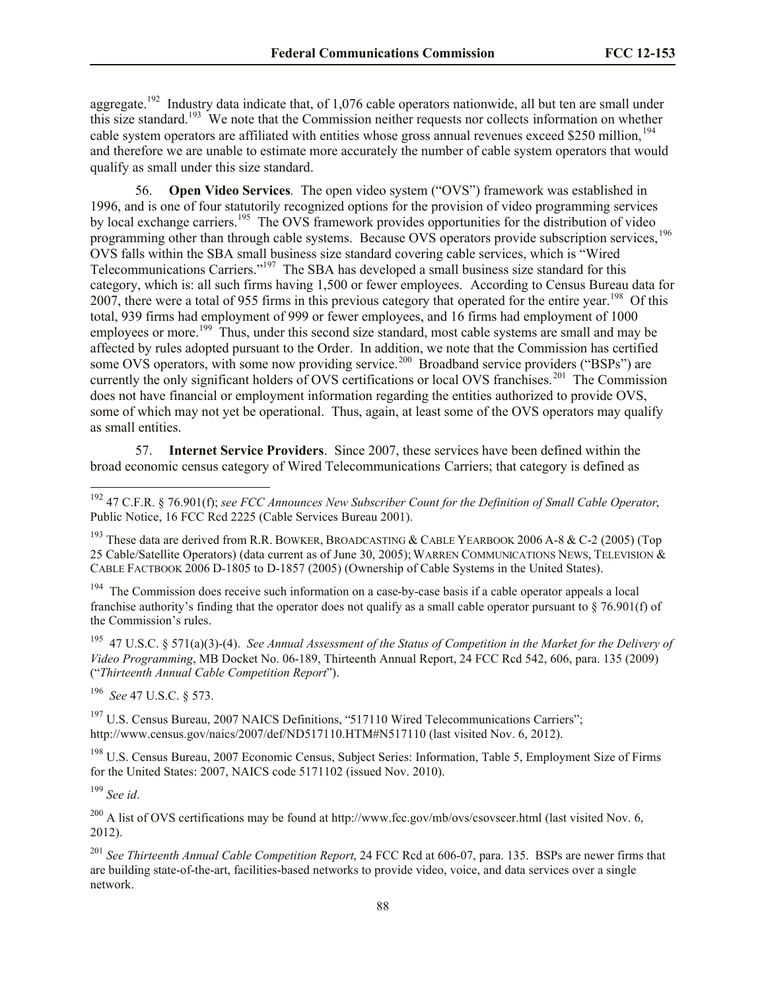aggregate.<sup>192</sup> Industry data indicate that, of 1,076 cable operators nationwide, all but ten are small under this size standard.<sup>193</sup> We note that the Commission neither requests nor collects information on whether cable system operators are affiliated with entities whose gross annual revenues exceed \$250 million,<sup>194</sup> and therefore we are unable to estimate more accurately the number of cable system operators that would qualify as small under this size standard.

56. **Open Video Services***.* The open video system ("OVS") framework was established in 1996, and is one of four statutorily recognized options for the provision of video programming services by local exchange carriers.<sup>195</sup> The OVS framework provides opportunities for the distribution of video programming other than through cable systems. Because OVS operators provide subscription services,<sup>196</sup> OVS falls within the SBA small business size standard covering cable services, which is "Wired Telecommunications Carriers."<sup>197</sup> The SBA has developed a small business size standard for this category, which is: all such firms having 1,500 or fewer employees. According to Census Bureau data for 2007, there were a total of 955 firms in this previous category that operated for the entire year.<sup>198</sup> Of this total, 939 firms had employment of 999 or fewer employees, and 16 firms had employment of 1000 employees or more.<sup>199</sup> Thus, under this second size standard, most cable systems are small and may be affected by rules adopted pursuant to the Order. In addition, we note that the Commission has certified some OVS operators, with some now providing service.<sup>200</sup> Broadband service providers ("BSPs") are currently the only significant holders of OVS certifications or local OVS franchises.<sup>201</sup> The Commission does not have financial or employment information regarding the entities authorized to provide OVS, some of which may not yet be operational. Thus, again, at least some of the OVS operators may qualify as small entities.

57. **Internet Service Providers**. Since 2007, these services have been defined within the broad economic census category of Wired Telecommunications Carriers; that category is defined as

<sup>193</sup> These data are derived from R.R. BOWKER, BROADCASTING & CABLE YEARBOOK 2006 A-8 & C-2 (2005) (Top 25 Cable/Satellite Operators) (data current as of June 30, 2005); WARREN COMMUNICATIONS NEWS, TELEVISION & CABLE FACTBOOK 2006 D-1805 to D-1857 (2005) (Ownership of Cable Systems in the United States).

<sup>194</sup> The Commission does receive such information on a case-by-case basis if a cable operator appeals a local franchise authority's finding that the operator does not qualify as a small cable operator pursuant to § 76.901(f) of the Commission's rules.

195 47 U.S.C. § 571(a)(3)-(4). *See Annual Assessment of the Status of Competition in the Market for the Delivery of Video Programming*, MB Docket No. 06-189, Thirteenth Annual Report, 24 FCC Rcd 542, 606, para. 135 (2009) ("*Thirteenth Annual Cable Competition Report*").

196 *See* 47 U.S.C. § 573.

<sup>197</sup> U.S. Census Bureau, 2007 NAICS Definitions, "517110 Wired Telecommunications Carriers"; http://www.census.gov/naics/2007/def/ND517110.HTM#N517110 (last visited Nov. 6, 2012).

<sup>198</sup> U.S. Census Bureau, 2007 Economic Census, Subject Series: Information, Table 5, Employment Size of Firms for the United States: 2007, NAICS code 5171102 (issued Nov. 2010).

<sup>199</sup> *See id*.

 $\overline{\phantom{a}}$ 

 $^{200}$  A list of OVS certifications may be found at http://www.fcc.gov/mb/ovs/csovscer.html (last visited Nov. 6, 2012).

<sup>201</sup> *See Thirteenth Annual Cable Competition Report*, 24 FCC Rcd at 606-07, para. 135. BSPs are newer firms that are building state-of-the-art, facilities-based networks to provide video, voice, and data services over a single network.

<sup>192</sup> 47 C.F.R. § 76.901(f); *see FCC Announces New Subscriber Count for the Definition of Small Cable Operator*, Public Notice, 16 FCC Rcd 2225 (Cable Services Bureau 2001).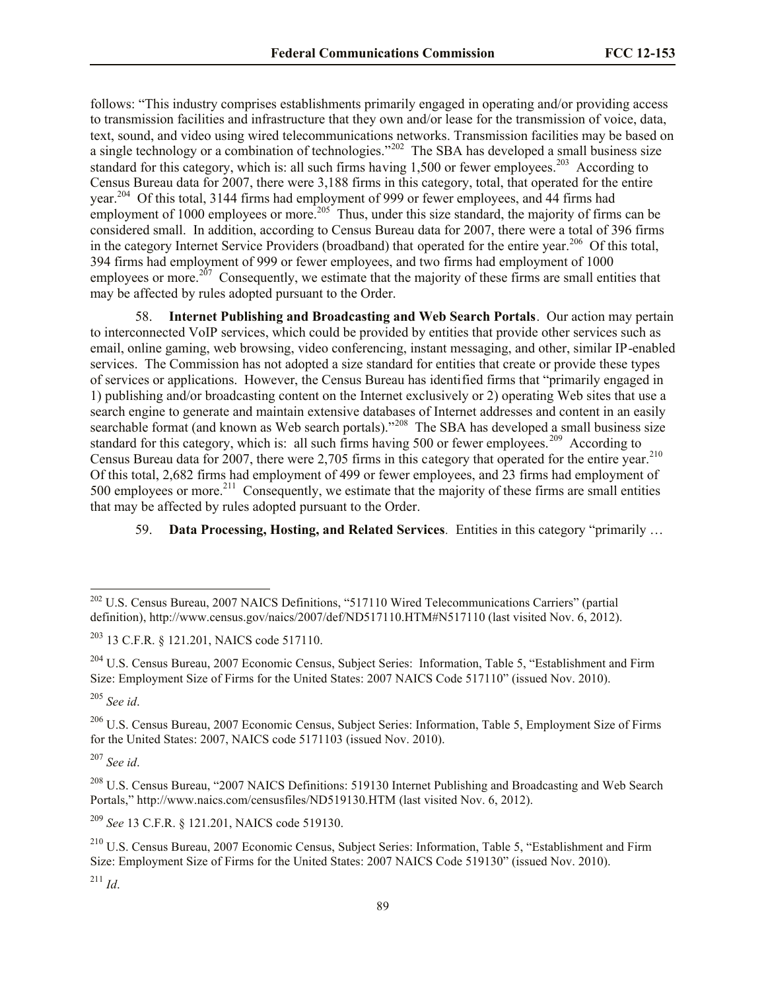follows: "This industry comprises establishments primarily engaged in operating and/or providing access to transmission facilities and infrastructure that they own and/or lease for the transmission of voice, data, text, sound, and video using wired telecommunications networks. Transmission facilities may be based on a single technology or a combination of technologies."<sup>202</sup> The SBA has developed a small business size standard for this category, which is: all such firms having  $1,500$  or fewer employees.<sup>203</sup> According to Census Bureau data for 2007, there were 3,188 firms in this category, total, that operated for the entire year.<sup>204</sup> Of this total, 3144 firms had employment of 999 or fewer employees, and 44 firms had employment of 1000 employees or more.<sup>205</sup> Thus, under this size standard, the majority of firms can be considered small. In addition, according to Census Bureau data for 2007, there were a total of 396 firms in the category Internet Service Providers (broadband) that operated for the entire year.<sup>206</sup> Of this total, 394 firms had employment of 999 or fewer employees, and two firms had employment of 1000 employees or more.<sup>207</sup> Consequently, we estimate that the majority of these firms are small entities that may be affected by rules adopted pursuant to the Order.

58. **Internet Publishing and Broadcasting and Web Search Portals**. Our action may pertain to interconnected VoIP services, which could be provided by entities that provide other services such as email, online gaming, web browsing, video conferencing, instant messaging, and other, similar IP-enabled services. The Commission has not adopted a size standard for entities that create or provide these types of services or applications. However, the Census Bureau has identified firms that "primarily engaged in 1) publishing and/or broadcasting content on the Internet exclusively or 2) operating Web sites that use a search engine to generate and maintain extensive databases of Internet addresses and content in an easily searchable format (and known as Web search portals)."<sup>208</sup> The SBA has developed a small business size standard for this category, which is: all such firms having 500 or fewer employees.<sup>209</sup> According to Census Bureau data for 2007, there were 2,705 firms in this category that operated for the entire year.<sup>210</sup> Of this total, 2,682 firms had employment of 499 or fewer employees, and 23 firms had employment of  $500$  employees or more.<sup>211</sup> Consequently, we estimate that the majority of these firms are small entities that may be affected by rules adopted pursuant to the Order.

# 59. **Data Processing, Hosting, and Related Services***.* Entities in this category "primarily …

l

<sup>209</sup> *See* 13 C.F.R. § 121.201, NAICS code 519130.

 $^{211}$  *Id.* 

<sup>&</sup>lt;sup>202</sup> U.S. Census Bureau, 2007 NAICS Definitions, "517110 Wired Telecommunications Carriers" (partial definition), http://www.census.gov/naics/2007/def/ND517110.HTM#N517110 (last visited Nov. 6, 2012).

<sup>203</sup> 13 C.F.R. § 121.201, NAICS code 517110.

<sup>&</sup>lt;sup>204</sup> U.S. Census Bureau, 2007 Economic Census, Subject Series: Information, Table 5, "Establishment and Firm Size: Employment Size of Firms for the United States: 2007 NAICS Code 517110" (issued Nov. 2010).

<sup>205</sup> *See id*.

<sup>206</sup> U.S. Census Bureau, 2007 Economic Census, Subject Series: Information, Table 5, Employment Size of Firms for the United States: 2007, NAICS code 5171103 (issued Nov. 2010).

<sup>207</sup> *See id*.

<sup>&</sup>lt;sup>208</sup> U.S. Census Bureau, "2007 NAICS Definitions: 519130 Internet Publishing and Broadcasting and Web Search Portals," http://www.naics.com/censusfiles/ND519130.HTM (last visited Nov. 6, 2012).

<sup>210</sup> U.S. Census Bureau, 2007 Economic Census, Subject Series: Information, Table 5, "Establishment and Firm Size: Employment Size of Firms for the United States: 2007 NAICS Code 519130" (issued Nov. 2010).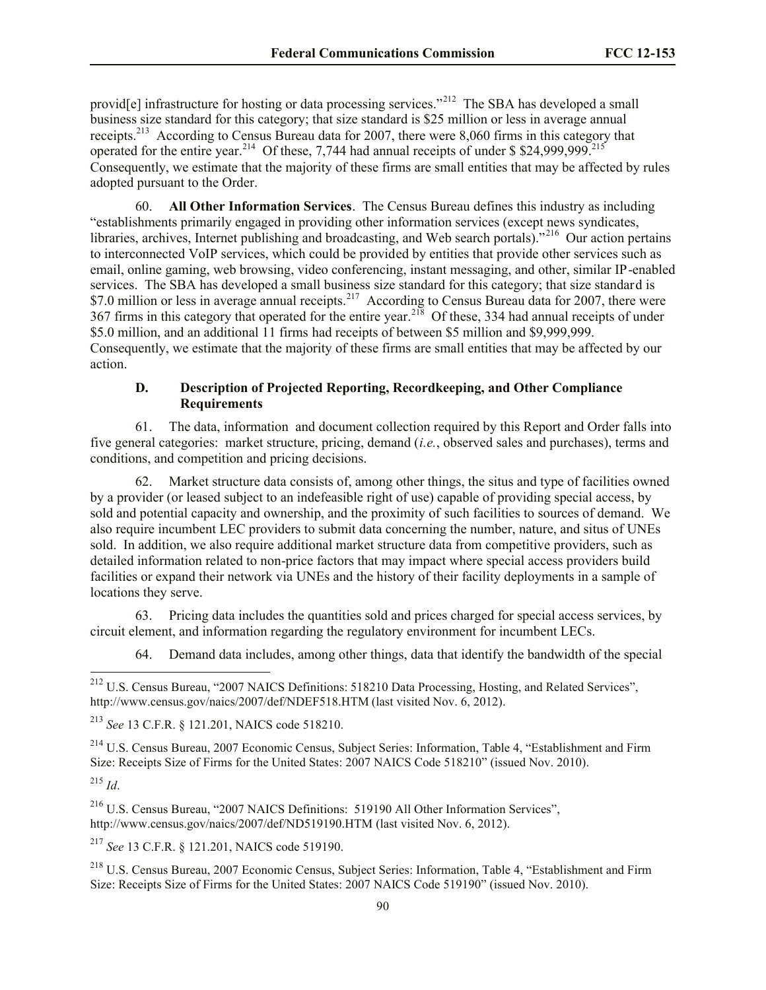provid<sup>[e]</sup> infrastructure for hosting or data processing services."<sup>212</sup> The SBA has developed a small business size standard for this category; that size standard is \$25 million or less in average annual receipts.<sup>213</sup> According to Census Bureau data for 2007, there were 8,060 firms in this category that operated for the entire year.<sup>214</sup> Of these, 7,744 had annual receipts of under \$\$24,999,999.<sup>215</sup> Consequently, we estimate that the majority of these firms are small entities that may be affected by rules adopted pursuant to the Order.

60. **All Other Information Services**. The Census Bureau defines this industry as including "establishments primarily engaged in providing other information services (except news syndicates, libraries, archives, Internet publishing and broadcasting, and Web search portals)."<sup>216</sup> Our action pertains to interconnected VoIP services, which could be provided by entities that provide other services such as email, online gaming, web browsing, video conferencing, instant messaging, and other, similar IP-enabled services. The SBA has developed a small business size standard for this category; that size standard is \$7.0 million or less in average annual receipts.<sup>217</sup> According to Census Bureau data for 2007, there were 367 firms in this category that operated for the entire year.<sup>218</sup> Of these, 334 had annual receipts of under \$5.0 million, and an additional 11 firms had receipts of between \$5 million and \$9,999,999. Consequently, we estimate that the majority of these firms are small entities that may be affected by our action.

### **D. Description of Projected Reporting, Recordkeeping, and Other Compliance Requirements**

61. The data, information and document collection required by this Report and Order falls into five general categories: market structure, pricing, demand (*i.e.*, observed sales and purchases), terms and conditions, and competition and pricing decisions.

62. Market structure data consists of, among other things, the situs and type of facilities owned by a provider (or leased subject to an indefeasible right of use) capable of providing special access, by sold and potential capacity and ownership, and the proximity of such facilities to sources of demand. We also require incumbent LEC providers to submit data concerning the number, nature, and situs of UNEs sold. In addition, we also require additional market structure data from competitive providers, such as detailed information related to non-price factors that may impact where special access providers build facilities or expand their network via UNEs and the history of their facility deployments in a sample of locations they serve.

63. Pricing data includes the quantities sold and prices charged for special access services, by circuit element, and information regarding the regulatory environment for incumbent LECs.

64. Demand data includes, among other things, data that identify the bandwidth of the special

<sup>214</sup> U.S. Census Bureau, 2007 Economic Census, Subject Series: Information, Table 4, "Establishment and Firm Size: Receipts Size of Firms for the United States: 2007 NAICS Code 518210" (issued Nov. 2010).

<sup>215</sup> *Id*.

l

<sup>216</sup> U.S. Census Bureau, "2007 NAICS Definitions: 519190 All Other Information Services", http://www.census.gov/naics/2007/def/ND519190.HTM (last visited Nov. 6, 2012).

<sup>217</sup> *See* 13 C.F.R. § 121.201, NAICS code 519190.

<sup>218</sup> U.S. Census Bureau, 2007 Economic Census, Subject Series: Information, Table 4, "Establishment and Firm Size: Receipts Size of Firms for the United States: 2007 NAICS Code 519190" (issued Nov. 2010).

<sup>&</sup>lt;sup>212</sup> U.S. Census Bureau, "2007 NAICS Definitions: 518210 Data Processing, Hosting, and Related Services", http://www.census.gov/naics/2007/def/NDEF518.HTM (last visited Nov. 6, 2012).

<sup>213</sup> *See* 13 C.F.R. § 121.201, NAICS code 518210.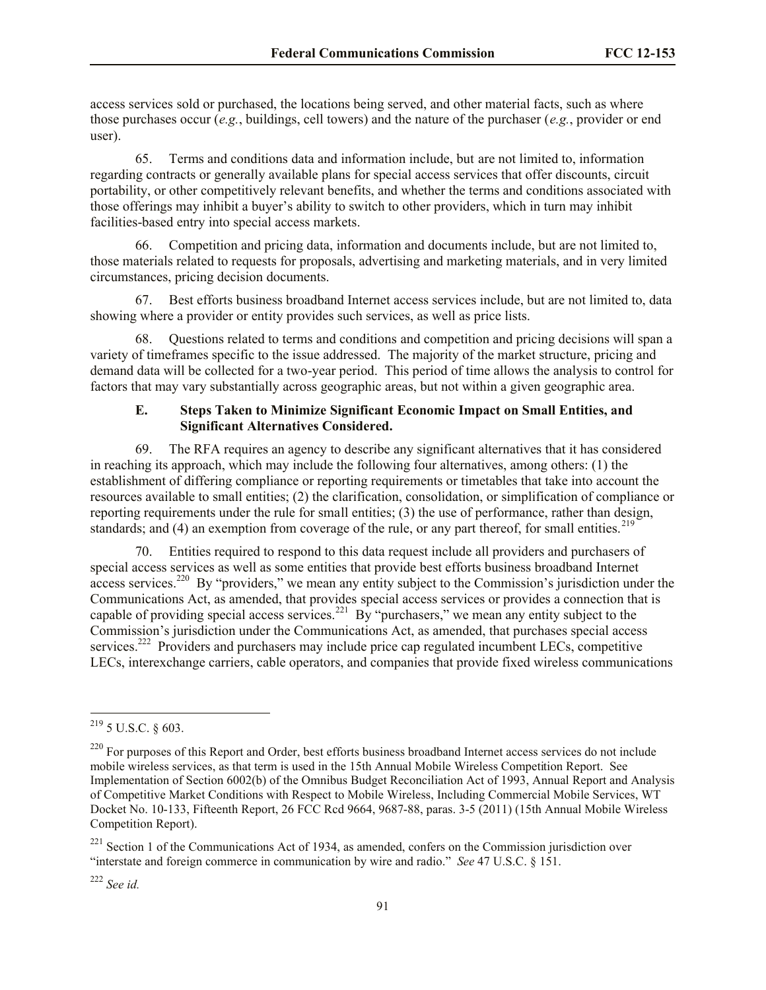access services sold or purchased, the locations being served, and other material facts, such as where those purchases occur (*e.g.*, buildings, cell towers) and the nature of the purchaser (*e.g.*, provider or end user).

65. Terms and conditions data and information include, but are not limited to, information regarding contracts or generally available plans for special access services that offer discounts, circuit portability, or other competitively relevant benefits, and whether the terms and conditions associated with those offerings may inhibit a buyer's ability to switch to other providers, which in turn may inhibit facilities-based entry into special access markets.

66. Competition and pricing data, information and documents include, but are not limited to, those materials related to requests for proposals, advertising and marketing materials, and in very limited circumstances, pricing decision documents.

67. Best efforts business broadband Internet access services include, but are not limited to, data showing where a provider or entity provides such services, as well as price lists.

68. Questions related to terms and conditions and competition and pricing decisions will span a variety of timeframes specific to the issue addressed. The majority of the market structure, pricing and demand data will be collected for a two-year period. This period of time allows the analysis to control for factors that may vary substantially across geographic areas, but not within a given geographic area.

### **E. Steps Taken to Minimize Significant Economic Impact on Small Entities, and Significant Alternatives Considered.**

69. The RFA requires an agency to describe any significant alternatives that it has considered in reaching its approach, which may include the following four alternatives, among others: (1) the establishment of differing compliance or reporting requirements or timetables that take into account the resources available to small entities; (2) the clarification, consolidation, or simplification of compliance or reporting requirements under the rule for small entities; (3) the use of performance, rather than design, standards; and (4) an exemption from coverage of the rule, or any part thereof, for small entities.  $2^{19}$ 

70. Entities required to respond to this data request include all providers and purchasers of special access services as well as some entities that provide best efforts business broadband Internet  $\arccos$  services.<sup>220</sup> By "providers," we mean any entity subject to the Commission's jurisdiction under the Communications Act, as amended, that provides special access services or provides a connection that is capable of providing special access services.<sup>221</sup> By "purchasers," we mean any entity subject to the Commission's jurisdiction under the Communications Act, as amended, that purchases special access services.<sup>222</sup> Providers and purchasers may include price cap regulated incumbent LECs, competitive LECs, interexchange carriers, cable operators, and companies that provide fixed wireless communications

l

<sup>222</sup> *See id.*

 $^{219}$  5 U.S.C. § 603.

<sup>&</sup>lt;sup>220</sup> For purposes of this Report and Order, best efforts business broadband Internet access services do not include mobile wireless services, as that term is used in the 15th Annual Mobile Wireless Competition Report. See Implementation of Section 6002(b) of the Omnibus Budget Reconciliation Act of 1993, Annual Report and Analysis of Competitive Market Conditions with Respect to Mobile Wireless, Including Commercial Mobile Services, WT Docket No. 10-133, Fifteenth Report, 26 FCC Rcd 9664, 9687-88, paras. 3-5 (2011) (15th Annual Mobile Wireless Competition Report).

<sup>&</sup>lt;sup>221</sup> Section 1 of the Communications Act of 1934, as amended, confers on the Commission jurisdiction over "interstate and foreign commerce in communication by wire and radio." *See* 47 U.S.C. § 151.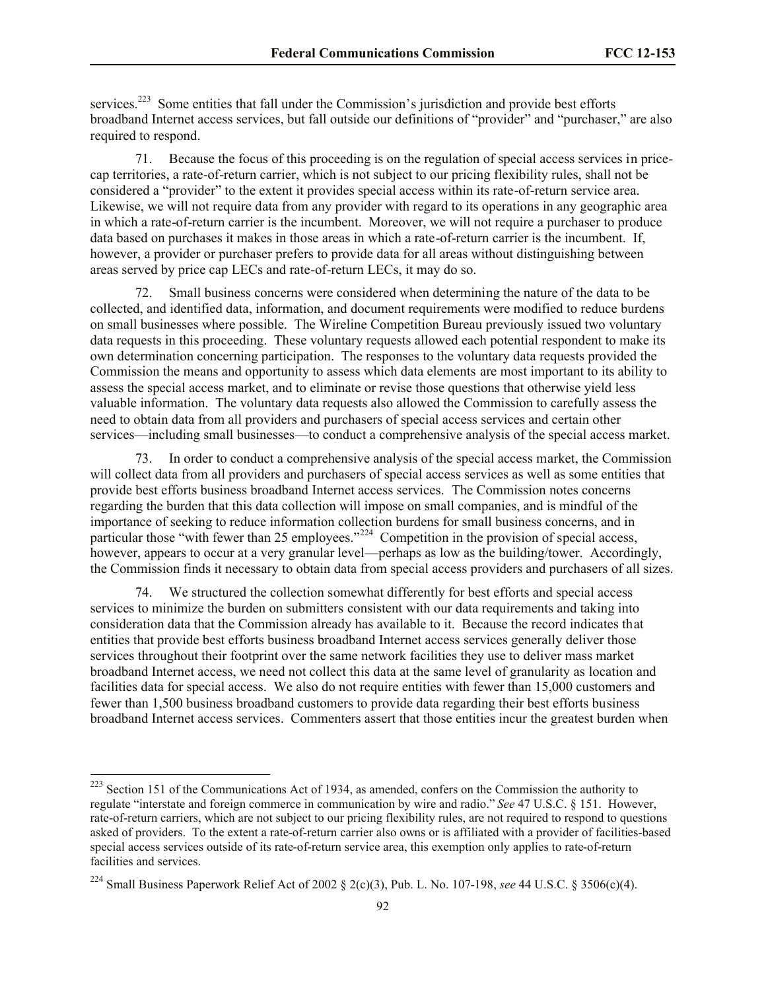services.<sup>223</sup> Some entities that fall under the Commission's jurisdiction and provide best efforts broadband Internet access services, but fall outside our definitions of "provider" and "purchaser," are also required to respond.

71. Because the focus of this proceeding is on the regulation of special access services in pricecap territories, a rate-of-return carrier, which is not subject to our pricing flexibility rules, shall not be considered a "provider" to the extent it provides special access within its rate-of-return service area. Likewise, we will not require data from any provider with regard to its operations in any geographic area in which a rate-of-return carrier is the incumbent. Moreover, we will not require a purchaser to produce data based on purchases it makes in those areas in which a rate-of-return carrier is the incumbent. If, however, a provider or purchaser prefers to provide data for all areas without distinguishing between areas served by price cap LECs and rate-of-return LECs, it may do so.

72. Small business concerns were considered when determining the nature of the data to be collected, and identified data, information, and document requirements were modified to reduce burdens on small businesses where possible. The Wireline Competition Bureau previously issued two voluntary data requests in this proceeding. These voluntary requests allowed each potential respondent to make its own determination concerning participation. The responses to the voluntary data requests provided the Commission the means and opportunity to assess which data elements are most important to its ability to assess the special access market, and to eliminate or revise those questions that otherwise yield less valuable information. The voluntary data requests also allowed the Commission to carefully assess the need to obtain data from all providers and purchasers of special access services and certain other services—including small businesses—to conduct a comprehensive analysis of the special access market.

73. In order to conduct a comprehensive analysis of the special access market, the Commission will collect data from all providers and purchasers of special access services as well as some entities that provide best efforts business broadband Internet access services. The Commission notes concerns regarding the burden that this data collection will impose on small companies, and is mindful of the importance of seeking to reduce information collection burdens for small business concerns, and in particular those "with fewer than 25 employees."<sup>224</sup> Competition in the provision of special access, however, appears to occur at a very granular level—perhaps as low as the building/tower. Accordingly, the Commission finds it necessary to obtain data from special access providers and purchasers of all sizes.

74. We structured the collection somewhat differently for best efforts and special access services to minimize the burden on submitters consistent with our data requirements and taking into consideration data that the Commission already has available to it. Because the record indicates that entities that provide best efforts business broadband Internet access services generally deliver those services throughout their footprint over the same network facilities they use to deliver mass market broadband Internet access, we need not collect this data at the same level of granularity as location and facilities data for special access. We also do not require entities with fewer than 15,000 customers and fewer than 1,500 business broadband customers to provide data regarding their best efforts business broadband Internet access services. Commenters assert that those entities incur the greatest burden when

<sup>&</sup>lt;sup>223</sup> Section 151 of the Communications Act of 1934, as amended, confers on the Commission the authority to regulate "interstate and foreign commerce in communication by wire and radio." *See* 47 U.S.C. § 151. However, rate-of-return carriers, which are not subject to our pricing flexibility rules, are not required to respond to questions asked of providers. To the extent a rate-of-return carrier also owns or is affiliated with a provider of facilities-based special access services outside of its rate-of-return service area, this exemption only applies to rate-of-return facilities and services.

<sup>224</sup> Small Business Paperwork Relief Act of 2002 § 2(c)(3), Pub. L. No. 107-198, *see* 44 U.S.C. § 3506(c)(4).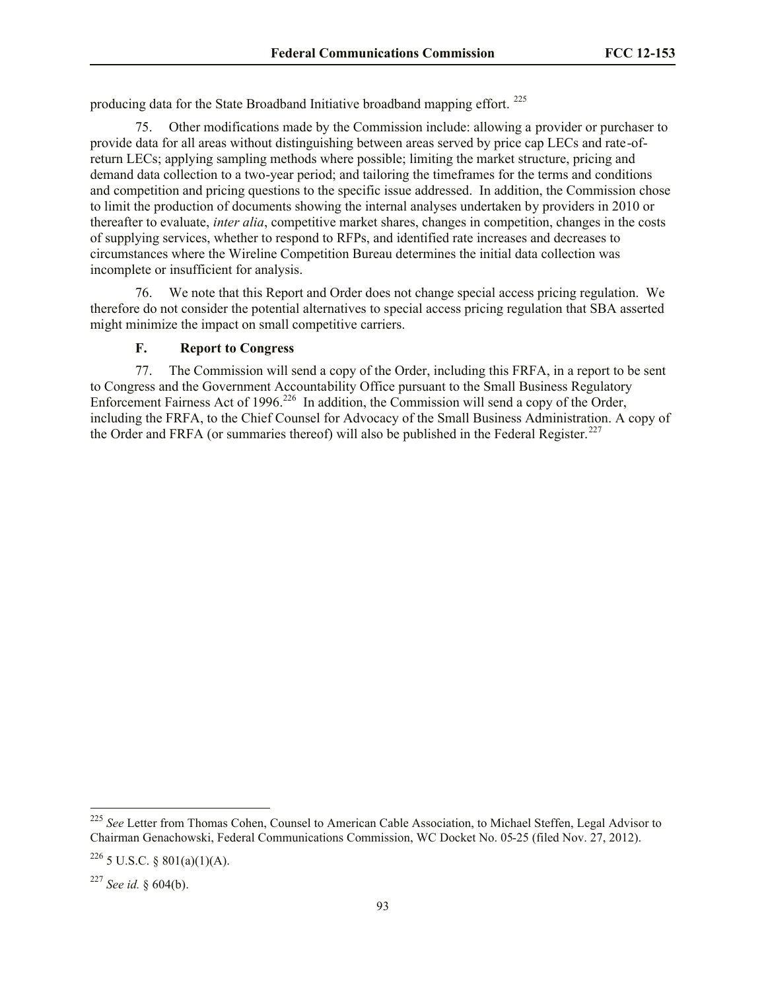producing data for the State Broadband Initiative broadband mapping effort. <sup>225</sup>

75. Other modifications made by the Commission include: allowing a provider or purchaser to provide data for all areas without distinguishing between areas served by price cap LECs and rate-ofreturn LECs; applying sampling methods where possible; limiting the market structure, pricing and demand data collection to a two-year period; and tailoring the timeframes for the terms and conditions and competition and pricing questions to the specific issue addressed. In addition, the Commission chose to limit the production of documents showing the internal analyses undertaken by providers in 2010 or thereafter to evaluate, *inter alia*, competitive market shares, changes in competition, changes in the costs of supplying services, whether to respond to RFPs, and identified rate increases and decreases to circumstances where the Wireline Competition Bureau determines the initial data collection was incomplete or insufficient for analysis.

76. We note that this Report and Order does not change special access pricing regulation. We therefore do not consider the potential alternatives to special access pricing regulation that SBA asserted might minimize the impact on small competitive carriers.

#### **F. Report to Congress**

77. The Commission will send a copy of the Order, including this FRFA, in a report to be sent to Congress and the Government Accountability Office pursuant to the Small Business Regulatory Enforcement Fairness Act of 1996.<sup>226</sup> In addition, the Commission will send a copy of the Order, including the FRFA, to the Chief Counsel for Advocacy of the Small Business Administration. A copy of the Order and FRFA (or summaries thereof) will also be published in the Federal Register.<sup>227</sup>

 $\overline{\phantom{a}}$ 

<sup>&</sup>lt;sup>225</sup> See Letter from Thomas Cohen, Counsel to American Cable Association, to Michael Steffen, Legal Advisor to Chairman Genachowski, Federal Communications Commission, WC Docket No. 05-25 (filed Nov. 27, 2012).

 $226$  5 U.S.C. § 801(a)(1)(A).

<sup>227</sup> *See id.* § 604(b).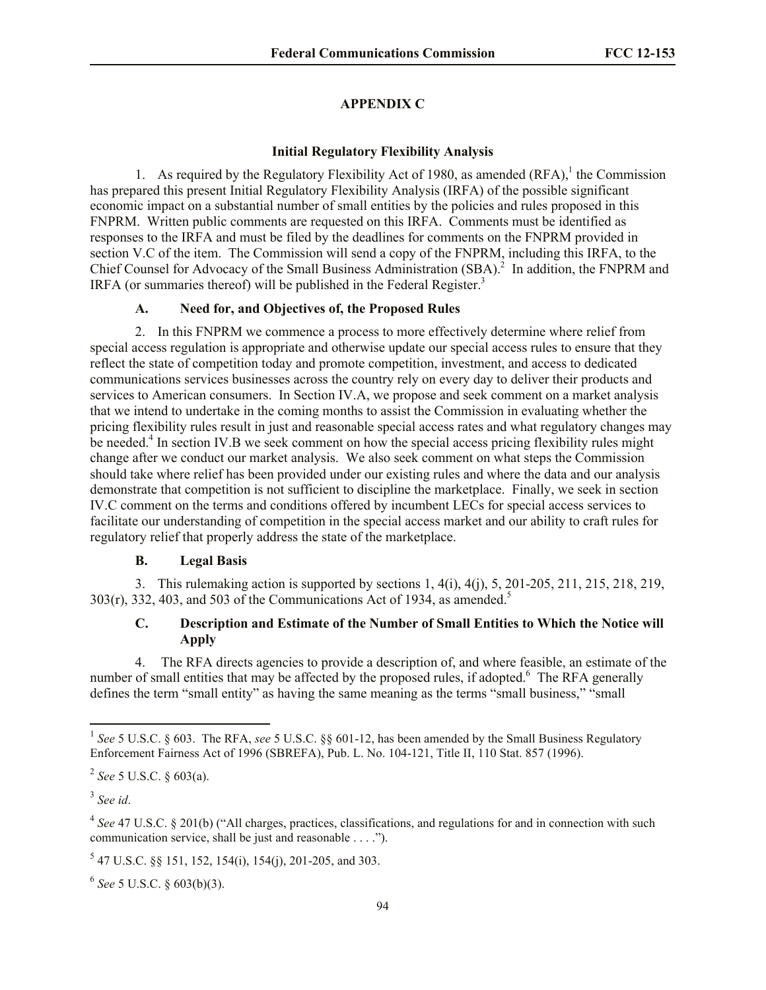## **APPENDIX C**

### **Initial Regulatory Flexibility Analysis**

1. As required by the Regulatory Flexibility Act of 1980, as amended  $(RFA)$ , the Commission has prepared this present Initial Regulatory Flexibility Analysis (IRFA) of the possible significant economic impact on a substantial number of small entities by the policies and rules proposed in this FNPRM. Written public comments are requested on this IRFA. Comments must be identified as responses to the IRFA and must be filed by the deadlines for comments on the FNPRM provided in section V.C of the item. The Commission will send a copy of the FNPRM, including this IRFA, to the Chief Counsel for Advocacy of the Small Business Administration (SBA).<sup>2</sup> In addition, the FNPRM and IRFA (or summaries thereof) will be published in the Federal Register.<sup>3</sup>

### **A. Need for, and Objectives of, the Proposed Rules**

2. In this FNPRM we commence a process to more effectively determine where relief from special access regulation is appropriate and otherwise update our special access rules to ensure that they reflect the state of competition today and promote competition, investment, and access to dedicated communications services businesses across the country rely on every day to deliver their products and services to American consumers. In Section IV.A, we propose and seek comment on a market analysis that we intend to undertake in the coming months to assist the Commission in evaluating whether the pricing flexibility rules result in just and reasonable special access rates and what regulatory changes may be needed.<sup>4</sup> In section IV.B we seek comment on how the special access pricing flexibility rules might change after we conduct our market analysis. We also seek comment on what steps the Commission should take where relief has been provided under our existing rules and where the data and our analysis demonstrate that competition is not sufficient to discipline the marketplace. Finally, we seek in section IV.C comment on the terms and conditions offered by incumbent LECs for special access services to facilitate our understanding of competition in the special access market and our ability to craft rules for regulatory relief that properly address the state of the marketplace.

#### **B. Legal Basis**

3. This rulemaking action is supported by sections 1, 4(i), 4(j), 5, 201-205, 211, 215, 218, 219,  $303(r)$ ,  $332$ ,  $403$ , and  $503$  of the Communications Act of 1934, as amended.<sup>5</sup>

## **C. Description and Estimate of the Number of Small Entities to Which the Notice will Apply**

4. The RFA directs agencies to provide a description of, and where feasible, an estimate of the number of small entities that may be affected by the proposed rules, if adopted. $6\degree$  The RFA generally defines the term "small entity" as having the same meaning as the terms "small business," "small

 $\overline{a}$ 

<sup>4</sup> See 47 U.S.C. § 201(b) ("All charges, practices, classifications, and regulations for and in connection with such communication service, shall be just and reasonable . . . .").

6 *See* 5 U.S.C. § 603(b)(3).

<sup>&</sup>lt;sup>1</sup> See 5 U.S.C. § 603. The RFA, see 5 U.S.C. §§ 601-12, has been amended by the Small Business Regulatory Enforcement Fairness Act of 1996 (SBREFA), Pub. L. No. 104-121, Title II, 110 Stat. 857 (1996).

<sup>2</sup> *See* 5 U.S.C. § 603(a).

<sup>3</sup> *See id*.

<sup>5</sup> 47 U.S.C. §§ 151, 152, 154(i), 154(j), 201-205, and 303.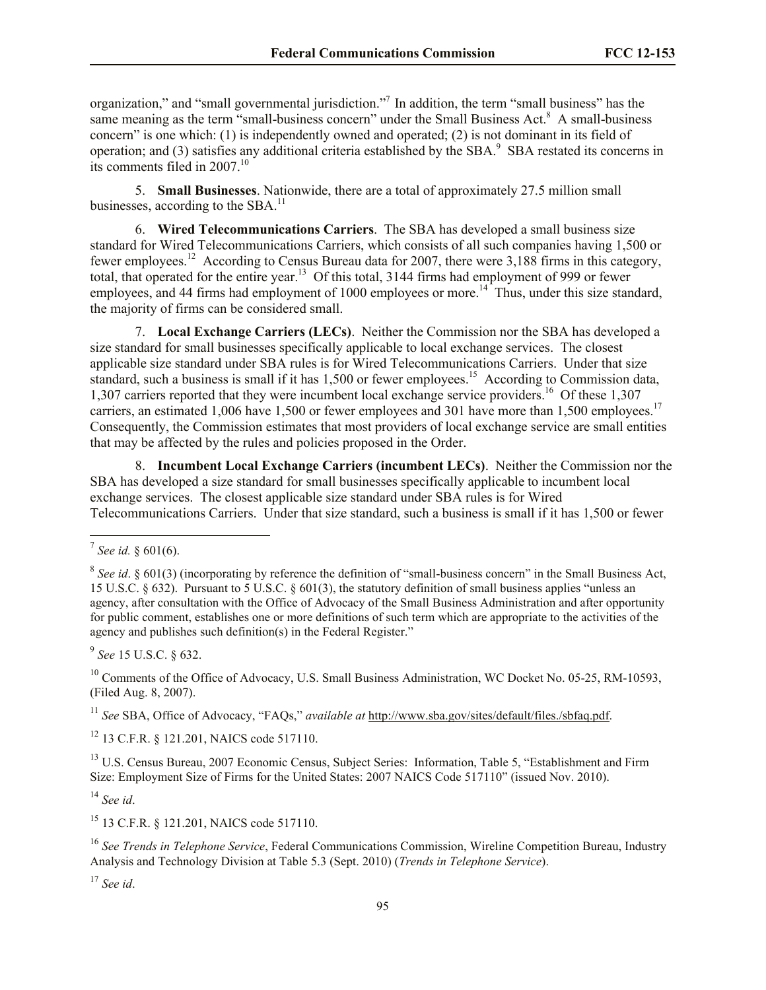organization," and "small governmental jurisdiction."<sup>7</sup> In addition, the term "small business" has the same meaning as the term "small-business concern" under the Small Business Act.<sup>8</sup> A small-business concern" is one which: (1) is independently owned and operated; (2) is not dominant in its field of operation; and (3) satisfies any additional criteria established by the SBA. $9$  SBA restated its concerns in its comments filed in 2007.<sup>10</sup>

5. **Small Businesses**. Nationwide, there are a total of approximately 27.5 million small businesses, according to the SBA.<sup>11</sup>

6. **Wired Telecommunications Carriers**. The SBA has developed a small business size standard for Wired Telecommunications Carriers, which consists of all such companies having 1,500 or fewer employees.<sup>12</sup> According to Census Bureau data for 2007, there were 3,188 firms in this category, total, that operated for the entire year.<sup>13</sup> Of this total, 3144 firms had employment of 999 or fewer employees, and 44 firms had employment of 1000 employees or more.<sup>14</sup> Thus, under this size standard, the majority of firms can be considered small.

7. **Local Exchange Carriers (LECs)**. Neither the Commission nor the SBA has developed a size standard for small businesses specifically applicable to local exchange services. The closest applicable size standard under SBA rules is for Wired Telecommunications Carriers. Under that size standard, such a business is small if it has 1,500 or fewer employees.<sup>15</sup> According to Commission data, 1,307 carriers reported that they were incumbent local exchange service providers.<sup>16</sup> Of these 1,307 carriers, an estimated 1,006 have 1,500 or fewer employees and 301 have more than 1,500 employees.<sup>17</sup> Consequently, the Commission estimates that most providers of local exchange service are small entities that may be affected by the rules and policies proposed in the Order.

8. **Incumbent Local Exchange Carriers (incumbent LECs)**.Neither the Commission nor the SBA has developed a size standard for small businesses specifically applicable to incumbent local exchange services. The closest applicable size standard under SBA rules is for Wired Telecommunications Carriers. Under that size standard, such a business is small if it has 1,500 or fewer

 $\overline{\phantom{a}}$ 

9 *See* 15 U.S.C. § 632.

<sup>10</sup> Comments of the Office of Advocacy, U.S. Small Business Administration, WC Docket No. 05-25, RM-10593, (Filed Aug. 8, 2007).

<sup>11</sup> *See* SBA, Office of Advocacy, "FAQs," *available at* http://www.sba.gov/sites/default/files./sbfaq.pdf.

<sup>12</sup> 13 C.F.R. § 121.201, NAICS code 517110.

<sup>13</sup> U.S. Census Bureau, 2007 Economic Census, Subject Series: Information, Table 5, "Establishment and Firm Size: Employment Size of Firms for the United States: 2007 NAICS Code 517110" (issued Nov. 2010).

<sup>14</sup> *See id*.

<sup>15</sup> 13 C.F.R. § 121.201, NAICS code 517110.

<sup>16</sup> *See Trends in Telephone Service*, Federal Communications Commission, Wireline Competition Bureau, Industry Analysis and Technology Division at Table 5.3 (Sept. 2010) (*Trends in Telephone Service*).

<sup>17</sup> *See id*.

<sup>7</sup> *See id.* § 601(6).

<sup>&</sup>lt;sup>8</sup> See *id*. § 601(3) (incorporating by reference the definition of "small-business concern" in the Small Business Act, 15 U.S.C. § 632). Pursuant to 5 U.S.C. § 601(3), the statutory definition of small business applies "unless an agency, after consultation with the Office of Advocacy of the Small Business Administration and after opportunity for public comment, establishes one or more definitions of such term which are appropriate to the activities of the agency and publishes such definition(s) in the Federal Register."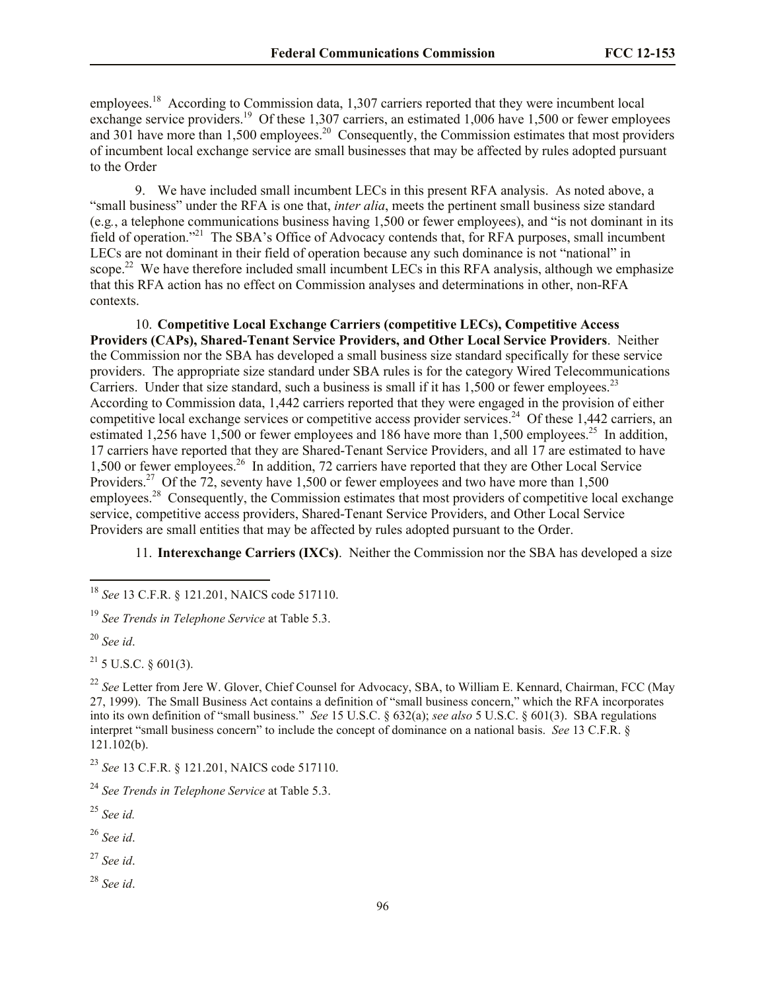employees.<sup>18</sup> According to Commission data, 1,307 carriers reported that they were incumbent local exchange service providers.<sup>19</sup> Of these 1,307 carriers, an estimated 1,006 have 1,500 or fewer employees and 301 have more than  $1,500$  employees.<sup>20</sup> Consequently, the Commission estimates that most providers of incumbent local exchange service are small businesses that may be affected by rules adopted pursuant to the Order

9. We have included small incumbent LECs in this present RFA analysis. As noted above, a "small business" under the RFA is one that, *inter alia*, meets the pertinent small business size standard (e.g*.*, a telephone communications business having 1,500 or fewer employees), and "is not dominant in its field of operation."<sup>21</sup> The SBA's Office of Advocacy contends that, for RFA purposes, small incumbent LECs are not dominant in their field of operation because any such dominance is not "national" in scope.<sup>22</sup> We have therefore included small incumbent LECs in this RFA analysis, although we emphasize that this RFA action has no effect on Commission analyses and determinations in other, non-RFA contexts.

10. **Competitive Local Exchange Carriers (competitive LECs), Competitive Access Providers (CAPs), Shared-Tenant Service Providers, and Other Local Service Providers**. Neither the Commission nor the SBA has developed a small business size standard specifically for these service providers. The appropriate size standard under SBA rules is for the category Wired Telecommunications Carriers. Under that size standard, such a business is small if it has  $1,500$  or fewer employees.<sup>23</sup> According to Commission data, 1,442 carriers reported that they were engaged in the provision of either competitive local exchange services or competitive access provider services.<sup>24</sup> Of these 1,442 carriers, an estimated 1,256 have 1,500 or fewer employees and 186 have more than 1,500 employees.<sup>25</sup> In addition, 17 carriers have reported that they are Shared-Tenant Service Providers, and all 17 are estimated to have 1,500 or fewer employees.<sup>26</sup> In addition, 72 carriers have reported that they are Other Local Service Providers.<sup>27</sup> Of the 72, seventy have 1,500 or fewer employees and two have more than 1,500 employees.<sup>28</sup> Consequently, the Commission estimates that most providers of competitive local exchange service, competitive access providers, Shared-Tenant Service Providers, and Other Local Service Providers are small entities that may be affected by rules adopted pursuant to the Order.

11. **Interexchange Carriers (IXCs)**. Neither the Commission nor the SBA has developed a size

 $\overline{\phantom{a}}$ 

 $^{21}$  5 U.S.C. § 601(3).

<sup>22</sup> See Letter from Jere W. Glover, Chief Counsel for Advocacy, SBA, to William E. Kennard, Chairman, FCC (May 27, 1999). The Small Business Act contains a definition of "small business concern," which the RFA incorporates into its own definition of "small business." *See* 15 U.S.C. § 632(a); *see also* 5 U.S.C. § 601(3). SBA regulations interpret "small business concern" to include the concept of dominance on a national basis. *See* 13 C.F.R. § 121.102(b).

<sup>23</sup> *See* 13 C.F.R. § 121.201, NAICS code 517110.

<sup>26</sup> *See id*.

<sup>18</sup> *See* 13 C.F.R. § 121.201, NAICS code 517110.

<sup>19</sup> *See Trends in Telephone Service* at Table 5.3.

<sup>20</sup> *See id*.

<sup>24</sup> *See Trends in Telephone Service* at Table 5.3.

<sup>25</sup> *See id.*

<sup>27</sup> *See id*.

<sup>28</sup> *See id*.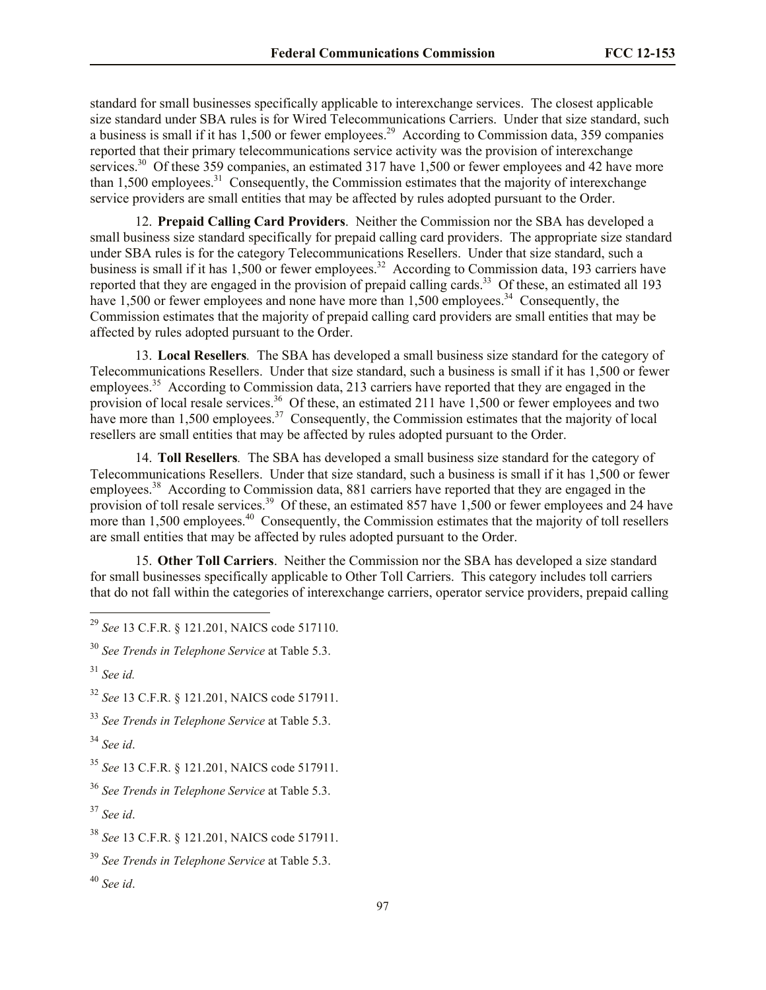standard for small businesses specifically applicable to interexchange services. The closest applicable size standard under SBA rules is for Wired Telecommunications Carriers. Under that size standard, such a business is small if it has 1,500 or fewer employees.<sup>29</sup> According to Commission data, 359 companies reported that their primary telecommunications service activity was the provision of interexchange services.<sup>30</sup> Of these 359 companies, an estimated 317 have 1,500 or fewer employees and 42 have more than 1,500 employees.<sup>31</sup> Consequently, the Commission estimates that the majority of interexchange service providers are small entities that may be affected by rules adopted pursuant to the Order.

12. **Prepaid Calling Card Providers**. Neither the Commission nor the SBA has developed a small business size standard specifically for prepaid calling card providers. The appropriate size standard under SBA rules is for the category Telecommunications Resellers. Under that size standard, such a business is small if it has  $1,500$  or fewer employees.<sup>32</sup> According to Commission data, 193 carriers have reported that they are engaged in the provision of prepaid calling cards.<sup>33</sup> Of these, an estimated all 193 have 1,500 or fewer employees and none have more than  $1,500$  employees.<sup>34</sup> Consequently, the Commission estimates that the majority of prepaid calling card providers are small entities that may be affected by rules adopted pursuant to the Order.

13. **Local Resellers***.* The SBA has developed a small business size standard for the category of Telecommunications Resellers. Under that size standard, such a business is small if it has 1,500 or fewer employees.<sup>35</sup> According to Commission data, 213 carriers have reported that they are engaged in the provision of local resale services.<sup>36</sup> Of these, an estimated 211 have 1,500 or fewer employees and two have more than  $1,500$  employees.<sup>37</sup> Consequently, the Commission estimates that the majority of local resellers are small entities that may be affected by rules adopted pursuant to the Order.

14. **Toll Resellers***.* The SBA has developed a small business size standard for the category of Telecommunications Resellers. Under that size standard, such a business is small if it has 1,500 or fewer employees.<sup>38</sup> According to Commission data, 881 carriers have reported that they are engaged in the provision of toll resale services.<sup>39</sup> Of these, an estimated 857 have 1,500 or fewer employees and 24 have more than  $1,500$  employees.<sup>40</sup> Consequently, the Commission estimates that the majority of toll resellers are small entities that may be affected by rules adopted pursuant to the Order.

15. **Other Toll Carriers**. Neither the Commission nor the SBA has developed a size standard for small businesses specifically applicable to Other Toll Carriers. This category includes toll carriers that do not fall within the categories of interexchange carriers, operator service providers, prepaid calling

l

<sup>33</sup> *See Trends in Telephone Service* at Table 5.3.

<sup>29</sup> *See* 13 C.F.R. § 121.201, NAICS code 517110.

<sup>30</sup> *See Trends in Telephone Service* at Table 5.3.

<sup>31</sup> *See id.*

<sup>32</sup> *See* 13 C.F.R. § 121.201, NAICS code 517911.

<sup>34</sup> *See id*.

<sup>35</sup> *See* 13 C.F.R. § 121.201, NAICS code 517911.

<sup>36</sup> *See Trends in Telephone Service* at Table 5.3.

<sup>37</sup> *See id*.

<sup>38</sup> *See* 13 C.F.R. § 121.201, NAICS code 517911.

<sup>39</sup> *See Trends in Telephone Service* at Table 5.3.

<sup>40</sup> *See id*.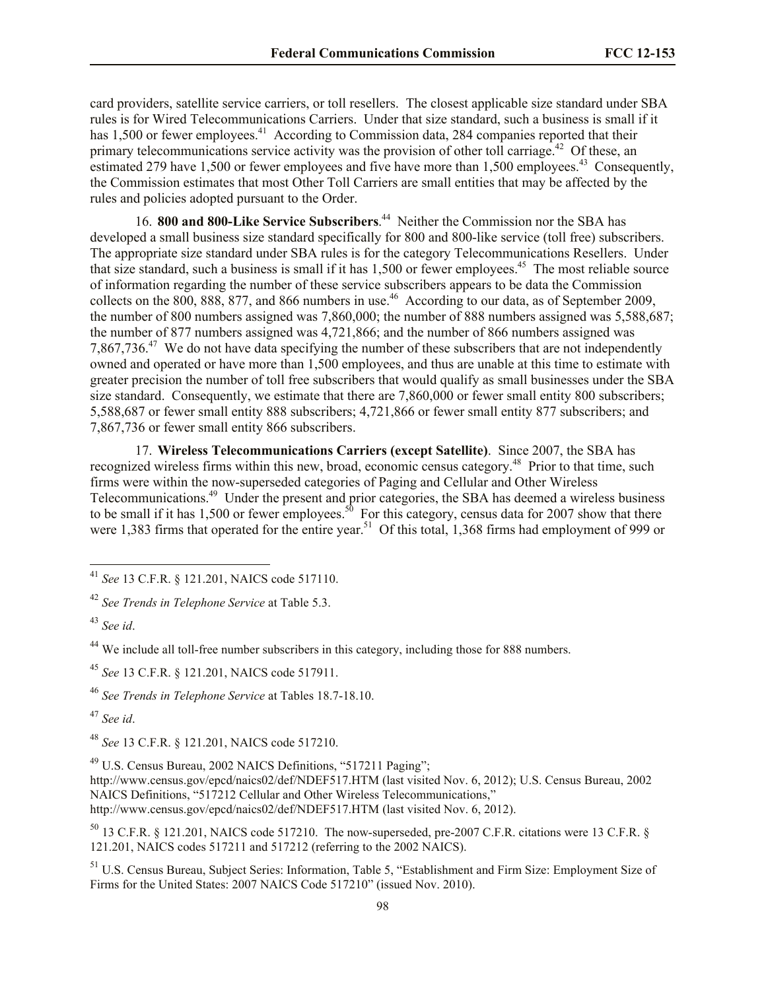card providers, satellite service carriers, or toll resellers. The closest applicable size standard under SBA rules is for Wired Telecommunications Carriers. Under that size standard, such a business is small if it has 1,500 or fewer employees.<sup>41</sup> According to Commission data, 284 companies reported that their primary telecommunications service activity was the provision of other toll carriage.<sup>42</sup> Of these, an estimated 279 have 1,500 or fewer employees and five have more than 1,500 employees.<sup>43</sup> Consequently, the Commission estimates that most Other Toll Carriers are small entities that may be affected by the rules and policies adopted pursuant to the Order.

16. **800 and 800-Like Service Subscribers**. 44 Neither the Commission nor the SBA has developed a small business size standard specifically for 800 and 800-like service (toll free) subscribers. The appropriate size standard under SBA rules is for the category Telecommunications Resellers. Under that size standard, such a business is small if it has 1,500 or fewer employees.<sup>45</sup> The most reliable source of information regarding the number of these service subscribers appears to be data the Commission collects on the 800, 888, 877, and 866 numbers in use.<sup>46</sup> According to our data, as of September 2009, the number of 800 numbers assigned was 7,860,000; the number of 888 numbers assigned was 5,588,687; the number of 877 numbers assigned was 4,721,866; and the number of 866 numbers assigned was 7,867,736.<sup>47</sup> We do not have data specifying the number of these subscribers that are not independently owned and operated or have more than 1,500 employees, and thus are unable at this time to estimate with greater precision the number of toll free subscribers that would qualify as small businesses under the SBA size standard. Consequently, we estimate that there are 7,860,000 or fewer small entity 800 subscribers; 5,588,687 or fewer small entity 888 subscribers; 4,721,866 or fewer small entity 877 subscribers; and 7,867,736 or fewer small entity 866 subscribers.

17. **Wireless Telecommunications Carriers (except Satellite)**. Since 2007, the SBA has recognized wireless firms within this new, broad, economic census category.<sup>48</sup> Prior to that time, such firms were within the now-superseded categories of Paging and Cellular and Other Wireless Telecommunications.<sup>49</sup> Under the present and prior categories, the SBA has deemed a wireless business to be small if it has 1,500 or fewer employees.<sup>50</sup> For this category, census data for 2007 show that there were 1,383 firms that operated for the entire year.<sup>51</sup> Of this total, 1,368 firms had employment of 999 or

<sup>41</sup> *See* 13 C.F.R. § 121.201, NAICS code 517110.

<sup>42</sup> *See Trends in Telephone Service* at Table 5.3.

<sup>43</sup> *See id*.

<sup>&</sup>lt;sup>44</sup> We include all toll-free number subscribers in this category, including those for 888 numbers.

<sup>45</sup> *See* 13 C.F.R. § 121.201, NAICS code 517911.

<sup>46</sup> *See Trends in Telephone Service* at Tables 18.7-18.10.

<sup>47</sup> *See id*.

<sup>48</sup> *See* 13 C.F.R. § 121.201, NAICS code 517210.

<sup>49</sup> U.S. Census Bureau, 2002 NAICS Definitions, "517211 Paging";

http://www.census.gov/epcd/naics02/def/NDEF517.HTM (last visited Nov. 6, 2012); U.S. Census Bureau, 2002 NAICS Definitions, "517212 Cellular and Other Wireless Telecommunications," http://www.census.gov/epcd/naics02/def/NDEF517.HTM (last visited Nov. 6, 2012).

<sup>50</sup> 13 C.F.R. § 121.201, NAICS code 517210. The now-superseded, pre-2007 C.F.R. citations were 13 C.F.R. § 121.201, NAICS codes 517211 and 517212 (referring to the 2002 NAICS).

<sup>51</sup> U.S. Census Bureau, Subject Series: Information, Table 5, "Establishment and Firm Size: Employment Size of Firms for the United States: 2007 NAICS Code 517210" (issued Nov. 2010).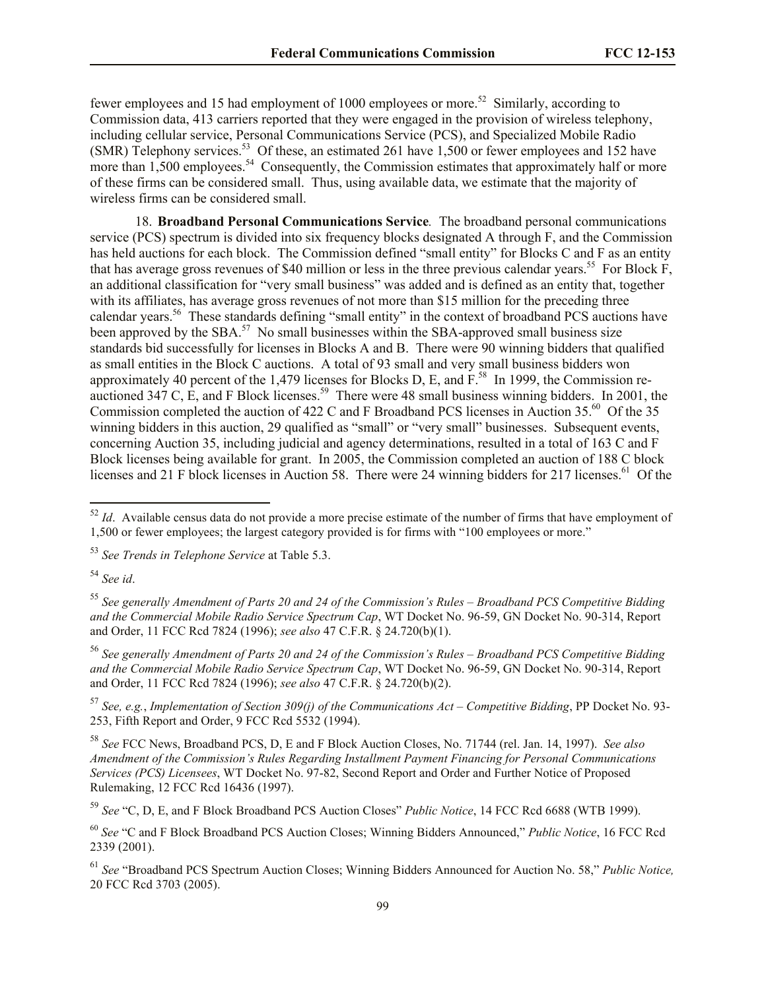fewer employees and 15 had employment of 1000 employees or more.<sup>52</sup> Similarly, according to Commission data, 413 carriers reported that they were engaged in the provision of wireless telephony, including cellular service, Personal Communications Service (PCS), and Specialized Mobile Radio (SMR) Telephony services.<sup>53</sup> Of these, an estimated 261 have 1,500 or fewer employees and 152 have more than 1,500 employees.<sup>54</sup> Consequently, the Commission estimates that approximately half or more of these firms can be considered small. Thus, using available data, we estimate that the majority of wireless firms can be considered small.

18. **Broadband Personal Communications Service***.* The broadband personal communications service (PCS) spectrum is divided into six frequency blocks designated A through F, and the Commission has held auctions for each block. The Commission defined "small entity" for Blocks C and F as an entity that has average gross revenues of \$40 million or less in the three previous calendar years.<sup>55</sup> For Block  $\vec{F}$ , an additional classification for "very small business" was added and is defined as an entity that, together with its affiliates, has average gross revenues of not more than \$15 million for the preceding three calendar years.<sup>56</sup> These standards defining "small entity" in the context of broadband PCS auctions have been approved by the SBA.<sup>57</sup> No small businesses within the SBA-approved small business size standards bid successfully for licenses in Blocks A and B. There were 90 winning bidders that qualified as small entities in the Block C auctions. A total of 93 small and very small business bidders won approximately 40 percent of the 1,479 licenses for Blocks D, E, and  $F^{58}$ . In 1999, the Commission reauctioned 347 C,  $\hat{E}$ , and F Block licenses.<sup>59</sup> There were 48 small business winning bidders. In 2001, the Commission completed the auction of 422 C and F Broadband PCS licenses in Auction  $35.^{60}$  Of the 35 winning bidders in this auction, 29 qualified as "small" or "very small" businesses. Subsequent events, concerning Auction 35, including judicial and agency determinations, resulted in a total of 163 C and F Block licenses being available for grant. In 2005, the Commission completed an auction of 188 C block licenses and 21 F block licenses in Auction 58. There were 24 winning bidders for 217 licenses.<sup>61</sup> Of the

<sup>54</sup> *See id*.

l

<sup>55</sup> *See generally Amendment of Parts 20 and 24 of the Commission's Rules – Broadband PCS Competitive Bidding and the Commercial Mobile Radio Service Spectrum Cap*, WT Docket No. 96-59, GN Docket No. 90-314, Report and Order, 11 FCC Rcd 7824 (1996); *see also* 47 C.F.R. § 24.720(b)(1).

<sup>56</sup> *See generally Amendment of Parts 20 and 24 of the Commission's Rules – Broadband PCS Competitive Bidding and the Commercial Mobile Radio Service Spectrum Cap*, WT Docket No. 96-59, GN Docket No. 90-314, Report and Order, 11 FCC Rcd 7824 (1996); *see also* 47 C.F.R. § 24.720(b)(2).

<sup>57</sup> *See, e.g.*, *Implementation of Section 309(j) of the Communications Act – Competitive Bidding*, PP Docket No. 93- 253, Fifth Report and Order, 9 FCC Rcd 5532 (1994).

<sup>58</sup> *See* FCC News, Broadband PCS, D, E and F Block Auction Closes, No. 71744 (rel. Jan. 14, 1997). *See also Amendment of the Commission's Rules Regarding Installment Payment Financing for Personal Communications Services (PCS) Licensees*, WT Docket No. 97-82, Second Report and Order and Further Notice of Proposed Rulemaking, 12 FCC Rcd 16436 (1997).

<sup>59</sup> *See* "C, D, E, and F Block Broadband PCS Auction Closes" *Public Notice*, 14 FCC Rcd 6688 (WTB 1999).

<sup>60</sup> *See* "C and F Block Broadband PCS Auction Closes; Winning Bidders Announced," *Public Notice*, 16 FCC Rcd 2339 (2001).

<sup>61</sup> *See* "Broadband PCS Spectrum Auction Closes; Winning Bidders Announced for Auction No. 58," *Public Notice,*  20 FCC Rcd 3703 (2005).

 $52$  *Id*. Available census data do not provide a more precise estimate of the number of firms that have employment of 1,500 or fewer employees; the largest category provided is for firms with "100 employees or more."

<sup>53</sup> *See Trends in Telephone Service* at Table 5.3.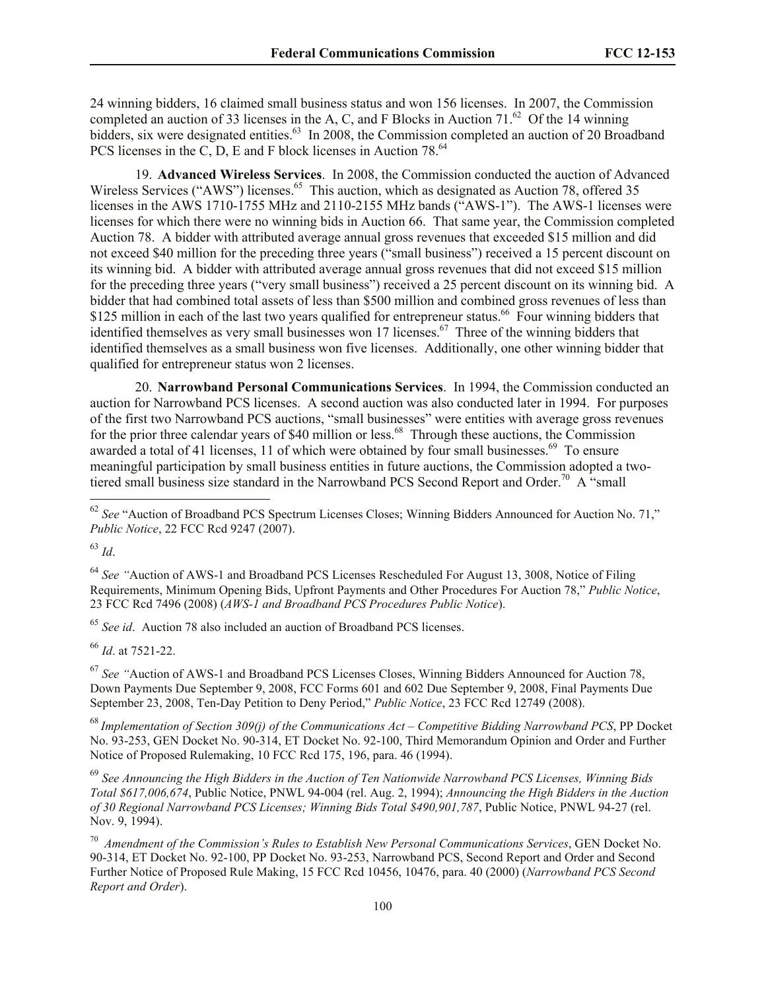24 winning bidders, 16 claimed small business status and won 156 licenses. In 2007, the Commission completed an auction of 33 licenses in the A, C, and F Blocks in Auction  $71.^{62}$  Of the 14 winning bidders, six were designated entities.<sup>63</sup> In 2008, the Commission completed an auction of 20 Broadband PCS licenses in the C, D, E and F block licenses in Auction 78.<sup>64</sup>

19. **Advanced Wireless Services**. In 2008, the Commission conducted the auction of Advanced Wireless Services ("AWS") licenses.<sup>65</sup> This auction, which as designated as Auction 78, offered 35 licenses in the AWS 1710-1755 MHz and 2110-2155 MHz bands ("AWS-1"). The AWS-1 licenses were licenses for which there were no winning bids in Auction 66. That same year, the Commission completed Auction 78. A bidder with attributed average annual gross revenues that exceeded \$15 million and did not exceed \$40 million for the preceding three years ("small business") received a 15 percent discount on its winning bid. A bidder with attributed average annual gross revenues that did not exceed \$15 million for the preceding three years ("very small business") received a 25 percent discount on its winning bid. A bidder that had combined total assets of less than \$500 million and combined gross revenues of less than \$125 million in each of the last two years qualified for entrepreneur status.<sup>66</sup> Four winning bidders that identified themselves as very small businesses won 17 licenses.<sup>67</sup> Three of the winning bidders that identified themselves as a small business won five licenses. Additionally, one other winning bidder that qualified for entrepreneur status won 2 licenses.

20. **Narrowband Personal Communications Services**. In 1994, the Commission conducted an auction for Narrowband PCS licenses. A second auction was also conducted later in 1994. For purposes of the first two Narrowband PCS auctions, "small businesses" were entities with average gross revenues for the prior three calendar years of \$40 million or less.<sup>68</sup> Through these auctions, the Commission awarded a total of 41 licenses, 11 of which were obtained by four small businesses.<sup>69</sup> To ensure meaningful participation by small business entities in future auctions, the Commission adopted a twotiered small business size standard in the Narrowband PCS Second Report and Order.<sup>70</sup> A "small

<sup>63</sup> *Id*.

 $\overline{a}$ 

<sup>64</sup> *See "*Auction of AWS-1 and Broadband PCS Licenses Rescheduled For August 13, 3008, Notice of Filing Requirements, Minimum Opening Bids, Upfront Payments and Other Procedures For Auction 78," *Public Notice*, 23 FCC Rcd 7496 (2008) (*AWS-1 and Broadband PCS Procedures Public Notice*).

<sup>65</sup> *See id*.Auction 78 also included an auction of Broadband PCS licenses.

<sup>66</sup> *Id*. at 7521-22.

<sup>67</sup> *See "*Auction of AWS-1 and Broadband PCS Licenses Closes, Winning Bidders Announced for Auction 78, Down Payments Due September 9, 2008, FCC Forms 601 and 602 Due September 9, 2008, Final Payments Due September 23, 2008, Ten-Day Petition to Deny Period," *Public Notice*, 23 FCC Rcd 12749 (2008).

<sup>68</sup> *Implementation of Section 309(j) of the Communications Act – Competitive Bidding Narrowband PCS*, PP Docket No. 93-253, GEN Docket No. 90-314, ET Docket No. 92-100, Third Memorandum Opinion and Order and Further Notice of Proposed Rulemaking, 10 FCC Rcd 175, 196, para. 46 (1994).

<sup>69</sup> *See Announcing the High Bidders in the Auction of Ten Nationwide Narrowband PCS Licenses, Winning Bids Total \$617,006,674*, Public Notice, PNWL 94-004 (rel. Aug. 2, 1994); *Announcing the High Bidders in the Auction of 30 Regional Narrowband PCS Licenses; Winning Bids Total \$490,901,787*, Public Notice, PNWL 94-27 (rel. Nov. 9, 1994).

70 *Amendment of the Commission's Rules to Establish New Personal Communications Services*, GEN Docket No. 90-314, ET Docket No. 92-100, PP Docket No. 93-253, Narrowband PCS, Second Report and Order and Second Further Notice of Proposed Rule Making, 15 FCC Rcd 10456, 10476, para. 40 (2000) (*Narrowband PCS Second Report and Order*).

<sup>&</sup>lt;sup>62</sup> See "Auction of Broadband PCS Spectrum Licenses Closes; Winning Bidders Announced for Auction No. 71," *Public Notice*, 22 FCC Rcd 9247 (2007).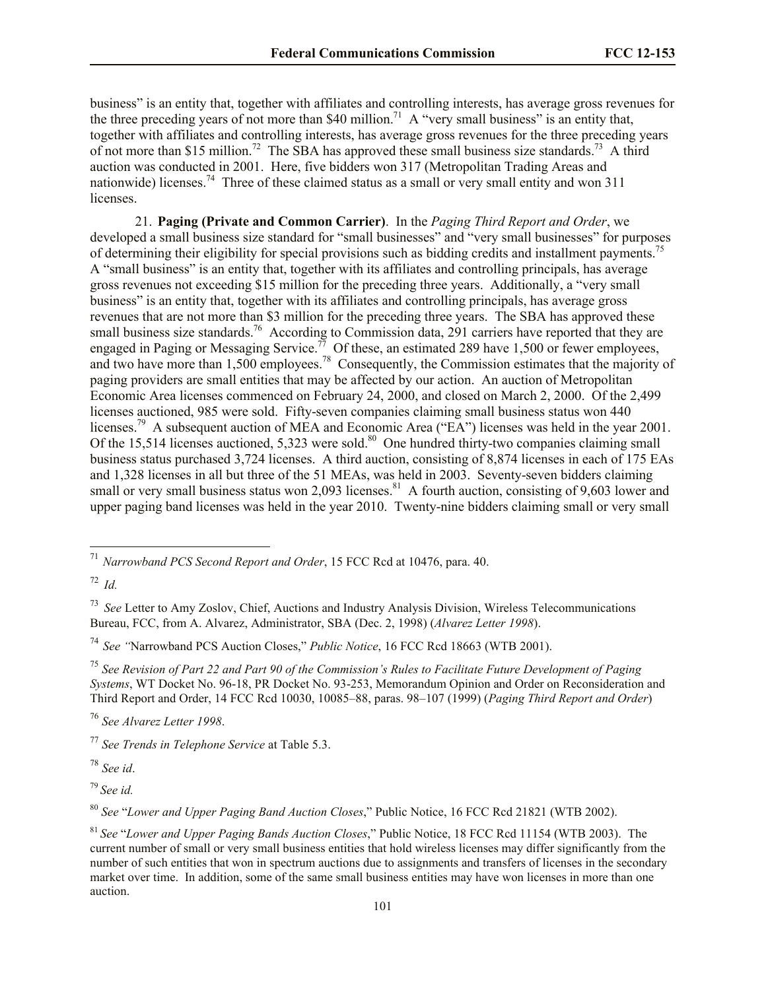business" is an entity that, together with affiliates and controlling interests, has average gross revenues for the three preceding years of not more than \$40 million.<sup>71</sup> A "very small business" is an entity that, together with affiliates and controlling interests, has average gross revenues for the three preceding years of not more than \$15 million.<sup>72</sup> The SBA has approved these small business size standards.<sup>73</sup> A third auction was conducted in 2001. Here, five bidders won 317 (Metropolitan Trading Areas and nationwide) licenses.<sup>74</sup> Three of these claimed status as a small or very small entity and won 311 licenses.

21. **Paging (Private and Common Carrier)**. In the *Paging Third Report and Order*, we developed a small business size standard for "small businesses" and "very small businesses" for purposes of determining their eligibility for special provisions such as bidding credits and installment payments.<sup>7</sup> A "small business" is an entity that, together with its affiliates and controlling principals, has average gross revenues not exceeding \$15 million for the preceding three years. Additionally, a "very small business" is an entity that, together with its affiliates and controlling principals, has average gross revenues that are not more than \$3 million for the preceding three years. The SBA has approved these small business size standards.<sup>76</sup> According to Commission data, 291 carriers have reported that they are engaged in Paging or Messaging Service.<sup>77</sup> Of these, an estimated 289 have 1,500 or fewer employees, and two have more than 1,500 employees.<sup>78</sup> Consequently, the Commission estimates that the majority of paging providers are small entities that may be affected by our action. An auction of Metropolitan Economic Area licenses commenced on February 24, 2000, and closed on March 2, 2000. Of the 2,499 licenses auctioned, 985 were sold. Fifty-seven companies claiming small business status won 440 licenses.<sup>79</sup> A subsequent auction of MEA and Economic Area ("EA") licenses was held in the year 2001. Of the 15,514 licenses auctioned, 5,323 were sold.<sup>80</sup> One hundred thirty-two companies claiming small business status purchased 3,724 licenses. A third auction, consisting of 8,874 licenses in each of 175 EAs and 1,328 licenses in all but three of the 51 MEAs, was held in 2003. Seventy-seven bidders claiming small or very small business status won 2,093 licenses.<sup>81</sup> A fourth auction, consisting of 9,603 lower and upper paging band licenses was held in the year 2010. Twenty-nine bidders claiming small or very small

l

<sup>76</sup> *See Alvarez Letter 1998*.

<sup>78</sup> *See id*.

<sup>79</sup> *See id.*

<sup>80</sup> *See* "*Lower and Upper Paging Band Auction Closes*," Public Notice, 16 FCC Rcd 21821 (WTB 2002).

<sup>71</sup> *Narrowband PCS Second Report and Order*, 15 FCC Rcd at 10476, para. 40.

<sup>72</sup> *Id.*

<sup>73</sup> *See* Letter to Amy Zoslov, Chief, Auctions and Industry Analysis Division, Wireless Telecommunications Bureau, FCC, from A. Alvarez, Administrator, SBA (Dec. 2, 1998) (*Alvarez Letter 1998*).

<sup>74</sup> *See "*Narrowband PCS Auction Closes," *Public Notice*, 16 FCC Rcd 18663 (WTB 2001).

<sup>75</sup> *See Revision of Part 22 and Part 90 of the Commission's Rules to Facilitate Future Development of Paging Systems*, WT Docket No. 96-18, PR Docket No. 93-253, Memorandum Opinion and Order on Reconsideration and Third Report and Order, 14 FCC Rcd 10030, 10085–88, paras. 98–107 (1999) (*Paging Third Report and Order*)

<sup>77</sup> *See Trends in Telephone Service* at Table 5.3.

<sup>81</sup> *See* "*Lower and Upper Paging Bands Auction Closes*," Public Notice, 18 FCC Rcd 11154 (WTB 2003). The current number of small or very small business entities that hold wireless licenses may differ significantly from the number of such entities that won in spectrum auctions due to assignments and transfers of licenses in the secondary market over time. In addition, some of the same small business entities may have won licenses in more than one auction.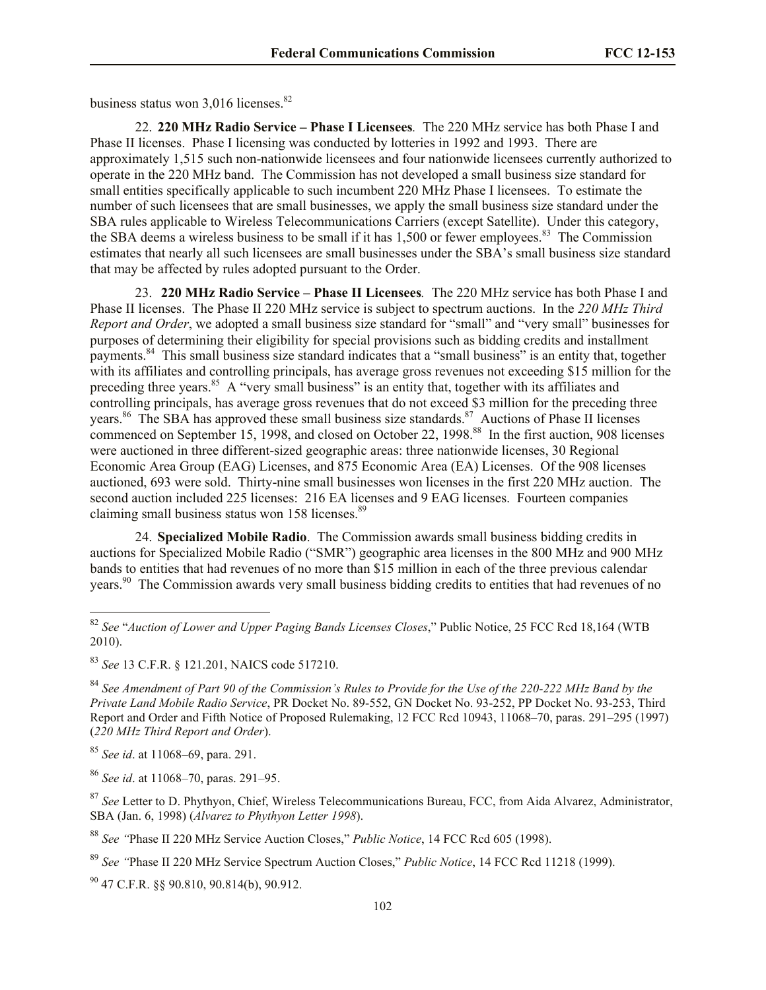business status won  $3.016$  licenses.<sup>82</sup>

22. **220 MHz Radio Service – Phase I Licensees***.* The 220 MHz service has both Phase I and Phase II licenses. Phase I licensing was conducted by lotteries in 1992 and 1993. There are approximately 1,515 such non-nationwide licensees and four nationwide licensees currently authorized to operate in the 220 MHz band. The Commission has not developed a small business size standard for small entities specifically applicable to such incumbent 220 MHz Phase I licensees. To estimate the number of such licensees that are small businesses, we apply the small business size standard under the SBA rules applicable to Wireless Telecommunications Carriers (except Satellite). Under this category, the SBA deems a wireless business to be small if it has 1,500 or fewer employees.<sup>83</sup> The Commission estimates that nearly all such licensees are small businesses under the SBA's small business size standard that may be affected by rules adopted pursuant to the Order.

23. **220 MHz Radio Service – Phase II Licensees***.*The 220 MHz service has both Phase I and Phase II licenses. The Phase II 220 MHz service is subject to spectrum auctions. In the *220 MHz Third Report and Order*, we adopted a small business size standard for "small" and "very small" businesses for purposes of determining their eligibility for special provisions such as bidding credits and installment payments.<sup>84</sup> This small business size standard indicates that a "small business" is an entity that, together with its affiliates and controlling principals, has average gross revenues not exceeding \$15 million for the preceding three years.<sup>85</sup> A "very small business" is an entity that, together with its affiliates and controlling principals, has average gross revenues that do not exceed \$3 million for the preceding three years.<sup>86</sup> The SBA has approved these small business size standards.<sup>87</sup> Auctions of Phase II licenses commenced on September 15, 1998, and closed on October 22, 1998.<sup>88</sup> In the first auction, 908 licenses were auctioned in three different-sized geographic areas: three nationwide licenses, 30 Regional Economic Area Group (EAG) Licenses, and 875 Economic Area (EA) Licenses. Of the 908 licenses auctioned, 693 were sold.Thirty-nine small businesses won licenses in the first 220 MHz auction. The second auction included 225 licenses: 216 EA licenses and 9 EAG licenses. Fourteen companies claiming small business status won  $158$  licenses.<sup>89</sup>

24. **Specialized Mobile Radio**. The Commission awards small business bidding credits in auctions for Specialized Mobile Radio ("SMR") geographic area licenses in the 800 MHz and 900 MHz bands to entities that had revenues of no more than \$15 million in each of the three previous calendar years.<sup>90</sup> The Commission awards very small business bidding credits to entities that had revenues of no

<sup>85</sup> *See id*. at 11068–69, para. 291.

 $\overline{a}$ 

<sup>86</sup> *See id*. at 11068–70, paras. 291–95.

<sup>88</sup> *See "*Phase II 220 MHz Service Auction Closes," *Public Notice*, 14 FCC Rcd 605 (1998).

<sup>89</sup> *See "*Phase II 220 MHz Service Spectrum Auction Closes," *Public Notice*, 14 FCC Rcd 11218 (1999).

 $^{90}$  47 C.F.R.  $$890.810, 90.814(b)$ , 90.912.

<sup>82</sup> *See* "*Auction of Lower and Upper Paging Bands Licenses Closes*," Public Notice, 25 FCC Rcd 18,164 (WTB 2010).

<sup>83</sup> *See* 13 C.F.R. § 121.201, NAICS code 517210.

<sup>84</sup> *See Amendment of Part 90 of the Commission's Rules to Provide for the Use of the 220-222 MHz Band by the Private Land Mobile Radio Service*, PR Docket No. 89-552, GN Docket No. 93-252, PP Docket No. 93-253, Third Report and Order and Fifth Notice of Proposed Rulemaking, 12 FCC Rcd 10943, 11068–70, paras. 291–295 (1997) (*220 MHz Third Report and Order*).

<sup>87</sup> *See* Letter to D. Phythyon, Chief, Wireless Telecommunications Bureau, FCC, from Aida Alvarez, Administrator, SBA (Jan. 6, 1998) (*Alvarez to Phythyon Letter 1998*).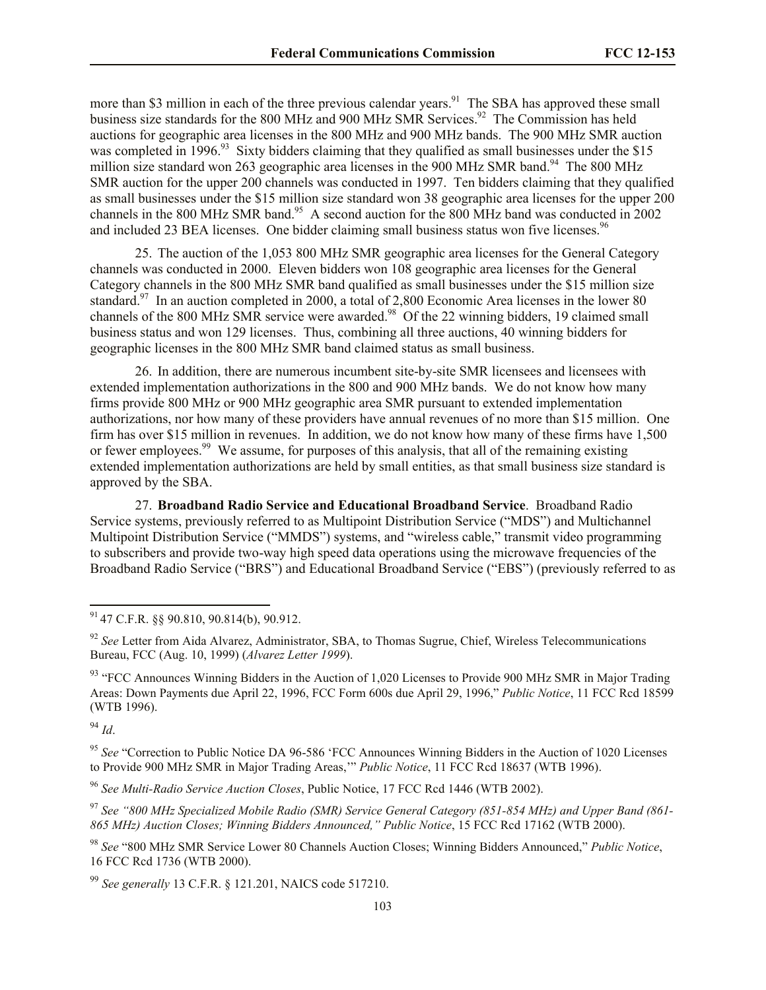more than \$3 million in each of the three previous calendar years.<sup>91</sup> The SBA has approved these small business size standards for the 800 MHz and 900 MHz SMR Services.<sup>92</sup> The Commission has held auctions for geographic area licenses in the 800 MHz and 900 MHz bands. The 900 MHz SMR auction was completed in 1996.<sup>93</sup> Sixty bidders claiming that they qualified as small businesses under the \$15 million size standard won 263 geographic area licenses in the 900 MHz SMR band.<sup>94</sup> The 800 MHz SMR auction for the upper 200 channels was conducted in 1997. Ten bidders claiming that they qualified as small businesses under the \$15 million size standard won 38 geographic area licenses for the upper 200 channels in the 800 MHz SMR band.<sup>95</sup> A second auction for the 800 MHz band was conducted in 2002 and included 23 BEA licenses. One bidder claiming small business status won five licenses.<sup>96</sup>

25. The auction of the 1,053 800 MHz SMR geographic area licenses for the General Category channels was conducted in 2000. Eleven bidders won 108 geographic area licenses for the General Category channels in the 800 MHz SMR band qualified as small businesses under the \$15 million size standard.<sup>97</sup> In an auction completed in 2000, a total of 2,800 Economic Area licenses in the lower 80 channels of the 800 MHz SMR service were awarded.<sup>98</sup> Of the 22 winning bidders, 19 claimed small business status and won 129 licenses. Thus, combining all three auctions, 40 winning bidders for geographic licenses in the 800 MHz SMR band claimed status as small business.

26. In addition, there are numerous incumbent site-by-site SMR licensees and licensees with extended implementation authorizations in the 800 and 900 MHz bands. We do not know how many firms provide 800 MHz or 900 MHz geographic area SMR pursuant to extended implementation authorizations, nor how many of these providers have annual revenues of no more than \$15 million. One firm has over \$15 million in revenues. In addition, we do not know how many of these firms have 1,500 or fewer employees.<sup>99</sup> We assume, for purposes of this analysis, that all of the remaining existing extended implementation authorizations are held by small entities, as that small business size standard is approved by the SBA.

27. **Broadband Radio Service and Educational Broadband Service**. Broadband Radio Service systems, previously referred to as Multipoint Distribution Service ("MDS") and Multichannel Multipoint Distribution Service ("MMDS") systems, and "wireless cable," transmit video programming to subscribers and provide two-way high speed data operations using the microwave frequencies of the Broadband Radio Service ("BRS") and Educational Broadband Service ("EBS") (previously referred to as

 $^{94}$  *Id*.

 $91$  47 C.F.R. §§ 90.810, 90.814(b), 90.912.

<sup>&</sup>lt;sup>92</sup> See Letter from Aida Alvarez, Administrator, SBA, to Thomas Sugrue, Chief, Wireless Telecommunications Bureau, FCC (Aug. 10, 1999) (*Alvarez Letter 1999*).

<sup>&</sup>lt;sup>93</sup> "FCC Announces Winning Bidders in the Auction of 1,020 Licenses to Provide 900 MHz SMR in Major Trading Areas: Down Payments due April 22, 1996, FCC Form 600s due April 29, 1996," *Public Notice*, 11 FCC Rcd 18599 (WTB 1996).

<sup>95</sup> *See* "Correction to Public Notice DA 96-586 'FCC Announces Winning Bidders in the Auction of 1020 Licenses to Provide 900 MHz SMR in Major Trading Areas,'" *Public Notice*, 11 FCC Rcd 18637 (WTB 1996).

<sup>96</sup> *See Multi-Radio Service Auction Closes*, Public Notice, 17 FCC Rcd 1446 (WTB 2002).

<sup>97</sup> *See "800 MHz Specialized Mobile Radio (SMR) Service General Category (851-854 MHz) and Upper Band (861- 865 MHz) Auction Closes; Winning Bidders Announced," Public Notice*, 15 FCC Rcd 17162 (WTB 2000).

<sup>98</sup> *See* "800 MHz SMR Service Lower 80 Channels Auction Closes; Winning Bidders Announced," *Public Notice*, 16 FCC Rcd 1736 (WTB 2000).

<sup>99</sup> *See generally* 13 C.F.R. § 121.201, NAICS code 517210.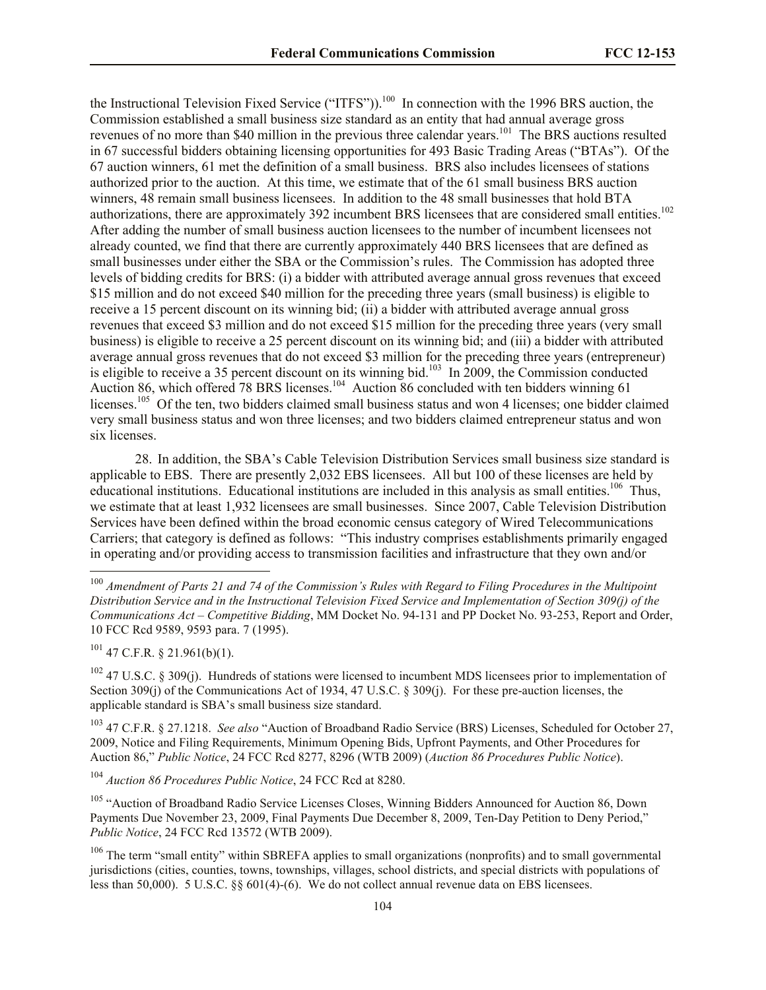the Instructional Television Fixed Service ("ITFS")).<sup>100</sup> In connection with the 1996 BRS auction, the Commission established a small business size standard as an entity that had annual average gross revenues of no more than \$40 million in the previous three calendar years.<sup>101</sup> The BRS auctions resulted in 67 successful bidders obtaining licensing opportunities for 493 Basic Trading Areas ("BTAs"). Of the 67 auction winners, 61 met the definition of a small business. BRS also includes licensees of stations authorized prior to the auction. At this time, we estimate that of the 61 small business BRS auction winners, 48 remain small business licensees. In addition to the 48 small businesses that hold BTA authorizations, there are approximately 392 incumbent BRS licensees that are considered small entities.<sup>102</sup> After adding the number of small business auction licensees to the number of incumbent licensees not already counted, we find that there are currently approximately 440 BRS licensees that are defined as small businesses under either the SBA or the Commission's rules. The Commission has adopted three levels of bidding credits for BRS: (i) a bidder with attributed average annual gross revenues that exceed \$15 million and do not exceed \$40 million for the preceding three years (small business) is eligible to receive a 15 percent discount on its winning bid; (ii) a bidder with attributed average annual gross revenues that exceed \$3 million and do not exceed \$15 million for the preceding three years (very small business) is eligible to receive a 25 percent discount on its winning bid; and (iii) a bidder with attributed average annual gross revenues that do not exceed \$3 million for the preceding three years (entrepreneur) is eligible to receive a 35 percent discount on its winning bid.<sup>103</sup> In 2009, the Commission conducted Auction 86, which offered 78 BRS licenses.<sup>104</sup> Auction 86 concluded with ten bidders winning 61 licenses.<sup>105</sup> Of the ten, two bidders claimed small business status and won 4 licenses; one bidder claimed very small business status and won three licenses; and two bidders claimed entrepreneur status and won six licenses.

28. In addition, the SBA's Cable Television Distribution Services small business size standard is applicable to EBS. There are presently 2,032 EBS licensees. All but 100 of these licenses are held by educational institutions. Educational institutions are included in this analysis as small entities.<sup>106</sup> Thus, we estimate that at least 1,932 licensees are small businesses. Since 2007, Cable Television Distribution Services have been defined within the broad economic census category of Wired Telecommunications Carriers; that category is defined as follows: "This industry comprises establishments primarily engaged in operating and/or providing access to transmission facilities and infrastructure that they own and/or

 $101$  47 C.F.R. § 21.961(b)(1).

l

 $102$  47 U.S.C. § 309(j). Hundreds of stations were licensed to incumbent MDS licensees prior to implementation of Section 309(j) of the Communications Act of 1934, 47 U.S.C. § 309(j). For these pre-auction licenses, the applicable standard is SBA's small business size standard.

<sup>103</sup> 47 C.F.R. § 27.1218. *See also* "Auction of Broadband Radio Service (BRS) Licenses, Scheduled for October 27, 2009, Notice and Filing Requirements, Minimum Opening Bids, Upfront Payments, and Other Procedures for Auction 86," *Public Notice*, 24 FCC Rcd 8277, 8296 (WTB 2009) (*Auction 86 Procedures Public Notice*).

<sup>104</sup> *Auction 86 Procedures Public Notice*, 24 FCC Rcd at 8280.

<sup>105</sup> "Auction of Broadband Radio Service Licenses Closes, Winning Bidders Announced for Auction 86, Down Payments Due November 23, 2009, Final Payments Due December 8, 2009, Ten-Day Petition to Deny Period," *Public Notice*, 24 FCC Rcd 13572 (WTB 2009).

<sup>106</sup> The term "small entity" within SBREFA applies to small organizations (nonprofits) and to small governmental jurisdictions (cities, counties, towns, townships, villages, school districts, and special districts with populations of less than 50,000). 5 U.S.C. §§ 601(4)-(6). We do not collect annual revenue data on EBS licensees.

<sup>100</sup> *Amendment of Parts 21 and 74 of the Commission's Rules with Regard to Filing Procedures in the Multipoint Distribution Service and in the Instructional Television Fixed Service and Implementation of Section 309(j) of the Communications Act – Competitive Bidding*, MM Docket No. 94-131 and PP Docket No. 93-253, Report and Order, 10 FCC Rcd 9589, 9593 para. 7 (1995).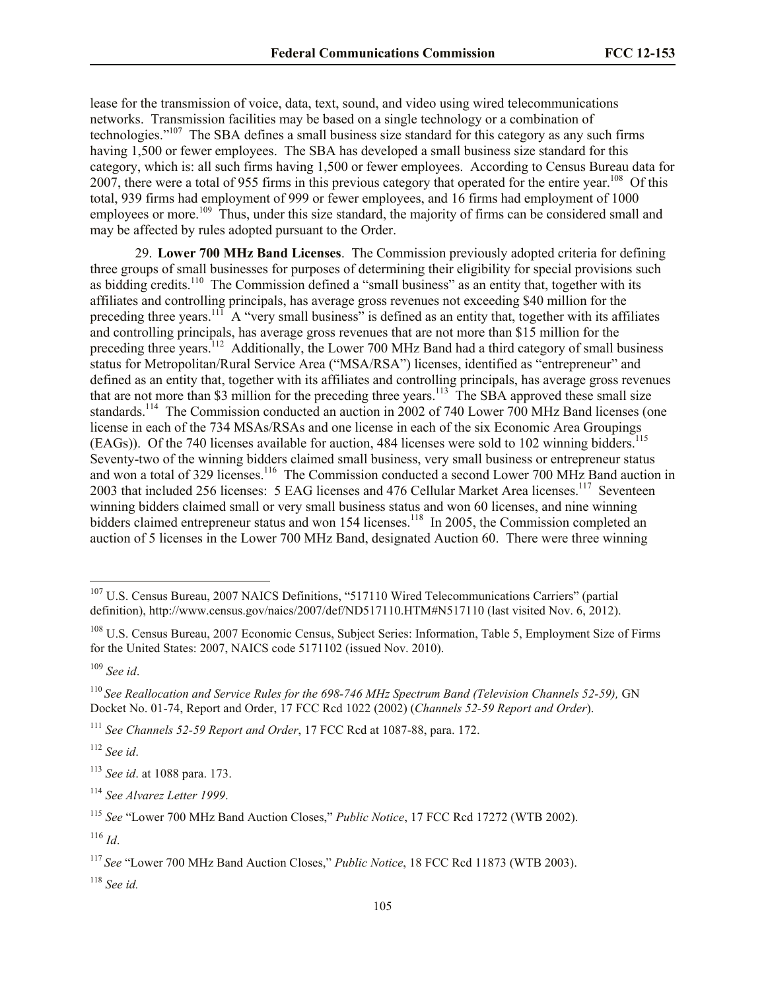lease for the transmission of voice, data, text, sound, and video using wired telecommunications networks. Transmission facilities may be based on a single technology or a combination of technologies."<sup>107</sup> The SBA defines a small business size standard for this category as any such firms having 1,500 or fewer employees. The SBA has developed a small business size standard for this category, which is: all such firms having 1,500 or fewer employees. According to Census Bureau data for 2007, there were a total of 955 firms in this previous category that operated for the entire year.<sup>108</sup> Of this total, 939 firms had employment of 999 or fewer employees, and 16 firms had employment of 1000 employees or more.<sup>109</sup> Thus, under this size standard, the majority of firms can be considered small and may be affected by rules adopted pursuant to the Order.

29. **Lower 700 MHz Band Licenses**. The Commission previously adopted criteria for defining three groups of small businesses for purposes of determining their eligibility for special provisions such as bidding credits.<sup>110</sup> The Commission defined a "small business" as an entity that, together with its affiliates and controlling principals, has average gross revenues not exceeding \$40 million for the preceding three years.<sup>111</sup> A "very small business" is defined as an entity that, together with its affiliates and controlling principals, has average gross revenues that are not more than \$15 million for the preceding three years.<sup>112</sup> Additionally, the Lower 700 MHz Band had a third category of small business status for Metropolitan/Rural Service Area ("MSA/RSA") licenses, identified as "entrepreneur" and defined as an entity that, together with its affiliates and controlling principals, has average gross revenues that are not more than \$3 million for the preceding three years.<sup>113</sup> The SBA approved these small size standards.<sup>114</sup> The Commission conducted an auction in 2002 of 740 Lower 700 MHz Band licenses (one license in each of the 734 MSAs/RSAs and one license in each of the six Economic Area Groupings (EAGs)). Of the 740 licenses available for auction, 484 licenses were sold to 102 winning bidders.<sup>115</sup> Seventy-two of the winning bidders claimed small business, very small business or entrepreneur status and won a total of 329 licenses.<sup>116</sup> The Commission conducted a second Lower 700 MHz Band auction in 2003 that included 256 licenses: 5 EAG licenses and 476 Cellular Market Area licenses.<sup>117</sup> Seventeen winning bidders claimed small or very small business status and won 60 licenses, and nine winning bidders claimed entrepreneur status and won 154 licenses.<sup>118</sup> In 2005, the Commission completed an auction of 5 licenses in the Lower 700 MHz Band, designated Auction 60. There were three winning

l

<sup>112</sup> *See id*.

<sup>118</sup> *See id.*

<sup>&</sup>lt;sup>107</sup> U.S. Census Bureau, 2007 NAICS Definitions, "517110 Wired Telecommunications Carriers" (partial definition), http://www.census.gov/naics/2007/def/ND517110.HTM#N517110 (last visited Nov. 6, 2012).

<sup>108</sup> U.S. Census Bureau, 2007 Economic Census, Subject Series: Information, Table 5, Employment Size of Firms for the United States: 2007, NAICS code 5171102 (issued Nov. 2010).

<sup>109</sup> *See id*.

<sup>110</sup> *See Reallocation and Service Rules for the 698-746 MHz Spectrum Band (Television Channels 52-59),* GN Docket No. 01-74, Report and Order, 17 FCC Rcd 1022 (2002) (*Channels 52-59 Report and Order*).

<sup>111</sup> *See Channels 52-59 Report and Order*, 17 FCC Rcd at 1087-88, para. 172.

<sup>113</sup> *See id*. at 1088 para. 173.

<sup>114</sup> *See Alvarez Letter 1999*.

<sup>115</sup> *See* "Lower 700 MHz Band Auction Closes," *Public Notice*, 17 FCC Rcd 17272 (WTB 2002).

 $^{116}$  *Id*.

<sup>117</sup> *See* "Lower 700 MHz Band Auction Closes," *Public Notice*, 18 FCC Rcd 11873 (WTB 2003).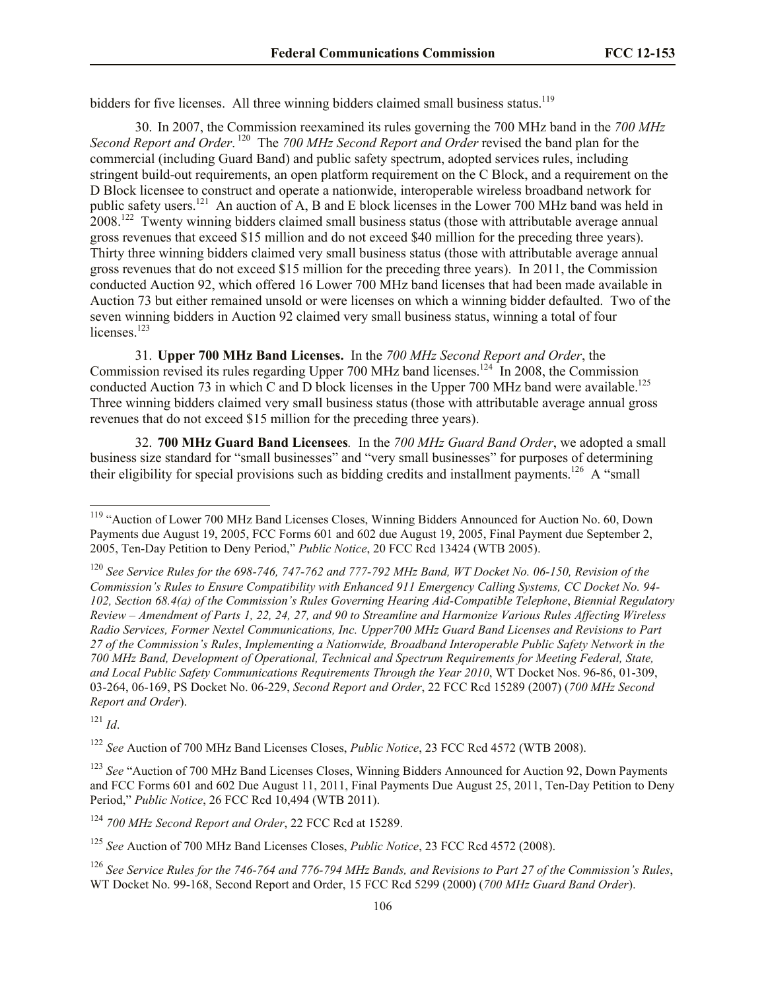bidders for five licenses. All three winning bidders claimed small business status.<sup>119</sup>

30. In 2007, the Commission reexamined its rules governing the 700 MHz band in the *700 MHz*  Second Report and Order.<sup>120</sup> The 700 MHz Second Report and Order revised the band plan for the commercial (including Guard Band) and public safety spectrum, adopted services rules, including stringent build-out requirements, an open platform requirement on the C Block, and a requirement on the D Block licensee to construct and operate a nationwide, interoperable wireless broadband network for public safety users.<sup>121</sup> An auction of A, B and E block licenses in the Lower 700 MHz band was held in 2008.<sup>122</sup> Twenty winning bidders claimed small business status (those with attributable average annual gross revenues that exceed \$15 million and do not exceed \$40 million for the preceding three years). Thirty three winning bidders claimed very small business status (those with attributable average annual gross revenues that do not exceed \$15 million for the preceding three years). In 2011, the Commission conducted Auction 92, which offered 16 Lower 700 MHz band licenses that had been made available in Auction 73 but either remained unsold or were licenses on which a winning bidder defaulted. Two of the seven winning bidders in Auction 92 claimed very small business status, winning a total of four licenses.<sup>123</sup>

31. **Upper 700 MHz Band Licenses.** In the *700 MHz Second Report and Order*, the Commission revised its rules regarding Upper 700 MHz band licenses.<sup>124</sup> In 2008, the Commission conducted Auction 73 in which C and D block licenses in the Upper 700 MHz band were available.<sup>125</sup> Three winning bidders claimed very small business status (those with attributable average annual gross revenues that do not exceed \$15 million for the preceding three years).

32. **700 MHz Guard Band Licensees***.* In the *700 MHz Guard Band Order*, we adopted a small business size standard for "small businesses" and "very small businesses" for purposes of determining their eligibility for special provisions such as bidding credits and installment payments.<sup>126</sup> A "small"

<sup>121</sup> *Id*.

l

<sup>122</sup> *See* Auction of 700 MHz Band Licenses Closes, *Public Notice*, 23 FCC Rcd 4572 (WTB 2008).

<sup>123</sup> *See* "Auction of 700 MHz Band Licenses Closes, Winning Bidders Announced for Auction 92, Down Payments and FCC Forms 601 and 602 Due August 11, 2011, Final Payments Due August 25, 2011, Ten-Day Petition to Deny Period," *Public Notice*, 26 FCC Rcd 10,494 (WTB 2011).

<sup>124</sup> *700 MHz Second Report and Order*, 22 FCC Rcd at 15289.

<sup>&</sup>lt;sup>119</sup> "Auction of Lower 700 MHz Band Licenses Closes, Winning Bidders Announced for Auction No. 60, Down Payments due August 19, 2005, FCC Forms 601 and 602 due August 19, 2005, Final Payment due September 2, 2005, Ten-Day Petition to Deny Period," *Public Notice*, 20 FCC Rcd 13424 (WTB 2005).

<sup>120</sup> *See Service Rules for the 698-746, 747-762 and 777-792 MHz Band, WT Docket No. 06-150, Revision of the Commission's Rules to Ensure Compatibility with Enhanced 911 Emergency Calling Systems, CC Docket No. 94- 102, Section 68.4(a) of the Commission's Rules Governing Hearing Aid-Compatible Telephone*, *Biennial Regulatory Review – Amendment of Parts 1, 22, 24, 27, and 90 to Streamline and Harmonize Various Rules Affecting Wireless Radio Services, Former Nextel Communications, Inc. Upper700 MHz Guard Band Licenses and Revisions to Part 27 of the Commission's Rules*, *Implementing a Nationwide, Broadband Interoperable Public Safety Network in the 700 MHz Band, Development of Operational, Technical and Spectrum Requirements for Meeting Federal, State, and Local Public Safety Communications Requirements Through the Year 2010*, WT Docket Nos. 96-86, 01-309, 03-264, 06-169, PS Docket No. 06-229, *Second Report and Order*, 22 FCC Rcd 15289 (2007) (*700 MHz Second Report and Order*).

<sup>125</sup> *See* Auction of 700 MHz Band Licenses Closes, *Public Notice*, 23 FCC Rcd 4572 (2008).

<sup>126</sup> *See Service Rules for the 746-764 and 776-794 MHz Bands, and Revisions to Part 27 of the Commission's Rules*, WT Docket No. 99-168, Second Report and Order, 15 FCC Rcd 5299 (2000) (*700 MHz Guard Band Order*).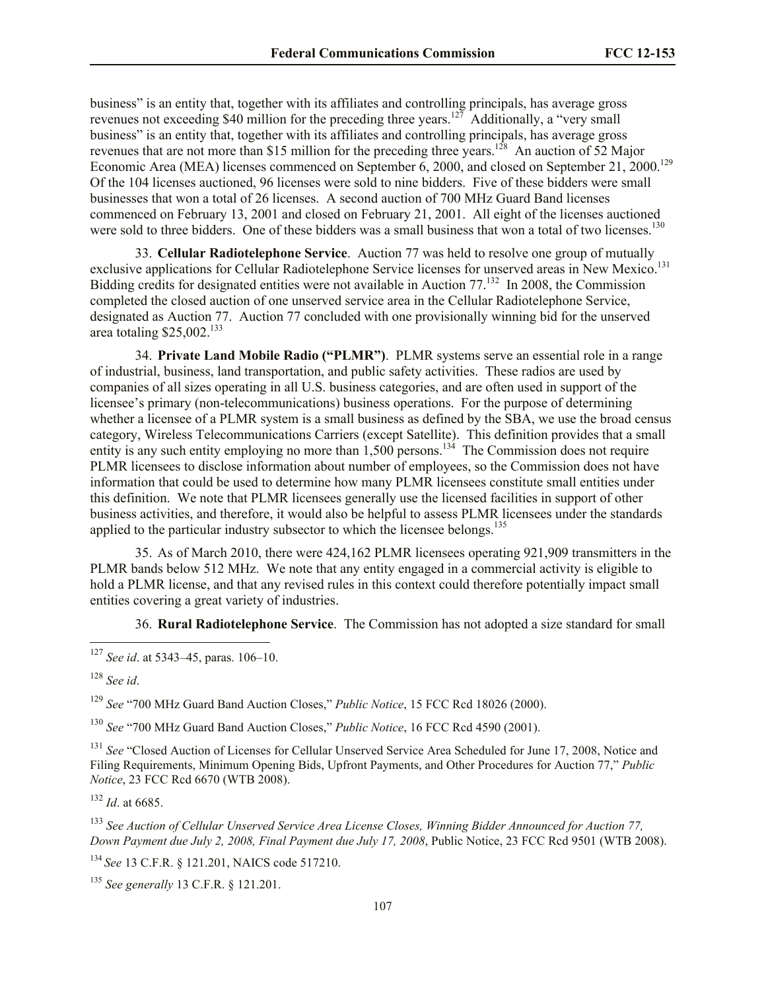business" is an entity that, together with its affiliates and controlling principals, has average gross revenues not exceeding \$40 million for the preceding three years.<sup>127</sup> Additionally, a "very small business" is an entity that, together with its affiliates and controlling principals, has average gross revenues that are not more than \$15 million for the preceding three years.<sup>128</sup> An auction of 52 Major Economic Area (MEA) licenses commenced on September  $6, 2000,$  and closed on September 21,  $2000$ .<sup>129</sup> Of the 104 licenses auctioned, 96 licenses were sold to nine bidders. Five of these bidders were small businesses that won a total of 26 licenses. A second auction of 700 MHz Guard Band licenses commenced on February 13, 2001 and closed on February 21, 2001. All eight of the licenses auctioned were sold to three bidders. One of these bidders was a small business that won a total of two licenses.<sup>130</sup>

33. **Cellular Radiotelephone Service**. Auction 77 was held to resolve one group of mutually exclusive applications for Cellular Radiotelephone Service licenses for unserved areas in New Mexico.<sup>131</sup> Bidding credits for designated entities were not available in Auction 77.<sup>132</sup> In 2008, the Commission completed the closed auction of one unserved service area in the Cellular Radiotelephone Service, designated as Auction 77. Auction 77 concluded with one provisionally winning bid for the unserved area totaling  $$25,002$ <sup>133</sup>

34. **Private Land Mobile Radio ("PLMR")**. PLMR systems serve an essential role in a range of industrial, business, land transportation, and public safety activities. These radios are used by companies of all sizes operating in all U.S. business categories, and are often used in support of the licensee's primary (non-telecommunications) business operations. For the purpose of determining whether a licensee of a PLMR system is a small business as defined by the SBA, we use the broad census category, Wireless Telecommunications Carriers (except Satellite). This definition provides that a small entity is any such entity employing no more than  $1,500$  persons.<sup>134</sup> The Commission does not require PLMR licensees to disclose information about number of employees, so the Commission does not have information that could be used to determine how many PLMR licensees constitute small entities under this definition. We note that PLMR licensees generally use the licensed facilities in support of other business activities, and therefore, it would also be helpful to assess PLMR licensees under the standards applied to the particular industry subsector to which the licensee belongs.<sup>135</sup>

35. As of March 2010, there were 424,162 PLMR licensees operating 921,909 transmitters in the PLMR bands below 512 MHz. We note that any entity engaged in a commercial activity is eligible to hold a PLMR license, and that any revised rules in this context could therefore potentially impact small entities covering a great variety of industries.

36. **Rural Radiotelephone Service**. The Commission has not adopted a size standard for small

l

<sup>129</sup> *See* "700 MHz Guard Band Auction Closes," *Public Notice*, 15 FCC Rcd 18026 (2000).

<sup>130</sup> *See* "700 MHz Guard Band Auction Closes," *Public Notice*, 16 FCC Rcd 4590 (2001).

<sup>131</sup> *See* "Closed Auction of Licenses for Cellular Unserved Service Area Scheduled for June 17, 2008, Notice and Filing Requirements, Minimum Opening Bids, Upfront Payments, and Other Procedures for Auction 77," *Public Notice*, 23 FCC Rcd 6670 (WTB 2008).

<sup>132</sup> *Id*. at 6685.

<sup>133</sup> *See Auction of Cellular Unserved Service Area License Closes, Winning Bidder Announced for Auction 77, Down Payment due July 2, 2008, Final Payment due July 17, 2008*, Public Notice, 23 FCC Rcd 9501 (WTB 2008).

<sup>134</sup> *See* 13 C.F.R. § 121.201, NAICS code 517210.

<sup>135</sup> *See generally* 13 C.F.R. § 121.201.

<sup>127</sup> *See id*. at 5343–45, paras. 106–10.

<sup>128</sup> *See id*.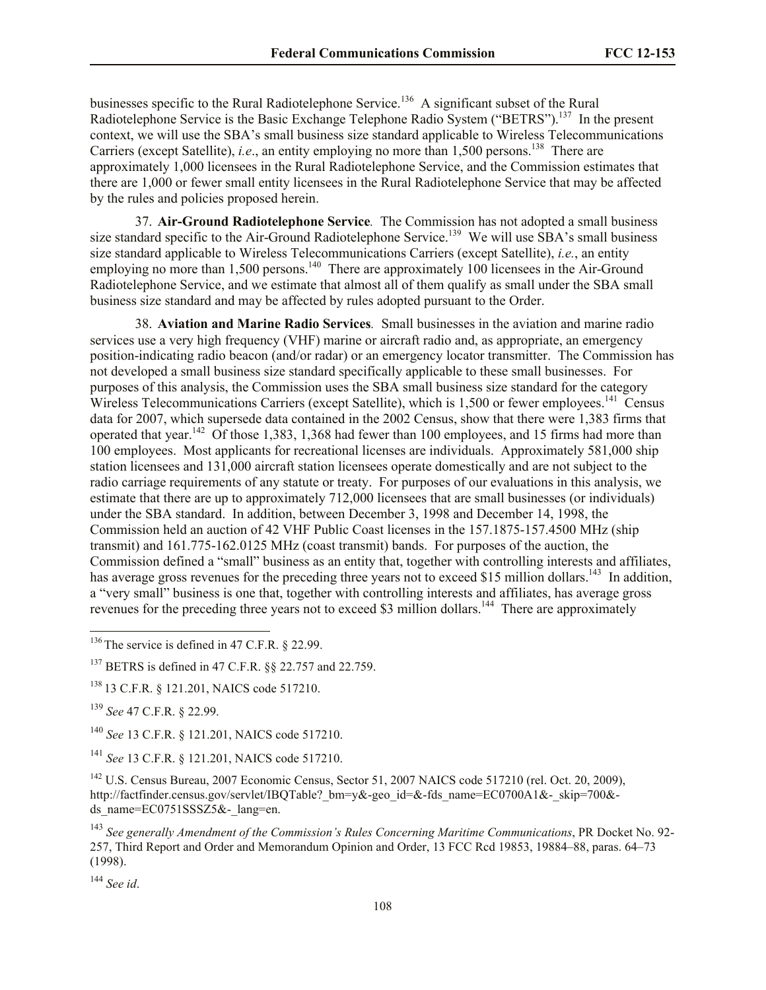businesses specific to the Rural Radiotelephone Service.<sup>136</sup> A significant subset of the Rural Radiotelephone Service is the Basic Exchange Telephone Radio System ("BETRS").<sup>137</sup> In the present context, we will use the SBA's small business size standard applicable to Wireless Telecommunications Carriers (except Satellite), *i.e.*, an entity employing no more than  $1,500$  persons.<sup>138</sup> There are approximately 1,000 licensees in the Rural Radiotelephone Service, and the Commission estimates that there are 1,000 or fewer small entity licensees in the Rural Radiotelephone Service that may be affected by the rules and policies proposed herein.

37. **Air-Ground Radiotelephone Service***.* The Commission has not adopted a small business size standard specific to the Air-Ground Radiotelephone Service.<sup>139</sup> We will use SBA's small business size standard applicable to Wireless Telecommunications Carriers (except Satellite), *i.e.*, an entity employing no more than 1,500 persons.<sup>140</sup> There are approximately 100 licensees in the Air-Ground Radiotelephone Service, and we estimate that almost all of them qualify as small under the SBA small business size standard and may be affected by rules adopted pursuant to the Order.

38. **Aviation and Marine Radio Services***.* Small businesses in the aviation and marine radio services use a very high frequency (VHF) marine or aircraft radio and, as appropriate, an emergency position-indicating radio beacon (and/or radar) or an emergency locator transmitter. The Commission has not developed a small business size standard specifically applicable to these small businesses. For purposes of this analysis, the Commission uses the SBA small business size standard for the category Wireless Telecommunications Carriers (except Satellite), which is  $1,500$  or fewer employees.<sup>141</sup> Census data for 2007, which supersede data contained in the 2002 Census, show that there were 1,383 firms that operated that year.<sup>142</sup> Of those 1,383, 1,368 had fewer than 100 employees, and 15 firms had more than 100 employees. Most applicants for recreational licenses are individuals. Approximately 581,000 ship station licensees and 131,000 aircraft station licensees operate domestically and are not subject to the radio carriage requirements of any statute or treaty. For purposes of our evaluations in this analysis, we estimate that there are up to approximately 712,000 licensees that are small businesses (or individuals) under the SBA standard. In addition, between December 3, 1998 and December 14, 1998, the Commission held an auction of 42 VHF Public Coast licenses in the 157.1875-157.4500 MHz (ship transmit) and 161.775-162.0125 MHz (coast transmit) bands. For purposes of the auction, the Commission defined a "small" business as an entity that, together with controlling interests and affiliates, has average gross revenues for the preceding three years not to exceed \$15 million dollars.<sup>143</sup> In addition, a "very small" business is one that, together with controlling interests and affiliates, has average gross revenues for the preceding three years not to exceed \$3 million dollars.<sup>144</sup> There are approximately

<sup>140</sup> *See* 13 C.F.R. § 121.201, NAICS code 517210.

<sup>141</sup> *See* 13 C.F.R. § 121.201, NAICS code 517210.

<sup>142</sup> U.S. Census Bureau, 2007 Economic Census, Sector 51, 2007 NAICS code 517210 (rel. Oct. 20, 2009), http://factfinder.census.gov/servlet/IBQTable? bm=y&-geo\_id=&-fds\_name=EC0700A1&-\_skip=700&ds\_name=EC0751SSSZ5&-\_lang=en.

<sup>143</sup> *See generally Amendment of the Commission's Rules Concerning Maritime Communications*, PR Docket No. 92- 257, Third Report and Order and Memorandum Opinion and Order, 13 FCC Rcd 19853, 19884–88, paras. 64–73 (1998).

<sup>144</sup> *See id*.

 $\overline{a}$ 

 $136$  The service is defined in 47 C.F.R. § 22.99.

<sup>137</sup> BETRS is defined in 47 C.F.R. §§ 22.757 and 22.759.

<sup>138</sup> 13 C.F.R. § 121.201, NAICS code 517210.

<sup>139</sup> *See* 47 C.F.R. § 22.99.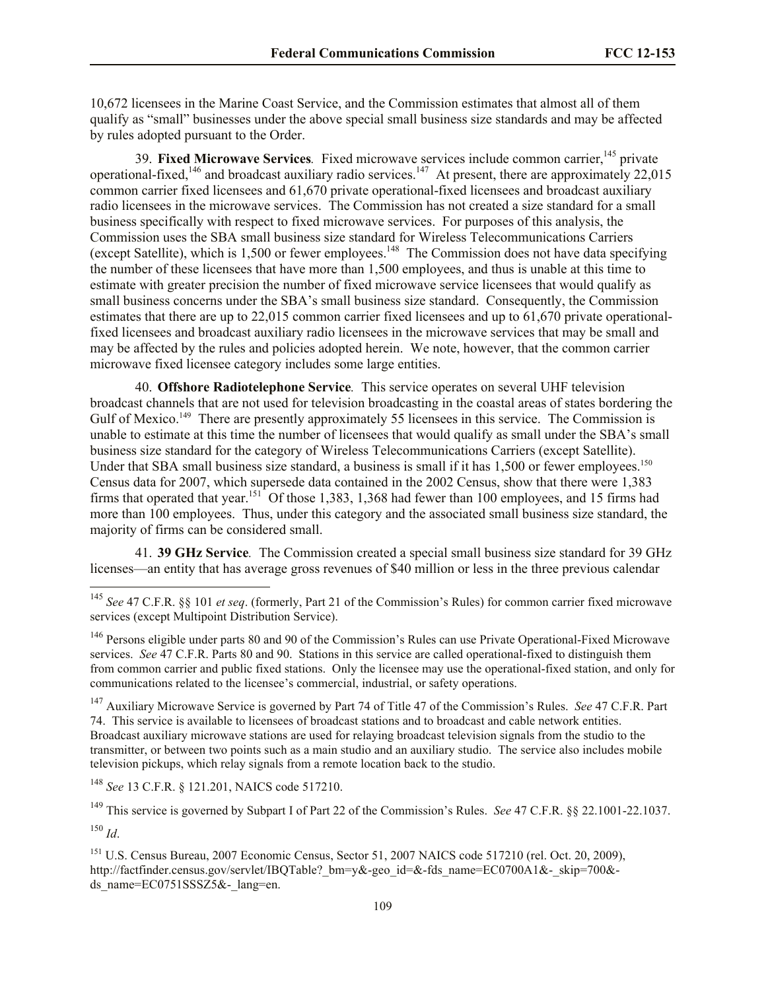10,672 licensees in the Marine Coast Service, and the Commission estimates that almost all of them qualify as "small" businesses under the above special small business size standards and may be affected by rules adopted pursuant to the Order.

39. **Fixed Microwave Services**. Fixed microwave services include common carrier,<sup>145</sup> private operational-fixed,  $146$  and broadcast auxiliary radio services.  $147$  At present, there are approximately 22,015 common carrier fixed licensees and 61,670 private operational-fixed licensees and broadcast auxiliary radio licensees in the microwave services. The Commission has not created a size standard for a small business specifically with respect to fixed microwave services. For purposes of this analysis, the Commission uses the SBA small business size standard for Wireless Telecommunications Carriers (except Satellite), which is  $1,500$  or fewer employees.<sup>148</sup> The Commission does not have data specifying the number of these licensees that have more than 1,500 employees, and thus is unable at this time to estimate with greater precision the number of fixed microwave service licensees that would qualify as small business concerns under the SBA's small business size standard. Consequently, the Commission estimates that there are up to 22,015 common carrier fixed licensees and up to 61,670 private operationalfixed licensees and broadcast auxiliary radio licensees in the microwave services that may be small and may be affected by the rules and policies adopted herein. We note, however, that the common carrier microwave fixed licensee category includes some large entities.

40. **Offshore Radiotelephone Service***.* This service operates on several UHF television broadcast channels that are not used for television broadcasting in the coastal areas of states bordering the Gulf of Mexico.<sup>149</sup> There are presently approximately 55 licensees in this service. The Commission is unable to estimate at this time the number of licensees that would qualify as small under the SBA's small business size standard for the category of Wireless Telecommunications Carriers (except Satellite). Under that SBA small business size standard, a business is small if it has 1,500 or fewer employees.<sup>150</sup> Census data for 2007, which supersede data contained in the 2002 Census, show that there were 1,383 firms that operated that year.<sup>151</sup> Of those 1,383, 1,368 had fewer than 100 employees, and 15 firms had more than 100 employees. Thus, under this category and the associated small business size standard, the majority of firms can be considered small.

41. **39 GHz Service***.* The Commission created a special small business size standard for 39 GHz licenses—an entity that has average gross revenues of \$40 million or less in the three previous calendar

<sup>147</sup> Auxiliary Microwave Service is governed by Part 74 of Title 47 of the Commission's Rules. *See* 47 C.F.R. Part 74. This service is available to licensees of broadcast stations and to broadcast and cable network entities. Broadcast auxiliary microwave stations are used for relaying broadcast television signals from the studio to the transmitter, or between two points such as a main studio and an auxiliary studio. The service also includes mobile television pickups, which relay signals from a remote location back to the studio.

<sup>148</sup> *See* 13 C.F.R. § 121.201, NAICS code 517210.

<sup>149</sup> This service is governed by Subpart I of Part 22 of the Commission's Rules. *See* 47 C.F.R. §§ 22.1001-22.1037.

<sup>150</sup> *Id*.

<sup>145</sup> *See* 47 C.F.R. §§ 101 *et seq*. (formerly, Part 21 of the Commission's Rules) for common carrier fixed microwave services (except Multipoint Distribution Service).

<sup>&</sup>lt;sup>146</sup> Persons eligible under parts 80 and 90 of the Commission's Rules can use Private Operational-Fixed Microwave services. *See* 47 C.F.R. Parts 80 and 90. Stations in this service are called operational-fixed to distinguish them from common carrier and public fixed stations. Only the licensee may use the operational-fixed station, and only for communications related to the licensee's commercial, industrial, or safety operations.

<sup>151</sup> U.S. Census Bureau, 2007 Economic Census, Sector 51, 2007 NAICS code 517210 (rel. Oct. 20, 2009), http://factfinder.census.gov/servlet/IBOTable? bm=y&-geo\_id=&-fds\_name=EC0700A1&-\_skip=700&ds\_name= $EC0751SSSZ5&-$ lang=en.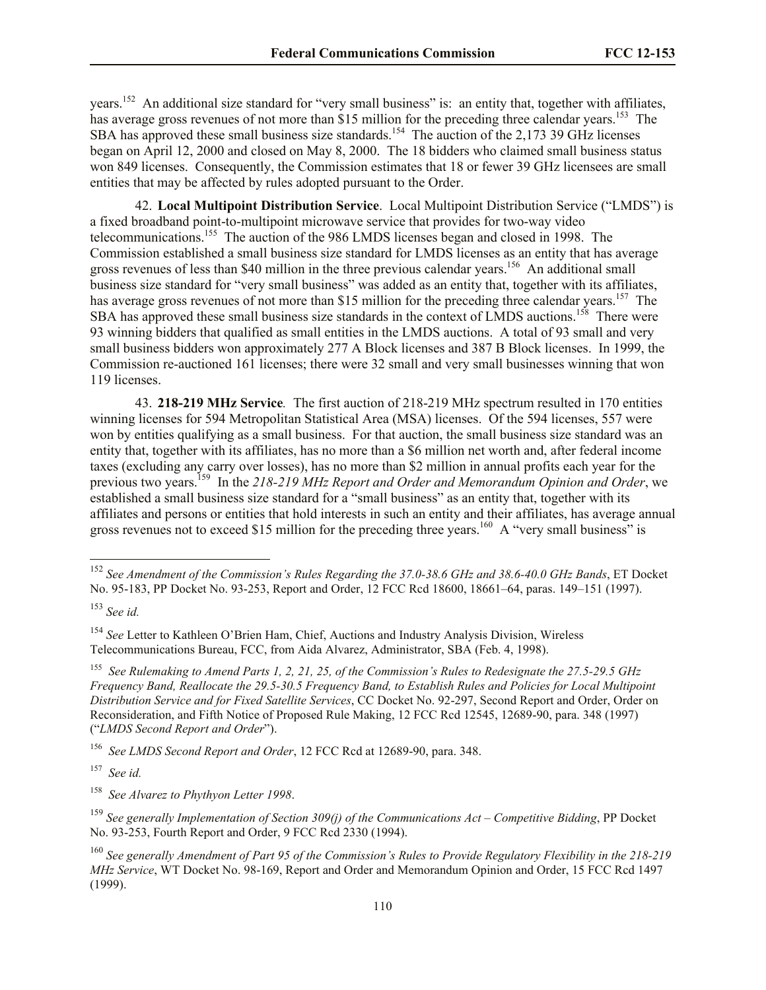years.<sup>152</sup> An additional size standard for "very small business" is: an entity that, together with affiliates, has average gross revenues of not more than \$15 million for the preceding three calendar years.<sup>153</sup> The SBA has approved these small business size standards.<sup>154</sup> The auction of the 2,173 39 GHz licenses began on April 12, 2000 and closed on May 8, 2000. The 18 bidders who claimed small business status won 849 licenses. Consequently, the Commission estimates that 18 or fewer 39 GHz licensees are small entities that may be affected by rules adopted pursuant to the Order.

42. **Local Multipoint Distribution Service**. Local Multipoint Distribution Service ("LMDS") is a fixed broadband point-to-multipoint microwave service that provides for two-way video telecommunications.<sup>155</sup> The auction of the 986 LMDS licenses began and closed in 1998. The Commission established a small business size standard for LMDS licenses as an entity that has average gross revenues of less than \$40 million in the three previous calendar years.<sup>156</sup> An additional small business size standard for "very small business" was added as an entity that, together with its affiliates, has average gross revenues of not more than \$15 million for the preceding three calendar years.<sup>157</sup> The SBA has approved these small business size standards in the context of LMDS auctions.<sup>158</sup> There were 93 winning bidders that qualified as small entities in the LMDS auctions. A total of 93 small and very small business bidders won approximately 277 A Block licenses and 387 B Block licenses. In 1999, the Commission re-auctioned 161 licenses; there were 32 small and very small businesses winning that won 119 licenses.

43. **218-219 MHz Service***.* The first auction of 218-219 MHz spectrum resulted in 170 entities winning licenses for 594 Metropolitan Statistical Area (MSA) licenses. Of the 594 licenses, 557 were won by entities qualifying as a small business. For that auction, the small business size standard was an entity that, together with its affiliates, has no more than a \$6 million net worth and, after federal income taxes (excluding any carry over losses), has no more than \$2 million in annual profits each year for the previous two years.<sup>159</sup> In the 218-219 MHz Report and Order and Memorandum Opinion and Order, we established a small business size standard for a "small business" as an entity that, together with its affiliates and persons or entities that hold interests in such an entity and their affiliates, has average annual gross revenues not to exceed \$15 million for the preceding three years.<sup>160</sup> A "very small business" is

l

<sup>157</sup> *See id.*

158  *See Alvarez to Phythyon Letter 1998*.

<sup>159</sup> *See generally Implementation of Section 309(j) of the Communications Act – Competitive Bidding*, PP Docket No. 93-253, Fourth Report and Order, 9 FCC Rcd 2330 (1994).

<sup>152</sup> *See Amendment of the Commission's Rules Regarding the 37.0-38.6 GHz and 38.6-40.0 GHz Bands*, ET Docket No. 95-183, PP Docket No. 93-253, Report and Order, 12 FCC Rcd 18600, 18661–64, paras. 149–151 (1997).

<sup>153</sup> *See id.*

<sup>154</sup> *See* Letter to Kathleen O'Brien Ham, Chief, Auctions and Industry Analysis Division, Wireless Telecommunications Bureau, FCC, from Aida Alvarez, Administrator, SBA (Feb. 4, 1998).

<sup>155</sup> *See Rulemaking to Amend Parts 1, 2, 21, 25, of the Commission's Rules to Redesignate the 27.5-29.5 GHz Frequency Band, Reallocate the 29.5-30.5 Frequency Band, to Establish Rules and Policies for Local Multipoint Distribution Service and for Fixed Satellite Services*, CC Docket No. 92-297, Second Report and Order, Order on Reconsideration, and Fifth Notice of Proposed Rule Making, 12 FCC Rcd 12545, 12689-90, para. 348 (1997) ("*LMDS Second Report and Order*").

<sup>156</sup> *See LMDS Second Report and Order*, 12 FCC Rcd at 12689-90, para. 348.

<sup>160</sup> *See generally Amendment of Part 95 of the Commission's Rules to Provide Regulatory Flexibility in the 218-219 MHz Service*, WT Docket No. 98-169, Report and Order and Memorandum Opinion and Order, 15 FCC Rcd 1497 (1999).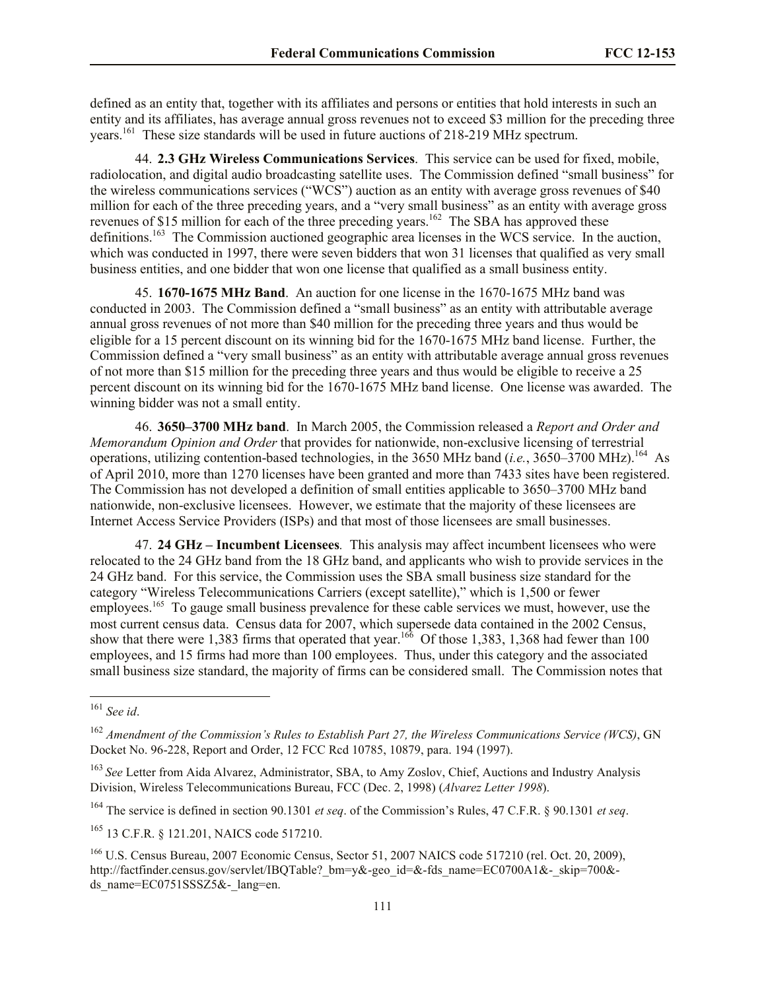defined as an entity that, together with its affiliates and persons or entities that hold interests in such an entity and its affiliates, has average annual gross revenues not to exceed \$3 million for the preceding three years.<sup>161</sup> These size standards will be used in future auctions of 218-219 MHz spectrum.

44. **2.3 GHz Wireless Communications Services**. This service can be used for fixed, mobile, radiolocation, and digital audio broadcasting satellite uses. The Commission defined "small business" for the wireless communications services ("WCS") auction as an entity with average gross revenues of \$40 million for each of the three preceding years, and a "very small business" as an entity with average gross revenues of \$15 million for each of the three preceding years.<sup>162</sup> The SBA has approved these definitions.<sup>163</sup> The Commission auctioned geographic area licenses in the WCS service. In the auction, which was conducted in 1997, there were seven bidders that won 31 licenses that qualified as very small business entities, and one bidder that won one license that qualified as a small business entity.

45. **1670-1675 MHz Band**. An auction for one license in the 1670-1675 MHz band was conducted in 2003. The Commission defined a "small business" as an entity with attributable average annual gross revenues of not more than \$40 million for the preceding three years and thus would be eligible for a 15 percent discount on its winning bid for the 1670-1675 MHz band license. Further, the Commission defined a "very small business" as an entity with attributable average annual gross revenues of not more than \$15 million for the preceding three years and thus would be eligible to receive a 25 percent discount on its winning bid for the 1670-1675 MHz band license. One license was awarded. The winning bidder was not a small entity.

46. **3650–3700 MHz band**. In March 2005, the Commission released a *Report and Order and Memorandum Opinion and Order* that provides for nationwide, non-exclusive licensing of terrestrial operations, utilizing contention-based technologies, in the 3650 MHz band (*i.e.*, 3650–3700 MHz).<sup>164</sup> As of April 2010, more than 1270 licenses have been granted and more than 7433 sites have been registered. The Commission has not developed a definition of small entities applicable to 3650–3700 MHz band nationwide, non-exclusive licensees. However, we estimate that the majority of these licensees are Internet Access Service Providers (ISPs) and that most of those licensees are small businesses.

47. **24 GHz – Incumbent Licensees***.* This analysis may affect incumbent licensees who were relocated to the 24 GHz band from the 18 GHz band, and applicants who wish to provide services in the 24 GHz band. For this service, the Commission uses the SBA small business size standard for the category "Wireless Telecommunications Carriers (except satellite)," which is 1,500 or fewer employees.<sup>165</sup> To gauge small business prevalence for these cable services we must, however, use the most current census data. Census data for 2007, which supersede data contained in the 2002 Census, show that there were 1,383 firms that operated that year.<sup>166</sup> Of those 1,383, 1,368 had fewer than 100 employees, and 15 firms had more than 100 employees. Thus, under this category and the associated small business size standard, the majority of firms can be considered small. The Commission notes that

l

<sup>164</sup> The service is defined in section 90.1301 *et seq*. of the Commission's Rules, 47 C.F.R. § 90.1301 *et seq*.

<sup>161</sup> *See id*.

<sup>162</sup> *Amendment of the Commission's Rules to Establish Part 27, the Wireless Communications Service (WCS)*, GN Docket No. 96-228, Report and Order, 12 FCC Rcd 10785, 10879, para. 194 (1997).

<sup>163</sup> *See* Letter from Aida Alvarez, Administrator, SBA, to Amy Zoslov, Chief, Auctions and Industry Analysis Division, Wireless Telecommunications Bureau, FCC (Dec. 2, 1998) (*Alvarez Letter 1998*).

<sup>165</sup> 13 C.F.R. § 121.201, NAICS code 517210.

<sup>166</sup> U.S. Census Bureau, 2007 Economic Census, Sector 51, 2007 NAICS code 517210 (rel. Oct. 20, 2009), http://factfinder.census.gov/servlet/IBOTable? bm=y&-geo\_id=&-fds\_name=EC0700A1&-\_skip=700&ds\_name= $EC0751SSSZ5& -$ lang=en.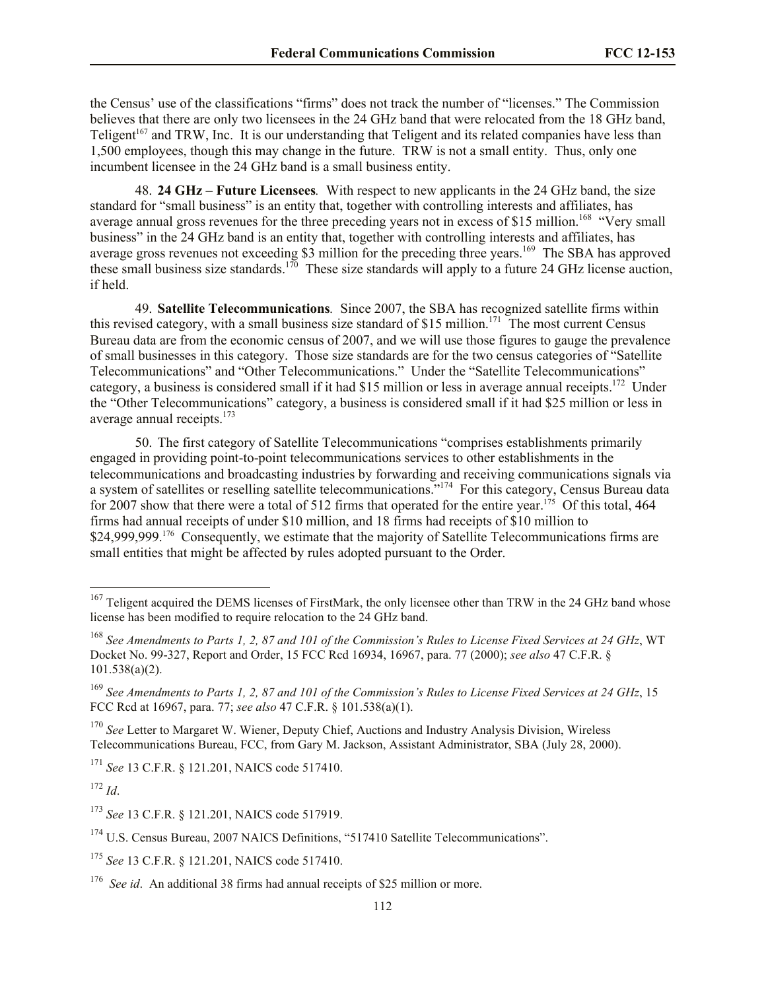the Census' use of the classifications "firms" does not track the number of "licenses." The Commission believes that there are only two licensees in the 24 GHz band that were relocated from the 18 GHz band, Teligent<sup>167</sup> and TRW, Inc. It is our understanding that Teligent and its related companies have less than 1,500 employees, though this may change in the future. TRW is not a small entity. Thus, only one incumbent licensee in the 24 GHz band is a small business entity.

48. **24 GHz – Future Licensees***.*With respect to new applicants in the 24 GHz band, the size standard for "small business" is an entity that, together with controlling interests and affiliates, has average annual gross revenues for the three preceding years not in excess of \$15 million.<sup>168</sup> "Very small business" in the 24 GHz band is an entity that, together with controlling interests and affiliates, has average gross revenues not exceeding \$3 million for the preceding three years.<sup>169</sup> The SBA has approved these small business size standards.<sup>170</sup> These size standards will apply to a future 24 GHz license auction, if held.

49. **Satellite Telecommunications***.* Since 2007, the SBA has recognized satellite firms within this revised category, with a small business size standard of \$15 million.<sup>171</sup> The most current Census Bureau data are from the economic census of 2007, and we will use those figures to gauge the prevalence of small businesses in this category. Those size standards are for the two census categories of "Satellite Telecommunications" and "Other Telecommunications." Under the "Satellite Telecommunications" category, a business is considered small if it had \$15 million or less in average annual receipts.<sup>172</sup> Under the "Other Telecommunications" category, a business is considered small if it had \$25 million or less in average annual receipts.<sup>173</sup>

50. The first category of Satellite Telecommunications "comprises establishments primarily engaged in providing point-to-point telecommunications services to other establishments in the telecommunications and broadcasting industries by forwarding and receiving communications signals via a system of satellites or reselling satellite telecommunications."<sup>174</sup> For this category, Census Bureau data for 2007 show that there were a total of 512 firms that operated for the entire year.<sup>175</sup> Of this total, 464 firms had annual receipts of under \$10 million, and 18 firms had receipts of \$10 million to \$24,999,999.<sup>176</sup> Consequently, we estimate that the majority of Satellite Telecommunications firms are small entities that might be affected by rules adopted pursuant to the Order.

<sup>172</sup> *Id*.

<sup>&</sup>lt;sup>167</sup> Teligent acquired the DEMS licenses of FirstMark, the only licensee other than TRW in the 24 GHz band whose license has been modified to require relocation to the 24 GHz band.

<sup>168</sup> *See Amendments to Parts 1, 2, 87 and 101 of the Commission's Rules to License Fixed Services at 24 GHz*, WT Docket No. 99-327, Report and Order, 15 FCC Rcd 16934, 16967, para. 77 (2000); *see also* 47 C.F.R. § 101.538(a)(2).

<sup>169</sup> *See Amendments to Parts 1, 2, 87 and 101 of the Commission's Rules to License Fixed Services at 24 GHz*, 15 FCC Rcd at 16967, para. 77; *see also* 47 C.F.R. § 101.538(a)(1).

<sup>&</sup>lt;sup>170</sup> *See* Letter to Margaret W. Wiener, Deputy Chief, Auctions and Industry Analysis Division, Wireless Telecommunications Bureau, FCC, from Gary M. Jackson, Assistant Administrator, SBA (July 28, 2000).

<sup>171</sup> *See* 13 C.F.R. § 121.201, NAICS code 517410.

<sup>173</sup> *See* 13 C.F.R. § 121.201, NAICS code 517919.

<sup>&</sup>lt;sup>174</sup> U.S. Census Bureau, 2007 NAICS Definitions, "517410 Satellite Telecommunications".

<sup>175</sup> *See* 13 C.F.R. § 121.201, NAICS code 517410.

<sup>&</sup>lt;sup>176</sup> See id. An additional 38 firms had annual receipts of \$25 million or more.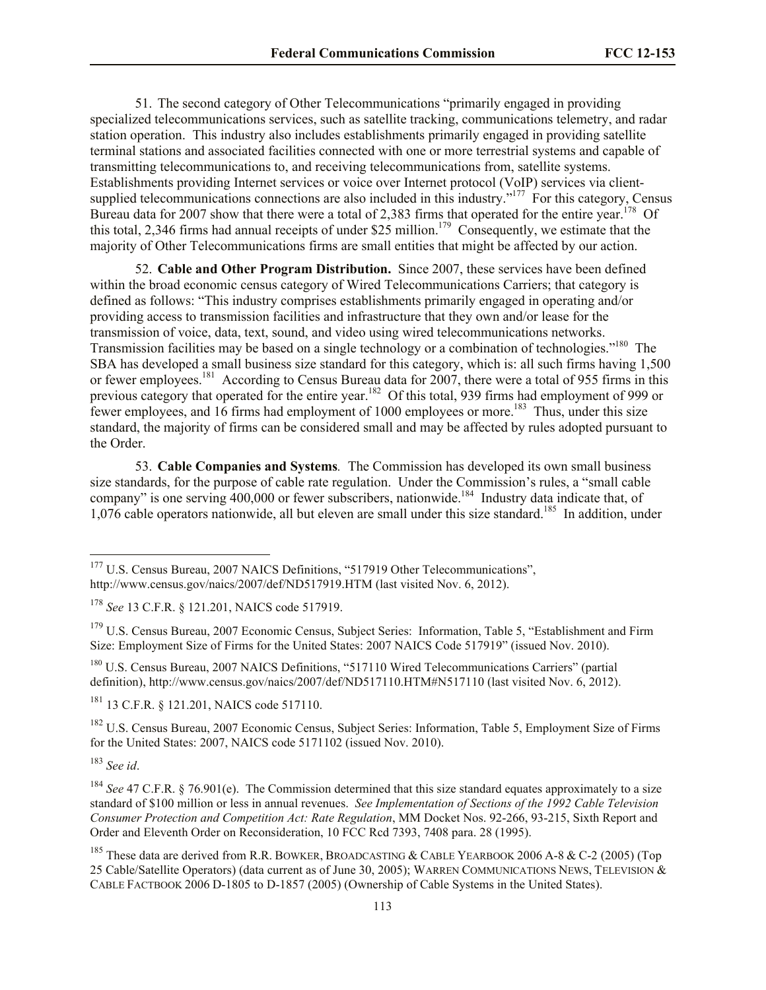51. The second category of Other Telecommunications "primarily engaged in providing specialized telecommunications services, such as satellite tracking, communications telemetry, and radar station operation. This industry also includes establishments primarily engaged in providing satellite terminal stations and associated facilities connected with one or more terrestrial systems and capable of transmitting telecommunications to, and receiving telecommunications from, satellite systems. Establishments providing Internet services or voice over Internet protocol (VoIP) services via clientsupplied telecommunications connections are also included in this industry."<sup>177</sup> For this category, Census Bureau data for 2007 show that there were a total of 2,383 firms that operated for the entire year.<sup>178</sup> Of this total, 2,346 firms had annual receipts of under \$25 million.<sup>179</sup> Consequently, we estimate that the majority of Other Telecommunications firms are small entities that might be affected by our action.

52. **Cable and Other Program Distribution.** Since 2007, these services have been defined within the broad economic census category of Wired Telecommunications Carriers; that category is defined as follows: "This industry comprises establishments primarily engaged in operating and/or providing access to transmission facilities and infrastructure that they own and/or lease for the transmission of voice, data, text, sound, and video using wired telecommunications networks. Transmission facilities may be based on a single technology or a combination of technologies."<sup>180</sup> The SBA has developed a small business size standard for this category, which is: all such firms having 1,500 or fewer employees.<sup>181</sup> According to Census Bureau data for 2007, there were a total of 955 firms in this previous category that operated for the entire year.<sup>182</sup> Of this total, 939 firms had employment of 999 or fewer employees, and 16 firms had employment of 1000 employees or more.<sup>183</sup> Thus, under this size standard, the majority of firms can be considered small and may be affected by rules adopted pursuant to the Order.

53. **Cable Companies and Systems***.* The Commission has developed its own small business size standards, for the purpose of cable rate regulation. Under the Commission's rules, a "small cable company" is one serving  $400,000$  or fewer subscribers, nationwide.<sup>184</sup> Industry data indicate that, of 1,076 cable operators nationwide, all but eleven are small under this size standard.<sup>185</sup> In addition, under

<sup>181</sup> 13 C.F.R. § 121.201, NAICS code 517110.

<sup>182</sup> U.S. Census Bureau, 2007 Economic Census, Subject Series: Information, Table 5, Employment Size of Firms for the United States: 2007, NAICS code 5171102 (issued Nov. 2010).

<sup>183</sup> *See id*.

<sup>&</sup>lt;sup>177</sup> U.S. Census Bureau, 2007 NAICS Definitions, "517919 Other Telecommunications", http://www.census.gov/naics/2007/def/ND517919.HTM (last visited Nov. 6, 2012).

<sup>178</sup> *See* 13 C.F.R. § 121.201, NAICS code 517919.

<sup>&</sup>lt;sup>179</sup> U.S. Census Bureau, 2007 Economic Census, Subject Series: Information, Table 5, "Establishment and Firm Size: Employment Size of Firms for the United States: 2007 NAICS Code 517919" (issued Nov. 2010).

<sup>180</sup> U.S. Census Bureau, 2007 NAICS Definitions, "517110 Wired Telecommunications Carriers" (partial definition), http://www.census.gov/naics/2007/def/ND517110.HTM#N517110 (last visited Nov. 6, 2012).

<sup>&</sup>lt;sup>184</sup> *See* 47 C.F.R. § 76.901(e). The Commission determined that this size standard equates approximately to a size standard of \$100 million or less in annual revenues. *See Implementation of Sections of the 1992 Cable Television Consumer Protection and Competition Act: Rate Regulation*, MM Docket Nos. 92-266, 93-215, Sixth Report and Order and Eleventh Order on Reconsideration, 10 FCC Rcd 7393, 7408 para. 28 (1995).

<sup>&</sup>lt;sup>185</sup> These data are derived from R.R. BOWKER, BROADCASTING & CABLE YEARBOOK 2006 A-8 & C-2 (2005) (Top 25 Cable/Satellite Operators) (data current as of June 30, 2005); WARREN COMMUNICATIONS NEWS, TELEVISION & CABLE FACTBOOK 2006 D-1805 to D-1857 (2005) (Ownership of Cable Systems in the United States).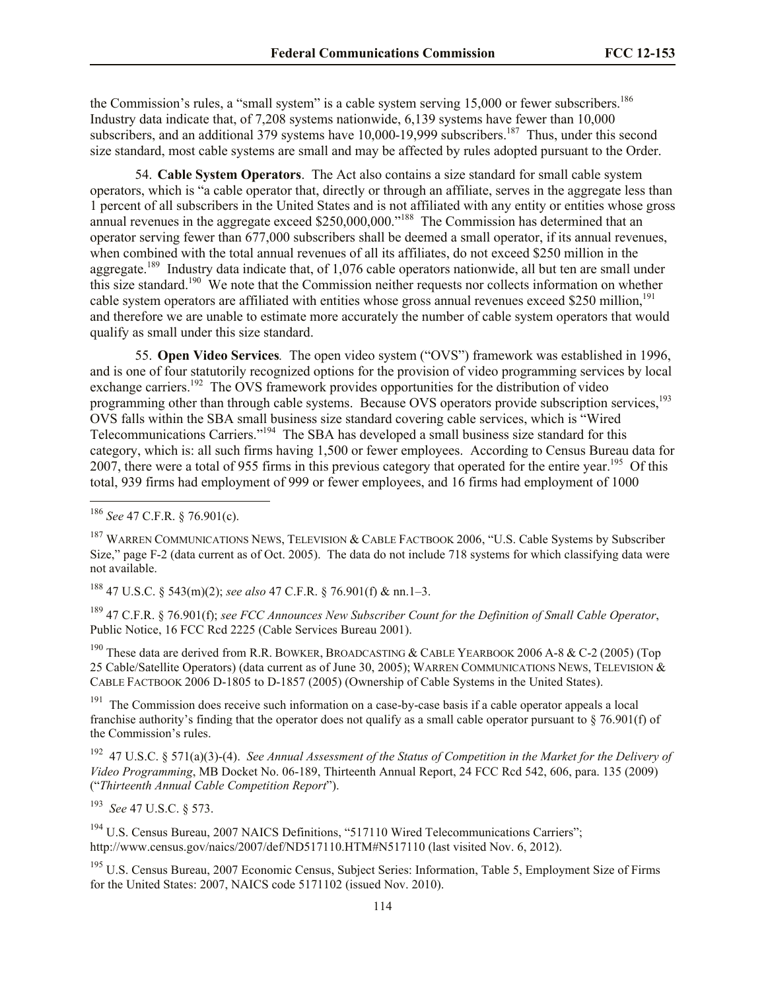the Commission's rules, a "small system" is a cable system serving  $15,000$  or fewer subscribers.<sup>186</sup> Industry data indicate that, of 7,208 systems nationwide, 6,139 systems have fewer than 10,000 subscribers, and an additional 379 systems have  $10,000$ -19,999 subscribers.<sup>187</sup> Thus, under this second size standard, most cable systems are small and may be affected by rules adopted pursuant to the Order.

54. **Cable System Operators**.The Act also contains a size standard for small cable system operators, which is "a cable operator that, directly or through an affiliate, serves in the aggregate less than 1 percent of all subscribers in the United States and is not affiliated with any entity or entities whose gross annual revenues in the aggregate exceed \$250,000,000."<sup>188</sup> The Commission has determined that an operator serving fewer than 677,000 subscribers shall be deemed a small operator, if its annual revenues, when combined with the total annual revenues of all its affiliates, do not exceed \$250 million in the aggregate.<sup>189</sup> Industry data indicate that, of 1,076 cable operators nationwide, all but ten are small under this size standard.<sup>190</sup> We note that the Commission neither requests nor collects information on whether cable system operators are affiliated with entities whose gross annual revenues exceed \$250 million,<sup>191</sup> and therefore we are unable to estimate more accurately the number of cable system operators that would qualify as small under this size standard.

55. **Open Video Services***.* The open video system ("OVS") framework was established in 1996, and is one of four statutorily recognized options for the provision of video programming services by local exchange carriers.<sup>192</sup> The OVS framework provides opportunities for the distribution of video programming other than through cable systems. Because OVS operators provide subscription services.<sup>193</sup> OVS falls within the SBA small business size standard covering cable services, which is "Wired Telecommunications Carriers."<sup>194</sup> The SBA has developed a small business size standard for this category, which is: all such firms having 1,500 or fewer employees. According to Census Bureau data for 2007, there were a total of 955 firms in this previous category that operated for the entire year.<sup>195</sup> Of this total, 939 firms had employment of 999 or fewer employees, and 16 firms had employment of 1000

l

<sup>188</sup> 47 U.S.C. § 543(m)(2); *see also* 47 C.F.R. § 76.901(f) & nn.1–3.

<sup>189</sup> 47 C.F.R. § 76.901(f); *see FCC Announces New Subscriber Count for the Definition of Small Cable Operator*, Public Notice, 16 FCC Rcd 2225 (Cable Services Bureau 2001).

<sup>190</sup> These data are derived from R.R. BOWKER, BROADCASTING & CABLE YEARBOOK 2006 A-8 & C-2 (2005) (Top 25 Cable/Satellite Operators) (data current as of June 30, 2005); WARREN COMMUNICATIONS NEWS, TELEVISION & CABLE FACTBOOK 2006 D-1805 to D-1857 (2005) (Ownership of Cable Systems in the United States).

<sup>191</sup> The Commission does receive such information on a case-by-case basis if a cable operator appeals a local franchise authority's finding that the operator does not qualify as a small cable operator pursuant to  $\S$  76.901(f) of the Commission's rules.

<sup>192</sup> 47 U.S.C. § 571(a)(3)-(4). *See Annual Assessment of the Status of Competition in the Market for the Delivery of Video Programming*, MB Docket No. 06-189, Thirteenth Annual Report, 24 FCC Rcd 542, 606, para. 135 (2009) ("*Thirteenth Annual Cable Competition Report*").

193 *See* 47 U.S.C. § 573.

<sup>194</sup> U.S. Census Bureau, 2007 NAICS Definitions, "517110 Wired Telecommunications Carriers"; http://www.census.gov/naics/2007/def/ND517110.HTM#N517110 (last visited Nov. 6, 2012).

<sup>195</sup> U.S. Census Bureau, 2007 Economic Census, Subject Series: Information, Table 5, Employment Size of Firms for the United States: 2007, NAICS code 5171102 (issued Nov. 2010).

<sup>186</sup> *See* 47 C.F.R. § 76.901(c).

<sup>&</sup>lt;sup>187</sup> WARREN COMMUNICATIONS NEWS, TELEVISION & CABLE FACTBOOK 2006, "U.S. Cable Systems by Subscriber Size," page F-2 (data current as of Oct. 2005). The data do not include 718 systems for which classifying data were not available.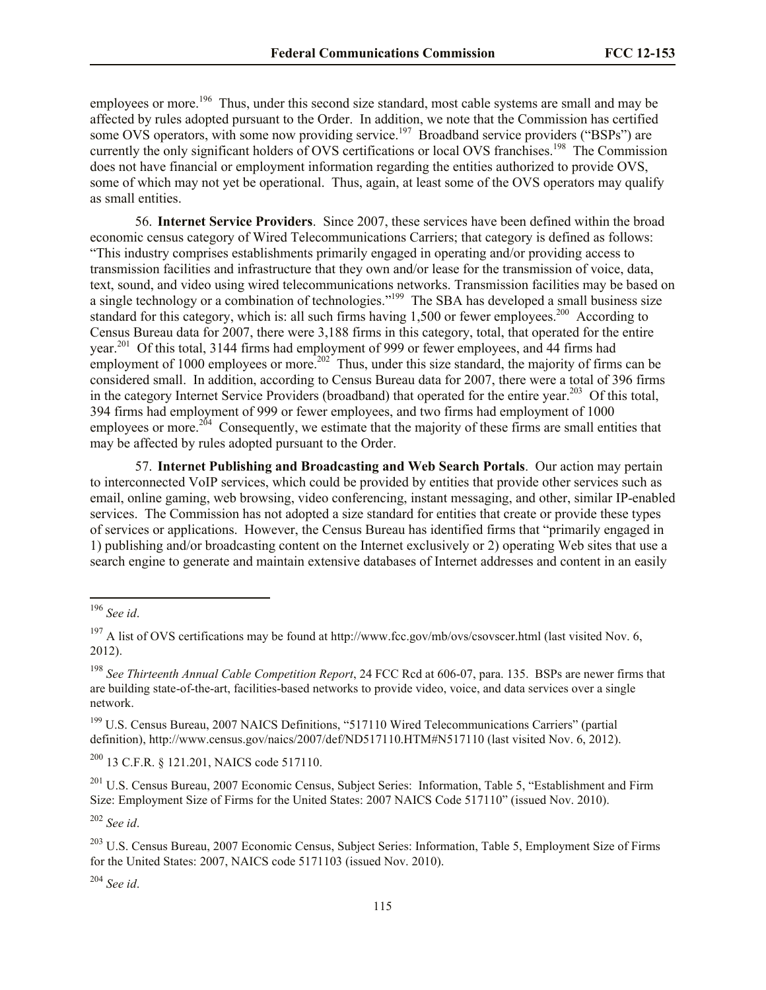employees or more.<sup>196</sup> Thus, under this second size standard, most cable systems are small and may be affected by rules adopted pursuant to the Order. In addition, we note that the Commission has certified some OVS operators, with some now providing service.<sup>197</sup> Broadband service providers ("BSPs") are currently the only significant holders of OVS certifications or local OVS franchises.<sup>198</sup> The Commission does not have financial or employment information regarding the entities authorized to provide OVS, some of which may not yet be operational. Thus, again, at least some of the OVS operators may qualify as small entities.

56. **Internet Service Providers**. Since 2007, these services have been defined within the broad economic census category of Wired Telecommunications Carriers; that category is defined as follows: "This industry comprises establishments primarily engaged in operating and/or providing access to transmission facilities and infrastructure that they own and/or lease for the transmission of voice, data, text, sound, and video using wired telecommunications networks. Transmission facilities may be based on a single technology or a combination of technologies."<sup>199</sup> The SBA has developed a small business size standard for this category, which is: all such firms having 1,500 or fewer employees.<sup>200</sup> According to Census Bureau data for 2007, there were 3,188 firms in this category, total, that operated for the entire year.<sup>201</sup> Of this total, 3144 firms had employment of 999 or fewer employees, and 44 firms had employment of 1000 employees or more.<sup>202</sup> Thus, under this size standard, the majority of firms can be considered small. In addition, according to Census Bureau data for 2007, there were a total of 396 firms in the category Internet Service Providers (broadband) that operated for the entire year.<sup>203</sup> Of this total, 394 firms had employment of 999 or fewer employees, and two firms had employment of 1000 employees or more.<sup>204</sup> Consequently, we estimate that the majority of these firms are small entities that may be affected by rules adopted pursuant to the Order.

57. **Internet Publishing and Broadcasting and Web Search Portals**. Our action may pertain to interconnected VoIP services, which could be provided by entities that provide other services such as email, online gaming, web browsing, video conferencing, instant messaging, and other, similar IP-enabled services. The Commission has not adopted a size standard for entities that create or provide these types of services or applications. However, the Census Bureau has identified firms that "primarily engaged in 1) publishing and/or broadcasting content on the Internet exclusively or 2) operating Web sites that use a search engine to generate and maintain extensive databases of Internet addresses and content in an easily

l

<sup>200</sup> 13 C.F.R. § 121.201, NAICS code 517110.

<sup>201</sup> U.S. Census Bureau, 2007 Economic Census, Subject Series: Information, Table 5, "Establishment and Firm Size: Employment Size of Firms for the United States: 2007 NAICS Code 517110" (issued Nov. 2010).

<sup>202</sup> *See id*.

<sup>204</sup> *See id*.

<sup>196</sup> *See id*.

<sup>&</sup>lt;sup>197</sup> A list of OVS certifications may be found at http://www.fcc.gov/mb/ovs/csovscer.html (last visited Nov. 6, 2012).

<sup>198</sup> *See Thirteenth Annual Cable Competition Report*, 24 FCC Rcd at 606-07, para. 135. BSPs are newer firms that are building state-of-the-art, facilities-based networks to provide video, voice, and data services over a single network.

<sup>199</sup> U.S. Census Bureau, 2007 NAICS Definitions, "517110 Wired Telecommunications Carriers" (partial definition), http://www.census.gov/naics/2007/def/ND517110.HTM#N517110 (last visited Nov. 6, 2012).

<sup>203</sup> U.S. Census Bureau, 2007 Economic Census, Subject Series: Information, Table 5, Employment Size of Firms for the United States: 2007, NAICS code 5171103 (issued Nov. 2010).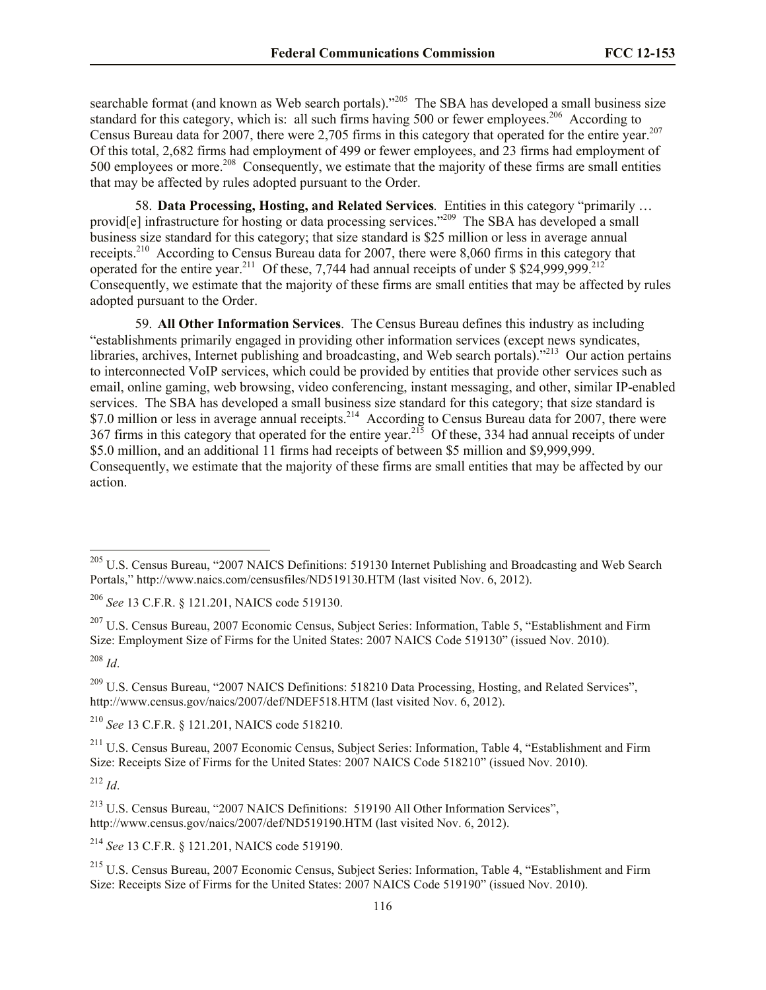searchable format (and known as Web search portals)."<sup>205</sup> The SBA has developed a small business size standard for this category, which is: all such firms having 500 or fewer employees.<sup>206</sup> According to Census Bureau data for 2007, there were 2,705 firms in this category that operated for the entire year.<sup>207</sup> Of this total, 2,682 firms had employment of 499 or fewer employees, and 23 firms had employment of 500 employees or more.<sup>208</sup> Consequently, we estimate that the majority of these firms are small entities that may be affected by rules adopted pursuant to the Order.

58. **Data Processing, Hosting, and Related Services***.* Entities in this category "primarily … provid<sup>[e]</sup> infrastructure for hosting or data processing services."<sup>209</sup> The SBA has developed a small business size standard for this category; that size standard is \$25 million or less in average annual receipts.<sup>210</sup> According to Census Bureau data for 2007, there were 8,060 firms in this category that operated for the entire year.<sup>211</sup> Of these, 7,744 had annual receipts of under \$\$24,999,999.<sup>212</sup> Consequently, we estimate that the majority of these firms are small entities that may be affected by rules adopted pursuant to the Order.

59. **All Other Information Services**. The Census Bureau defines this industry as including "establishments primarily engaged in providing other information services (except news syndicates, libraries, archives, Internet publishing and broadcasting, and Web search portals)."<sup>213</sup> Our action pertains to interconnected VoIP services, which could be provided by entities that provide other services such as email, online gaming, web browsing, video conferencing, instant messaging, and other, similar IP-enabled services. The SBA has developed a small business size standard for this category; that size standard is \$7.0 million or less in average annual receipts.<sup>214</sup> According to Census Bureau data for 2007, there were 367 firms in this category that operated for the entire year.<sup>215</sup> Of these, 334 had annual receipts of under \$5.0 million, and an additional 11 firms had receipts of between \$5 million and \$9,999,999. Consequently, we estimate that the majority of these firms are small entities that may be affected by our action.

l

<sup>210</sup> *See* 13 C.F.R. § 121.201, NAICS code 518210.

<sup>211</sup> U.S. Census Bureau, 2007 Economic Census, Subject Series: Information, Table 4, "Establishment and Firm Size: Receipts Size of Firms for the United States: 2007 NAICS Code 518210" (issued Nov. 2010).

 $^{212}$  *Id*.

<sup>214</sup> *See* 13 C.F.R. § 121.201, NAICS code 519190.

<sup>&</sup>lt;sup>205</sup> U.S. Census Bureau, "2007 NAICS Definitions: 519130 Internet Publishing and Broadcasting and Web Search Portals," http://www.naics.com/censusfiles/ND519130.HTM (last visited Nov. 6, 2012).

<sup>206</sup> *See* 13 C.F.R. § 121.201, NAICS code 519130.

<sup>&</sup>lt;sup>207</sup> U.S. Census Bureau, 2007 Economic Census, Subject Series: Information, Table 5, "Establishment and Firm Size: Employment Size of Firms for the United States: 2007 NAICS Code 519130" (issued Nov. 2010). <sup>208</sup> *Id*.

<sup>209</sup> U.S. Census Bureau, "2007 NAICS Definitions: 518210 Data Processing, Hosting, and Related Services", http://www.census.gov/naics/2007/def/NDEF518.HTM (last visited Nov. 6, 2012).

<sup>213</sup> U.S. Census Bureau, "2007 NAICS Definitions: 519190 All Other Information Services", http://www.census.gov/naics/2007/def/ND519190.HTM (last visited Nov. 6, 2012).

<sup>215</sup> U.S. Census Bureau, 2007 Economic Census, Subject Series: Information, Table 4, "Establishment and Firm Size: Receipts Size of Firms for the United States: 2007 NAICS Code 519190" (issued Nov. 2010).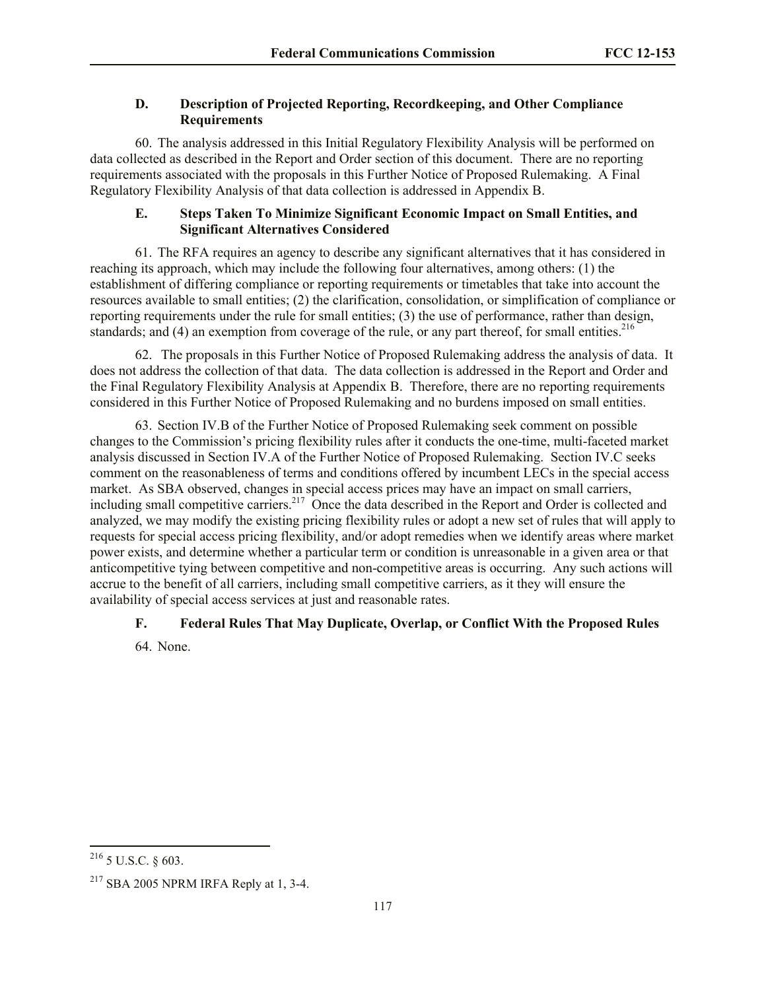# **D. Description of Projected Reporting, Recordkeeping, and Other Compliance Requirements**

60. The analysis addressed in this Initial Regulatory Flexibility Analysis will be performed on data collected as described in the Report and Order section of this document. There are no reporting requirements associated with the proposals in this Further Notice of Proposed Rulemaking. A Final Regulatory Flexibility Analysis of that data collection is addressed in Appendix B.

# **E. Steps Taken To Minimize Significant Economic Impact on Small Entities, and Significant Alternatives Considered**

61. The RFA requires an agency to describe any significant alternatives that it has considered in reaching its approach, which may include the following four alternatives, among others: (1) the establishment of differing compliance or reporting requirements or timetables that take into account the resources available to small entities; (2) the clarification, consolidation, or simplification of compliance or reporting requirements under the rule for small entities; (3) the use of performance, rather than design, standards; and (4) an exemption from coverage of the rule, or any part thereof, for small entities.  $216$ 

62. The proposals in this Further Notice of Proposed Rulemaking address the analysis of data. It does not address the collection of that data. The data collection is addressed in the Report and Order and the Final Regulatory Flexibility Analysis at Appendix B. Therefore, there are no reporting requirements considered in this Further Notice of Proposed Rulemaking and no burdens imposed on small entities.

63. Section IV.B of the Further Notice of Proposed Rulemaking seek comment on possible changes to the Commission's pricing flexibility rules after it conducts the one-time, multi-faceted market analysis discussed in Section IV.A of the Further Notice of Proposed Rulemaking. Section IV.C seeks comment on the reasonableness of terms and conditions offered by incumbent LECs in the special access market. As SBA observed, changes in special access prices may have an impact on small carriers, including small competitive carriers.<sup>217</sup> Once the data described in the Report and Order is collected and analyzed, we may modify the existing pricing flexibility rules or adopt a new set of rules that will apply to requests for special access pricing flexibility, and/or adopt remedies when we identify areas where market power exists, and determine whether a particular term or condition is unreasonable in a given area or that anticompetitive tying between competitive and non-competitive areas is occurring. Any such actions will accrue to the benefit of all carriers, including small competitive carriers, as it they will ensure the availability of special access services at just and reasonable rates.

# **F. Federal Rules That May Duplicate, Overlap, or Conflict With the Proposed Rules**

64. None.

l  $216$  5 U.S.C. § 603.

 $217$  SBA 2005 NPRM IRFA Reply at 1, 3-4.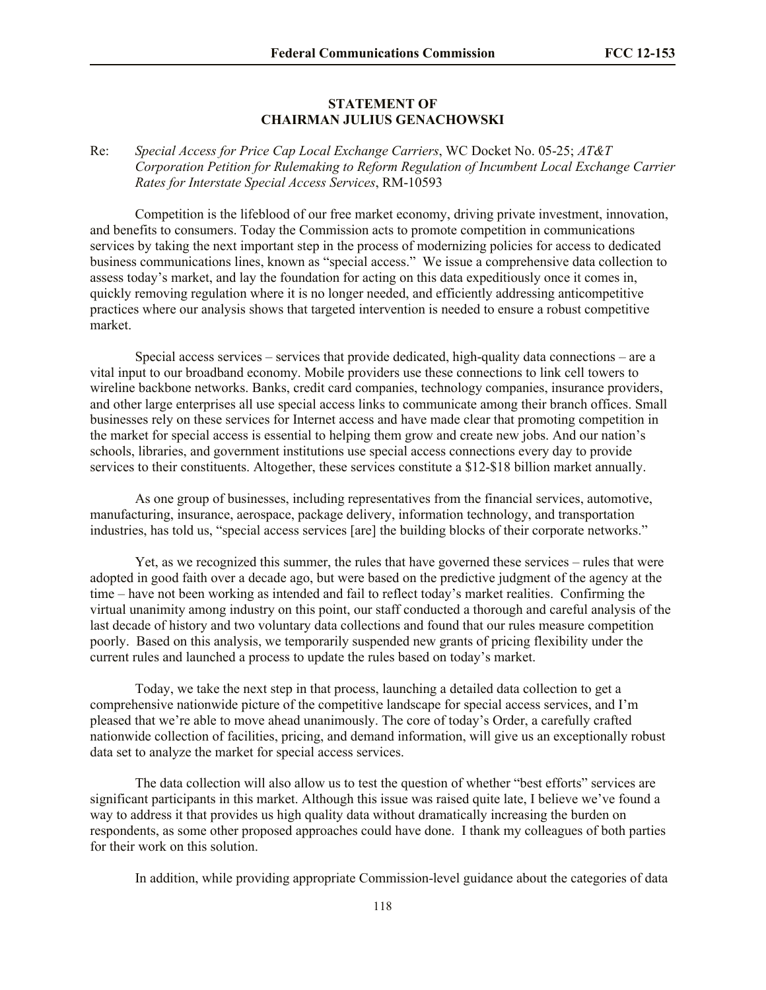#### **STATEMENT OF CHAIRMAN JULIUS GENACHOWSKI**

# Re: *Special Access for Price Cap Local Exchange Carriers*, WC Docket No. 05-25; *AT&T Corporation Petition for Rulemaking to Reform Regulation of Incumbent Local Exchange Carrier Rates for Interstate Special Access Services*, RM-10593

Competition is the lifeblood of our free market economy, driving private investment, innovation, and benefits to consumers. Today the Commission acts to promote competition in communications services by taking the next important step in the process of modernizing policies for access to dedicated business communications lines, known as "special access." We issue a comprehensive data collection to assess today's market, and lay the foundation for acting on this data expeditiously once it comes in, quickly removing regulation where it is no longer needed, and efficiently addressing anticompetitive practices where our analysis shows that targeted intervention is needed to ensure a robust competitive market.

Special access services – services that provide dedicated, high-quality data connections – are a vital input to our broadband economy. Mobile providers use these connections to link cell towers to wireline backbone networks. Banks, credit card companies, technology companies, insurance providers, and other large enterprises all use special access links to communicate among their branch offices. Small businesses rely on these services for Internet access and have made clear that promoting competition in the market for special access is essential to helping them grow and create new jobs. And our nation's schools, libraries, and government institutions use special access connections every day to provide services to their constituents. Altogether, these services constitute a \$12-\$18 billion market annually.

As one group of businesses, including representatives from the financial services, automotive, manufacturing, insurance, aerospace, package delivery, information technology, and transportation industries, has told us, "special access services [are] the building blocks of their corporate networks."

Yet, as we recognized this summer, the rules that have governed these services – rules that were adopted in good faith over a decade ago, but were based on the predictive judgment of the agency at the time – have not been working as intended and fail to reflect today's market realities. Confirming the virtual unanimity among industry on this point, our staff conducted a thorough and careful analysis of the last decade of history and two voluntary data collections and found that our rules measure competition poorly. Based on this analysis, we temporarily suspended new grants of pricing flexibility under the current rules and launched a process to update the rules based on today's market.

Today, we take the next step in that process, launching a detailed data collection to get a comprehensive nationwide picture of the competitive landscape for special access services, and I'm pleased that we're able to move ahead unanimously. The core of today's Order, a carefully crafted nationwide collection of facilities, pricing, and demand information, will give us an exceptionally robust data set to analyze the market for special access services.

The data collection will also allow us to test the question of whether "best efforts" services are significant participants in this market. Although this issue was raised quite late, I believe we've found a way to address it that provides us high quality data without dramatically increasing the burden on respondents, as some other proposed approaches could have done. I thank my colleagues of both parties for their work on this solution.

In addition, while providing appropriate Commission-level guidance about the categories of data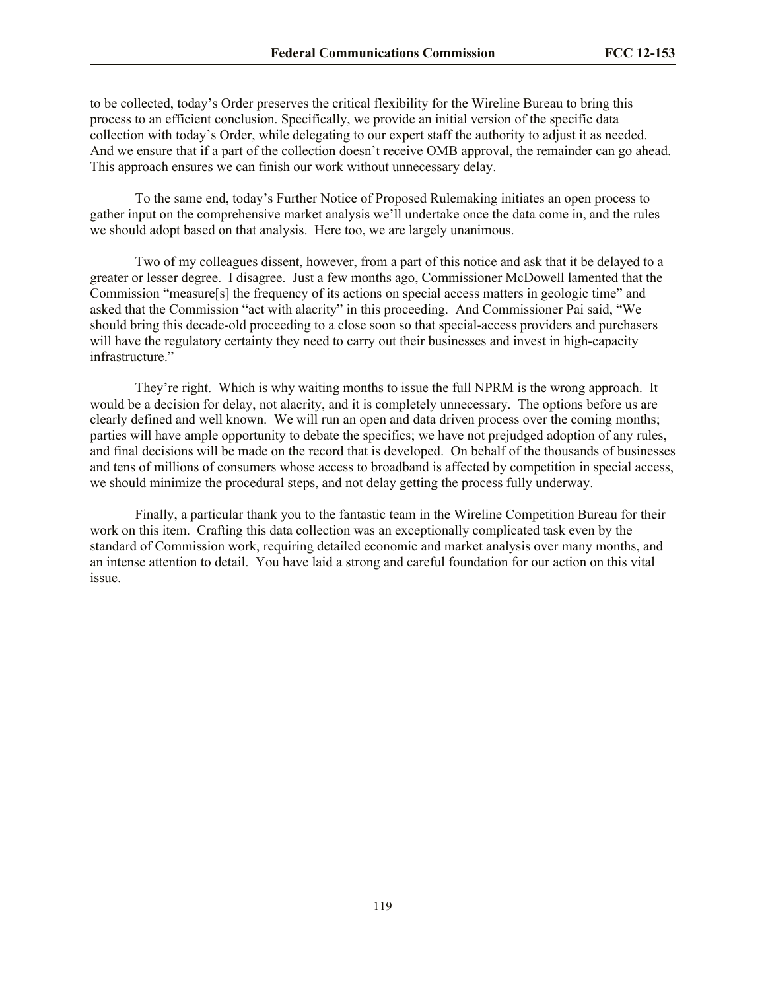to be collected, today's Order preserves the critical flexibility for the Wireline Bureau to bring this process to an efficient conclusion. Specifically, we provide an initial version of the specific data collection with today's Order, while delegating to our expert staff the authority to adjust it as needed. And we ensure that if a part of the collection doesn't receive OMB approval, the remainder can go ahead. This approach ensures we can finish our work without unnecessary delay.

To the same end, today's Further Notice of Proposed Rulemaking initiates an open process to gather input on the comprehensive market analysis we'll undertake once the data come in, and the rules we should adopt based on that analysis. Here too, we are largely unanimous.

Two of my colleagues dissent, however, from a part of this notice and ask that it be delayed to a greater or lesser degree. I disagree. Just a few months ago, Commissioner McDowell lamented that the Commission "measure[s] the frequency of its actions on special access matters in geologic time" and asked that the Commission "act with alacrity" in this proceeding. And Commissioner Pai said, "We should bring this decade-old proceeding to a close soon so that special-access providers and purchasers will have the regulatory certainty they need to carry out their businesses and invest in high-capacity infrastructure."

They're right. Which is why waiting months to issue the full NPRM is the wrong approach. It would be a decision for delay, not alacrity, and it is completely unnecessary. The options before us are clearly defined and well known. We will run an open and data driven process over the coming months; parties will have ample opportunity to debate the specifics; we have not prejudged adoption of any rules, and final decisions will be made on the record that is developed. On behalf of the thousands of businesses and tens of millions of consumers whose access to broadband is affected by competition in special access, we should minimize the procedural steps, and not delay getting the process fully underway.

Finally, a particular thank you to the fantastic team in the Wireline Competition Bureau for their work on this item. Crafting this data collection was an exceptionally complicated task even by the standard of Commission work, requiring detailed economic and market analysis over many months, and an intense attention to detail. You have laid a strong and careful foundation for our action on this vital issue.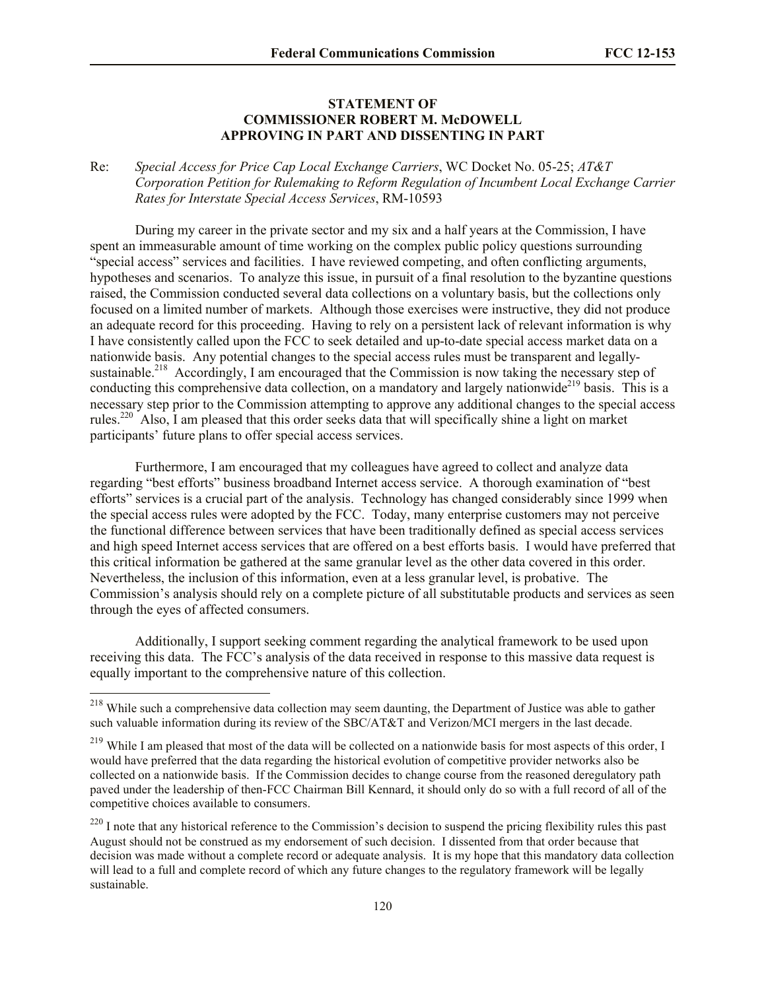#### **STATEMENT OF COMMISSIONER ROBERT M. McDOWELL APPROVING IN PART AND DISSENTING IN PART**

## Re: *Special Access for Price Cap Local Exchange Carriers*, WC Docket No. 05-25; *AT&T Corporation Petition for Rulemaking to Reform Regulation of Incumbent Local Exchange Carrier Rates for Interstate Special Access Services*, RM-10593

During my career in the private sector and my six and a half years at the Commission, I have spent an immeasurable amount of time working on the complex public policy questions surrounding "special access" services and facilities. I have reviewed competing, and often conflicting arguments, hypotheses and scenarios. To analyze this issue, in pursuit of a final resolution to the byzantine questions raised, the Commission conducted several data collections on a voluntary basis, but the collections only focused on a limited number of markets. Although those exercises were instructive, they did not produce an adequate record for this proceeding. Having to rely on a persistent lack of relevant information is why I have consistently called upon the FCC to seek detailed and up-to-date special access market data on a nationwide basis. Any potential changes to the special access rules must be transparent and legallysustainable.<sup>218</sup> Accordingly, I am encouraged that the Commission is now taking the necessary step of conducting this comprehensive data collection, on a mandatory and largely nationwide<sup>219</sup> basis. This is a necessary step prior to the Commission attempting to approve any additional changes to the special access rules.<sup>220</sup> Also, I am pleased that this order seeks data that will specifically shine a light on market participants' future plans to offer special access services.

Furthermore, I am encouraged that my colleagues have agreed to collect and analyze data regarding "best efforts" business broadband Internet access service. A thorough examination of "best efforts" services is a crucial part of the analysis. Technology has changed considerably since 1999 when the special access rules were adopted by the FCC. Today, many enterprise customers may not perceive the functional difference between services that have been traditionally defined as special access services and high speed Internet access services that are offered on a best efforts basis. I would have preferred that this critical information be gathered at the same granular level as the other data covered in this order. Nevertheless, the inclusion of this information, even at a less granular level, is probative. The Commission's analysis should rely on a complete picture of all substitutable products and services as seen through the eyes of affected consumers.

Additionally, I support seeking comment regarding the analytical framework to be used upon receiving this data. The FCC's analysis of the data received in response to this massive data request is equally important to the comprehensive nature of this collection.

<sup>&</sup>lt;sup>218</sup> While such a comprehensive data collection may seem daunting, the Department of Justice was able to gather such valuable information during its review of the SBC/AT&T and Verizon/MCI mergers in the last decade.

<sup>&</sup>lt;sup>219</sup> While I am pleased that most of the data will be collected on a nationwide basis for most aspects of this order, I would have preferred that the data regarding the historical evolution of competitive provider networks also be collected on a nationwide basis. If the Commission decides to change course from the reasoned deregulatory path paved under the leadership of then-FCC Chairman Bill Kennard, it should only do so with a full record of all of the competitive choices available to consumers.

 $220$  I note that any historical reference to the Commission's decision to suspend the pricing flexibility rules this past August should not be construed as my endorsement of such decision. I dissented from that order because that decision was made without a complete record or adequate analysis. It is my hope that this mandatory data collection will lead to a full and complete record of which any future changes to the regulatory framework will be legally sustainable.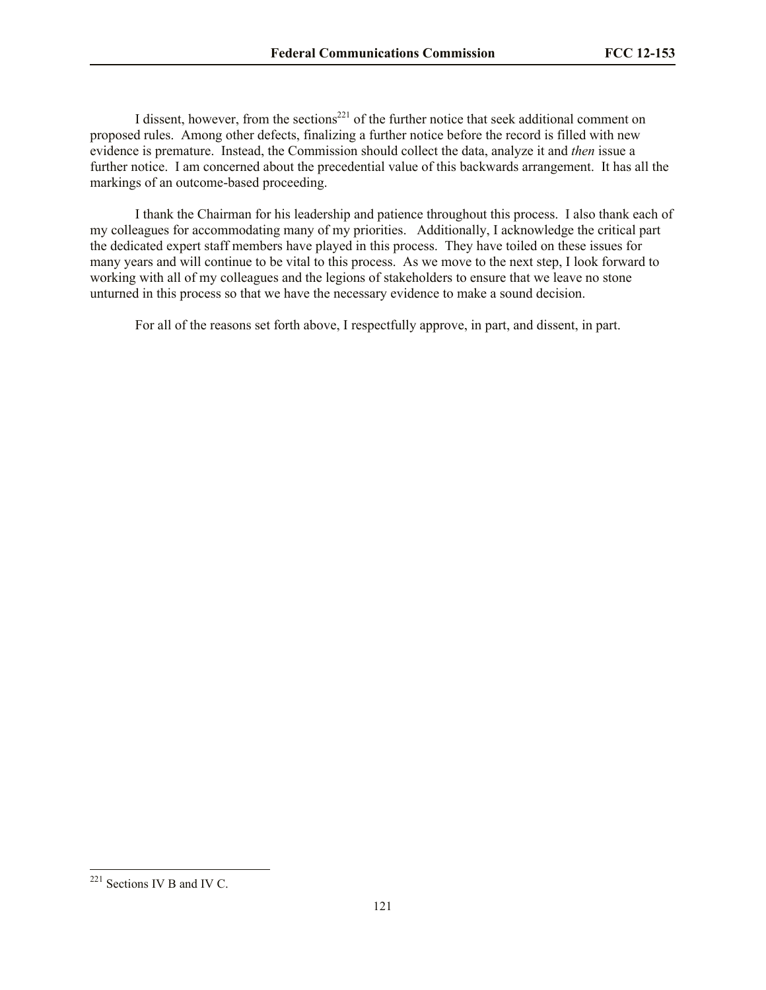I dissent, however, from the sections<sup>221</sup> of the further notice that seek additional comment on proposed rules. Among other defects, finalizing a further notice before the record is filled with new evidence is premature. Instead, the Commission should collect the data, analyze it and *then* issue a further notice. I am concerned about the precedential value of this backwards arrangement. It has all the markings of an outcome-based proceeding.

I thank the Chairman for his leadership and patience throughout this process. I also thank each of my colleagues for accommodating many of my priorities. Additionally, I acknowledge the critical part the dedicated expert staff members have played in this process. They have toiled on these issues for many years and will continue to be vital to this process. As we move to the next step, I look forward to working with all of my colleagues and the legions of stakeholders to ensure that we leave no stone unturned in this process so that we have the necessary evidence to make a sound decision.

For all of the reasons set forth above, I respectfully approve, in part, and dissent, in part.

 $221$  Sections IV B and IV C.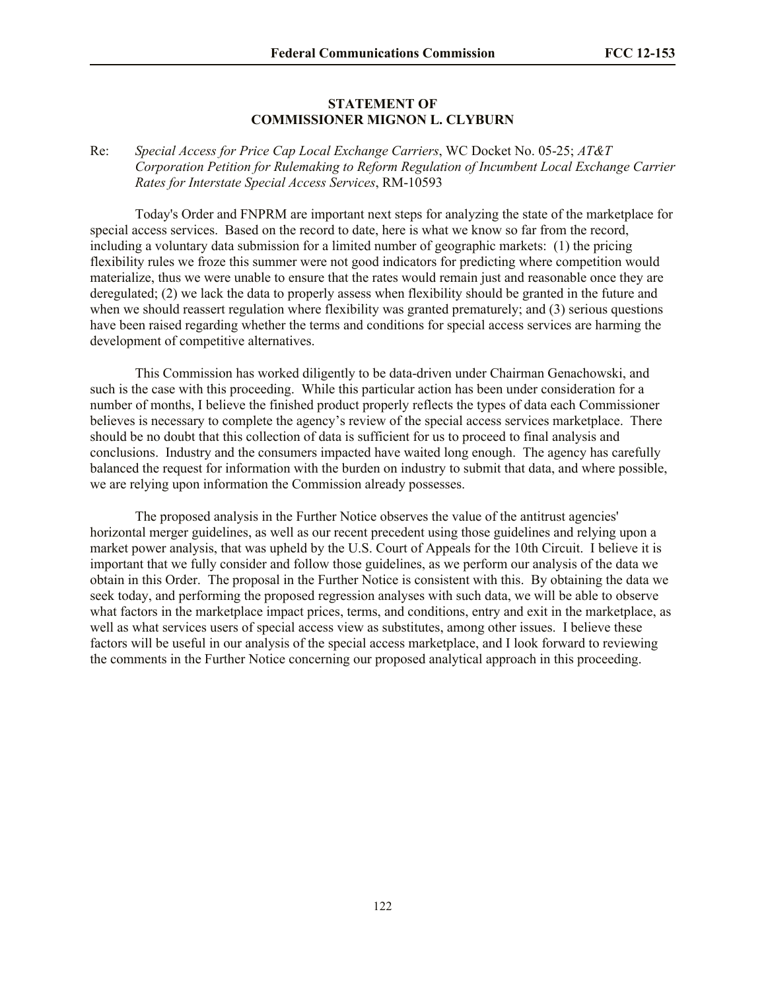#### **STATEMENT OF COMMISSIONER MIGNON L. CLYBURN**

# Re: *Special Access for Price Cap Local Exchange Carriers*, WC Docket No. 05-25; *AT&T Corporation Petition for Rulemaking to Reform Regulation of Incumbent Local Exchange Carrier Rates for Interstate Special Access Services*, RM-10593

Today's Order and FNPRM are important next steps for analyzing the state of the marketplace for special access services. Based on the record to date, here is what we know so far from the record, including a voluntary data submission for a limited number of geographic markets: (1) the pricing flexibility rules we froze this summer were not good indicators for predicting where competition would materialize, thus we were unable to ensure that the rates would remain just and reasonable once they are deregulated; (2) we lack the data to properly assess when flexibility should be granted in the future and when we should reassert regulation where flexibility was granted prematurely; and (3) serious questions have been raised regarding whether the terms and conditions for special access services are harming the development of competitive alternatives.

This Commission has worked diligently to be data-driven under Chairman Genachowski, and such is the case with this proceeding. While this particular action has been under consideration for a number of months, I believe the finished product properly reflects the types of data each Commissioner believes is necessary to complete the agency's review of the special access services marketplace. There should be no doubt that this collection of data is sufficient for us to proceed to final analysis and conclusions. Industry and the consumers impacted have waited long enough. The agency has carefully balanced the request for information with the burden on industry to submit that data, and where possible, we are relying upon information the Commission already possesses.

The proposed analysis in the Further Notice observes the value of the antitrust agencies' horizontal merger guidelines, as well as our recent precedent using those guidelines and relying upon a market power analysis, that was upheld by the U.S. Court of Appeals for the 10th Circuit. I believe it is important that we fully consider and follow those guidelines, as we perform our analysis of the data we obtain in this Order. The proposal in the Further Notice is consistent with this. By obtaining the data we seek today, and performing the proposed regression analyses with such data, we will be able to observe what factors in the marketplace impact prices, terms, and conditions, entry and exit in the marketplace, as well as what services users of special access view as substitutes, among other issues. I believe these factors will be useful in our analysis of the special access marketplace, and I look forward to reviewing the comments in the Further Notice concerning our proposed analytical approach in this proceeding.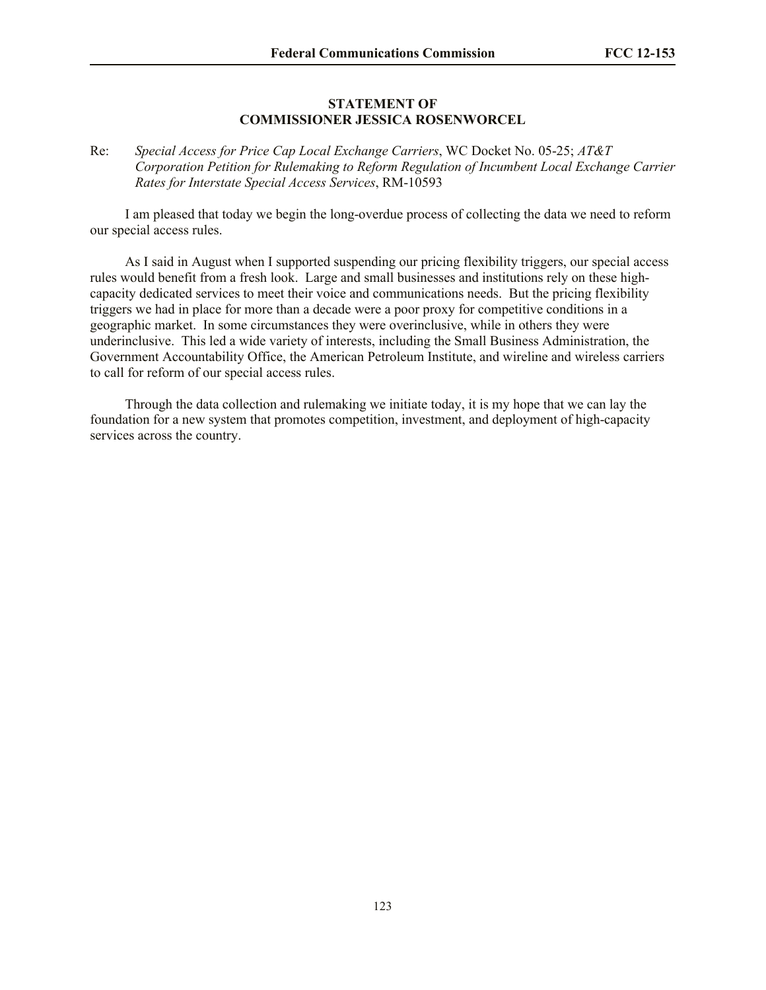#### **STATEMENT OF COMMISSIONER JESSICA ROSENWORCEL**

Re: *Special Access for Price Cap Local Exchange Carriers*, WC Docket No. 05-25; *AT&T Corporation Petition for Rulemaking to Reform Regulation of Incumbent Local Exchange Carrier Rates for Interstate Special Access Services*, RM-10593

I am pleased that today we begin the long-overdue process of collecting the data we need to reform our special access rules.

As I said in August when I supported suspending our pricing flexibility triggers, our special access rules would benefit from a fresh look. Large and small businesses and institutions rely on these highcapacity dedicated services to meet their voice and communications needs. But the pricing flexibility triggers we had in place for more than a decade were a poor proxy for competitive conditions in a geographic market. In some circumstances they were overinclusive, while in others they were underinclusive. This led a wide variety of interests, including the Small Business Administration, the Government Accountability Office, the American Petroleum Institute, and wireline and wireless carriers to call for reform of our special access rules.

Through the data collection and rulemaking we initiate today, it is my hope that we can lay the foundation for a new system that promotes competition, investment, and deployment of high-capacity services across the country.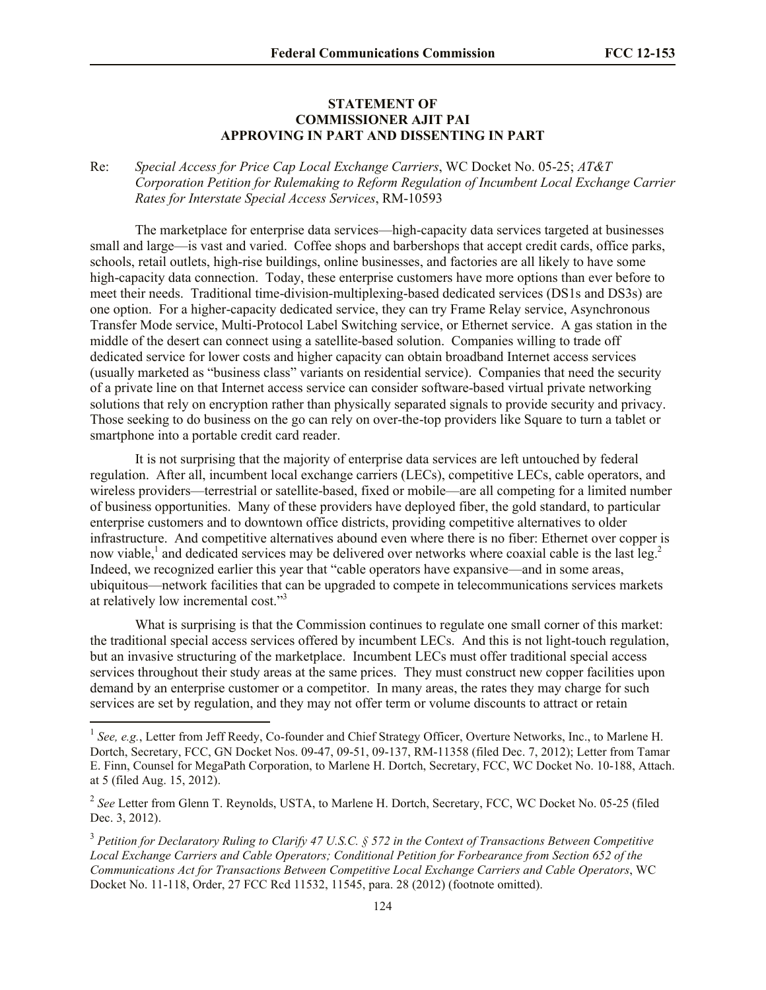#### **STATEMENT OF COMMISSIONER AJIT PAI APPROVING IN PART AND DISSENTING IN PART**

## Re: *Special Access for Price Cap Local Exchange Carriers*, WC Docket No. 05-25; *AT&T Corporation Petition for Rulemaking to Reform Regulation of Incumbent Local Exchange Carrier Rates for Interstate Special Access Services*, RM-10593

The marketplace for enterprise data services—high-capacity data services targeted at businesses small and large—is vast and varied. Coffee shops and barbershops that accept credit cards, office parks, schools, retail outlets, high-rise buildings, online businesses, and factories are all likely to have some high-capacity data connection. Today, these enterprise customers have more options than ever before to meet their needs. Traditional time-division-multiplexing-based dedicated services (DS1s and DS3s) are one option. For a higher-capacity dedicated service, they can try Frame Relay service, Asynchronous Transfer Mode service, Multi-Protocol Label Switching service, or Ethernet service. A gas station in the middle of the desert can connect using a satellite-based solution. Companies willing to trade off dedicated service for lower costs and higher capacity can obtain broadband Internet access services (usually marketed as "business class" variants on residential service). Companies that need the security of a private line on that Internet access service can consider software-based virtual private networking solutions that rely on encryption rather than physically separated signals to provide security and privacy. Those seeking to do business on the go can rely on over-the-top providers like Square to turn a tablet or smartphone into a portable credit card reader.

It is not surprising that the majority of enterprise data services are left untouched by federal regulation. After all, incumbent local exchange carriers (LECs), competitive LECs, cable operators, and wireless providers—terrestrial or satellite-based, fixed or mobile—are all competing for a limited number of business opportunities. Many of these providers have deployed fiber, the gold standard, to particular enterprise customers and to downtown office districts, providing competitive alternatives to older infrastructure. And competitive alternatives abound even where there is no fiber: Ethernet over copper is now viable,<sup>1</sup> and dedicated services may be delivered over networks where coaxial cable is the last leg.<sup>2</sup> Indeed, we recognized earlier this year that "cable operators have expansive—and in some areas, ubiquitous—network facilities that can be upgraded to compete in telecommunications services markets at relatively low incremental cost."<sup>3</sup>

What is surprising is that the Commission continues to regulate one small corner of this market: the traditional special access services offered by incumbent LECs. And this is not light-touch regulation, but an invasive structuring of the marketplace. Incumbent LECs must offer traditional special access services throughout their study areas at the same prices. They must construct new copper facilities upon demand by an enterprise customer or a competitor. In many areas, the rates they may charge for such services are set by regulation, and they may not offer term or volume discounts to attract or retain

<sup>&</sup>lt;sup>1</sup> See, e.g., Letter from Jeff Reedy, Co-founder and Chief Strategy Officer, Overture Networks, Inc., to Marlene H. Dortch, Secretary, FCC, GN Docket Nos. 09-47, 09-51, 09-137, RM-11358 (filed Dec. 7, 2012); Letter from Tamar E. Finn, Counsel for MegaPath Corporation, to Marlene H. Dortch, Secretary, FCC, WC Docket No. 10-188, Attach. at 5 (filed Aug. 15, 2012).

<sup>&</sup>lt;sup>2</sup> See Letter from Glenn T. Reynolds, USTA, to Marlene H. Dortch, Secretary, FCC, WC Docket No. 05-25 (filed Dec. 3, 2012).

<sup>&</sup>lt;sup>3</sup> Petition for Declaratory Ruling to Clarify 47 U.S.C. § 572 in the Context of Transactions Between Competitive *Local Exchange Carriers and Cable Operators; Conditional Petition for Forbearance from Section 652 of the Communications Act for Transactions Between Competitive Local Exchange Carriers and Cable Operators*, WC Docket No. 11-118, Order, 27 FCC Rcd 11532, 11545, para. 28 (2012) (footnote omitted).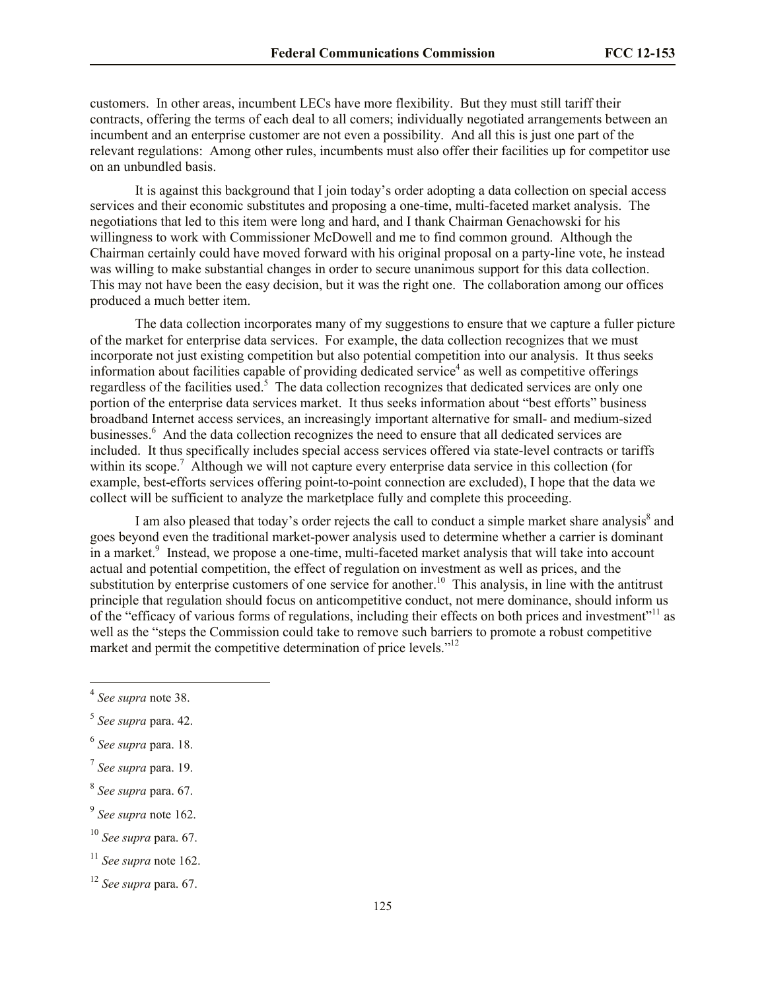customers. In other areas, incumbent LECs have more flexibility. But they must still tariff their contracts, offering the terms of each deal to all comers; individually negotiated arrangements between an incumbent and an enterprise customer are not even a possibility. And all this is just one part of the relevant regulations: Among other rules, incumbents must also offer their facilities up for competitor use on an unbundled basis.

It is against this background that I join today's order adopting a data collection on special access services and their economic substitutes and proposing a one-time, multi-faceted market analysis. The negotiations that led to this item were long and hard, and I thank Chairman Genachowski for his willingness to work with Commissioner McDowell and me to find common ground. Although the Chairman certainly could have moved forward with his original proposal on a party-line vote, he instead was willing to make substantial changes in order to secure unanimous support for this data collection. This may not have been the easy decision, but it was the right one. The collaboration among our offices produced a much better item.

The data collection incorporates many of my suggestions to ensure that we capture a fuller picture of the market for enterprise data services. For example, the data collection recognizes that we must incorporate not just existing competition but also potential competition into our analysis. It thus seeks information about facilities capable of providing dedicated service<sup>4</sup> as well as competitive offerings regardless of the facilities used.<sup>5</sup> The data collection recognizes that dedicated services are only one portion of the enterprise data services market. It thus seeks information about "best efforts" business broadband Internet access services, an increasingly important alternative for small- and medium-sized businesses.<sup>6</sup> And the data collection recognizes the need to ensure that all dedicated services are included. It thus specifically includes special access services offered via state-level contracts or tariffs within its scope.<sup>7</sup> Although we will not capture every enterprise data service in this collection (for example, best-efforts services offering point-to-point connection are excluded), I hope that the data we collect will be sufficient to analyze the marketplace fully and complete this proceeding.

I am also pleased that today's order rejects the call to conduct a simple market share analysis<sup>8</sup> and goes beyond even the traditional market-power analysis used to determine whether a carrier is dominant in a market.<sup>9</sup> Instead, we propose a one-time, multi-faceted market analysis that will take into account actual and potential competition, the effect of regulation on investment as well as prices, and the substitution by enterprise customers of one service for another.<sup>10</sup> This analysis, in line with the antitrust principle that regulation should focus on anticompetitive conduct, not mere dominance, should inform us of the "efficacy of various forms of regulations, including their effects on both prices and investment"<sup>11</sup> as well as the "steps the Commission could take to remove such barriers to promote a robust competitive market and permit the competitive determination of price levels."<sup>12</sup>

l

<sup>10</sup> *See supra* para. 67.

<sup>4</sup> *See supra* note 38.

<sup>5</sup> *See supra* para. 42.

<sup>6</sup> *See supra* para. 18.

<sup>7</sup> *See supra* para. 19.

<sup>8</sup> *See supra* para. 67.

<sup>9</sup> *See supra* note 162.

<sup>11</sup> *See supra* note 162.

<sup>12</sup> *See supra* para. 67.